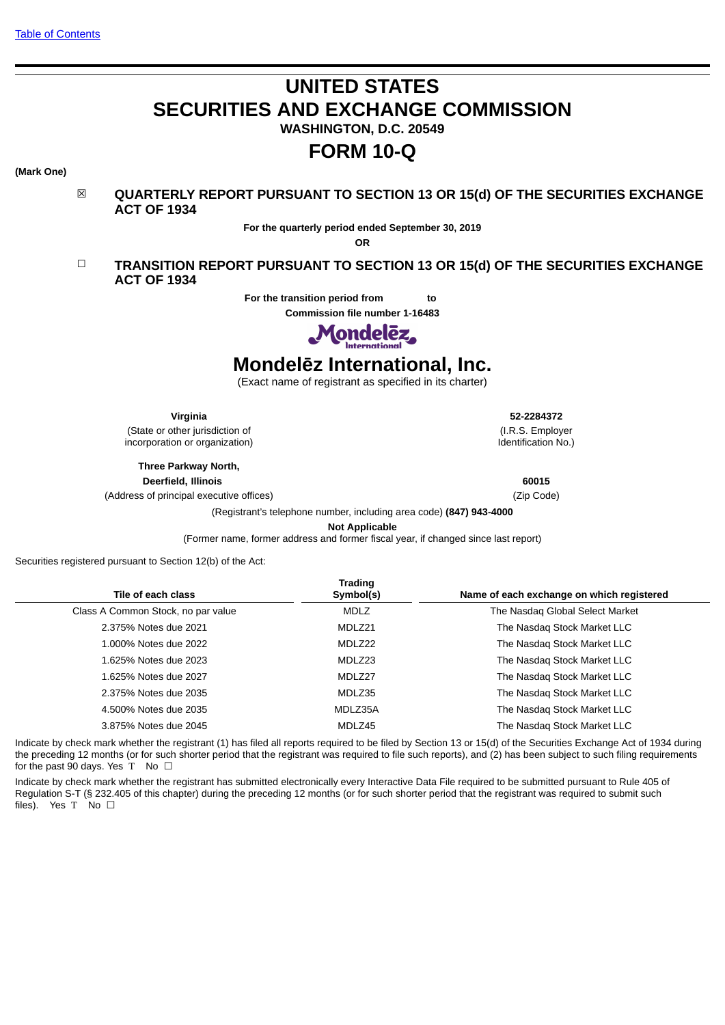# **UNITED STATES SECURITIES AND EXCHANGE COMMISSION**

**WASHINGTON, D.C. 20549**

# **FORM 10-Q**

## **(Mark One)**



**For the quarterly period ended September 30, 2019**

**OR**

# ☐ **TRANSITION REPORT PURSUANT TO SECTION 13 OR 15(d) OF THE SECURITIES EXCHANGE ACT OF 1934**

**For the transition period from to** 

**Commission file number 1-16483**



# **Mondelēz International, Inc.**

(Exact name of registrant as specified in its charter)

**Virginia 52-2284372**

(State or other jurisdiction of incorporation or organization)

> **Three Parkway North, Deerfield, Illinois 60015**

(Address of principal executive offices) (Zip Code)

(I.R.S. Employer Identification No.)

(Registrant's telephone number, including area code) **(847) 943-4000**

**Not Applicable**

(Former name, former address and former fiscal year, if changed since last report)

Securities registered pursuant to Section 12(b) of the Act:

| Tile of each class                 | Trading<br>Symbol(s) | Name of each exchange on which registered |
|------------------------------------|----------------------|-------------------------------------------|
| Class A Common Stock, no par value | <b>MDLZ</b>          | The Nasdag Global Select Market           |
| 2.375% Notes due 2021              | MDLZ21               | The Nasdag Stock Market LLC               |
| 1,000% Notes due 2022              | MDLZ22               | The Nasdag Stock Market LLC               |
| 1.625% Notes due 2023              | MDLZ23               | The Nasdag Stock Market LLC               |
| 1.625% Notes due 2027              | MDLZ27               | The Nasdag Stock Market LLC               |
| 2.375% Notes due 2035              | MDLZ35               | The Nasdag Stock Market LLC               |
| 4.500% Notes due 2035              | MDLZ35A              | The Nasdag Stock Market LLC               |
| 3.875% Notes due 2045              | MDLZ45               | The Nasdag Stock Market LLC               |
|                                    |                      |                                           |

Indicate by check mark whether the registrant (1) has filed all reports required to be filed by Section 13 or 15(d) of the Securities Exchange Act of 1934 during the preceding 12 months (or for such shorter period that the registrant was required to file such reports), and (2) has been subject to such filing requirements for the past  $\overline{90}$  days. Yes T No  $\Box$ 

Indicate by check mark whether the registrant has submitted electronically every Interactive Data File required to be submitted pursuant to Rule 405 of Regulation S-T (§ 232.405 of this chapter) during the preceding 12 months (or for such shorter period that the registrant was required to submit such files). Yes T No  $\square$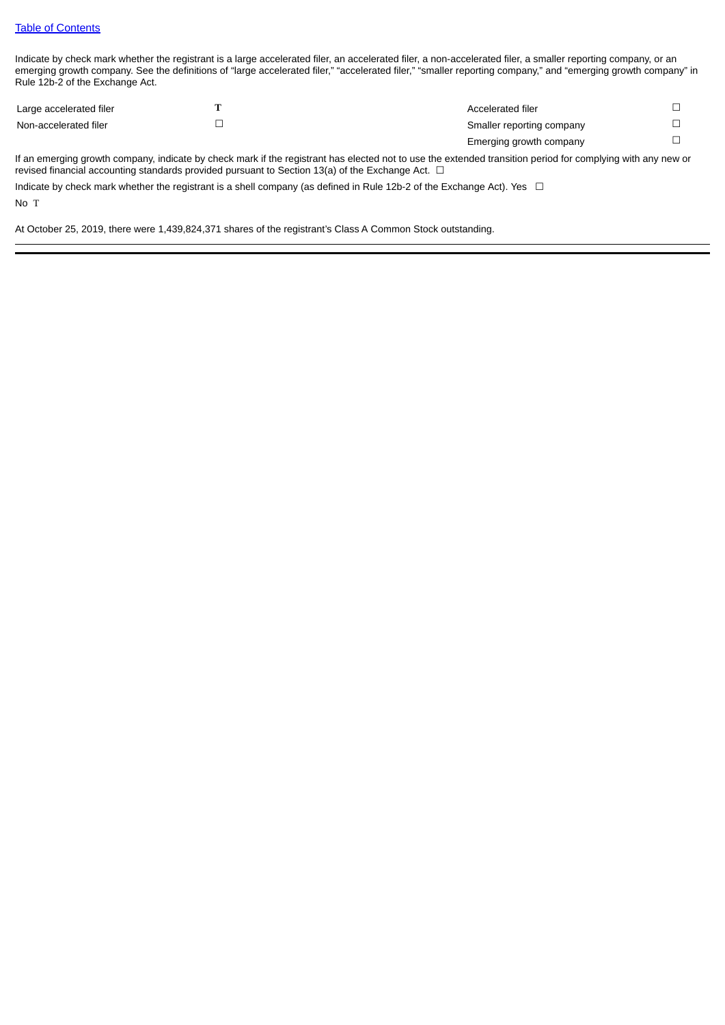Indicate by check mark whether the registrant is a large accelerated filer, an accelerated filer, a non-accelerated filer, a smaller reporting company, or an emerging growth company. See the definitions of "large accelerated filer," "accelerated filer," "smaller reporting company," and "emerging growth company" in Rule 12b-2 of the Exchange Act.

| Large accelerated filer | Accelerated filer         |  |
|-------------------------|---------------------------|--|
| Non-accelerated filer   | Smaller reporting company |  |
|                         | Emerging growth company   |  |

If an emerging growth company, indicate by check mark if the registrant has elected not to use the extended transition period for complying with any new or revised financial accounting standards provided pursuant to Section 13(a) of the Exchange Act.  $\Box$ 

Indicate by check mark whether the registrant is a shell company (as defined in Rule 12b-2 of the Exchange Act). Yes  $\Box$ 

No T

At October 25, 2019, there were 1,439,824,371 shares of the registrant's Class A Common Stock outstanding.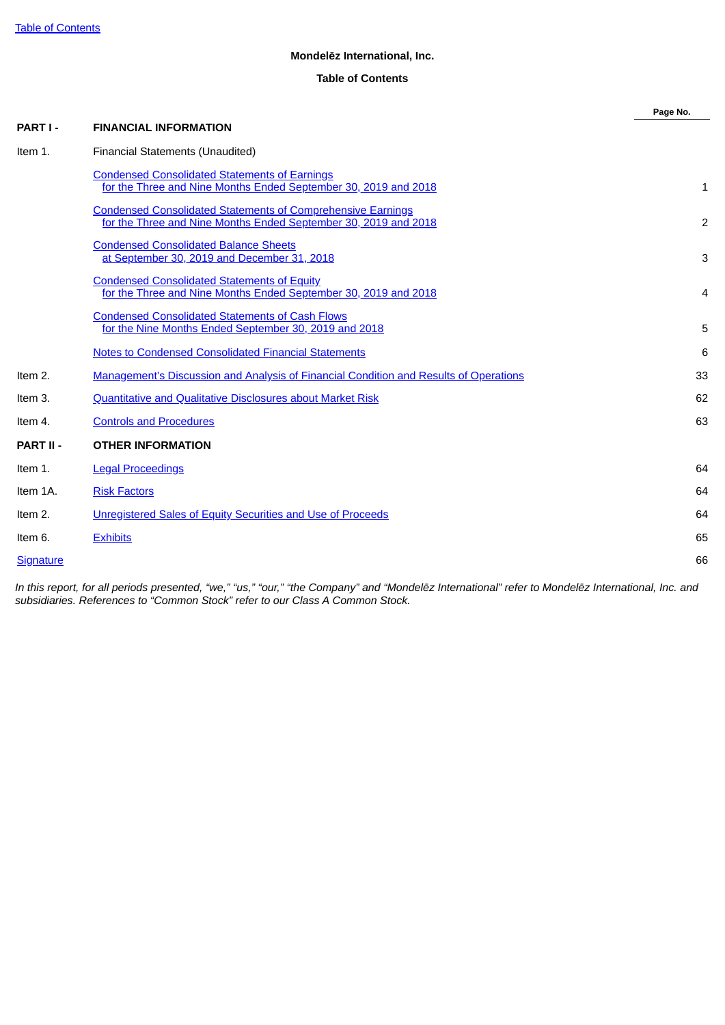# **Mondelēz International, Inc.**

# **Table of Contents**

<span id="page-2-0"></span>

|                  |                                                                                                                                       | Page No. |
|------------------|---------------------------------------------------------------------------------------------------------------------------------------|----------|
| PART I-          | <b>FINANCIAL INFORMATION</b>                                                                                                          |          |
| Item 1.          | Financial Statements (Unaudited)                                                                                                      |          |
|                  | <b>Condensed Consolidated Statements of Earnings</b><br>for the Three and Nine Months Ended September 30, 2019 and 2018               | 1        |
|                  | <b>Condensed Consolidated Statements of Comprehensive Earnings</b><br>for the Three and Nine Months Ended September 30, 2019 and 2018 | 2        |
|                  | <b>Condensed Consolidated Balance Sheets</b><br>at September 30, 2019 and December 31, 2018                                           | 3        |
|                  | <b>Condensed Consolidated Statements of Equity</b><br>for the Three and Nine Months Ended September 30, 2019 and 2018                 | 4        |
|                  | <b>Condensed Consolidated Statements of Cash Flows</b><br>for the Nine Months Ended September 30, 2019 and 2018                       | 5        |
|                  | <b>Notes to Condensed Consolidated Financial Statements</b>                                                                           | 6        |
| Item 2.          | <b>Management's Discussion and Analysis of Financial Condition and Results of Operations</b>                                          | 33       |
| Item 3.          | <b>Quantitative and Qualitative Disclosures about Market Risk</b>                                                                     | 62       |
| Item 4.          | <b>Controls and Procedures</b>                                                                                                        | 63       |
| <b>PART II -</b> | <b>OTHER INFORMATION</b>                                                                                                              |          |
| Item 1.          | <b>Legal Proceedings</b>                                                                                                              | 64       |
| Item 1A.         | <b>Risk Factors</b>                                                                                                                   | 64       |
| Item 2.          | Unregistered Sales of Equity Securities and Use of Proceeds                                                                           | 64       |
| Item 6.          | <b>Exhibits</b>                                                                                                                       | 65       |
| <b>Signature</b> |                                                                                                                                       | 66       |

In this report, for all periods presented, "we," "us," "our," "the Company" and "Mondelēz International" refer to Mondelēz International, Inc. and *subsidiaries. References to "Common Stock" refer to our Class A Common Stock.*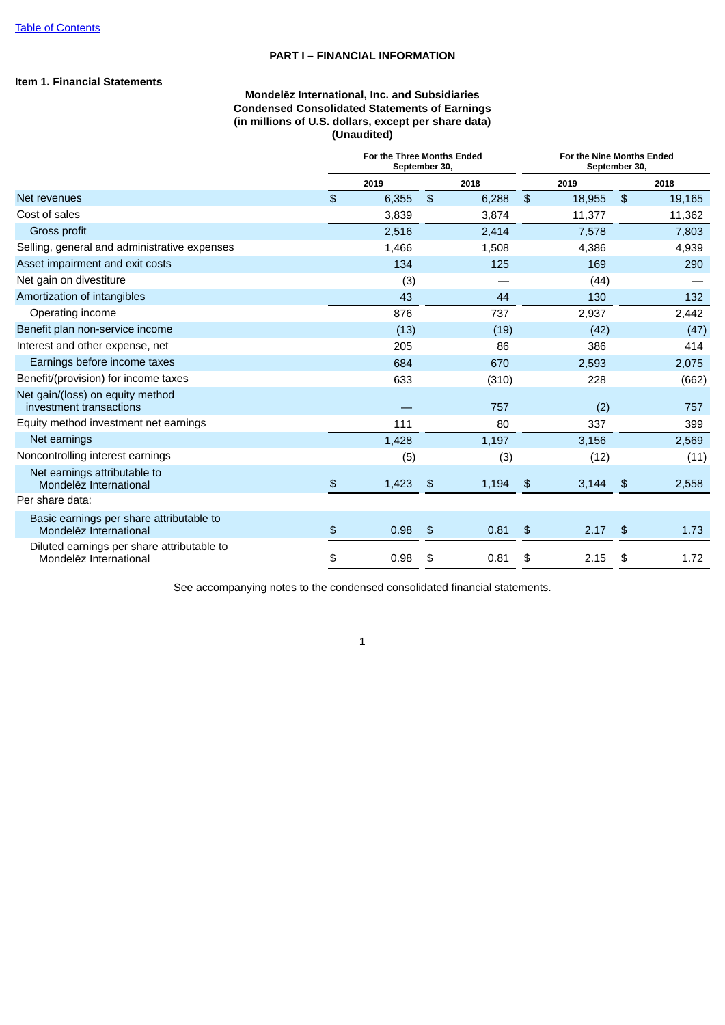## **PART I – FINANCIAL INFORMATION**

# <span id="page-3-0"></span>**Item 1. Financial Statements**

# **Mondelēz International, Inc. and Subsidiaries Condensed Consolidated Statements of Earnings (in millions of U.S. dollars, except per share data) (Unaudited)**

|                                                                      | For the Three Months Ended<br>September 30, |       |                | For the Nine Months Ended<br>September 30, |               |        |               |        |
|----------------------------------------------------------------------|---------------------------------------------|-------|----------------|--------------------------------------------|---------------|--------|---------------|--------|
|                                                                      |                                             | 2019  |                | 2018                                       |               | 2019   |               | 2018   |
| Net revenues                                                         | \$                                          | 6,355 | $\mathfrak{L}$ | 6,288                                      | $\frac{4}{5}$ | 18,955 | $\frac{1}{2}$ | 19,165 |
| Cost of sales                                                        |                                             | 3,839 |                | 3,874                                      |               | 11,377 |               | 11,362 |
| Gross profit                                                         |                                             | 2,516 |                | 2,414                                      |               | 7,578  |               | 7,803  |
| Selling, general and administrative expenses                         |                                             | 1,466 |                | 1,508                                      |               | 4,386  |               | 4,939  |
| Asset impairment and exit costs                                      |                                             | 134   |                | 125                                        |               | 169    |               | 290    |
| Net gain on divestiture                                              |                                             | (3)   |                |                                            |               | (44)   |               |        |
| Amortization of intangibles                                          |                                             | 43    |                | 44                                         |               | 130    |               | 132    |
| Operating income                                                     |                                             | 876   |                | 737                                        |               | 2,937  |               | 2,442  |
| Benefit plan non-service income                                      |                                             | (13)  |                | (19)                                       |               | (42)   |               | (47)   |
| Interest and other expense, net                                      |                                             | 205   |                | 86                                         |               | 386    |               | 414    |
| Earnings before income taxes                                         |                                             | 684   |                | 670                                        |               | 2,593  |               | 2,075  |
| Benefit/(provision) for income taxes                                 |                                             | 633   |                | (310)                                      |               | 228    |               | (662)  |
| Net gain/(loss) on equity method<br>investment transactions          |                                             |       |                | 757                                        |               | (2)    |               | 757    |
| Equity method investment net earnings                                |                                             | 111   |                | 80                                         |               | 337    |               | 399    |
| Net earnings                                                         |                                             | 1,428 |                | 1,197                                      |               | 3,156  |               | 2,569  |
| Noncontrolling interest earnings                                     |                                             | (5)   |                | (3)                                        |               | (12)   |               | (11)   |
| Net earnings attributable to<br>Mondelez International               | $\frac{4}{5}$                               | 1,423 | \$             | 1,194                                      | \$            | 3,144  | \$            | 2,558  |
| Per share data:                                                      |                                             |       |                |                                            |               |        |               |        |
| Basic earnings per share attributable to<br>Mondelez International   | $\mathfrak{P}$                              | 0.98  | \$             | 0.81                                       | $\frac{3}{2}$ | 2.17   | \$            | 1.73   |
| Diluted earnings per share attributable to<br>Mondelez International | \$                                          | 0.98  | \$             | 0.81                                       | \$            | 2.15   | \$            | 1.72   |

See accompanying notes to the condensed consolidated financial statements.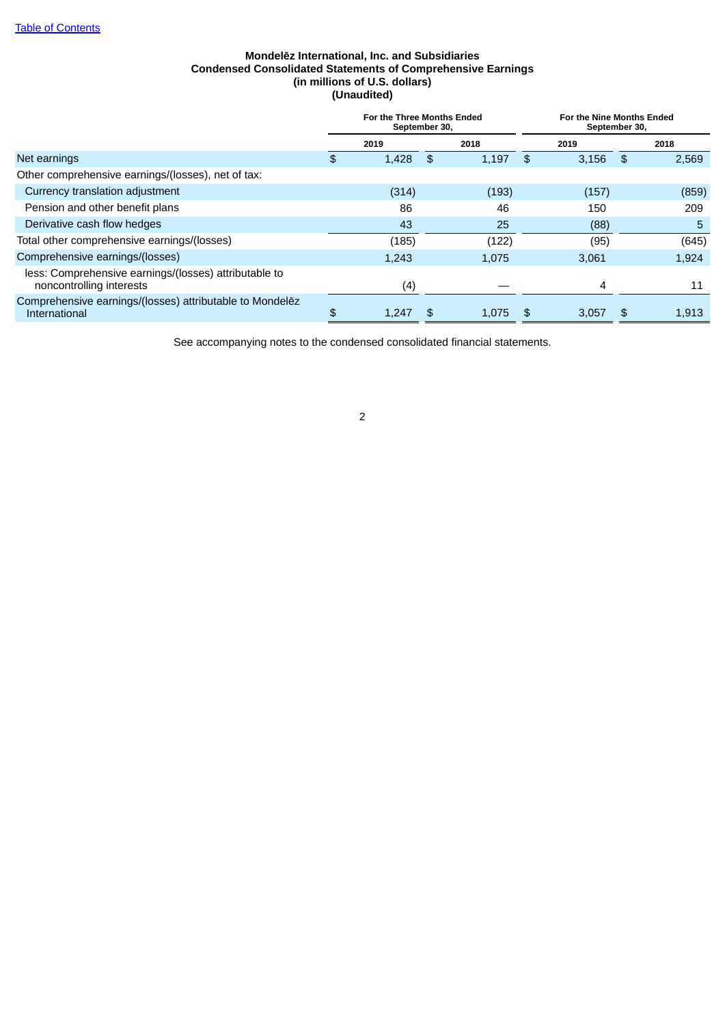# **Mondelēz International, Inc. and Subsidiaries Condensed Consolidated Statements of Comprehensive Earnings (in millions of U.S. dollars) (Unaudited)**

<span id="page-4-0"></span>

|                                                                                   | For the Three Months Ended<br>September 30, |       |    | For the Nine Months Ended<br>September 30, |    |       |    |       |
|-----------------------------------------------------------------------------------|---------------------------------------------|-------|----|--------------------------------------------|----|-------|----|-------|
|                                                                                   |                                             | 2019  |    | 2018                                       |    | 2019  |    | 2018  |
| Net earnings                                                                      | \$                                          | 1,428 | \$ | 1,197                                      | \$ | 3,156 | \$ | 2,569 |
| Other comprehensive earnings/(losses), net of tax:                                |                                             |       |    |                                            |    |       |    |       |
| Currency translation adjustment                                                   |                                             | (314) |    | (193)                                      |    | (157) |    | (859) |
| Pension and other benefit plans                                                   |                                             | 86    |    | 46                                         |    | 150   |    | 209   |
| Derivative cash flow hedges                                                       |                                             | 43    |    | 25                                         |    | (88)  |    | 5     |
| Total other comprehensive earnings/(losses)                                       |                                             | (185) |    | (122)                                      |    | (95)  |    | (645) |
| Comprehensive earnings/(losses)                                                   |                                             | 1.243 |    | 1.075                                      |    | 3.061 |    | 1,924 |
| less: Comprehensive earnings/(losses) attributable to<br>noncontrolling interests |                                             | (4)   |    |                                            |    | 4     |    | 11    |
| Comprehensive earnings/(losses) attributable to Mondelez<br>International         | \$                                          | 1,247 |    | 1,075                                      |    | 3,057 | \$ | 1,913 |

See accompanying notes to the condensed consolidated financial statements.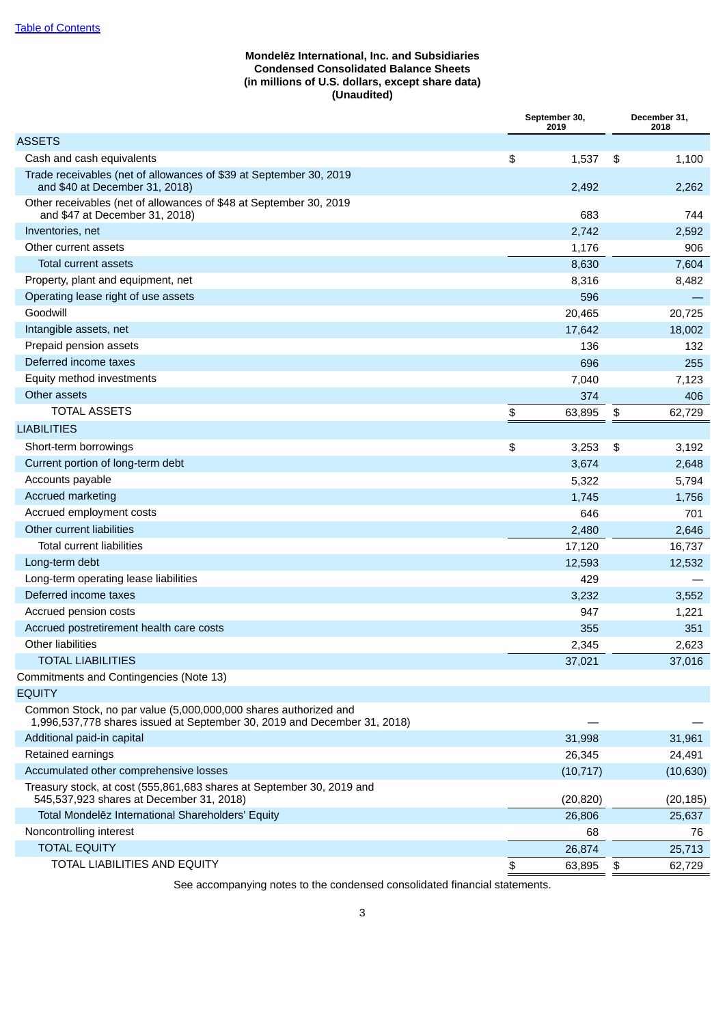# **Mondelēz International, Inc. and Subsidiaries Condensed Consolidated Balance Sheets (in millions of U.S. dollars, except share data) (Unaudited)**

<span id="page-5-0"></span>

|                                                                                                                                             | September 30,<br>2019 | December 31,<br>2018 |
|---------------------------------------------------------------------------------------------------------------------------------------------|-----------------------|----------------------|
| <b>ASSETS</b>                                                                                                                               |                       |                      |
| Cash and cash equivalents                                                                                                                   | \$<br>1,537           | \$<br>1,100          |
| Trade receivables (net of allowances of \$39 at September 30, 2019<br>and \$40 at December 31, 2018)                                        | 2,492                 | 2,262                |
| Other receivables (net of allowances of \$48 at September 30, 2019<br>and \$47 at December 31, 2018)                                        | 683                   | 744                  |
| Inventories, net                                                                                                                            | 2,742                 | 2,592                |
| Other current assets                                                                                                                        | 1,176                 | 906                  |
| <b>Total current assets</b>                                                                                                                 | 8,630                 | 7,604                |
| Property, plant and equipment, net                                                                                                          | 8,316                 | 8,482                |
| Operating lease right of use assets                                                                                                         | 596                   |                      |
| Goodwill                                                                                                                                    | 20,465                | 20,725               |
| Intangible assets, net                                                                                                                      | 17,642                | 18,002               |
| Prepaid pension assets                                                                                                                      | 136                   | 132                  |
| Deferred income taxes                                                                                                                       | 696                   | 255                  |
| Equity method investments                                                                                                                   | 7,040                 | 7,123                |
| Other assets                                                                                                                                | 374                   | 406                  |
| <b>TOTAL ASSETS</b>                                                                                                                         | \$<br>63,895          | \$<br>62,729         |
| <b>LIABILITIES</b>                                                                                                                          |                       |                      |
| Short-term borrowings                                                                                                                       | \$<br>3,253           | \$<br>3,192          |
| Current portion of long-term debt                                                                                                           | 3,674                 | 2,648                |
| Accounts payable                                                                                                                            | 5,322                 | 5,794                |
| <b>Accrued marketing</b>                                                                                                                    | 1,745                 | 1,756                |
| Accrued employment costs                                                                                                                    | 646                   | 701                  |
| Other current liabilities                                                                                                                   | 2,480                 | 2,646                |
| <b>Total current liabilities</b>                                                                                                            | 17,120                | 16,737               |
| Long-term debt                                                                                                                              | 12,593                | 12,532               |
| Long-term operating lease liabilities                                                                                                       | 429                   |                      |
| Deferred income taxes                                                                                                                       | 3,232                 | 3,552                |
| Accrued pension costs                                                                                                                       | 947                   | 1,221                |
| Accrued postretirement health care costs                                                                                                    | 355                   | 351                  |
| Other liabilities                                                                                                                           | 2,345                 | 2,623                |
| <b>TOTAL LIABILITIES</b>                                                                                                                    | 37,021                | 37,016               |
| Commitments and Contingencies (Note 13)                                                                                                     |                       |                      |
| <b>EQUITY</b>                                                                                                                               |                       |                      |
| Common Stock, no par value (5,000,000,000 shares authorized and<br>1,996,537,778 shares issued at September 30, 2019 and December 31, 2018) |                       |                      |
| Additional paid-in capital                                                                                                                  | 31,998                | 31,961               |
| Retained earnings                                                                                                                           | 26,345                | 24,491               |
| Accumulated other comprehensive losses                                                                                                      | (10, 717)             | (10, 630)            |
| Treasury stock, at cost (555,861,683 shares at September 30, 2019 and<br>545,537,923 shares at December 31, 2018)                           | (20, 820)             | (20, 185)            |
| Total Mondelez International Shareholders' Equity                                                                                           | 26,806                | 25,637               |
| Noncontrolling interest                                                                                                                     | 68                    | 76                   |
| <b>TOTAL EQUITY</b>                                                                                                                         | 26,874                | 25,713               |
| TOTAL LIABILITIES AND EQUITY                                                                                                                | \$<br>63,895          | \$<br>62,729         |

See accompanying notes to the condensed consolidated financial statements.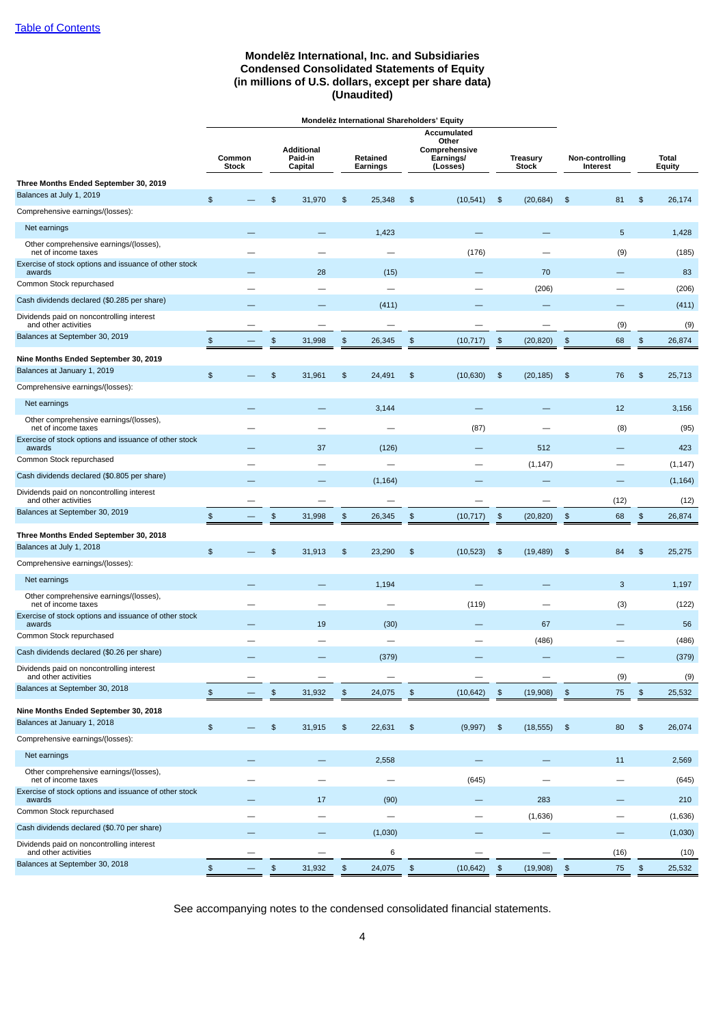# **Mondelēz International, Inc. and Subsidiaries Condensed Consolidated Statements of Equity (in millions of U.S. dollars, except per share data) (Unaudited)**

<span id="page-6-0"></span>

| <b>Accumulated</b><br>Other<br>Additional<br>Comprehensive<br>Paid-in<br>Non-controlling<br>Common<br>Retained<br><b>Earnings/</b><br><b>Treasury</b><br>Total<br><b>Stock</b><br>Capital<br>Earnings<br>(Losses)<br><b>Stock</b><br>Interest<br><b>Equity</b><br>Three Months Ended September 30, 2019<br>$\frac{1}{2}$<br>$\frac{1}{2}$<br>26,174<br>\$<br>31,970<br>25,348<br>\$<br>(10, 541)<br>$\frac{1}{2}$<br>(20, 684)<br>\$<br>81<br>$\frac{2}{3}$<br>Net earnings<br>5<br>1,423<br>1,428<br>Other comprehensive earnings/(losses),<br>net of income taxes<br>(176)<br>(9)<br>(185)<br>28<br>(15)<br>70<br>83<br>awards<br>(206)<br>(206)<br>(411)<br>(411)<br>and other activities<br>(9)<br>(9)<br>$\, \mathfrak{s} \,$<br>$\frac{1}{2}$<br>31,998<br>$\frac{1}{2}$<br>$\frac{1}{2}$<br>$\frac{1}{2}$<br>68<br>$\frac{1}{2}$<br>26,345<br>\$<br>(10, 717)<br>(20, 820)<br>26,874<br>Nine Months Ended September 30, 2019<br>$\frac{2}{3}$<br>\$<br>31,961<br>$\frac{2}{3}$<br>24,491<br>$\frac{1}{2}$<br>\$<br>\$<br>25,713<br>\$<br>(10, 630)<br>(20, 185)<br>76<br>Net earnings<br>3,144<br>12<br>3,156<br>Other comprehensive earnings/(losses),<br>(87)<br>(8)<br>(95)<br>net of income taxes<br>37<br>(126)<br>512<br>423<br>awards<br>(1, 147)<br>(1, 147)<br>(1, 164)<br>(1, 164)<br>and other activities<br>(12)<br>(12)<br>\$<br>$\,$<br>$\frac{1}{2}$<br>\$<br>$\frac{1}{2}$<br>$\boldsymbol{\mathsf{s}}$<br>31,998<br>\$<br>(20, 820)<br>26,345<br>(10, 717)<br>68<br>26,874<br>Three Months Ended September 30, 2018<br>Balances at July 1, 2018<br>$\frac{2}{3}$<br>\$<br>31,913<br>$\frac{2}{3}$<br>23,290<br>\$<br>(10, 523)<br>$\frac{1}{2}$<br>(19, 489)<br>\$<br>84<br>\$<br>25,275<br>Comprehensive earnings/(losses):<br>Net earnings<br>1,194<br>3<br>1,197<br>Other comprehensive earnings/(losses),<br>(119)<br>(3)<br>(122)<br>net of income taxes<br>Exercise of stock options and issuance of other stock<br>awards<br>19<br>(30)<br>67<br>56<br>(486)<br>(486)<br>$\overline{\phantom{0}}$<br>Cash dividends declared (\$0.26 per share)<br>(379)<br>(379)<br>Dividends paid on noncontrolling interest<br>and other activities<br>(9)<br>(9)<br>$\,$<br>$\,$<br>$\pmb{\mathfrak{s}}$<br>$\, \mathfrak{s} \,$<br>$\boldsymbol{\mathsf{s}}$<br>31,932<br>24,075<br>\$<br>(10, 642)<br>(19,908)<br>75<br>$\pmb{\mathfrak{s}}$<br>25,532<br>$\, \mathfrak{s} \,$<br>$\, \mathfrak{s} \,$<br>31,915<br>$$\mathfrak{v}$$<br>22,631<br>$\pmb{\mathfrak{s}}$<br>$\pmb{\mathfrak{s}}$<br>$\, \mathfrak{s} \,$<br>80<br>$\frac{1}{2}$<br>26,074<br>(9,997)<br>(18, 555)<br>Net earnings<br>2,558<br>11<br>2,569<br>Other comprehensive earnings/(losses),<br>net of income taxes<br>(645)<br>(645)<br>$\overline{\phantom{0}}$<br>283<br>awards<br>17<br>(90)<br>210<br>(1,636)<br>(1,636)<br>-<br>(1,030)<br>(1,030)<br>and other activities<br>6<br>(16)<br>(10)<br>$\mathfrak{P}$<br>$\,$<br>31,932<br>$\pmb{\mathfrak{P}}$<br>$\mathfrak{P}$<br>$$\mathfrak{F}$$<br>(19,908)<br>$\pmb{\mathfrak{P}}$<br>$\pmb{\mathfrak{s}}$<br>24,075<br>(10, 642)<br>75<br>25,532 |                                                       | Mondelez International Shareholders' Equity |  |  |  |  |  |  |  |  |  |  |
|------------------------------------------------------------------------------------------------------------------------------------------------------------------------------------------------------------------------------------------------------------------------------------------------------------------------------------------------------------------------------------------------------------------------------------------------------------------------------------------------------------------------------------------------------------------------------------------------------------------------------------------------------------------------------------------------------------------------------------------------------------------------------------------------------------------------------------------------------------------------------------------------------------------------------------------------------------------------------------------------------------------------------------------------------------------------------------------------------------------------------------------------------------------------------------------------------------------------------------------------------------------------------------------------------------------------------------------------------------------------------------------------------------------------------------------------------------------------------------------------------------------------------------------------------------------------------------------------------------------------------------------------------------------------------------------------------------------------------------------------------------------------------------------------------------------------------------------------------------------------------------------------------------------------------------------------------------------------------------------------------------------------------------------------------------------------------------------------------------------------------------------------------------------------------------------------------------------------------------------------------------------------------------------------------------------------------------------------------------------------------------------------------------------------------------------------------------------------------------------------------------------------------------------------------------------------------------------------------------------------------------------------------------------------------------------------------------------------------------------------------------------------------------------------------------------------------------------------------------------------------------------------------------------------------------------------------------------------------------------------------------------------------------------------------------------------------------------------------|-------------------------------------------------------|---------------------------------------------|--|--|--|--|--|--|--|--|--|--|
|                                                                                                                                                                                                                                                                                                                                                                                                                                                                                                                                                                                                                                                                                                                                                                                                                                                                                                                                                                                                                                                                                                                                                                                                                                                                                                                                                                                                                                                                                                                                                                                                                                                                                                                                                                                                                                                                                                                                                                                                                                                                                                                                                                                                                                                                                                                                                                                                                                                                                                                                                                                                                                                                                                                                                                                                                                                                                                                                                                                                                                                                                                      |                                                       |                                             |  |  |  |  |  |  |  |  |  |  |
|                                                                                                                                                                                                                                                                                                                                                                                                                                                                                                                                                                                                                                                                                                                                                                                                                                                                                                                                                                                                                                                                                                                                                                                                                                                                                                                                                                                                                                                                                                                                                                                                                                                                                                                                                                                                                                                                                                                                                                                                                                                                                                                                                                                                                                                                                                                                                                                                                                                                                                                                                                                                                                                                                                                                                                                                                                                                                                                                                                                                                                                                                                      |                                                       |                                             |  |  |  |  |  |  |  |  |  |  |
|                                                                                                                                                                                                                                                                                                                                                                                                                                                                                                                                                                                                                                                                                                                                                                                                                                                                                                                                                                                                                                                                                                                                                                                                                                                                                                                                                                                                                                                                                                                                                                                                                                                                                                                                                                                                                                                                                                                                                                                                                                                                                                                                                                                                                                                                                                                                                                                                                                                                                                                                                                                                                                                                                                                                                                                                                                                                                                                                                                                                                                                                                                      | Balances at July 1, 2019                              |                                             |  |  |  |  |  |  |  |  |  |  |
|                                                                                                                                                                                                                                                                                                                                                                                                                                                                                                                                                                                                                                                                                                                                                                                                                                                                                                                                                                                                                                                                                                                                                                                                                                                                                                                                                                                                                                                                                                                                                                                                                                                                                                                                                                                                                                                                                                                                                                                                                                                                                                                                                                                                                                                                                                                                                                                                                                                                                                                                                                                                                                                                                                                                                                                                                                                                                                                                                                                                                                                                                                      | Comprehensive earnings/(losses):                      |                                             |  |  |  |  |  |  |  |  |  |  |
|                                                                                                                                                                                                                                                                                                                                                                                                                                                                                                                                                                                                                                                                                                                                                                                                                                                                                                                                                                                                                                                                                                                                                                                                                                                                                                                                                                                                                                                                                                                                                                                                                                                                                                                                                                                                                                                                                                                                                                                                                                                                                                                                                                                                                                                                                                                                                                                                                                                                                                                                                                                                                                                                                                                                                                                                                                                                                                                                                                                                                                                                                                      |                                                       |                                             |  |  |  |  |  |  |  |  |  |  |
|                                                                                                                                                                                                                                                                                                                                                                                                                                                                                                                                                                                                                                                                                                                                                                                                                                                                                                                                                                                                                                                                                                                                                                                                                                                                                                                                                                                                                                                                                                                                                                                                                                                                                                                                                                                                                                                                                                                                                                                                                                                                                                                                                                                                                                                                                                                                                                                                                                                                                                                                                                                                                                                                                                                                                                                                                                                                                                                                                                                                                                                                                                      |                                                       |                                             |  |  |  |  |  |  |  |  |  |  |
|                                                                                                                                                                                                                                                                                                                                                                                                                                                                                                                                                                                                                                                                                                                                                                                                                                                                                                                                                                                                                                                                                                                                                                                                                                                                                                                                                                                                                                                                                                                                                                                                                                                                                                                                                                                                                                                                                                                                                                                                                                                                                                                                                                                                                                                                                                                                                                                                                                                                                                                                                                                                                                                                                                                                                                                                                                                                                                                                                                                                                                                                                                      | Exercise of stock options and issuance of other stock |                                             |  |  |  |  |  |  |  |  |  |  |
|                                                                                                                                                                                                                                                                                                                                                                                                                                                                                                                                                                                                                                                                                                                                                                                                                                                                                                                                                                                                                                                                                                                                                                                                                                                                                                                                                                                                                                                                                                                                                                                                                                                                                                                                                                                                                                                                                                                                                                                                                                                                                                                                                                                                                                                                                                                                                                                                                                                                                                                                                                                                                                                                                                                                                                                                                                                                                                                                                                                                                                                                                                      | Common Stock repurchased                              |                                             |  |  |  |  |  |  |  |  |  |  |
|                                                                                                                                                                                                                                                                                                                                                                                                                                                                                                                                                                                                                                                                                                                                                                                                                                                                                                                                                                                                                                                                                                                                                                                                                                                                                                                                                                                                                                                                                                                                                                                                                                                                                                                                                                                                                                                                                                                                                                                                                                                                                                                                                                                                                                                                                                                                                                                                                                                                                                                                                                                                                                                                                                                                                                                                                                                                                                                                                                                                                                                                                                      | Cash dividends declared (\$0.285 per share)           |                                             |  |  |  |  |  |  |  |  |  |  |
|                                                                                                                                                                                                                                                                                                                                                                                                                                                                                                                                                                                                                                                                                                                                                                                                                                                                                                                                                                                                                                                                                                                                                                                                                                                                                                                                                                                                                                                                                                                                                                                                                                                                                                                                                                                                                                                                                                                                                                                                                                                                                                                                                                                                                                                                                                                                                                                                                                                                                                                                                                                                                                                                                                                                                                                                                                                                                                                                                                                                                                                                                                      | Dividends paid on noncontrolling interest             |                                             |  |  |  |  |  |  |  |  |  |  |
|                                                                                                                                                                                                                                                                                                                                                                                                                                                                                                                                                                                                                                                                                                                                                                                                                                                                                                                                                                                                                                                                                                                                                                                                                                                                                                                                                                                                                                                                                                                                                                                                                                                                                                                                                                                                                                                                                                                                                                                                                                                                                                                                                                                                                                                                                                                                                                                                                                                                                                                                                                                                                                                                                                                                                                                                                                                                                                                                                                                                                                                                                                      | Balances at September 30, 2019                        |                                             |  |  |  |  |  |  |  |  |  |  |
|                                                                                                                                                                                                                                                                                                                                                                                                                                                                                                                                                                                                                                                                                                                                                                                                                                                                                                                                                                                                                                                                                                                                                                                                                                                                                                                                                                                                                                                                                                                                                                                                                                                                                                                                                                                                                                                                                                                                                                                                                                                                                                                                                                                                                                                                                                                                                                                                                                                                                                                                                                                                                                                                                                                                                                                                                                                                                                                                                                                                                                                                                                      |                                                       |                                             |  |  |  |  |  |  |  |  |  |  |
|                                                                                                                                                                                                                                                                                                                                                                                                                                                                                                                                                                                                                                                                                                                                                                                                                                                                                                                                                                                                                                                                                                                                                                                                                                                                                                                                                                                                                                                                                                                                                                                                                                                                                                                                                                                                                                                                                                                                                                                                                                                                                                                                                                                                                                                                                                                                                                                                                                                                                                                                                                                                                                                                                                                                                                                                                                                                                                                                                                                                                                                                                                      | Balances at January 1, 2019                           |                                             |  |  |  |  |  |  |  |  |  |  |
|                                                                                                                                                                                                                                                                                                                                                                                                                                                                                                                                                                                                                                                                                                                                                                                                                                                                                                                                                                                                                                                                                                                                                                                                                                                                                                                                                                                                                                                                                                                                                                                                                                                                                                                                                                                                                                                                                                                                                                                                                                                                                                                                                                                                                                                                                                                                                                                                                                                                                                                                                                                                                                                                                                                                                                                                                                                                                                                                                                                                                                                                                                      | Comprehensive earnings/(losses):                      |                                             |  |  |  |  |  |  |  |  |  |  |
|                                                                                                                                                                                                                                                                                                                                                                                                                                                                                                                                                                                                                                                                                                                                                                                                                                                                                                                                                                                                                                                                                                                                                                                                                                                                                                                                                                                                                                                                                                                                                                                                                                                                                                                                                                                                                                                                                                                                                                                                                                                                                                                                                                                                                                                                                                                                                                                                                                                                                                                                                                                                                                                                                                                                                                                                                                                                                                                                                                                                                                                                                                      |                                                       |                                             |  |  |  |  |  |  |  |  |  |  |
|                                                                                                                                                                                                                                                                                                                                                                                                                                                                                                                                                                                                                                                                                                                                                                                                                                                                                                                                                                                                                                                                                                                                                                                                                                                                                                                                                                                                                                                                                                                                                                                                                                                                                                                                                                                                                                                                                                                                                                                                                                                                                                                                                                                                                                                                                                                                                                                                                                                                                                                                                                                                                                                                                                                                                                                                                                                                                                                                                                                                                                                                                                      |                                                       |                                             |  |  |  |  |  |  |  |  |  |  |
|                                                                                                                                                                                                                                                                                                                                                                                                                                                                                                                                                                                                                                                                                                                                                                                                                                                                                                                                                                                                                                                                                                                                                                                                                                                                                                                                                                                                                                                                                                                                                                                                                                                                                                                                                                                                                                                                                                                                                                                                                                                                                                                                                                                                                                                                                                                                                                                                                                                                                                                                                                                                                                                                                                                                                                                                                                                                                                                                                                                                                                                                                                      | Exercise of stock options and issuance of other stock |                                             |  |  |  |  |  |  |  |  |  |  |
|                                                                                                                                                                                                                                                                                                                                                                                                                                                                                                                                                                                                                                                                                                                                                                                                                                                                                                                                                                                                                                                                                                                                                                                                                                                                                                                                                                                                                                                                                                                                                                                                                                                                                                                                                                                                                                                                                                                                                                                                                                                                                                                                                                                                                                                                                                                                                                                                                                                                                                                                                                                                                                                                                                                                                                                                                                                                                                                                                                                                                                                                                                      | Common Stock repurchased                              |                                             |  |  |  |  |  |  |  |  |  |  |
|                                                                                                                                                                                                                                                                                                                                                                                                                                                                                                                                                                                                                                                                                                                                                                                                                                                                                                                                                                                                                                                                                                                                                                                                                                                                                                                                                                                                                                                                                                                                                                                                                                                                                                                                                                                                                                                                                                                                                                                                                                                                                                                                                                                                                                                                                                                                                                                                                                                                                                                                                                                                                                                                                                                                                                                                                                                                                                                                                                                                                                                                                                      | Cash dividends declared (\$0.805 per share)           |                                             |  |  |  |  |  |  |  |  |  |  |
|                                                                                                                                                                                                                                                                                                                                                                                                                                                                                                                                                                                                                                                                                                                                                                                                                                                                                                                                                                                                                                                                                                                                                                                                                                                                                                                                                                                                                                                                                                                                                                                                                                                                                                                                                                                                                                                                                                                                                                                                                                                                                                                                                                                                                                                                                                                                                                                                                                                                                                                                                                                                                                                                                                                                                                                                                                                                                                                                                                                                                                                                                                      | Dividends paid on noncontrolling interest             |                                             |  |  |  |  |  |  |  |  |  |  |
|                                                                                                                                                                                                                                                                                                                                                                                                                                                                                                                                                                                                                                                                                                                                                                                                                                                                                                                                                                                                                                                                                                                                                                                                                                                                                                                                                                                                                                                                                                                                                                                                                                                                                                                                                                                                                                                                                                                                                                                                                                                                                                                                                                                                                                                                                                                                                                                                                                                                                                                                                                                                                                                                                                                                                                                                                                                                                                                                                                                                                                                                                                      | Balances at September 30, 2019                        |                                             |  |  |  |  |  |  |  |  |  |  |
|                                                                                                                                                                                                                                                                                                                                                                                                                                                                                                                                                                                                                                                                                                                                                                                                                                                                                                                                                                                                                                                                                                                                                                                                                                                                                                                                                                                                                                                                                                                                                                                                                                                                                                                                                                                                                                                                                                                                                                                                                                                                                                                                                                                                                                                                                                                                                                                                                                                                                                                                                                                                                                                                                                                                                                                                                                                                                                                                                                                                                                                                                                      |                                                       |                                             |  |  |  |  |  |  |  |  |  |  |
|                                                                                                                                                                                                                                                                                                                                                                                                                                                                                                                                                                                                                                                                                                                                                                                                                                                                                                                                                                                                                                                                                                                                                                                                                                                                                                                                                                                                                                                                                                                                                                                                                                                                                                                                                                                                                                                                                                                                                                                                                                                                                                                                                                                                                                                                                                                                                                                                                                                                                                                                                                                                                                                                                                                                                                                                                                                                                                                                                                                                                                                                                                      |                                                       |                                             |  |  |  |  |  |  |  |  |  |  |
|                                                                                                                                                                                                                                                                                                                                                                                                                                                                                                                                                                                                                                                                                                                                                                                                                                                                                                                                                                                                                                                                                                                                                                                                                                                                                                                                                                                                                                                                                                                                                                                                                                                                                                                                                                                                                                                                                                                                                                                                                                                                                                                                                                                                                                                                                                                                                                                                                                                                                                                                                                                                                                                                                                                                                                                                                                                                                                                                                                                                                                                                                                      |                                                       |                                             |  |  |  |  |  |  |  |  |  |  |
|                                                                                                                                                                                                                                                                                                                                                                                                                                                                                                                                                                                                                                                                                                                                                                                                                                                                                                                                                                                                                                                                                                                                                                                                                                                                                                                                                                                                                                                                                                                                                                                                                                                                                                                                                                                                                                                                                                                                                                                                                                                                                                                                                                                                                                                                                                                                                                                                                                                                                                                                                                                                                                                                                                                                                                                                                                                                                                                                                                                                                                                                                                      |                                                       |                                             |  |  |  |  |  |  |  |  |  |  |
|                                                                                                                                                                                                                                                                                                                                                                                                                                                                                                                                                                                                                                                                                                                                                                                                                                                                                                                                                                                                                                                                                                                                                                                                                                                                                                                                                                                                                                                                                                                                                                                                                                                                                                                                                                                                                                                                                                                                                                                                                                                                                                                                                                                                                                                                                                                                                                                                                                                                                                                                                                                                                                                                                                                                                                                                                                                                                                                                                                                                                                                                                                      |                                                       |                                             |  |  |  |  |  |  |  |  |  |  |
|                                                                                                                                                                                                                                                                                                                                                                                                                                                                                                                                                                                                                                                                                                                                                                                                                                                                                                                                                                                                                                                                                                                                                                                                                                                                                                                                                                                                                                                                                                                                                                                                                                                                                                                                                                                                                                                                                                                                                                                                                                                                                                                                                                                                                                                                                                                                                                                                                                                                                                                                                                                                                                                                                                                                                                                                                                                                                                                                                                                                                                                                                                      |                                                       |                                             |  |  |  |  |  |  |  |  |  |  |
|                                                                                                                                                                                                                                                                                                                                                                                                                                                                                                                                                                                                                                                                                                                                                                                                                                                                                                                                                                                                                                                                                                                                                                                                                                                                                                                                                                                                                                                                                                                                                                                                                                                                                                                                                                                                                                                                                                                                                                                                                                                                                                                                                                                                                                                                                                                                                                                                                                                                                                                                                                                                                                                                                                                                                                                                                                                                                                                                                                                                                                                                                                      |                                                       |                                             |  |  |  |  |  |  |  |  |  |  |
|                                                                                                                                                                                                                                                                                                                                                                                                                                                                                                                                                                                                                                                                                                                                                                                                                                                                                                                                                                                                                                                                                                                                                                                                                                                                                                                                                                                                                                                                                                                                                                                                                                                                                                                                                                                                                                                                                                                                                                                                                                                                                                                                                                                                                                                                                                                                                                                                                                                                                                                                                                                                                                                                                                                                                                                                                                                                                                                                                                                                                                                                                                      | Common Stock repurchased                              |                                             |  |  |  |  |  |  |  |  |  |  |
|                                                                                                                                                                                                                                                                                                                                                                                                                                                                                                                                                                                                                                                                                                                                                                                                                                                                                                                                                                                                                                                                                                                                                                                                                                                                                                                                                                                                                                                                                                                                                                                                                                                                                                                                                                                                                                                                                                                                                                                                                                                                                                                                                                                                                                                                                                                                                                                                                                                                                                                                                                                                                                                                                                                                                                                                                                                                                                                                                                                                                                                                                                      |                                                       |                                             |  |  |  |  |  |  |  |  |  |  |
|                                                                                                                                                                                                                                                                                                                                                                                                                                                                                                                                                                                                                                                                                                                                                                                                                                                                                                                                                                                                                                                                                                                                                                                                                                                                                                                                                                                                                                                                                                                                                                                                                                                                                                                                                                                                                                                                                                                                                                                                                                                                                                                                                                                                                                                                                                                                                                                                                                                                                                                                                                                                                                                                                                                                                                                                                                                                                                                                                                                                                                                                                                      |                                                       |                                             |  |  |  |  |  |  |  |  |  |  |
|                                                                                                                                                                                                                                                                                                                                                                                                                                                                                                                                                                                                                                                                                                                                                                                                                                                                                                                                                                                                                                                                                                                                                                                                                                                                                                                                                                                                                                                                                                                                                                                                                                                                                                                                                                                                                                                                                                                                                                                                                                                                                                                                                                                                                                                                                                                                                                                                                                                                                                                                                                                                                                                                                                                                                                                                                                                                                                                                                                                                                                                                                                      | Balances at September 30, 2018                        |                                             |  |  |  |  |  |  |  |  |  |  |
|                                                                                                                                                                                                                                                                                                                                                                                                                                                                                                                                                                                                                                                                                                                                                                                                                                                                                                                                                                                                                                                                                                                                                                                                                                                                                                                                                                                                                                                                                                                                                                                                                                                                                                                                                                                                                                                                                                                                                                                                                                                                                                                                                                                                                                                                                                                                                                                                                                                                                                                                                                                                                                                                                                                                                                                                                                                                                                                                                                                                                                                                                                      | Nine Months Ended September 30, 2018                  |                                             |  |  |  |  |  |  |  |  |  |  |
|                                                                                                                                                                                                                                                                                                                                                                                                                                                                                                                                                                                                                                                                                                                                                                                                                                                                                                                                                                                                                                                                                                                                                                                                                                                                                                                                                                                                                                                                                                                                                                                                                                                                                                                                                                                                                                                                                                                                                                                                                                                                                                                                                                                                                                                                                                                                                                                                                                                                                                                                                                                                                                                                                                                                                                                                                                                                                                                                                                                                                                                                                                      | Balances at January 1, 2018                           |                                             |  |  |  |  |  |  |  |  |  |  |
|                                                                                                                                                                                                                                                                                                                                                                                                                                                                                                                                                                                                                                                                                                                                                                                                                                                                                                                                                                                                                                                                                                                                                                                                                                                                                                                                                                                                                                                                                                                                                                                                                                                                                                                                                                                                                                                                                                                                                                                                                                                                                                                                                                                                                                                                                                                                                                                                                                                                                                                                                                                                                                                                                                                                                                                                                                                                                                                                                                                                                                                                                                      | Comprehensive earnings/(losses):                      |                                             |  |  |  |  |  |  |  |  |  |  |
|                                                                                                                                                                                                                                                                                                                                                                                                                                                                                                                                                                                                                                                                                                                                                                                                                                                                                                                                                                                                                                                                                                                                                                                                                                                                                                                                                                                                                                                                                                                                                                                                                                                                                                                                                                                                                                                                                                                                                                                                                                                                                                                                                                                                                                                                                                                                                                                                                                                                                                                                                                                                                                                                                                                                                                                                                                                                                                                                                                                                                                                                                                      |                                                       |                                             |  |  |  |  |  |  |  |  |  |  |
|                                                                                                                                                                                                                                                                                                                                                                                                                                                                                                                                                                                                                                                                                                                                                                                                                                                                                                                                                                                                                                                                                                                                                                                                                                                                                                                                                                                                                                                                                                                                                                                                                                                                                                                                                                                                                                                                                                                                                                                                                                                                                                                                                                                                                                                                                                                                                                                                                                                                                                                                                                                                                                                                                                                                                                                                                                                                                                                                                                                                                                                                                                      |                                                       |                                             |  |  |  |  |  |  |  |  |  |  |
|                                                                                                                                                                                                                                                                                                                                                                                                                                                                                                                                                                                                                                                                                                                                                                                                                                                                                                                                                                                                                                                                                                                                                                                                                                                                                                                                                                                                                                                                                                                                                                                                                                                                                                                                                                                                                                                                                                                                                                                                                                                                                                                                                                                                                                                                                                                                                                                                                                                                                                                                                                                                                                                                                                                                                                                                                                                                                                                                                                                                                                                                                                      | Exercise of stock options and issuance of other stock |                                             |  |  |  |  |  |  |  |  |  |  |
|                                                                                                                                                                                                                                                                                                                                                                                                                                                                                                                                                                                                                                                                                                                                                                                                                                                                                                                                                                                                                                                                                                                                                                                                                                                                                                                                                                                                                                                                                                                                                                                                                                                                                                                                                                                                                                                                                                                                                                                                                                                                                                                                                                                                                                                                                                                                                                                                                                                                                                                                                                                                                                                                                                                                                                                                                                                                                                                                                                                                                                                                                                      | Common Stock repurchased                              |                                             |  |  |  |  |  |  |  |  |  |  |
|                                                                                                                                                                                                                                                                                                                                                                                                                                                                                                                                                                                                                                                                                                                                                                                                                                                                                                                                                                                                                                                                                                                                                                                                                                                                                                                                                                                                                                                                                                                                                                                                                                                                                                                                                                                                                                                                                                                                                                                                                                                                                                                                                                                                                                                                                                                                                                                                                                                                                                                                                                                                                                                                                                                                                                                                                                                                                                                                                                                                                                                                                                      | Cash dividends declared (\$0.70 per share)            |                                             |  |  |  |  |  |  |  |  |  |  |
|                                                                                                                                                                                                                                                                                                                                                                                                                                                                                                                                                                                                                                                                                                                                                                                                                                                                                                                                                                                                                                                                                                                                                                                                                                                                                                                                                                                                                                                                                                                                                                                                                                                                                                                                                                                                                                                                                                                                                                                                                                                                                                                                                                                                                                                                                                                                                                                                                                                                                                                                                                                                                                                                                                                                                                                                                                                                                                                                                                                                                                                                                                      | Dividends paid on noncontrolling interest             |                                             |  |  |  |  |  |  |  |  |  |  |
|                                                                                                                                                                                                                                                                                                                                                                                                                                                                                                                                                                                                                                                                                                                                                                                                                                                                                                                                                                                                                                                                                                                                                                                                                                                                                                                                                                                                                                                                                                                                                                                                                                                                                                                                                                                                                                                                                                                                                                                                                                                                                                                                                                                                                                                                                                                                                                                                                                                                                                                                                                                                                                                                                                                                                                                                                                                                                                                                                                                                                                                                                                      | Balances at September 30, 2018                        |                                             |  |  |  |  |  |  |  |  |  |  |

See accompanying notes to the condensed consolidated financial statements.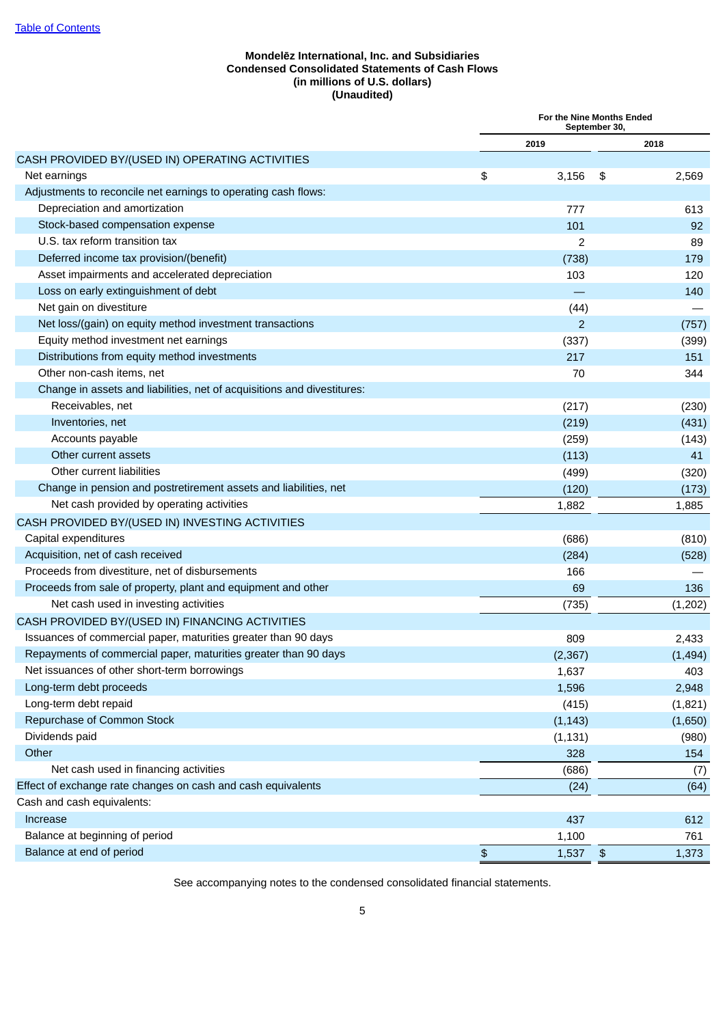# **Mondelēz International, Inc. and Subsidiaries Condensed Consolidated Statements of Cash Flows (in millions of U.S. dollars) (Unaudited)**

<span id="page-7-0"></span>

|                                                                         |                       | For the Nine Months Ended | September 30, |         |
|-------------------------------------------------------------------------|-----------------------|---------------------------|---------------|---------|
|                                                                         |                       | 2019                      |               | 2018    |
| CASH PROVIDED BY/(USED IN) OPERATING ACTIVITIES                         |                       |                           |               |         |
| Net earnings                                                            | \$                    | 3,156                     | \$            | 2,569   |
| Adjustments to reconcile net earnings to operating cash flows:          |                       |                           |               |         |
| Depreciation and amortization                                           |                       | 777                       |               | 613     |
| Stock-based compensation expense                                        |                       | 101                       |               | 92      |
| U.S. tax reform transition tax                                          |                       | 2                         |               | 89      |
| Deferred income tax provision/(benefit)                                 |                       | (738)                     |               | 179     |
| Asset impairments and accelerated depreciation                          |                       | 103                       |               | 120     |
| Loss on early extinguishment of debt                                    |                       |                           |               | 140     |
| Net gain on divestiture                                                 |                       | (44)                      |               |         |
| Net loss/(gain) on equity method investment transactions                |                       | $\overline{2}$            |               | (757)   |
| Equity method investment net earnings                                   |                       | (337)                     |               | (399)   |
| Distributions from equity method investments                            |                       | 217                       |               | 151     |
| Other non-cash items, net                                               |                       | 70                        |               | 344     |
| Change in assets and liabilities, net of acquisitions and divestitures: |                       |                           |               |         |
| Receivables, net                                                        |                       | (217)                     |               | (230)   |
| Inventories, net                                                        |                       | (219)                     |               | (431)   |
| Accounts payable                                                        |                       | (259)                     |               | (143)   |
| Other current assets                                                    |                       | (113)                     |               | 41      |
| Other current liabilities                                               |                       | (499)                     |               | (320)   |
| Change in pension and postretirement assets and liabilities, net        |                       | (120)                     |               | (173)   |
| Net cash provided by operating activities                               |                       | 1,882                     |               | 1,885   |
| CASH PROVIDED BY/(USED IN) INVESTING ACTIVITIES                         |                       |                           |               |         |
| Capital expenditures                                                    |                       | (686)                     |               | (810)   |
| Acquisition, net of cash received                                       |                       | (284)                     |               | (528)   |
| Proceeds from divestiture, net of disbursements                         |                       | 166                       |               |         |
| Proceeds from sale of property, plant and equipment and other           |                       | 69                        |               | 136     |
| Net cash used in investing activities                                   |                       | (735)                     |               | (1,202) |
| CASH PROVIDED BY/(USED IN) FINANCING ACTIVITIES                         |                       |                           |               |         |
| Issuances of commercial paper, maturities greater than 90 days          |                       | 809                       |               | 2,433   |
| Repayments of commercial paper, maturities greater than 90 days         |                       | (2, 367)                  |               | (1,494) |
| Net issuances of other short-term borrowings                            |                       | 1,637                     |               | 403     |
| Long-term debt proceeds                                                 |                       | 1,596                     |               | 2,948   |
| Long-term debt repaid                                                   |                       | (415)                     |               | (1,821) |
| Repurchase of Common Stock                                              |                       | (1, 143)                  |               | (1,650) |
| Dividends paid                                                          |                       | (1, 131)                  |               | (980)   |
| Other                                                                   |                       | 328                       |               | 154     |
| Net cash used in financing activities                                   |                       | (686)                     |               | (7)     |
| Effect of exchange rate changes on cash and cash equivalents            |                       | (24)                      |               | (64)    |
| Cash and cash equivalents:                                              |                       |                           |               |         |
| Increase                                                                |                       | 437                       |               | 612     |
| Balance at beginning of period                                          |                       | 1,100                     |               | 761     |
| Balance at end of period                                                | $\boldsymbol{\theta}$ | 1,537                     | $\frac{1}{2}$ | 1,373   |
|                                                                         |                       |                           |               |         |

See accompanying notes to the condensed consolidated financial statements.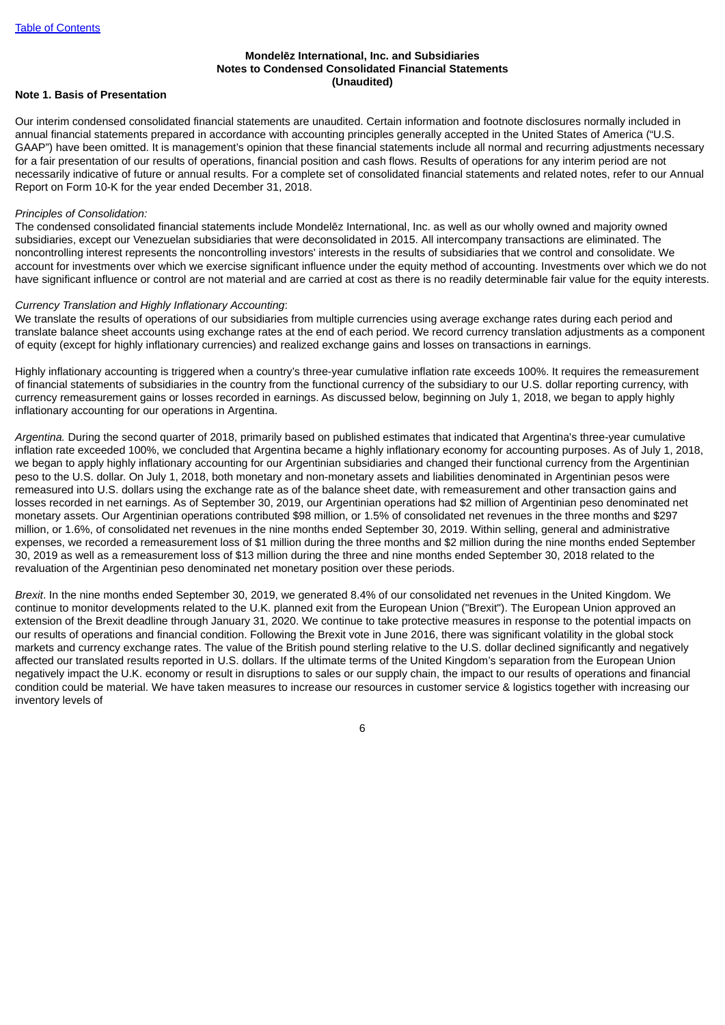## **Mondelēz International, Inc. and Subsidiaries Notes to Condensed Consolidated Financial Statements (Unaudited)**

## <span id="page-8-0"></span>**Note 1. Basis of Presentation**

Our interim condensed consolidated financial statements are unaudited. Certain information and footnote disclosures normally included in annual financial statements prepared in accordance with accounting principles generally accepted in the United States of America ("U.S. GAAP") have been omitted. It is management's opinion that these financial statements include all normal and recurring adjustments necessary for a fair presentation of our results of operations, financial position and cash flows. Results of operations for any interim period are not necessarily indicative of future or annual results. For a complete set of consolidated financial statements and related notes, refer to our Annual Report on Form 10-K for the year ended December 31, 2018.

#### *Principles of Consolidation:*

The condensed consolidated financial statements include Mondelēz International, Inc. as well as our wholly owned and majority owned subsidiaries, except our Venezuelan subsidiaries that were deconsolidated in 2015. All intercompany transactions are eliminated. The noncontrolling interest represents the noncontrolling investors' interests in the results of subsidiaries that we control and consolidate. We account for investments over which we exercise significant influence under the equity method of accounting. Investments over which we do not have significant influence or control are not material and are carried at cost as there is no readily determinable fair value for the equity interests.

#### *Currency Translation and Highly Inflationary Accounting*:

We translate the results of operations of our subsidiaries from multiple currencies using average exchange rates during each period and translate balance sheet accounts using exchange rates at the end of each period. We record currency translation adjustments as a component of equity (except for highly inflationary currencies) and realized exchange gains and losses on transactions in earnings.

Highly inflationary accounting is triggered when a country's three-year cumulative inflation rate exceeds 100%. It requires the remeasurement of financial statements of subsidiaries in the country from the functional currency of the subsidiary to our U.S. dollar reporting currency, with currency remeasurement gains or losses recorded in earnings. As discussed below, beginning on July 1, 2018, we began to apply highly inflationary accounting for our operations in Argentina.

*Argentina.* During the second quarter of 2018, primarily based on published estimates that indicated that Argentina's three-year cumulative inflation rate exceeded 100%, we concluded that Argentina became a highly inflationary economy for accounting purposes. As of July 1, 2018, we began to apply highly inflationary accounting for our Argentinian subsidiaries and changed their functional currency from the Argentinian peso to the U.S. dollar. On July 1, 2018, both monetary and non-monetary assets and liabilities denominated in Argentinian pesos were remeasured into U.S. dollars using the exchange rate as of the balance sheet date, with remeasurement and other transaction gains and losses recorded in net earnings. As of September 30, 2019, our Argentinian operations had \$2 million of Argentinian peso denominated net monetary assets. Our Argentinian operations contributed \$98 million, or 1.5% of consolidated net revenues in the three months and \$297 million, or 1.6%, of consolidated net revenues in the nine months ended September 30, 2019. Within selling, general and administrative expenses, we recorded a remeasurement loss of \$1 million during the three months and \$2 million during the nine months ended September 30, 2019 as well as a remeasurement loss of \$13 million during the three and nine months ended September 30, 2018 related to the revaluation of the Argentinian peso denominated net monetary position over these periods.

*Brexit*. In the nine months ended September 30, 2019, we generated 8.4% of our consolidated net revenues in the United Kingdom. We continue to monitor developments related to the U.K. planned exit from the European Union ("Brexit"). The European Union approved an extension of the Brexit deadline through January 31, 2020. We continue to take protective measures in response to the potential impacts on our results of operations and financial condition. Following the Brexit vote in June 2016, there was significant volatility in the global stock markets and currency exchange rates. The value of the British pound sterling relative to the U.S. dollar declined significantly and negatively affected our translated results reported in U.S. dollars. If the ultimate terms of the United Kingdom's separation from the European Union negatively impact the U.K. economy or result in disruptions to sales or our supply chain, the impact to our results of operations and financial condition could be material. We have taken measures to increase our resources in customer service & logistics together with increasing our inventory levels of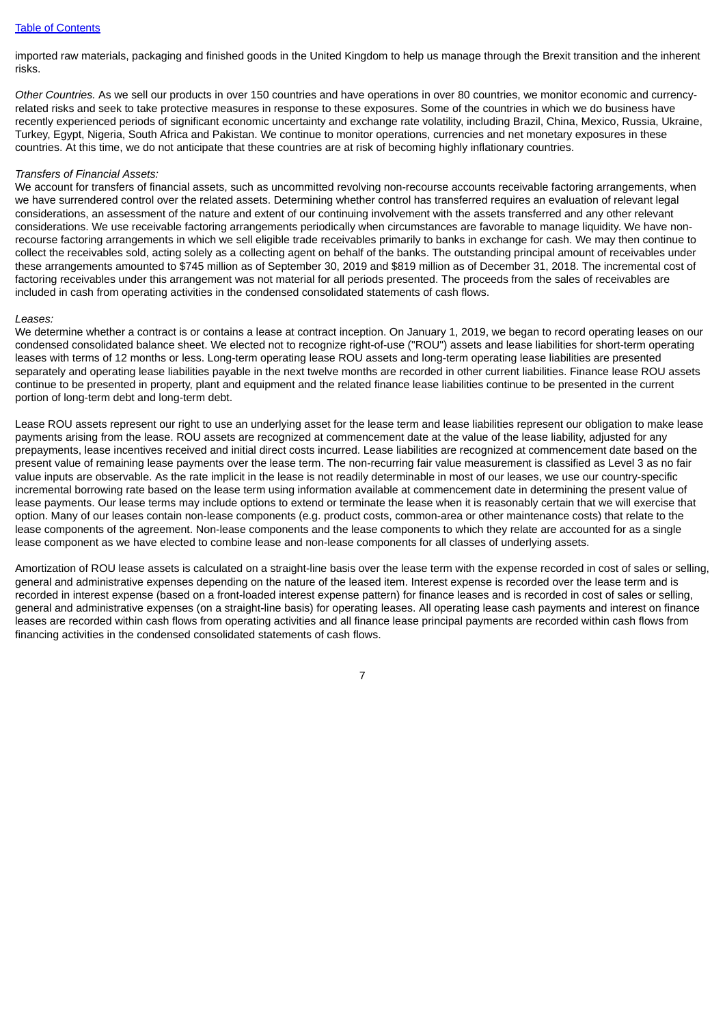#### Table of [Contents](#page-2-0)

imported raw materials, packaging and finished goods in the United Kingdom to help us manage through the Brexit transition and the inherent risks.

*Other Countries.* As we sell our products in over 150 countries and have operations in over 80 countries, we monitor economic and currencyrelated risks and seek to take protective measures in response to these exposures. Some of the countries in which we do business have recently experienced periods of significant economic uncertainty and exchange rate volatility, including Brazil, China, Mexico, Russia, Ukraine, Turkey, Egypt, Nigeria, South Africa and Pakistan. We continue to monitor operations, currencies and net monetary exposures in these countries. At this time, we do not anticipate that these countries are at risk of becoming highly inflationary countries.

#### *Transfers of Financial Assets:*

We account for transfers of financial assets, such as uncommitted revolving non-recourse accounts receivable factoring arrangements, when we have surrendered control over the related assets. Determining whether control has transferred requires an evaluation of relevant legal considerations, an assessment of the nature and extent of our continuing involvement with the assets transferred and any other relevant considerations. We use receivable factoring arrangements periodically when circumstances are favorable to manage liquidity. We have nonrecourse factoring arrangements in which we sell eligible trade receivables primarily to banks in exchange for cash. We may then continue to collect the receivables sold, acting solely as a collecting agent on behalf of the banks. The outstanding principal amount of receivables under these arrangements amounted to \$745 million as of September 30, 2019 and \$819 million as of December 31, 2018. The incremental cost of factoring receivables under this arrangement was not material for all periods presented. The proceeds from the sales of receivables are included in cash from operating activities in the condensed consolidated statements of cash flows.

#### *Leases:*

We determine whether a contract is or contains a lease at contract inception. On January 1, 2019, we began to record operating leases on our condensed consolidated balance sheet. We elected not to recognize right-of-use ("ROU") assets and lease liabilities for short-term operating leases with terms of 12 months or less. Long-term operating lease ROU assets and long-term operating lease liabilities are presented separately and operating lease liabilities payable in the next twelve months are recorded in other current liabilities. Finance lease ROU assets continue to be presented in property, plant and equipment and the related finance lease liabilities continue to be presented in the current portion of long-term debt and long-term debt.

Lease ROU assets represent our right to use an underlying asset for the lease term and lease liabilities represent our obligation to make lease payments arising from the lease. ROU assets are recognized at commencement date at the value of the lease liability, adjusted for any prepayments, lease incentives received and initial direct costs incurred. Lease liabilities are recognized at commencement date based on the present value of remaining lease payments over the lease term. The non-recurring fair value measurement is classified as Level 3 as no fair value inputs are observable. As the rate implicit in the lease is not readily determinable in most of our leases, we use our country-specific incremental borrowing rate based on the lease term using information available at commencement date in determining the present value of lease payments. Our lease terms may include options to extend or terminate the lease when it is reasonably certain that we will exercise that option. Many of our leases contain non-lease components (e.g. product costs, common-area or other maintenance costs) that relate to the lease components of the agreement. Non-lease components and the lease components to which they relate are accounted for as a single lease component as we have elected to combine lease and non-lease components for all classes of underlying assets.

Amortization of ROU lease assets is calculated on a straight-line basis over the lease term with the expense recorded in cost of sales or selling, general and administrative expenses depending on the nature of the leased item. Interest expense is recorded over the lease term and is recorded in interest expense (based on a front-loaded interest expense pattern) for finance leases and is recorded in cost of sales or selling, general and administrative expenses (on a straight-line basis) for operating leases. All operating lease cash payments and interest on finance leases are recorded within cash flows from operating activities and all finance lease principal payments are recorded within cash flows from financing activities in the condensed consolidated statements of cash flows.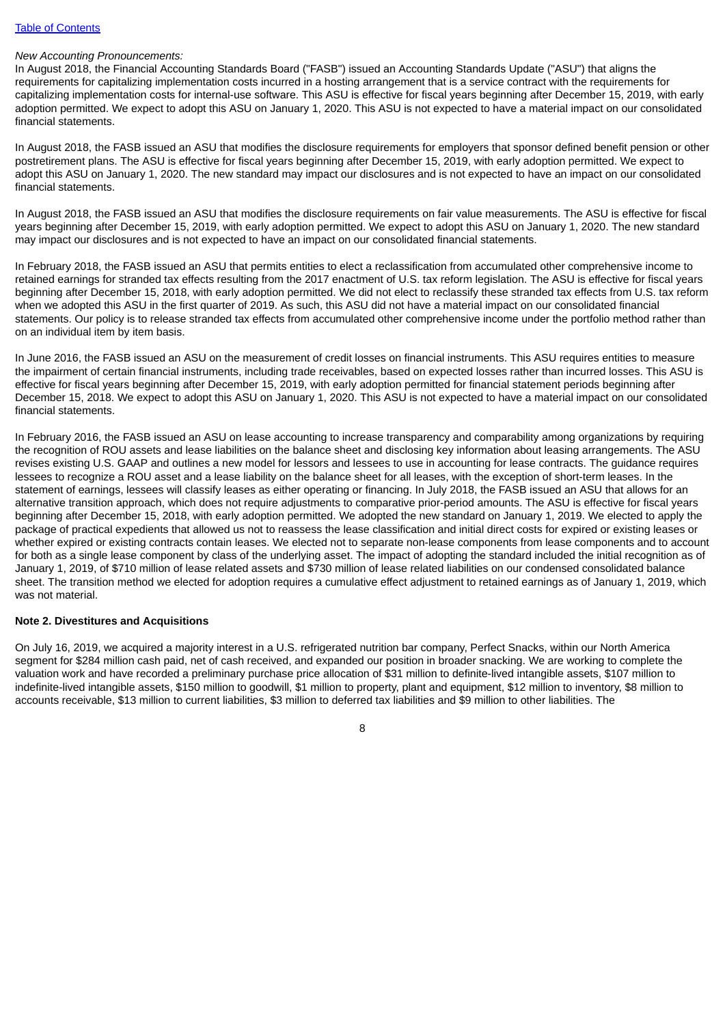#### Table of [Contents](#page-2-0)

#### *New Accounting Pronouncements:*

In August 2018, the Financial Accounting Standards Board ("FASB") issued an Accounting Standards Update ("ASU") that aligns the requirements for capitalizing implementation costs incurred in a hosting arrangement that is a service contract with the requirements for capitalizing implementation costs for internal-use software. This ASU is effective for fiscal years beginning after December 15, 2019, with early adoption permitted. We expect to adopt this ASU on January 1, 2020. This ASU is not expected to have a material impact on our consolidated financial statements.

In August 2018, the FASB issued an ASU that modifies the disclosure requirements for employers that sponsor defined benefit pension or other postretirement plans. The ASU is effective for fiscal years beginning after December 15, 2019, with early adoption permitted. We expect to adopt this ASU on January 1, 2020. The new standard may impact our disclosures and is not expected to have an impact on our consolidated financial statements.

In August 2018, the FASB issued an ASU that modifies the disclosure requirements on fair value measurements. The ASU is effective for fiscal years beginning after December 15, 2019, with early adoption permitted. We expect to adopt this ASU on January 1, 2020. The new standard may impact our disclosures and is not expected to have an impact on our consolidated financial statements.

In February 2018, the FASB issued an ASU that permits entities to elect a reclassification from accumulated other comprehensive income to retained earnings for stranded tax effects resulting from the 2017 enactment of U.S. tax reform legislation. The ASU is effective for fiscal years beginning after December 15, 2018, with early adoption permitted. We did not elect to reclassify these stranded tax effects from U.S. tax reform when we adopted this ASU in the first quarter of 2019. As such, this ASU did not have a material impact on our consolidated financial statements. Our policy is to release stranded tax effects from accumulated other comprehensive income under the portfolio method rather than on an individual item by item basis.

In June 2016, the FASB issued an ASU on the measurement of credit losses on financial instruments. This ASU requires entities to measure the impairment of certain financial instruments, including trade receivables, based on expected losses rather than incurred losses. This ASU is effective for fiscal years beginning after December 15, 2019, with early adoption permitted for financial statement periods beginning after December 15, 2018. We expect to adopt this ASU on January 1, 2020. This ASU is not expected to have a material impact on our consolidated financial statements.

In February 2016, the FASB issued an ASU on lease accounting to increase transparency and comparability among organizations by requiring the recognition of ROU assets and lease liabilities on the balance sheet and disclosing key information about leasing arrangements. The ASU revises existing U.S. GAAP and outlines a new model for lessors and lessees to use in accounting for lease contracts. The guidance requires lessees to recognize a ROU asset and a lease liability on the balance sheet for all leases, with the exception of short-term leases. In the statement of earnings, lessees will classify leases as either operating or financing. In July 2018, the FASB issued an ASU that allows for an alternative transition approach, which does not require adjustments to comparative prior-period amounts. The ASU is effective for fiscal years beginning after December 15, 2018, with early adoption permitted. We adopted the new standard on January 1, 2019. We elected to apply the package of practical expedients that allowed us not to reassess the lease classification and initial direct costs for expired or existing leases or whether expired or existing contracts contain leases. We elected not to separate non-lease components from lease components and to account for both as a single lease component by class of the underlying asset. The impact of adopting the standard included the initial recognition as of January 1, 2019, of \$710 million of lease related assets and \$730 million of lease related liabilities on our condensed consolidated balance sheet. The transition method we elected for adoption requires a cumulative effect adjustment to retained earnings as of January 1, 2019, which was not material.

#### **Note 2. Divestitures and Acquisitions**

On July 16, 2019, we acquired a majority interest in a U.S. refrigerated nutrition bar company, Perfect Snacks, within our North America segment for \$284 million cash paid, net of cash received, and expanded our position in broader snacking. We are working to complete the valuation work and have recorded a preliminary purchase price allocation of \$31 million to definite-lived intangible assets, \$107 million to indefinite-lived intangible assets, \$150 million to goodwill, \$1 million to property, plant and equipment, \$12 million to inventory, \$8 million to accounts receivable, \$13 million to current liabilities, \$3 million to deferred tax liabilities and \$9 million to other liabilities. The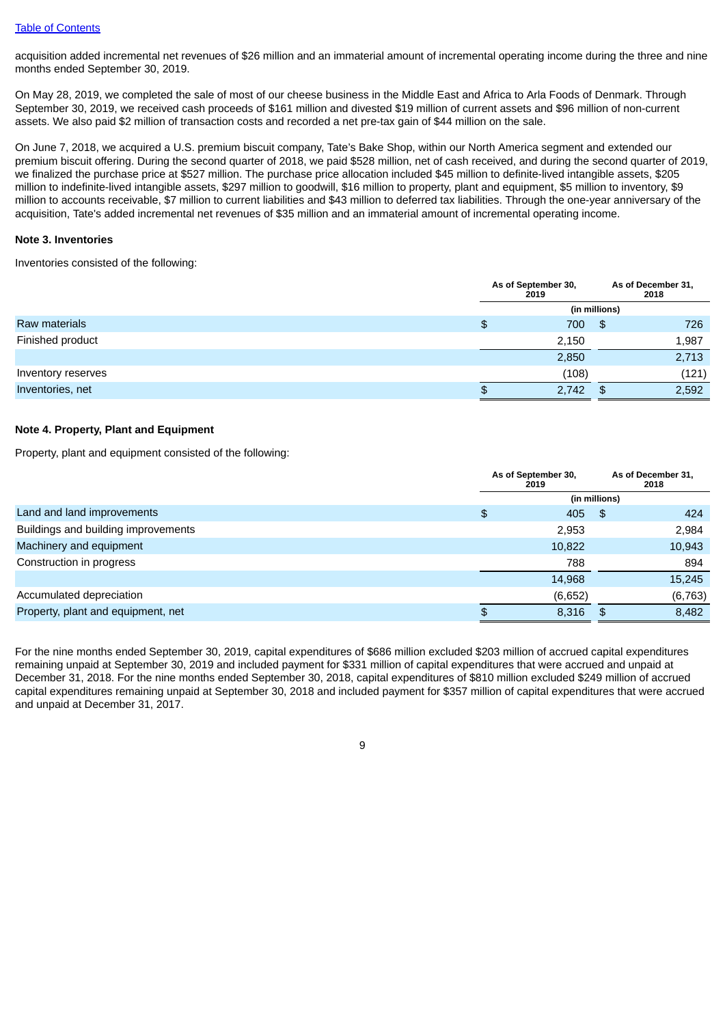acquisition added incremental net revenues of \$26 million and an immaterial amount of incremental operating income during the three and nine months ended September 30, 2019.

On May 28, 2019, we completed the sale of most of our cheese business in the Middle East and Africa to Arla Foods of Denmark. Through September 30, 2019, we received cash proceeds of \$161 million and divested \$19 million of current assets and \$96 million of non-current assets. We also paid \$2 million of transaction costs and recorded a net pre-tax gain of \$44 million on the sale.

On June 7, 2018, we acquired a U.S. premium biscuit company, Tate's Bake Shop, within our North America segment and extended our premium biscuit offering. During the second quarter of 2018, we paid \$528 million, net of cash received, and during the second quarter of 2019, we finalized the purchase price at \$527 million. The purchase price allocation included \$45 million to definite-lived intangible assets, \$205 million to indefinite-lived intangible assets, \$297 million to goodwill, \$16 million to property, plant and equipment, \$5 million to inventory, \$9 million to accounts receivable, \$7 million to current liabilities and \$43 million to deferred tax liabilities. Through the one-year anniversary of the acquisition, Tate's added incremental net revenues of \$35 million and an immaterial amount of incremental operating income.

### **Note 3. Inventories**

Inventories consisted of the following:

|                    |    | As of September 30,<br>2019 |               | As of December 31,<br>2018 |
|--------------------|----|-----------------------------|---------------|----------------------------|
|                    |    |                             | (in millions) |                            |
| Raw materials      | \$ | 700                         | \$            | 726                        |
| Finished product   |    | 2,150                       |               | 1,987                      |
|                    |    | 2,850                       |               | 2,713                      |
| Inventory reserves |    | (108)                       |               | (121)                      |
| Inventories, net   | ۰D | 2,742                       | \$.           | 2,592                      |

## **Note 4. Property, Plant and Equipment**

Property, plant and equipment consisted of the following:

|                                     | As of September 30,<br>2019 |         |               | As of December 31,<br>2018 |
|-------------------------------------|-----------------------------|---------|---------------|----------------------------|
|                                     |                             |         | (in millions) |                            |
| Land and land improvements          | \$                          | 405     | \$            | 424                        |
| Buildings and building improvements |                             | 2,953   |               | 2,984                      |
| Machinery and equipment             |                             | 10,822  |               | 10,943                     |
| Construction in progress            |                             | 788     |               | 894                        |
|                                     |                             | 14,968  |               | 15,245                     |
| Accumulated depreciation            |                             | (6,652) |               | (6, 763)                   |
| Property, plant and equipment, net  |                             | 8,316   | £.            | 8,482                      |

For the nine months ended September 30, 2019, capital expenditures of \$686 million excluded \$203 million of accrued capital expenditures remaining unpaid at September 30, 2019 and included payment for \$331 million of capital expenditures that were accrued and unpaid at December 31, 2018. For the nine months ended September 30, 2018, capital expenditures of \$810 million excluded \$249 million of accrued capital expenditures remaining unpaid at September 30, 2018 and included payment for \$357 million of capital expenditures that were accrued and unpaid at December 31, 2017.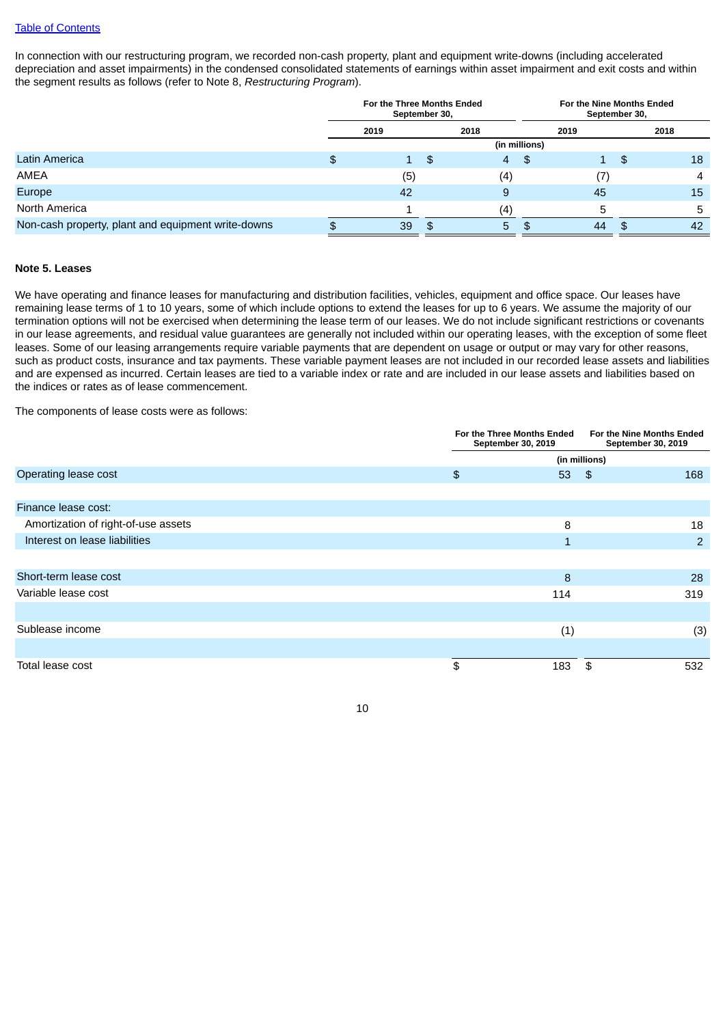In connection with our restructuring program, we recorded non-cash property, plant and equipment write-downs (including accelerated depreciation and asset impairments) in the condensed consolidated statements of earnings within asset impairment and exit costs and within the segment results as follows (refer to Note 8, *Restructuring Program*).

|                                                    |    | For the Three Months Ended | September 30, |                |               | For the Nine Months Ended<br>September 30, |      |    |
|----------------------------------------------------|----|----------------------------|---------------|----------------|---------------|--------------------------------------------|------|----|
|                                                    |    | 2019                       |               | 2018           |               | 2019                                       | 2018 |    |
|                                                    |    |                            |               |                | (in millions) |                                            |      |    |
| Latin America                                      | \$ | $\mathbf{1}$               | -\$           | $\overline{4}$ | -\$           | 1                                          | \$   | 18 |
| AMEA                                               |    | (5)                        |               | (4)            |               |                                            |      | 4  |
| Europe                                             |    | 42                         |               | 9              |               | 45                                         |      | 15 |
| North America                                      |    |                            |               | (4             |               |                                            |      | 5  |
| Non-cash property, plant and equipment write-downs | Ф  | 39                         |               | 5.             |               | 44                                         |      | 42 |

#### **Note 5. Leases**

We have operating and finance leases for manufacturing and distribution facilities, vehicles, equipment and office space. Our leases have remaining lease terms of 1 to 10 years, some of which include options to extend the leases for up to 6 years. We assume the majority of our termination options will not be exercised when determining the lease term of our leases. We do not include significant restrictions or covenants in our lease agreements, and residual value guarantees are generally not included within our operating leases, with the exception of some fleet leases. Some of our leasing arrangements require variable payments that are dependent on usage or output or may vary for other reasons, such as product costs, insurance and tax payments. These variable payment leases are not included in our recorded lease assets and liabilities and are expensed as incurred. Certain leases are tied to a variable index or rate and are included in our lease assets and liabilities based on the indices or rates as of lease commencement.

The components of lease costs were as follows:

|                                     | For the Three Months Ended<br>September 30, 2019 |              |            | For the Nine Months Ended<br>September 30, 2019 |  |
|-------------------------------------|--------------------------------------------------|--------------|------------|-------------------------------------------------|--|
|                                     | (in millions)                                    |              |            |                                                 |  |
| Operating lease cost                | \$                                               | 53           | $\sqrt{3}$ | 168                                             |  |
|                                     |                                                  |              |            |                                                 |  |
| Finance lease cost:                 |                                                  |              |            |                                                 |  |
| Amortization of right-of-use assets |                                                  | 8            |            | 18                                              |  |
| Interest on lease liabilities       |                                                  | $\mathbf{1}$ |            | 2                                               |  |
|                                     |                                                  |              |            |                                                 |  |
| Short-term lease cost               |                                                  | 8            |            | 28                                              |  |
| Variable lease cost                 |                                                  | 114          |            | 319                                             |  |
|                                     |                                                  |              |            |                                                 |  |
| Sublease income                     |                                                  | (1)          |            | (3)                                             |  |
|                                     |                                                  |              |            |                                                 |  |
| Total lease cost                    | \$                                               | 183          | \$         | 532                                             |  |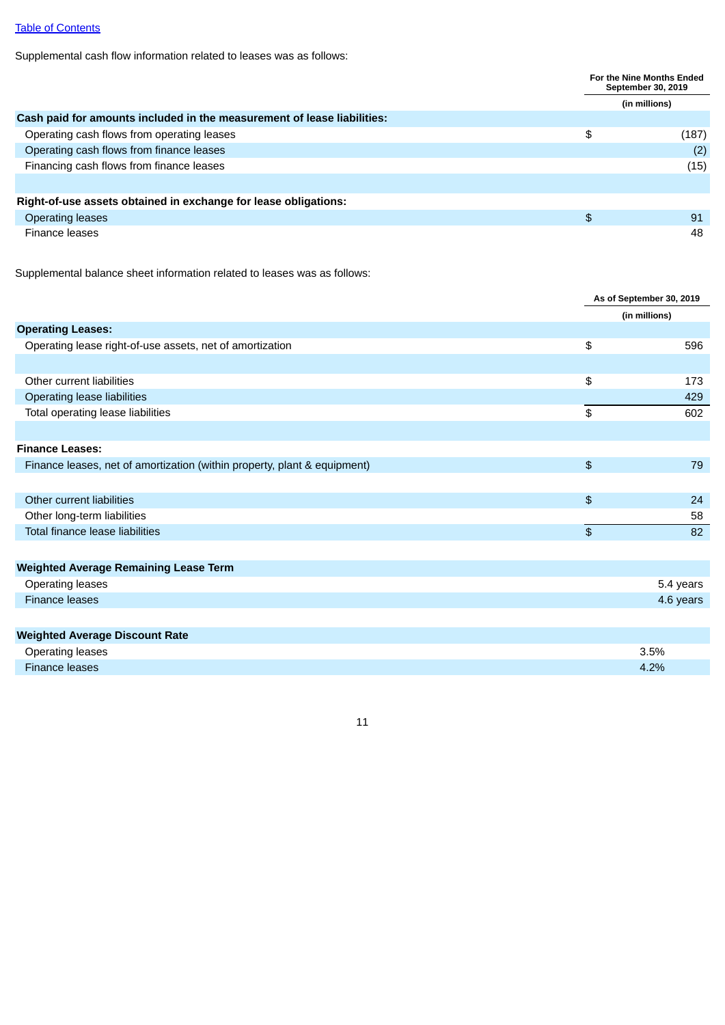# Table of [Contents](#page-2-0)

Supplemental cash flow information related to leases was as follows:

|                                                                         |               | For the Nine Months Ended<br>September 30, 2019 |  |  |
|-------------------------------------------------------------------------|---------------|-------------------------------------------------|--|--|
|                                                                         |               | (in millions)                                   |  |  |
| Cash paid for amounts included in the measurement of lease liabilities: |               |                                                 |  |  |
| Operating cash flows from operating leases                              | \$            | (187)                                           |  |  |
| Operating cash flows from finance leases                                |               | (2)                                             |  |  |
| Financing cash flows from finance leases                                |               | (15)                                            |  |  |
|                                                                         |               |                                                 |  |  |
| Right-of-use assets obtained in exchange for lease obligations:         |               |                                                 |  |  |
| <b>Operating leases</b>                                                 | $\frac{1}{2}$ | 91                                              |  |  |
| Finance leases                                                          |               | 48                                              |  |  |

Supplemental balance sheet information related to leases was as follows:

|                                                                          |      | As of September 30, 2019 |
|--------------------------------------------------------------------------|------|--------------------------|
|                                                                          |      | (in millions)            |
| <b>Operating Leases:</b>                                                 |      |                          |
| Operating lease right-of-use assets, net of amortization                 | \$   | 596                      |
|                                                                          |      |                          |
| Other current liabilities                                                | \$   | 173                      |
| Operating lease liabilities                                              |      | 429                      |
| Total operating lease liabilities                                        | \$   | 602                      |
|                                                                          |      |                          |
| <b>Finance Leases:</b>                                                   |      |                          |
| Finance leases, net of amortization (within property, plant & equipment) | $\,$ | 79                       |
|                                                                          |      |                          |
| Other current liabilities                                                | \$   | 24                       |
| Other long-term liabilities                                              |      | 58                       |
| Total finance lease liabilities                                          | \$   | 82                       |
|                                                                          |      |                          |
| <b>Weighted Average Remaining Lease Term</b>                             |      |                          |
| <b>Operating leases</b>                                                  |      | 5.4 years                |
| <b>Finance leases</b>                                                    |      | 4.6 years                |
|                                                                          |      |                          |
| <b>Weighted Average Discount Rate</b>                                    |      |                          |
| <b>Operating leases</b>                                                  |      | 3.5%                     |
| <b>Finance leases</b>                                                    |      | 4.2%                     |
|                                                                          |      |                          |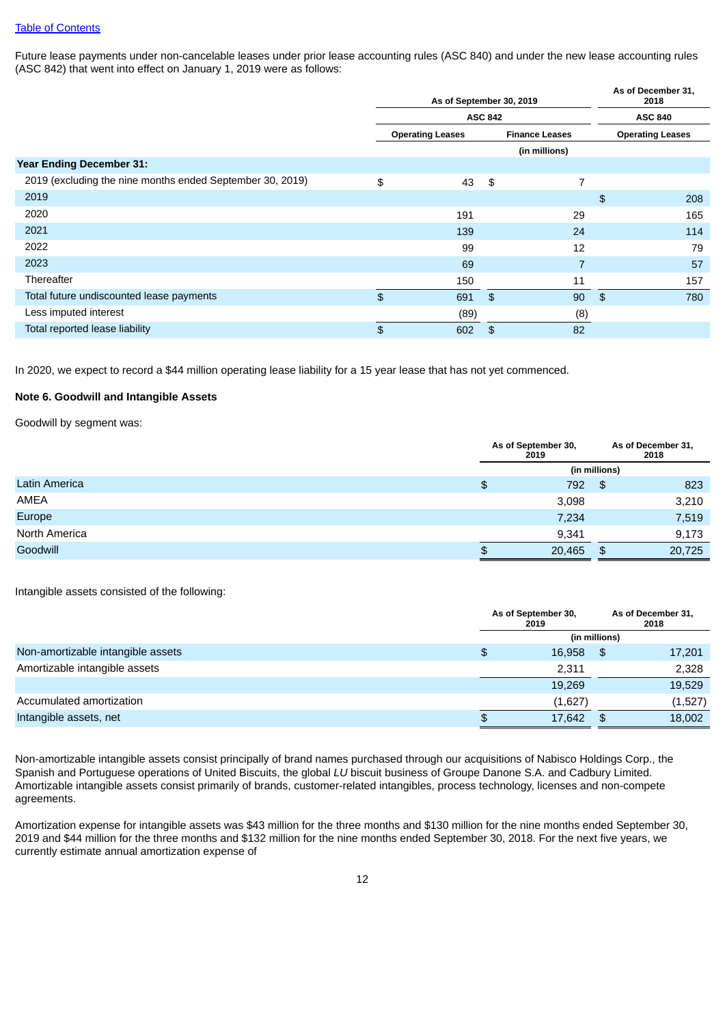Future lease payments under non-cancelable leases under prior lease accounting rules (ASC 840) and under the new lease accounting rules (ASC 842) that went into effect on January 1, 2019 were as follows:

|                                                           | As of September 30, 2019 |                       |               |               |                         |  |
|-----------------------------------------------------------|--------------------------|-----------------------|---------------|---------------|-------------------------|--|
|                                                           | <b>ASC 842</b>           |                       |               |               |                         |  |
|                                                           | <b>Operating Leases</b>  | <b>Finance Leases</b> |               |               | <b>Operating Leases</b> |  |
|                                                           |                          |                       | (in millions) |               |                         |  |
| <b>Year Ending December 31:</b>                           |                          |                       |               |               |                         |  |
| 2019 (excluding the nine months ended September 30, 2019) | \$<br>43                 | \$                    | 7             |               |                         |  |
| 2019                                                      |                          |                       |               | $\frac{4}{5}$ | 208                     |  |
| 2020                                                      | 191                      |                       | 29            |               | 165                     |  |
| 2021                                                      | 139                      |                       | 24            |               | 114                     |  |
| 2022                                                      | 99                       |                       | 12            |               | 79                      |  |
| 2023                                                      | 69                       |                       | 7             |               | 57                      |  |
| Thereafter                                                | 150                      |                       | 11            |               | 157                     |  |
| Total future undiscounted lease payments                  | \$<br>691                | \$                    | 90            | \$            | 780                     |  |
| Less imputed interest                                     | (89)                     |                       | (8)           |               |                         |  |
| Total reported lease liability                            | \$<br>602                | \$                    | 82            |               |                         |  |

In 2020, we expect to record a \$44 million operating lease liability for a 15 year lease that has not yet commenced.

## **Note 6. Goodwill and Intangible Assets**

Goodwill by segment was:

|               | As of September 30,<br>2019 |                | As of December 31,<br>2018 |
|---------------|-----------------------------|----------------|----------------------------|
|               |                             | (in millions)  |                            |
| Latin America | \$<br>792                   | \$             | 823                        |
| <b>AMEA</b>   | 3,098                       |                | 3,210                      |
| Europe        | 7,234                       |                | 7,519                      |
| North America | 9,341                       |                | 9,173                      |
| Goodwill      | \$<br>20,465                | $\mathfrak{p}$ | 20,725                     |

Intangible assets consisted of the following:

|                                   | As of September 30,<br>2019 |               | As of December 31,<br>2018 |
|-----------------------------------|-----------------------------|---------------|----------------------------|
|                                   |                             | (in millions) |                            |
| Non-amortizable intangible assets | \$<br>16,958                | \$.           | 17,201                     |
| Amortizable intangible assets     | 2,311                       |               | 2,328                      |
|                                   | 19,269                      |               | 19,529                     |
| Accumulated amortization          | (1,627)                     |               | (1,527)                    |
| Intangible assets, net            | \$<br>17,642                | \$            | 18,002                     |

Non-amortizable intangible assets consist principally of brand names purchased through our acquisitions of Nabisco Holdings Corp., the Spanish and Portuguese operations of United Biscuits, the global *LU* biscuit business of Groupe Danone S.A. and Cadbury Limited. Amortizable intangible assets consist primarily of brands, customer-related intangibles, process technology, licenses and non-compete agreements.

Amortization expense for intangible assets was \$43 million for the three months and \$130 million for the nine months ended September 30, 2019 and \$44 million for the three months and \$132 million for the nine months ended September 30, 2018. For the next five years, we currently estimate annual amortization expense of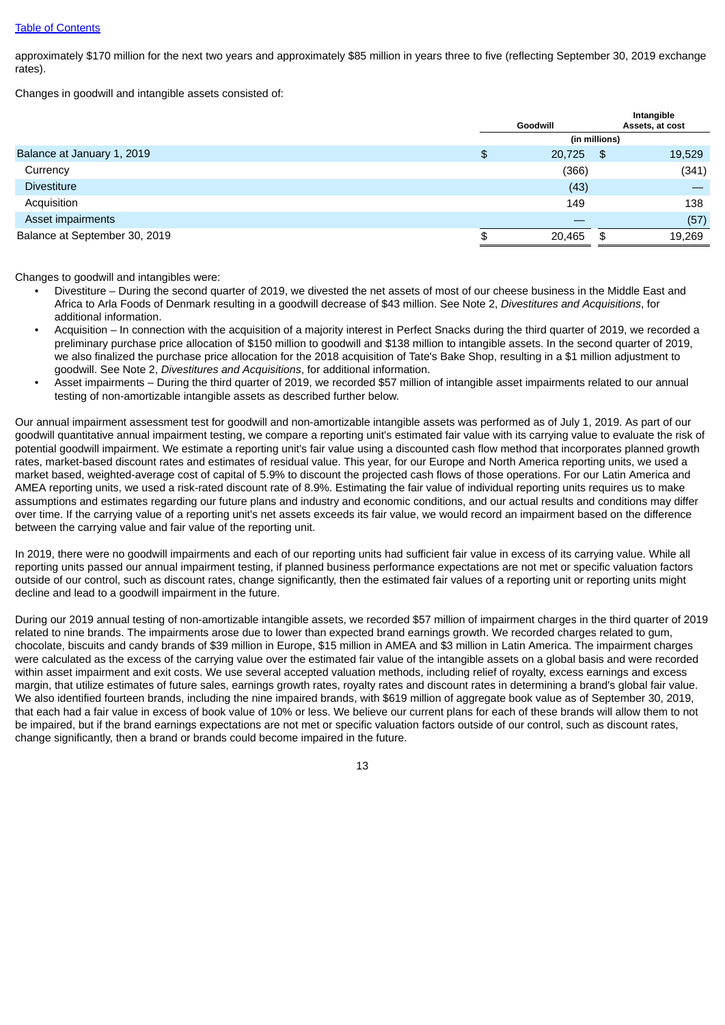approximately \$170 million for the next two years and approximately \$85 million in years three to five (reflecting September 30, 2019 exchange rates).

Changes in goodwill and intangible assets consisted of:

|                               |               | Goodwill |    | Intangible<br>Assets, at cost |  |  |  |  |
|-------------------------------|---------------|----------|----|-------------------------------|--|--|--|--|
|                               | (in millions) |          |    |                               |  |  |  |  |
| Balance at January 1, 2019    | $\frac{1}{2}$ | 20,725   | \$ | 19,529                        |  |  |  |  |
| Currency                      |               | (366)    |    | (341)                         |  |  |  |  |
| <b>Divestiture</b>            |               | (43)     |    |                               |  |  |  |  |
| Acquisition                   |               | 149      |    | 138                           |  |  |  |  |
| Asset impairments             |               |          |    | (57)                          |  |  |  |  |
| Balance at September 30, 2019 | \$            | 20,465   | \$ | 19,269                        |  |  |  |  |

Changes to goodwill and intangibles were:

- Divestiture During the second quarter of 2019, we divested the net assets of most of our cheese business in the Middle East and Africa to Arla Foods of Denmark resulting in a goodwill decrease of \$43 million. See Note 2, *Divestitures and Acquisitions*, for additional information.
- Acquisition In connection with the acquisition of a majority interest in Perfect Snacks during the third quarter of 2019, we recorded a preliminary purchase price allocation of \$150 million to goodwill and \$138 million to intangible assets. In the second quarter of 2019, we also finalized the purchase price allocation for the 2018 acquisition of Tate's Bake Shop, resulting in a \$1 million adjustment to goodwill. See Note 2, *Divestitures and Acquisitions*, for additional information.
- Asset impairments During the third quarter of 2019, we recorded \$57 million of intangible asset impairments related to our annual testing of non-amortizable intangible assets as described further below.

Our annual impairment assessment test for goodwill and non-amortizable intangible assets was performed as of July 1, 2019. As part of our goodwill quantitative annual impairment testing, we compare a reporting unit's estimated fair value with its carrying value to evaluate the risk of potential goodwill impairment. We estimate a reporting unit's fair value using a discounted cash flow method that incorporates planned growth rates, market-based discount rates and estimates of residual value. This year, for our Europe and North America reporting units, we used a market based, weighted-average cost of capital of 5.9% to discount the projected cash flows of those operations. For our Latin America and AMEA reporting units, we used a risk-rated discount rate of 8.9%. Estimating the fair value of individual reporting units requires us to make assumptions and estimates regarding our future plans and industry and economic conditions, and our actual results and conditions may differ over time. If the carrying value of a reporting unit's net assets exceeds its fair value, we would record an impairment based on the difference between the carrying value and fair value of the reporting unit.

In 2019, there were no goodwill impairments and each of our reporting units had sufficient fair value in excess of its carrying value. While all reporting units passed our annual impairment testing, if planned business performance expectations are not met or specific valuation factors outside of our control, such as discount rates, change significantly, then the estimated fair values of a reporting unit or reporting units might decline and lead to a goodwill impairment in the future.

During our 2019 annual testing of non-amortizable intangible assets, we recorded \$57 million of impairment charges in the third quarter of 2019 related to nine brands. The impairments arose due to lower than expected brand earnings growth. We recorded charges related to gum, chocolate, biscuits and candy brands of \$39 million in Europe, \$15 million in AMEA and \$3 million in Latin America. The impairment charges were calculated as the excess of the carrying value over the estimated fair value of the intangible assets on a global basis and were recorded within asset impairment and exit costs. We use several accepted valuation methods, including relief of royalty, excess earnings and excess margin, that utilize estimates of future sales, earnings growth rates, royalty rates and discount rates in determining a brand's global fair value. We also identified fourteen brands, including the nine impaired brands, with \$619 million of aggregate book value as of September 30, 2019, that each had a fair value in excess of book value of 10% or less. We believe our current plans for each of these brands will allow them to not be impaired, but if the brand earnings expectations are not met or specific valuation factors outside of our control, such as discount rates, change significantly, then a brand or brands could become impaired in the future.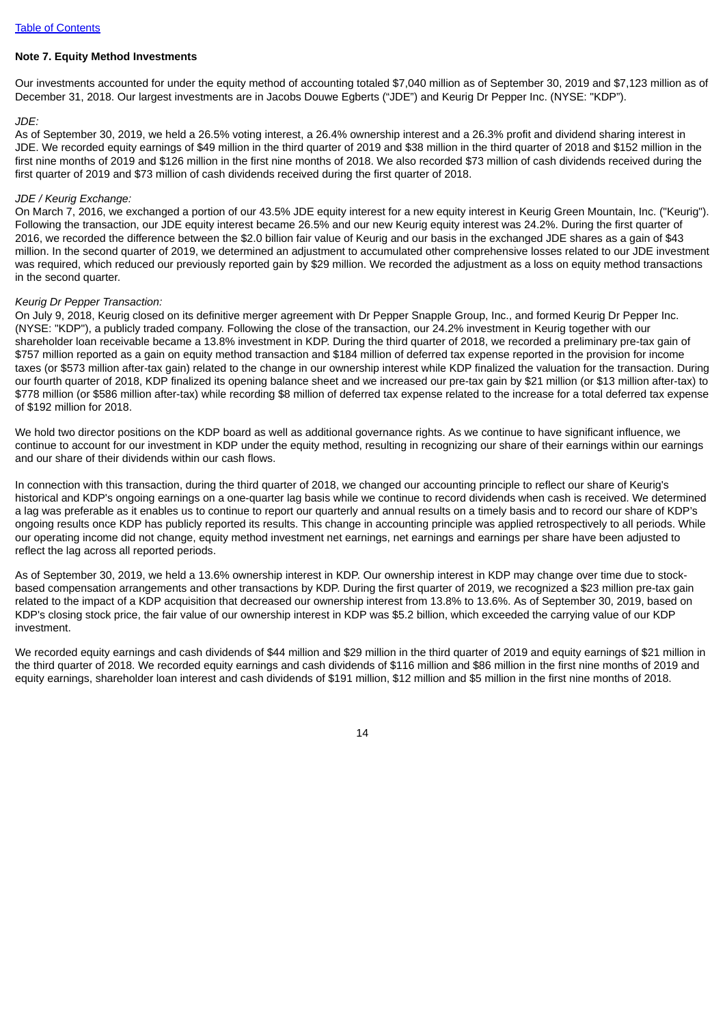#### **Note 7. Equity Method Investments**

Our investments accounted for under the equity method of accounting totaled \$7,040 million as of September 30, 2019 and \$7,123 million as of December 31, 2018. Our largest investments are in Jacobs Douwe Egberts ("JDE") and Keurig Dr Pepper Inc. (NYSE: "KDP").

#### *JDE:*

As of September 30, 2019, we held a 26.5% voting interest, a 26.4% ownership interest and a 26.3% profit and dividend sharing interest in JDE. We recorded equity earnings of \$49 million in the third quarter of 2019 and \$38 million in the third quarter of 2018 and \$152 million in the first nine months of 2019 and \$126 million in the first nine months of 2018. We also recorded \$73 million of cash dividends received during the first quarter of 2019 and \$73 million of cash dividends received during the first quarter of 2018.

#### *JDE / Keurig Exchange:*

On March 7, 2016, we exchanged a portion of our 43.5% JDE equity interest for a new equity interest in Keurig Green Mountain, Inc. ("Keurig"). Following the transaction, our JDE equity interest became 26.5% and our new Keurig equity interest was 24.2%. During the first quarter of 2016, we recorded the difference between the \$2.0 billion fair value of Keurig and our basis in the exchanged JDE shares as a gain of \$43 million. In the second quarter of 2019, we determined an adjustment to accumulated other comprehensive losses related to our JDE investment was required, which reduced our previously reported gain by \$29 million. We recorded the adjustment as a loss on equity method transactions in the second quarter.

#### *Keurig Dr Pepper Transaction:*

On July 9, 2018, Keurig closed on its definitive merger agreement with Dr Pepper Snapple Group, Inc., and formed Keurig Dr Pepper Inc. (NYSE: "KDP"), a publicly traded company. Following the close of the transaction, our 24.2% investment in Keurig together with our shareholder loan receivable became a 13.8% investment in KDP. During the third quarter of 2018, we recorded a preliminary pre-tax gain of \$757 million reported as a gain on equity method transaction and \$184 million of deferred tax expense reported in the provision for income taxes (or \$573 million after-tax gain) related to the change in our ownership interest while KDP finalized the valuation for the transaction. During our fourth quarter of 2018, KDP finalized its opening balance sheet and we increased our pre-tax gain by \$21 million (or \$13 million after-tax) to \$778 million (or \$586 million after-tax) while recording \$8 million of deferred tax expense related to the increase for a total deferred tax expense of \$192 million for 2018.

We hold two director positions on the KDP board as well as additional governance rights. As we continue to have significant influence, we continue to account for our investment in KDP under the equity method, resulting in recognizing our share of their earnings within our earnings and our share of their dividends within our cash flows.

In connection with this transaction, during the third quarter of 2018, we changed our accounting principle to reflect our share of Keurig's historical and KDP's ongoing earnings on a one-quarter lag basis while we continue to record dividends when cash is received. We determined a lag was preferable as it enables us to continue to report our quarterly and annual results on a timely basis and to record our share of KDP's ongoing results once KDP has publicly reported its results. This change in accounting principle was applied retrospectively to all periods. While our operating income did not change, equity method investment net earnings, net earnings and earnings per share have been adjusted to reflect the lag across all reported periods.

As of September 30, 2019, we held a 13.6% ownership interest in KDP. Our ownership interest in KDP may change over time due to stockbased compensation arrangements and other transactions by KDP. During the first quarter of 2019, we recognized a \$23 million pre-tax gain related to the impact of a KDP acquisition that decreased our ownership interest from 13.8% to 13.6%. As of September 30, 2019, based on KDP's closing stock price, the fair value of our ownership interest in KDP was \$5.2 billion, which exceeded the carrying value of our KDP investment.

We recorded equity earnings and cash dividends of \$44 million and \$29 million in the third quarter of 2019 and equity earnings of \$21 million in the third quarter of 2018. We recorded equity earnings and cash dividends of \$116 million and \$86 million in the first nine months of 2019 and equity earnings, shareholder loan interest and cash dividends of \$191 million, \$12 million and \$5 million in the first nine months of 2018.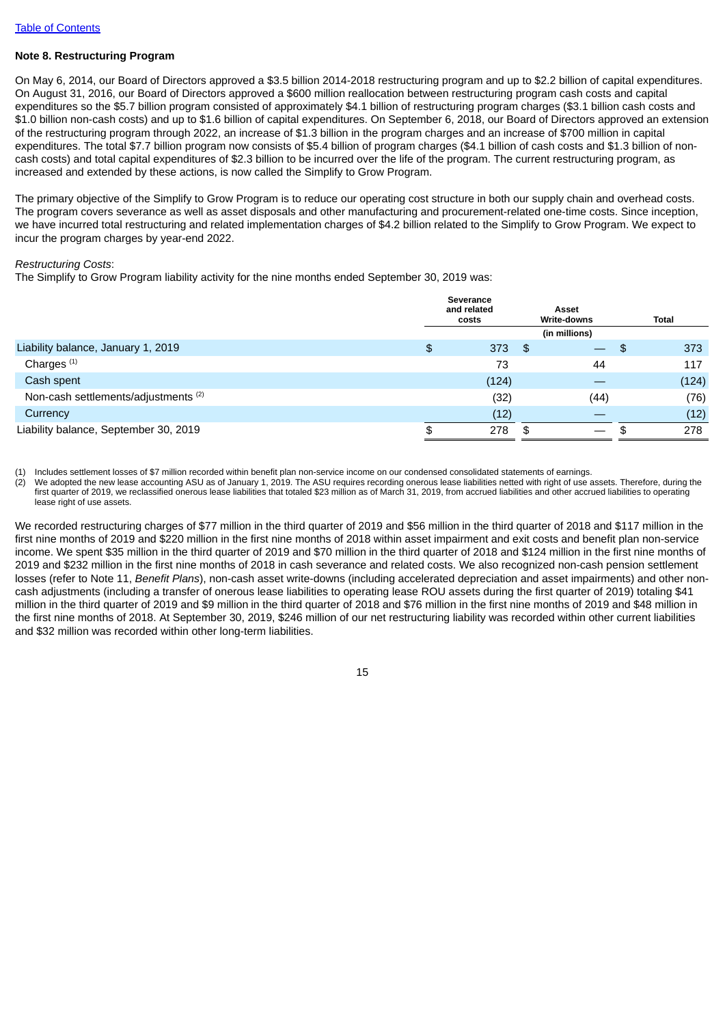## **Note 8. Restructuring Program**

On May 6, 2014, our Board of Directors approved a \$3.5 billion 2014-2018 restructuring program and up to \$2.2 billion of capital expenditures. On August 31, 2016, our Board of Directors approved a \$600 million reallocation between restructuring program cash costs and capital expenditures so the \$5.7 billion program consisted of approximately \$4.1 billion of restructuring program charges (\$3.1 billion cash costs and \$1.0 billion non-cash costs) and up to \$1.6 billion of capital expenditures. On September 6, 2018, our Board of Directors approved an extension of the restructuring program through 2022, an increase of \$1.3 billion in the program charges and an increase of \$700 million in capital expenditures. The total \$7.7 billion program now consists of \$5.4 billion of program charges (\$4.1 billion of cash costs and \$1.3 billion of noncash costs) and total capital expenditures of \$2.3 billion to be incurred over the life of the program. The current restructuring program, as increased and extended by these actions, is now called the Simplify to Grow Program.

The primary objective of the Simplify to Grow Program is to reduce our operating cost structure in both our supply chain and overhead costs. The program covers severance as well as asset disposals and other manufacturing and procurement-related one-time costs. Since inception, we have incurred total restructuring and related implementation charges of \$4.2 billion related to the Simplify to Grow Program. We expect to incur the program charges by year-end 2022.

#### *Restructuring Costs*:

The Simplify to Grow Program liability activity for the nine months ended September 30, 2019 was:

|                                                 | Severance<br>and related<br>costs | Asset<br>Write-downs             | <b>Total</b> |
|-------------------------------------------------|-----------------------------------|----------------------------------|--------------|
|                                                 |                                   | (in millions)                    |              |
| Liability balance, January 1, 2019              | \$<br>373                         | - \$<br>$\overline{\phantom{0}}$ | \$<br>373    |
| Charges <sup>(1)</sup>                          | 73                                | 44                               | 117          |
| Cash spent                                      | (124)                             |                                  | (124)        |
| Non-cash settlements/adjustments <sup>(2)</sup> | (32)                              | (44)                             | (76)         |
| Currency                                        | (12)                              |                                  | (12)         |
| Liability balance, September 30, 2019           | 278                               | \$                               | 278          |
|                                                 |                                   |                                  |              |

(1) Includes settlement losses of \$7 million recorded within benefit plan non-service income on our condensed consolidated statements of earnings.

(2) We adopted the new lease accounting ASU as of January 1, 2019. The ASU requires recording onerous lease liabilities netted with right of use assets. Therefore, during the first quarter of 2019, we reclassified onerous lease liabilities that totaled \$23 million as of March 31, 2019, from accrued liabilities and other accrued liabilities to operating lease right of use assets.

We recorded restructuring charges of \$77 million in the third quarter of 2019 and \$56 million in the third quarter of 2018 and \$117 million in the first nine months of 2019 and \$220 million in the first nine months of 2018 within asset impairment and exit costs and benefit plan non-service income. We spent \$35 million in the third quarter of 2019 and \$70 million in the third quarter of 2018 and \$124 million in the first nine months of 2019 and \$232 million in the first nine months of 2018 in cash severance and related costs. We also recognized non-cash pension settlement losses (refer to Note 11, *Benefit Plans*), non-cash asset write-downs (including accelerated depreciation and asset impairments) and other noncash adjustments (including a transfer of onerous lease liabilities to operating lease ROU assets during the first quarter of 2019) totaling \$41 million in the third quarter of 2019 and \$9 million in the third quarter of 2018 and \$76 million in the first nine months of 2019 and \$48 million in the first nine months of 2018. At September 30, 2019, \$246 million of our net restructuring liability was recorded within other current liabilities and \$32 million was recorded within other long-term liabilities.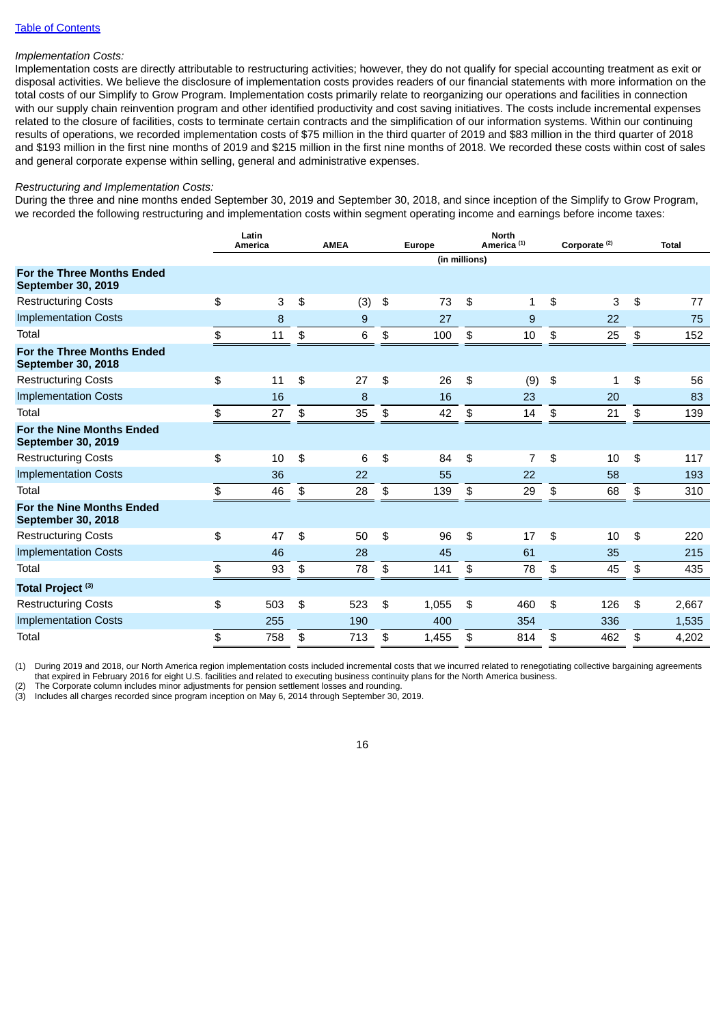## Table of [Contents](#page-2-0)

# *Implementation Costs:*

Implementation costs are directly attributable to restructuring activities; however, they do not qualify for special accounting treatment as exit or disposal activities. We believe the disclosure of implementation costs provides readers of our financial statements with more information on the total costs of our Simplify to Grow Program. Implementation costs primarily relate to reorganizing our operations and facilities in connection with our supply chain reinvention program and other identified productivity and cost saving initiatives. The costs include incremental expenses related to the closure of facilities, costs to terminate certain contracts and the simplification of our information systems. Within our continuing results of operations, we recorded implementation costs of \$75 million in the third quarter of 2019 and \$83 million in the third quarter of 2018 and \$193 million in the first nine months of 2019 and \$215 million in the first nine months of 2018. We recorded these costs within cost of sales and general corporate expense within selling, general and administrative expenses.

## *Restructuring and Implementation Costs:*

During the three and nine months ended September 30, 2019 and September 30, 2018, and since inception of the Simplify to Grow Program, we recorded the following restructuring and implementation costs within segment operating income and earnings before income taxes:

|                                                                | Latin<br>America | <b>AMEA</b> | Europe        |               |    | <b>North</b><br>America <sup>(1)</sup> | Corporate <sup>(2)</sup> |              |                | <b>Total</b> |
|----------------------------------------------------------------|------------------|-------------|---------------|---------------|----|----------------------------------------|--------------------------|--------------|----------------|--------------|
|                                                                |                  |             |               | (in millions) |    |                                        |                          |              |                |              |
| <b>For the Three Months Ended</b><br><b>September 30, 2019</b> |                  |             |               |               |    |                                        |                          |              |                |              |
| <b>Restructuring Costs</b>                                     | \$<br>3          | \$<br>(3)   | $\frac{1}{2}$ | 73            | \$ | 1                                      | \$                       | 3            | $\mathfrak{P}$ | 77           |
| <b>Implementation Costs</b>                                    | $\boldsymbol{8}$ | 9           |               | 27            |    | 9                                      |                          | 22           |                | 75           |
| Total                                                          | \$<br>11         | \$<br>6     | \$            | 100           | \$ | 10                                     | \$                       | 25           | \$             | 152          |
| For the Three Months Ended<br><b>September 30, 2018</b>        |                  |             |               |               |    |                                        |                          |              |                |              |
| <b>Restructuring Costs</b>                                     | \$<br>11         | \$<br>27    | \$            | 26            | \$ | (9)                                    | \$                       | $\mathbf{1}$ | \$             | 56           |
| <b>Implementation Costs</b>                                    | 16               | 8           |               | 16            |    | 23                                     |                          | 20           |                | 83           |
| Total                                                          | \$<br>27         | \$<br>35    | \$            | 42            | \$ | 14                                     | $$\mathfrak{P}$$         | 21           | \$             | 139          |
| <b>For the Nine Months Ended</b><br><b>September 30, 2019</b>  |                  |             |               |               |    |                                        |                          |              |                |              |
| <b>Restructuring Costs</b>                                     | \$<br>10         | \$<br>6     | \$            | 84            | \$ | $\overline{7}$                         | \$                       | 10           | $\mathfrak{P}$ | 117          |
| <b>Implementation Costs</b>                                    | 36               | 22          |               | 55            |    | 22                                     |                          | 58           |                | 193          |
| Total                                                          | \$<br>46         | \$<br>28    | \$            | 139           | \$ | 29                                     | \$                       | 68           | \$             | 310          |
| For the Nine Months Ended<br><b>September 30, 2018</b>         |                  |             |               |               |    |                                        |                          |              |                |              |
| <b>Restructuring Costs</b>                                     | \$<br>47         | \$<br>50    | \$            | 96            | \$ | 17                                     | \$                       | 10           | \$             | 220          |
| <b>Implementation Costs</b>                                    | 46               | 28          |               | 45            |    | 61                                     |                          | 35           |                | 215          |
| Total                                                          | \$<br>93         | \$<br>78    | \$            | 141           | \$ | 78                                     | \$                       | 45           | \$             | 435          |
| Total Project <sup>(3)</sup>                                   |                  |             |               |               |    |                                        |                          |              |                |              |
| <b>Restructuring Costs</b>                                     | \$<br>503        | \$<br>523   | \$            | 1,055         | \$ | 460                                    | \$                       | 126          | \$             | 2,667        |
| <b>Implementation Costs</b>                                    | 255              | 190         |               | 400           |    | 354                                    |                          | 336          |                | 1,535        |
| Total                                                          | \$<br>758        | \$<br>713   | \$            | 1,455         | \$ | 814                                    | \$                       | 462          | \$             | 4,202        |

(1) During 2019 and 2018, our North America region implementation costs included incremental costs that we incurred related to renegotiating collective bargaining agreements

that expired in February 2016 for eight U.S. facilities and related to executing business continuity plans for the North America business.

The Corporate column includes minor adjustments for pension settlement losses and rounding.

(3) Includes all charges recorded since program inception on May 6, 2014 through September 30, 2019.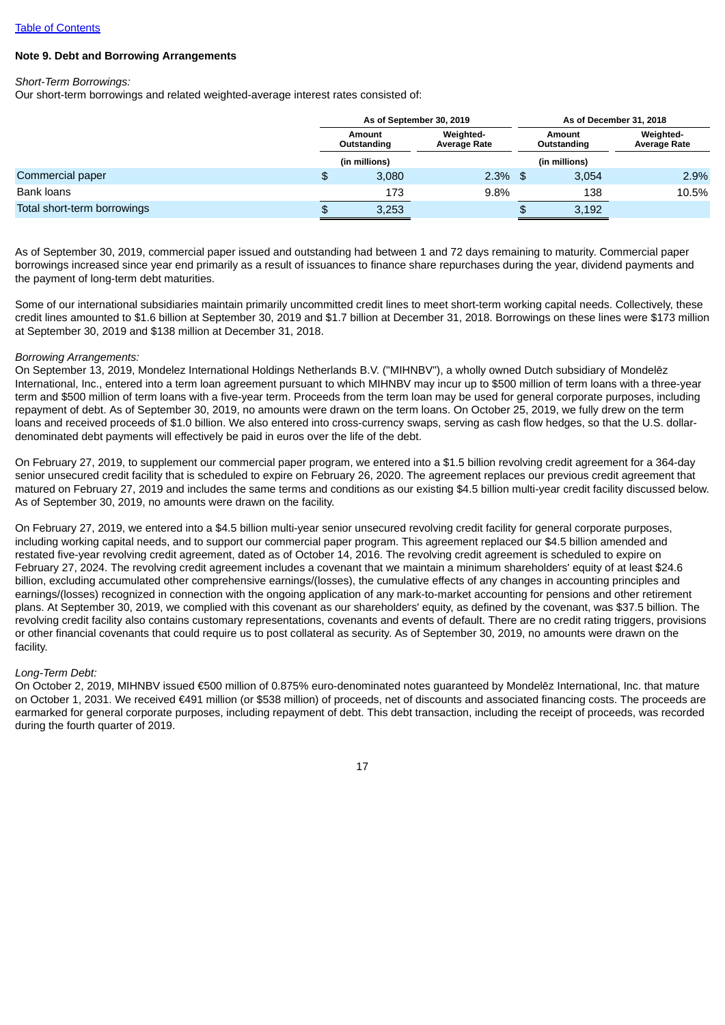## **Note 9. Debt and Borrowing Arrangements**

*Short-Term Borrowings:*

Our short-term borrowings and related weighted-average interest rates consisted of:

|                             |    |                       | As of September 30, 2019         |   | As of December 31, 2018 |                                  |  |  |
|-----------------------------|----|-----------------------|----------------------------------|---|-------------------------|----------------------------------|--|--|
|                             |    | Amount<br>Outstanding | Weighted-<br><b>Average Rate</b> |   | Amount<br>Outstanding   | Weighted-<br><b>Average Rate</b> |  |  |
|                             |    | (in millions)         |                                  |   | (in millions)           |                                  |  |  |
| Commercial paper            | \$ | 3,080                 | $2.3\%$ \$                       |   | 3.054                   | 2.9%                             |  |  |
| <b>Bank loans</b>           |    | 173                   | 9.8%                             |   | 138                     | 10.5%                            |  |  |
| Total short-term borrowings |    | 3,253                 |                                  | ╺ | 3,192                   |                                  |  |  |

As of September 30, 2019, commercial paper issued and outstanding had between 1 and 72 days remaining to maturity. Commercial paper borrowings increased since year end primarily as a result of issuances to finance share repurchases during the year, dividend payments and the payment of long-term debt maturities.

Some of our international subsidiaries maintain primarily uncommitted credit lines to meet short-term working capital needs. Collectively, these credit lines amounted to \$1.6 billion at September 30, 2019 and \$1.7 billion at December 31, 2018. Borrowings on these lines were \$173 million at September 30, 2019 and \$138 million at December 31, 2018.

#### *Borrowing Arrangements:*

On September 13, 2019, Mondelez International Holdings Netherlands B.V. ("MIHNBV"), a wholly owned Dutch subsidiary of Mondelēz International, Inc., entered into a term loan agreement pursuant to which MIHNBV may incur up to \$500 million of term loans with a three-year term and \$500 million of term loans with a five-year term. Proceeds from the term loan may be used for general corporate purposes, including repayment of debt. As of September 30, 2019, no amounts were drawn on the term loans. On October 25, 2019, we fully drew on the term loans and received proceeds of \$1.0 billion. We also entered into cross-currency swaps, serving as cash flow hedges, so that the U.S. dollardenominated debt payments will effectively be paid in euros over the life of the debt.

On February 27, 2019, to supplement our commercial paper program, we entered into a \$1.5 billion revolving credit agreement for a 364-day senior unsecured credit facility that is scheduled to expire on February 26, 2020. The agreement replaces our previous credit agreement that matured on February 27, 2019 and includes the same terms and conditions as our existing \$4.5 billion multi-year credit facility discussed below. As of September 30, 2019, no amounts were drawn on the facility.

On February 27, 2019, we entered into a \$4.5 billion multi-year senior unsecured revolving credit facility for general corporate purposes, including working capital needs, and to support our commercial paper program. This agreement replaced our \$4.5 billion amended and restated five-year revolving credit agreement, dated as of October 14, 2016. The revolving credit agreement is scheduled to expire on February 27, 2024. The revolving credit agreement includes a covenant that we maintain a minimum shareholders' equity of at least \$24.6 billion, excluding accumulated other comprehensive earnings/(losses), the cumulative effects of any changes in accounting principles and earnings/(losses) recognized in connection with the ongoing application of any mark-to-market accounting for pensions and other retirement plans. At September 30, 2019, we complied with this covenant as our shareholders' equity, as defined by the covenant, was \$37.5 billion. The revolving credit facility also contains customary representations, covenants and events of default. There are no credit rating triggers, provisions or other financial covenants that could require us to post collateral as security. As of September 30, 2019, no amounts were drawn on the facility.

#### *Long-Term Debt:*

On October 2, 2019, MIHNBV issued €500 million of 0.875% euro-denominated notes guaranteed by Mondelēz International, Inc. that mature on October 1, 2031. We received €491 million (or \$538 million) of proceeds, net of discounts and associated financing costs. The proceeds are earmarked for general corporate purposes, including repayment of debt. This debt transaction, including the receipt of proceeds, was recorded during the fourth quarter of 2019.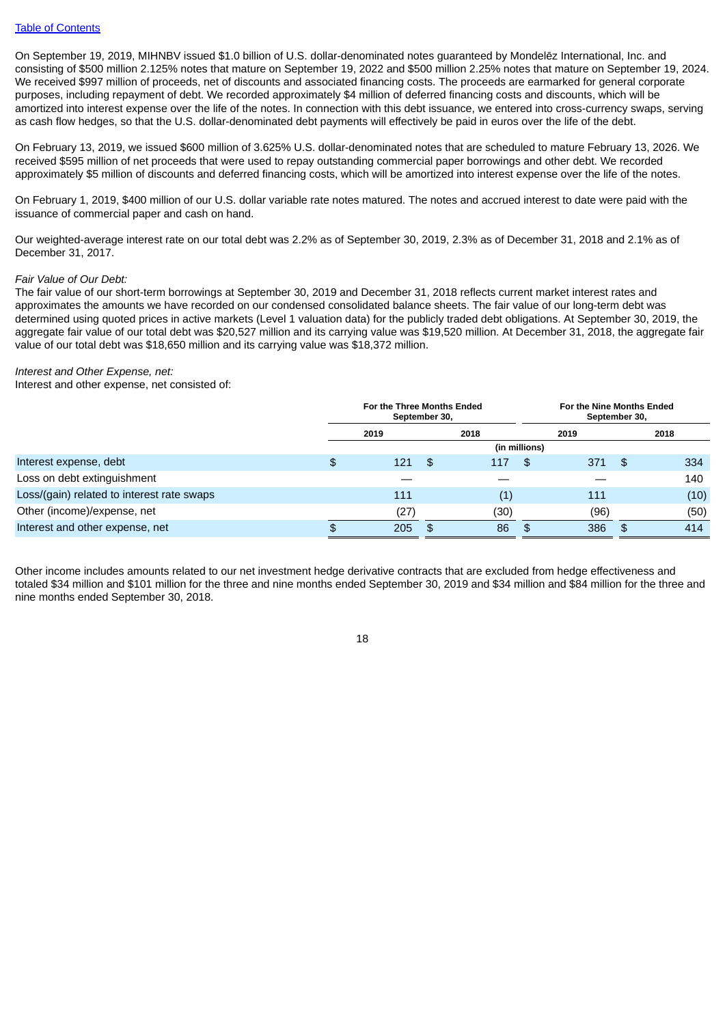On September 19, 2019, MIHNBV issued \$1.0 billion of U.S. dollar-denominated notes guaranteed by Mondelēz International, Inc. and consisting of \$500 million 2.125% notes that mature on September 19, 2022 and \$500 million 2.25% notes that mature on September 19, 2024. We received \$997 million of proceeds, net of discounts and associated financing costs. The proceeds are earmarked for general corporate purposes, including repayment of debt. We recorded approximately \$4 million of deferred financing costs and discounts, which will be amortized into interest expense over the life of the notes. In connection with this debt issuance, we entered into cross-currency swaps, serving as cash flow hedges, so that the U.S. dollar-denominated debt payments will effectively be paid in euros over the life of the debt.

On February 13, 2019, we issued \$600 million of 3.625% U.S. dollar-denominated notes that are scheduled to mature February 13, 2026. We received \$595 million of net proceeds that were used to repay outstanding commercial paper borrowings and other debt. We recorded approximately \$5 million of discounts and deferred financing costs, which will be amortized into interest expense over the life of the notes.

On February 1, 2019, \$400 million of our U.S. dollar variable rate notes matured. The notes and accrued interest to date were paid with the issuance of commercial paper and cash on hand.

Our weighted-average interest rate on our total debt was 2.2% as of September 30, 2019, 2.3% as of December 31, 2018 and 2.1% as of December 31, 2017.

#### *Fair Value of Our Debt:*

The fair value of our short-term borrowings at September 30, 2019 and December 31, 2018 reflects current market interest rates and approximates the amounts we have recorded on our condensed consolidated balance sheets. The fair value of our long-term debt was determined using quoted prices in active markets (Level 1 valuation data) for the publicly traded debt obligations. At September 30, 2019, the aggregate fair value of our total debt was \$20,527 million and its carrying value was \$19,520 million. At December 31, 2018, the aggregate fair value of our total debt was \$18,650 million and its carrying value was \$18,372 million.

#### *Interest and Other Expense, net:*

Interest and other expense, net consisted of:

|                                            | For the Three Months Ended<br>September 30, |      |      |      |               | For the Nine Months Ended<br>September 30, |     |      |  |
|--------------------------------------------|---------------------------------------------|------|------|------|---------------|--------------------------------------------|-----|------|--|
|                                            |                                             | 2019 | 2018 |      |               | 2019                                       |     | 2018 |  |
|                                            |                                             |      |      |      | (in millions) |                                            |     |      |  |
| Interest expense, debt                     | \$                                          | 121  | - \$ | 117  | \$.           | 371                                        | -\$ | 334  |  |
| Loss on debt extinguishment                |                                             |      |      |      |               |                                            |     | 140  |  |
| Loss/(gain) related to interest rate swaps |                                             | 111  |      | (1)  |               | 111                                        |     | (10) |  |
| Other (income)/expense, net                |                                             | (27) |      | (30) |               | (96)                                       |     | (50) |  |
| Interest and other expense, net            | £.                                          | 205  | - \$ | 86   | \$            | 386                                        | \$. | 414  |  |

Other income includes amounts related to our net investment hedge derivative contracts that are excluded from hedge effectiveness and totaled \$34 million and \$101 million for the three and nine months ended September 30, 2019 and \$34 million and \$84 million for the three and nine months ended September 30, 2018.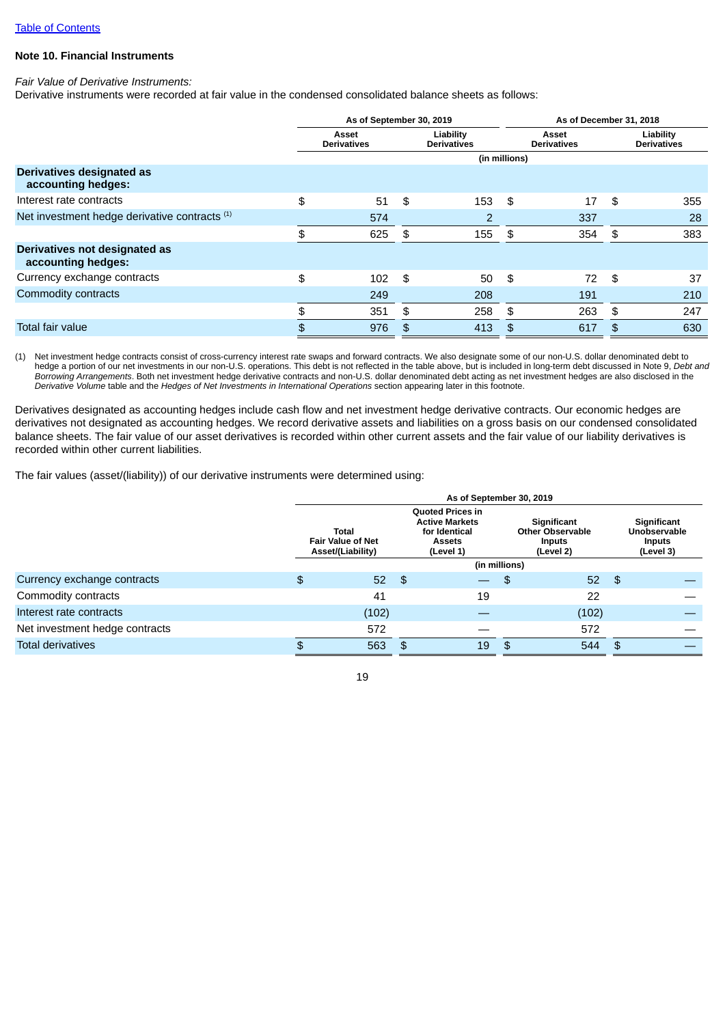# **Note 10. Financial Instruments**

## *Fair Value of Derivative Instruments:*

Derivative instruments were recorded at fair value in the condensed consolidated balance sheets as follows:

|                                                     |                             | As of September 30, 2019 |      | As of December 31, 2018         |    |                             |    |                                 |
|-----------------------------------------------------|-----------------------------|--------------------------|------|---------------------------------|----|-----------------------------|----|---------------------------------|
|                                                     | Asset<br><b>Derivatives</b> |                          |      | Liability<br><b>Derivatives</b> |    | Asset<br><b>Derivatives</b> |    | Liability<br><b>Derivatives</b> |
|                                                     |                             |                          |      | (in millions)                   |    |                             |    |                                 |
| Derivatives designated as<br>accounting hedges:     |                             |                          |      |                                 |    |                             |    |                                 |
| Interest rate contracts                             | \$                          | 51                       | - \$ | 153                             | \$ | 17                          | \$ | 355                             |
| Net investment hedge derivative contracts (1)       |                             | 574                      |      | 2                               |    | 337                         |    | 28                              |
|                                                     | \$                          | 625                      | \$   | 155                             | \$ | 354                         | \$ | 383                             |
| Derivatives not designated as<br>accounting hedges: |                             |                          |      |                                 |    |                             |    |                                 |
| Currency exchange contracts                         | \$                          | 102                      | \$   | 50                              | \$ | 72                          | \$ | 37                              |
| Commodity contracts                                 |                             | 249                      |      | 208                             |    | 191                         |    | 210                             |
|                                                     | \$                          | 351                      | \$   | 258                             | \$ | 263                         | \$ | 247                             |
| <b>Total fair value</b>                             | \$                          | 976                      | \$   | 413                             | \$ | 617                         | \$ | 630                             |

(1) Net investment hedge contracts consist of cross-currency interest rate swaps and forward contracts. We also designate some of our non-U.S. dollar denominated debt to hedge a portion of our net investments in our non-U.S. operations. This debt is not reflected in the table above, but is included in long-term debt discussed in Note 9, *Debt and Borrowing Arrangements*. Both net investment hedge derivative contracts and non-U.S. dollar denominated debt acting as net investment hedges are also disclosed in the *Derivative Volume* table and the *Hedges of Net Investments in International Operations* section appearing later in this footnote.

Derivatives designated as accounting hedges include cash flow and net investment hedge derivative contracts. Our economic hedges are derivatives not designated as accounting hedges. We record derivative assets and liabilities on a gross basis on our condensed consolidated balance sheets. The fair value of our asset derivatives is recorded within other current assets and the fair value of our liability derivatives is recorded within other current liabilities.

The fair values (asset/(liability)) of our derivative instruments were determined using:

|                                | As of September 30, 2019                               |     |                                                                                          |                                                                      |       |     |                                                    |  |  |  |
|--------------------------------|--------------------------------------------------------|-----|------------------------------------------------------------------------------------------|----------------------------------------------------------------------|-------|-----|----------------------------------------------------|--|--|--|
|                                | Total<br><b>Fair Value of Net</b><br>Asset/(Liability) |     | <b>Quoted Prices in</b><br><b>Active Markets</b><br>for Identical<br>Assets<br>(Level 1) | Significant<br><b>Other Observable</b><br><b>Inputs</b><br>(Level 2) |       |     | Significant<br>Unobservable<br>Inputs<br>(Level 3) |  |  |  |
|                                |                                                        |     |                                                                                          | (in millions)                                                        |       |     |                                                    |  |  |  |
| Currency exchange contracts    | \$<br>52 <sub>2</sub>                                  | \$  |                                                                                          | $\mathfrak{p}$                                                       | 52    | -\$ |                                                    |  |  |  |
| Commodity contracts            | 41                                                     |     | 19                                                                                       |                                                                      | 22    |     |                                                    |  |  |  |
| Interest rate contracts        | (102)                                                  |     |                                                                                          |                                                                      | (102) |     |                                                    |  |  |  |
| Net investment hedge contracts | 572                                                    |     |                                                                                          |                                                                      | 572   |     |                                                    |  |  |  |
| <b>Total derivatives</b>       | 563                                                    | \$. | 19                                                                                       | \$                                                                   | 544   | \$  |                                                    |  |  |  |

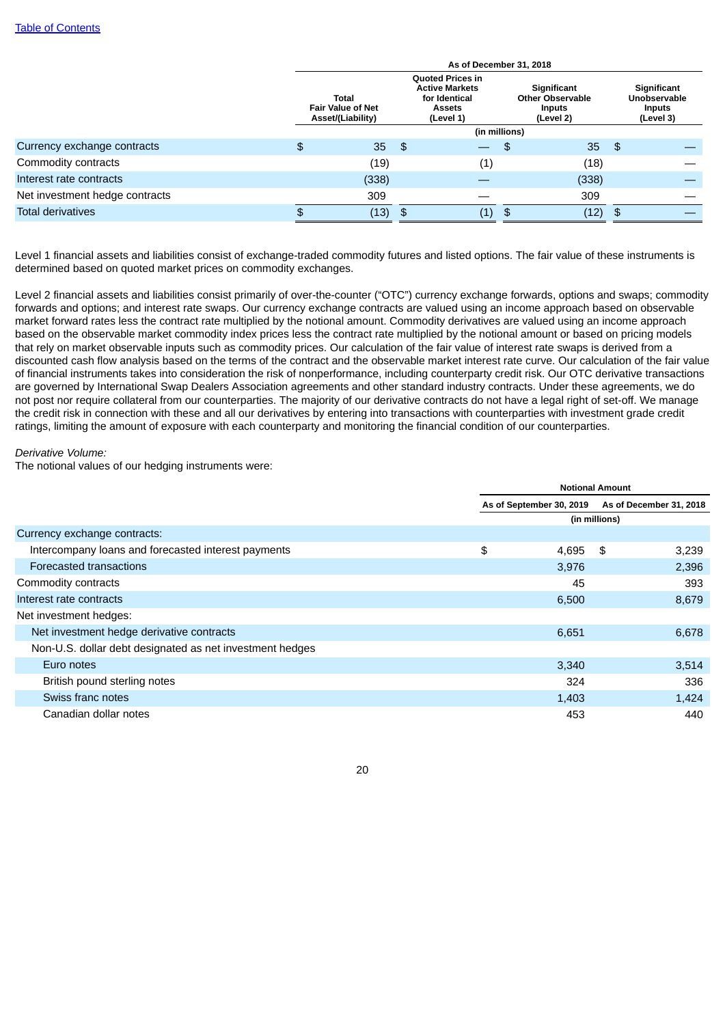|                                | As of December 31, 2018 |                                                        |    |                                                                                          |                                                               |       |     |                                                           |  |  |  |  |  |
|--------------------------------|-------------------------|--------------------------------------------------------|----|------------------------------------------------------------------------------------------|---------------------------------------------------------------|-------|-----|-----------------------------------------------------------|--|--|--|--|--|
|                                |                         | Total<br><b>Fair Value of Net</b><br>Asset/(Liability) |    | <b>Quoted Prices in</b><br><b>Active Markets</b><br>for Identical<br>Assets<br>(Level 1) | Significant<br><b>Other Observable</b><br>Inputs<br>(Level 2) |       |     | Significant<br>Unobservable<br><b>Inputs</b><br>(Level 3) |  |  |  |  |  |
|                                |                         |                                                        |    |                                                                                          | (in millions)                                                 |       |     |                                                           |  |  |  |  |  |
| Currency exchange contracts    | \$                      | 35 <sup>°</sup>                                        | \$ |                                                                                          | \$                                                            | 35    | -\$ |                                                           |  |  |  |  |  |
| Commodity contracts            |                         | (19)                                                   |    | $\scriptstyle{(1)}$                                                                      |                                                               | (18)  |     |                                                           |  |  |  |  |  |
| Interest rate contracts        |                         | (338)                                                  |    |                                                                                          |                                                               | (338) |     |                                                           |  |  |  |  |  |
| Net investment hedge contracts |                         | 309                                                    |    |                                                                                          |                                                               | 309   |     |                                                           |  |  |  |  |  |
| <b>Total derivatives</b>       | £.                      | (13)                                                   | \$ | (1)                                                                                      | $\mathfrak{F}$                                                | (12)  | \$  |                                                           |  |  |  |  |  |

Level 1 financial assets and liabilities consist of exchange-traded commodity futures and listed options. The fair value of these instruments is determined based on quoted market prices on commodity exchanges.

Level 2 financial assets and liabilities consist primarily of over-the-counter ("OTC") currency exchange forwards, options and swaps; commodity forwards and options; and interest rate swaps. Our currency exchange contracts are valued using an income approach based on observable market forward rates less the contract rate multiplied by the notional amount. Commodity derivatives are valued using an income approach based on the observable market commodity index prices less the contract rate multiplied by the notional amount or based on pricing models that rely on market observable inputs such as commodity prices. Our calculation of the fair value of interest rate swaps is derived from a discounted cash flow analysis based on the terms of the contract and the observable market interest rate curve. Our calculation of the fair value of financial instruments takes into consideration the risk of nonperformance, including counterparty credit risk. Our OTC derivative transactions are governed by International Swap Dealers Association agreements and other standard industry contracts. Under these agreements, we do not post nor require collateral from our counterparties. The majority of our derivative contracts do not have a legal right of set-off. We manage the credit risk in connection with these and all our derivatives by entering into transactions with counterparties with investment grade credit ratings, limiting the amount of exposure with each counterparty and monitoring the financial condition of our counterparties.

*Derivative Volume:*

The notional values of our hedging instruments were:

|                                                          | <b>Notional Amount</b> |                          |    |                         |  |  |  |
|----------------------------------------------------------|------------------------|--------------------------|----|-------------------------|--|--|--|
|                                                          |                        | As of September 30, 2019 |    | As of December 31, 2018 |  |  |  |
|                                                          | (in millions)          |                          |    |                         |  |  |  |
| Currency exchange contracts:                             |                        |                          |    |                         |  |  |  |
| Intercompany loans and forecasted interest payments      | \$                     | 4,695                    | \$ | 3,239                   |  |  |  |
| Forecasted transactions                                  |                        | 3,976                    |    | 2,396                   |  |  |  |
| Commodity contracts                                      |                        | 45                       |    | 393                     |  |  |  |
| Interest rate contracts                                  |                        | 6,500                    |    | 8,679                   |  |  |  |
| Net investment hedges:                                   |                        |                          |    |                         |  |  |  |
| Net investment hedge derivative contracts                |                        | 6,651                    |    | 6,678                   |  |  |  |
| Non-U.S. dollar debt designated as net investment hedges |                        |                          |    |                         |  |  |  |
| Euro notes                                               |                        | 3,340                    |    | 3,514                   |  |  |  |
| British pound sterling notes                             |                        | 324                      |    | 336                     |  |  |  |
| Swiss franc notes                                        |                        | 1,403                    |    | 1,424                   |  |  |  |
| Canadian dollar notes                                    |                        | 453                      |    | 440                     |  |  |  |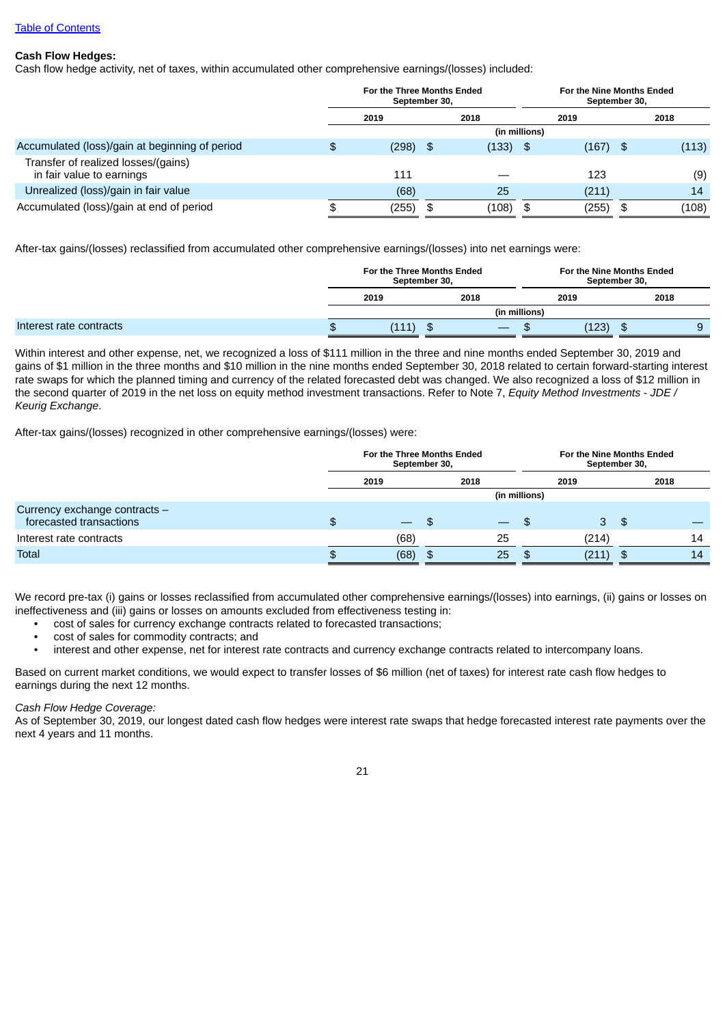## **Cash Flow Hedges:**

Cash flow hedge activity, net of taxes, within accumulated other comprehensive earnings/(losses) included:

|                                                                  | For the Three Months Ended<br>September 30, |      |            |               | For the Nine Months Ended<br>September 30, |    |       |  |
|------------------------------------------------------------------|---------------------------------------------|------|------------|---------------|--------------------------------------------|----|-------|--|
|                                                                  | 2019                                        |      | 2018       |               | 2019                                       |    | 2018  |  |
|                                                                  |                                             |      |            | (in millions) |                                            |    |       |  |
| Accumulated (loss)/gain at beginning of period                   | \$<br>$(298)$ \$                            |      | $(133)$ \$ |               | $(167)$ \$                                 |    | (113) |  |
| Transfer of realized losses/(gains)<br>in fair value to earnings | 111                                         |      |            |               | 123                                        |    | (9)   |  |
| Unrealized (loss)/gain in fair value                             | (68)                                        |      | 25         |               | (211)                                      |    | 14    |  |
| Accumulated (loss)/gain at end of period                         | \$<br>(255)                                 | - \$ | (108)      | \$            | (255)                                      | \$ | (108) |  |

After-tax gains/(losses) reclassified from accumulated other comprehensive earnings/(losses) into net earnings were:

|                         |              |  | For the Three Months Ended<br>September 30, |               | For the Nine Months Ended<br>September 30. |      |  |  |  |  |
|-------------------------|--------------|--|---------------------------------------------|---------------|--------------------------------------------|------|--|--|--|--|
|                         | 2019<br>2018 |  |                                             |               | 2019                                       | 2018 |  |  |  |  |
|                         |              |  |                                             | (in millions) |                                            |      |  |  |  |  |
| Interest rate contracts | \$           |  | ന<br><b>D</b>                               |               | (123)                                      | ۰D   |  |  |  |  |

Within interest and other expense, net, we recognized a loss of \$111 million in the three and nine months ended September 30, 2019 and gains of \$1 million in the three months and \$10 million in the nine months ended September 30, 2018 related to certain forward-starting interest rate swaps for which the planned timing and currency of the related forecasted debt was changed. We also recognized a loss of \$12 million in the second quarter of 2019 in the net loss on equity method investment transactions. Refer to Note 7, *Equity Method Investments* - *JDE / Keurig Exchange*.

After-tax gains/(losses) recognized in other comprehensive earnings/(losses) were:

|                                                          | For the Three Months Ended<br>September 30, |                          |      |                          | For the Nine Months Ended<br>September 30, |       |     |      |    |
|----------------------------------------------------------|---------------------------------------------|--------------------------|------|--------------------------|--------------------------------------------|-------|-----|------|----|
|                                                          | 2019                                        |                          | 2018 |                          |                                            | 2019  |     | 2018 |    |
|                                                          |                                             |                          |      |                          | (in millions)                              |       |     |      |    |
| Currency exchange contracts -<br>forecasted transactions | \$                                          | $\overline{\phantom{0}}$ | \$.  | $\overline{\phantom{0}}$ |                                            | 3     | \$  |      |    |
| Interest rate contracts                                  |                                             | (68)                     |      | 25                       |                                            | (214) |     |      | 14 |
| <b>Total</b>                                             | \$.                                         | (68)                     | -\$  | 25                       |                                            | (211) | \$. |      | 14 |

We record pre-tax (i) gains or losses reclassified from accumulated other comprehensive earnings/(losses) into earnings, (ii) gains or losses on ineffectiveness and (iii) gains or losses on amounts excluded from effectiveness testing in:

- cost of sales for currency exchange contracts related to forecasted transactions;
- cost of sales for commodity contracts; and<br>• interest and other expense net for interest
- interest and other expense, net for interest rate contracts and currency exchange contracts related to intercompany loans.

Based on current market conditions, we would expect to transfer losses of \$6 million (net of taxes) for interest rate cash flow hedges to earnings during the next 12 months.

## *Cash Flow Hedge Coverage:*

As of September 30, 2019, our longest dated cash flow hedges were interest rate swaps that hedge forecasted interest rate payments over the next 4 years and 11 months.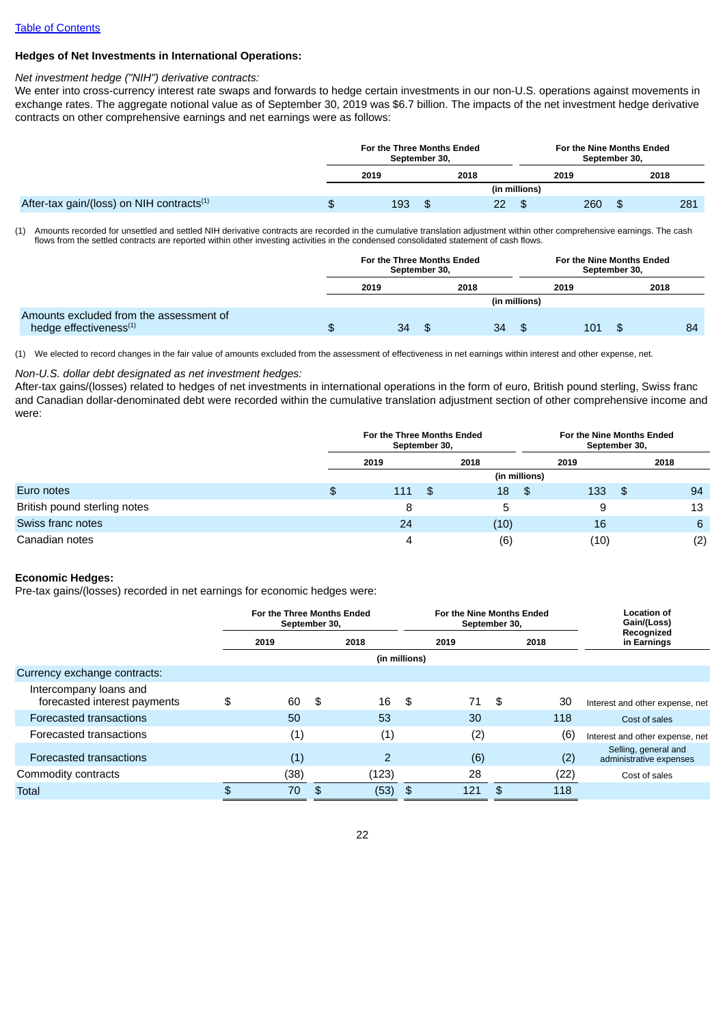## **Hedges of Net Investments in International Operations:**

#### *Net investment hedge ("NIH") derivative contracts:*

We enter into cross-currency interest rate swaps and forwards to hedge certain investments in our non-U.S. operations against movements in exchange rates. The aggregate notional value as of September 30, 2019 was \$6.7 billion. The impacts of the net investment hedge derivative contracts on other comprehensive earnings and net earnings were as follows:

|                                                       | For the Three Months Ended<br>September 30, |    |      |    |               | For the Nine Months Ended<br>September 30, |     |    |      |     |  |
|-------------------------------------------------------|---------------------------------------------|----|------|----|---------------|--------------------------------------------|-----|----|------|-----|--|
|                                                       | 2019                                        |    | 2018 |    |               | 2019                                       |     |    | 2018 |     |  |
|                                                       |                                             |    |      |    | (in millions) |                                            |     |    |      |     |  |
| After-tax gain/(loss) on NIH contracts <sup>(1)</sup> | \$<br>193                                   | \$ |      | 22 | Ф             |                                            | 260 | \$ |      | 281 |  |

(1) Amounts recorded for unsettled and settled NIH derivative contracts are recorded in the cumulative translation adjustment within other comprehensive earnings. The cash flows from the settled contracts are reported within other investing activities in the condensed consolidated statement of cash flows.

|                                                                               | For the Three Months Ended<br>September 30, |  |      |    | For the Nine Months Ended<br>September 30, |      |     |  |      |    |
|-------------------------------------------------------------------------------|---------------------------------------------|--|------|----|--------------------------------------------|------|-----|--|------|----|
|                                                                               | 2019                                        |  | 2018 |    |                                            | 2019 |     |  | 2018 |    |
|                                                                               |                                             |  |      |    | (in millions)                              |      |     |  |      |    |
| Amounts excluded from the assessment of<br>hedge effectiveness <sup>(1)</sup> | \$<br>34                                    |  |      | 34 |                                            |      | 101 |  |      | 84 |

(1) We elected to record changes in the fair value of amounts excluded from the assessment of effectiveness in net earnings within interest and other expense, net.

### *Non-U.S. dollar debt designated as net investment hedges:*

After-tax gains/(losses) related to hedges of net investments in international operations in the form of euro, British pound sterling, Swiss franc and Canadian dollar-denominated debt were recorded within the cumulative translation adjustment section of other comprehensive income and were:

|                              | For the Three Months Ended<br>September 30, |      |     |      |      | For the Nine Months Ended<br>September 30, |      |    |      |     |
|------------------------------|---------------------------------------------|------|-----|------|------|--------------------------------------------|------|----|------|-----|
|                              |                                             | 2019 |     | 2018 |      |                                            | 2019 |    | 2018 |     |
|                              |                                             |      |     |      |      | (in millions)                              |      |    |      |     |
| Euro notes                   | \$                                          | 111  | -\$ |      | 18   | - SS                                       | 133  | \$ |      | 94  |
| British pound sterling notes |                                             | 8    |     |      | 5    |                                            | 9    |    |      | 13  |
| Swiss franc notes            |                                             | 24   |     |      | (10) |                                            | 16   |    |      | 6   |
| Canadian notes               |                                             | 4    |     |      | (6)  |                                            | (10) |    |      | (2) |

## **Economic Hedges:**

Pre-tax gains/(losses) recorded in net earnings for economic hedges were:

|                                                        | For the Three Months Ended<br>September 30, |     |       |               | For the Nine Months Ended<br>September 30, |      | <b>Location of</b><br>Gain/(Loss) |                                                 |
|--------------------------------------------------------|---------------------------------------------|-----|-------|---------------|--------------------------------------------|------|-----------------------------------|-------------------------------------------------|
|                                                        | 2019                                        |     | 2018  | 2019<br>2018  |                                            |      |                                   | Recognized<br>in Earnings                       |
|                                                        |                                             |     |       | (in millions) |                                            |      |                                   |                                                 |
| Currency exchange contracts:                           |                                             |     |       |               |                                            |      |                                   |                                                 |
| Intercompany loans and<br>forecasted interest payments | \$<br>60                                    | \$  | 16    | \$            | 71                                         | - \$ | 30                                | Interest and other expense, net                 |
| Forecasted transactions                                | 50                                          |     | 53    |               | 30                                         |      | 118                               | Cost of sales                                   |
| Forecasted transactions                                | (1)                                         |     | (1)   |               | (2)                                        |      | (6)                               | Interest and other expense, net                 |
| Forecasted transactions                                | (1)                                         |     | 2     |               | (6)                                        |      | (2)                               | Selling, general and<br>administrative expenses |
| Commodity contracts                                    | (38)                                        |     | (123) |               | 28                                         |      | (22)                              | Cost of sales                                   |
| Total                                                  | \$<br>70                                    | \$. | (53)  | \$            | 121                                        | \$   | 118                               |                                                 |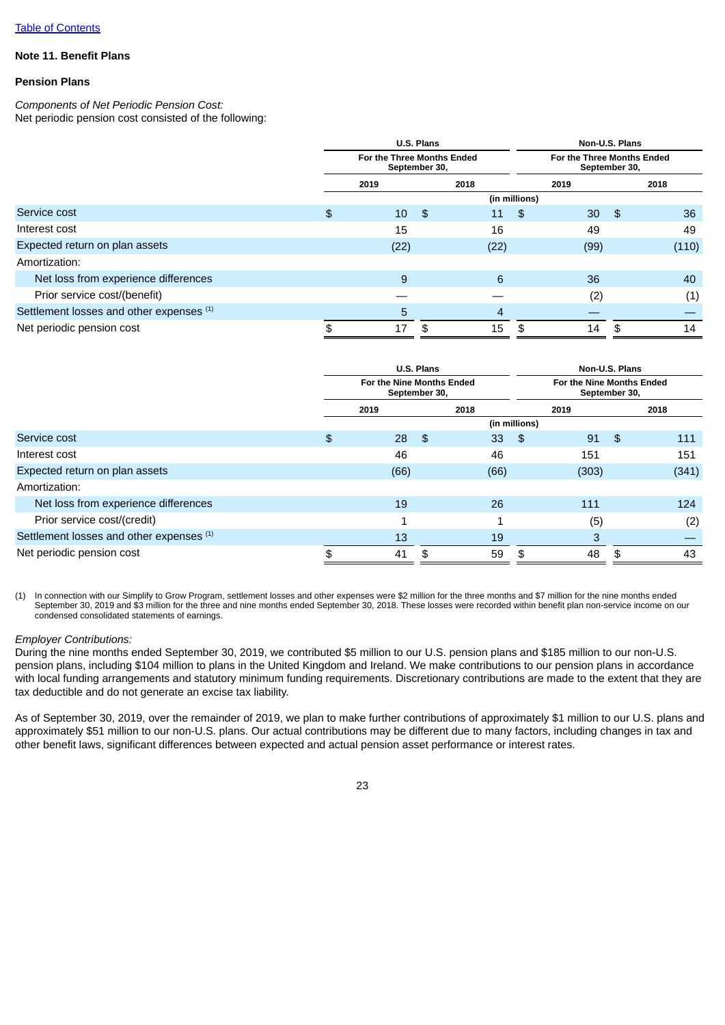## **Note 11. Benefit Plans**

## **Pension Plans**

*Components of Net Periodic Pension Cost:* Net periodic pension cost consisted of the following:

|                                          | U.S. Plans<br>For the Three Months Ended<br>September 30, |      |    |                |               | Non-U.S. Plans                              |     |       |  |  |  |
|------------------------------------------|-----------------------------------------------------------|------|----|----------------|---------------|---------------------------------------------|-----|-------|--|--|--|
|                                          |                                                           |      |    |                |               | For the Three Months Ended<br>September 30, |     |       |  |  |  |
|                                          |                                                           | 2019 |    | 2018           |               | 2019                                        |     | 2018  |  |  |  |
|                                          |                                                           |      |    |                | (in millions) |                                             |     |       |  |  |  |
| Service cost                             | \$                                                        | 10   | \$ | 11             | \$            | 30 <sup>°</sup>                             | -\$ | 36    |  |  |  |
| Interest cost                            |                                                           | 15   |    | 16             |               | 49                                          |     | 49    |  |  |  |
| Expected return on plan assets           |                                                           | (22) |    | (22)           |               | (99)                                        |     | (110) |  |  |  |
| Amortization:                            |                                                           |      |    |                |               |                                             |     |       |  |  |  |
| Net loss from experience differences     |                                                           | 9    |    | 6              |               | 36                                          |     | 40    |  |  |  |
| Prior service cost/(benefit)             |                                                           |      |    |                |               | (2)                                         |     | (1)   |  |  |  |
| Settlement losses and other expenses (1) |                                                           | 5    |    | $\overline{4}$ |               |                                             |     |       |  |  |  |
| Net periodic pension cost                | \$                                                        | 17   | \$ | 15             | \$            | 14                                          | \$  | 14    |  |  |  |

|                                          | <b>U.S. Plans</b>                          |      |    |      |               | Non-U.S. Plans                             |    |       |  |  |
|------------------------------------------|--------------------------------------------|------|----|------|---------------|--------------------------------------------|----|-------|--|--|
|                                          | For the Nine Months Ended<br>September 30, |      |    |      |               | For the Nine Months Ended<br>September 30, |    |       |  |  |
|                                          | 2019                                       |      |    | 2018 |               | 2019                                       |    | 2018  |  |  |
|                                          |                                            |      |    |      | (in millions) |                                            |    |       |  |  |
| Service cost                             | \$                                         | 28   | \$ | 33   | \$            | 91                                         | \$ | 111   |  |  |
| Interest cost                            |                                            | 46   |    | 46   |               | 151                                        |    | 151   |  |  |
| Expected return on plan assets           |                                            | (66) |    | (66) |               | (303)                                      |    | (341) |  |  |
| Amortization:                            |                                            |      |    |      |               |                                            |    |       |  |  |
| Net loss from experience differences     |                                            | 19   |    | 26   |               | 111                                        |    | 124   |  |  |
| Prior service cost/(credit)              |                                            | 1    |    |      |               | (5)                                        |    | (2)   |  |  |
| Settlement losses and other expenses (1) |                                            | 13   |    | 19   |               | 3                                          |    |       |  |  |
| Net periodic pension cost                | \$                                         | 41   |    | 59   | \$            | 48                                         | \$ | 43    |  |  |

(1) In connection with our Simplify to Grow Program, settlement losses and other expenses were \$2 million for the three months and \$7 million for the nine months ended September 30, 2019 and \$3 million for the three and nine months ended September 30, 2018. These losses were recorded within benefit plan non-service income on our condensed consolidated statements of earnings.

## *Employer Contributions:*

During the nine months ended September 30, 2019, we contributed \$5 million to our U.S. pension plans and \$185 million to our non-U.S. pension plans, including \$104 million to plans in the United Kingdom and Ireland. We make contributions to our pension plans in accordance with local funding arrangements and statutory minimum funding requirements. Discretionary contributions are made to the extent that they are tax deductible and do not generate an excise tax liability.

As of September 30, 2019, over the remainder of 2019, we plan to make further contributions of approximately \$1 million to our U.S. plans and approximately \$51 million to our non-U.S. plans. Our actual contributions may be different due to many factors, including changes in tax and other benefit laws, significant differences between expected and actual pension asset performance or interest rates.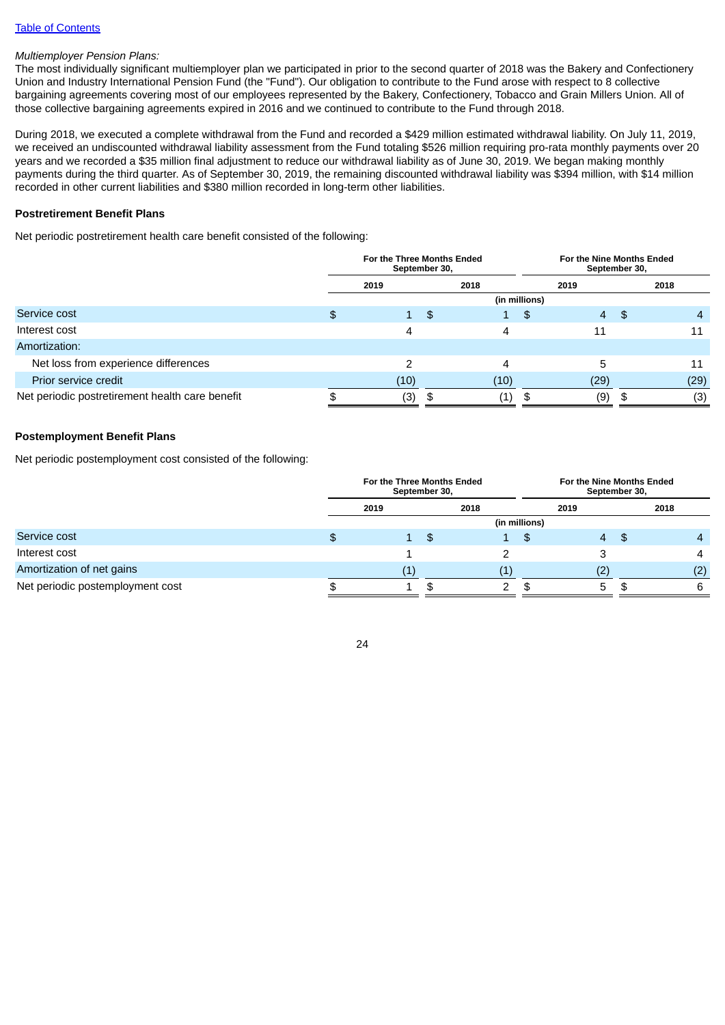## *Multiemployer Pension Plans:*

The most individually significant multiemployer plan we participated in prior to the second quarter of 2018 was the Bakery and Confectionery Union and Industry International Pension Fund (the "Fund"). Our obligation to contribute to the Fund arose with respect to 8 collective bargaining agreements covering most of our employees represented by the Bakery, Confectionery, Tobacco and Grain Millers Union. All of those collective bargaining agreements expired in 2016 and we continued to contribute to the Fund through 2018.

During 2018, we executed a complete withdrawal from the Fund and recorded a \$429 million estimated withdrawal liability. On July 11, 2019, we received an undiscounted withdrawal liability assessment from the Fund totaling \$526 million requiring pro-rata monthly payments over 20 years and we recorded a \$35 million final adjustment to reduce our withdrawal liability as of June 30, 2019. We began making monthly payments during the third quarter. As of September 30, 2019, the remaining discounted withdrawal liability was \$394 million, with \$14 million recorded in other current liabilities and \$380 million recorded in long-term other liabilities.

# **Postretirement Benefit Plans**

Net periodic postretirement health care benefit consisted of the following:

|                                                 | For the Three Months Ended<br>September 30, |              |      |              |               | For the Nine Months Ended<br>September 30, |     |      |  |
|-------------------------------------------------|---------------------------------------------|--------------|------|--------------|---------------|--------------------------------------------|-----|------|--|
|                                                 |                                             | 2019         |      | 2018         |               | 2019                                       |     | 2018 |  |
|                                                 |                                             |              |      |              | (in millions) |                                            |     |      |  |
| Service cost                                    | \$                                          | $\mathbf{1}$ | - \$ | $\mathbf{1}$ | \$            | $\overline{4}$                             | -\$ | 4    |  |
| Interest cost                                   |                                             | 4            |      | 4            |               | 11                                         |     | 11   |  |
| Amortization:                                   |                                             |              |      |              |               |                                            |     |      |  |
| Net loss from experience differences            |                                             | 2            |      | 4            |               |                                            |     | 11   |  |
| Prior service credit                            |                                             | (10)         |      | (10)         |               | (29)                                       |     | (29) |  |
| Net periodic postretirement health care benefit | ൷                                           | (3)          | \$   | (1)          | \$            | (9)                                        |     | (3)  |  |

## **Postemployment Benefit Plans**

Net periodic postemployment cost consisted of the following:

|                                  | For the Three Months Ended<br>September 30, |                   |      |           | For the Nine Months Ended<br>September 30, |      |     |      |  |
|----------------------------------|---------------------------------------------|-------------------|------|-----------|--------------------------------------------|------|-----|------|--|
|                                  |                                             | 2019              | 2018 |           |                                            | 2019 |     | 2018 |  |
|                                  |                                             |                   |      |           | (in millions)                              |      |     |      |  |
| Service cost                     | \$                                          | $\mathbf{1}$      | \$   | $1 \quad$ | \$                                         | 4    | -\$ | 4    |  |
| Interest cost                    |                                             |                   |      |           |                                            |      |     | 4    |  |
| Amortization of net gains        |                                             | $\left( 1\right)$ |      |           |                                            |      |     | (2)  |  |
| Net periodic postemployment cost |                                             |                   |      |           |                                            | 5    |     | 6    |  |

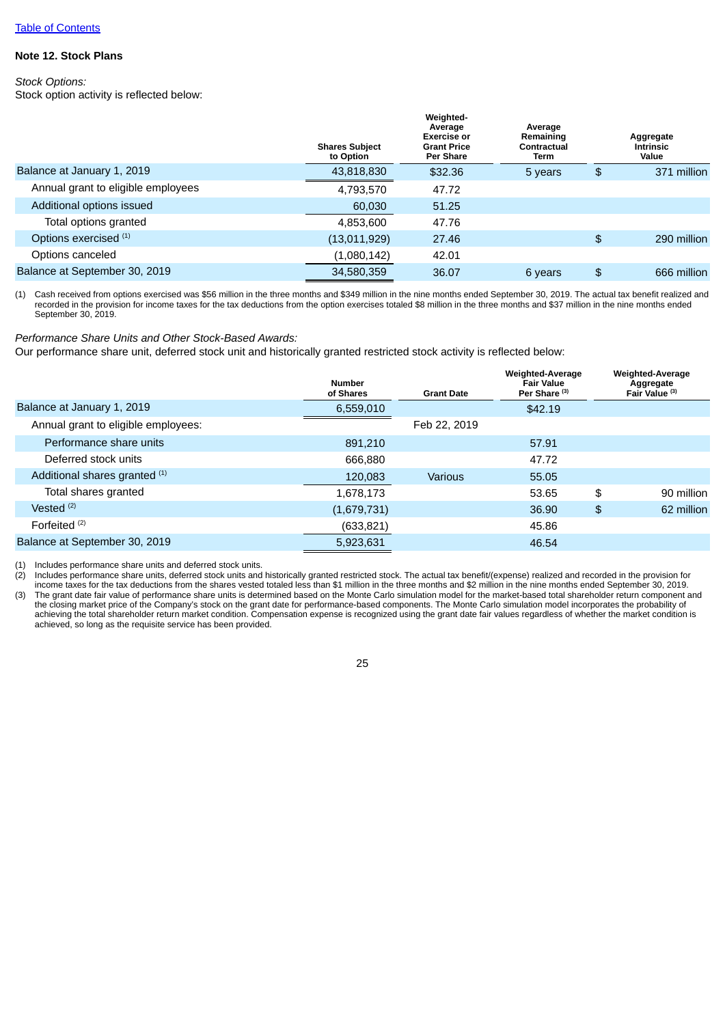## **Note 12. Stock Plans**

*Stock Options:* Stock option activity is reflected below:

|                                    | <b>Shares Subiect</b><br>to Option | Weighted-<br>Average<br>Exercise or<br><b>Grant Price</b><br><b>Per Share</b> | Average<br>Remaining<br>Contractual<br>Term | Aggregate<br><b>Intrinsic</b><br>Value |
|------------------------------------|------------------------------------|-------------------------------------------------------------------------------|---------------------------------------------|----------------------------------------|
| Balance at January 1, 2019         | 43,818,830                         | \$32.36                                                                       | 5 years                                     | \$<br>371 million                      |
| Annual grant to eligible employees | 4,793,570                          | 47.72                                                                         |                                             |                                        |
| Additional options issued          | 60,030                             | 51.25                                                                         |                                             |                                        |
| Total options granted              | 4,853,600                          | 47.76                                                                         |                                             |                                        |
| Options exercised (1)              | (13,011,929)                       | 27.46                                                                         |                                             | \$<br>290 million                      |
| Options canceled                   | (1,080,142)                        | 42.01                                                                         |                                             |                                        |
| Balance at September 30, 2019      | 34,580,359                         | 36.07                                                                         | 6 years                                     | \$<br>666 million                      |

(1) Cash received from options exercised was \$56 million in the three months and \$349 million in the nine months ended September 30, 2019. The actual tax benefit realized and recorded in the provision for income taxes for the tax deductions from the option exercises totaled \$8 million in the three months and \$37 million in the nine months ended September 30, 2019.

*Performance Share Units and Other Stock-Based Awards:*

Our performance share unit, deferred stock unit and historically granted restricted stock activity is reflected below:

|                                     | <b>Number</b><br>of Shares | <b>Grant Date</b> | <b>Weighted-Average</b><br><b>Fair Value</b><br>Per Share <sup>(3)</sup> | <b>Weighted-Average</b><br>Aggregate<br>Fair Value (3) |
|-------------------------------------|----------------------------|-------------------|--------------------------------------------------------------------------|--------------------------------------------------------|
| Balance at January 1, 2019          | 6,559,010                  |                   | \$42.19                                                                  |                                                        |
| Annual grant to eligible employees: |                            | Feb 22, 2019      |                                                                          |                                                        |
| Performance share units             | 891,210                    |                   | 57.91                                                                    |                                                        |
| Deferred stock units                | 666.880                    |                   | 47.72                                                                    |                                                        |
| Additional shares granted (1)       | 120,083                    | <b>Various</b>    | 55.05                                                                    |                                                        |
| Total shares granted                | 1.678.173                  |                   | 53.65                                                                    | \$<br>90 million                                       |
| Vested $(2)$                        | (1,679,731)                |                   | 36.90                                                                    | \$<br>62 million                                       |
| Forfeited <sup>(2)</sup>            | (633, 821)                 |                   | 45.86                                                                    |                                                        |
| Balance at September 30, 2019       | 5,923,631                  |                   | 46.54                                                                    |                                                        |

(1) Includes performance share units and deferred stock units.

(2) Includes performance share units, deferred stock units and historically granted restricted stock. The actual tax benefit/(expense) realized and recorded in the provision for

income taxes for the tax deductions from the shares vested totaled less than \$1 million in the three months and \$2 million in the nine months ended September 30, 2019. The grant date fair value of performance share units is determined based on the Monte Carlo simulation model for the market-based total shareholder return component and (3) The grant date fair value of performance share un the closing market price of the Company's stock on the grant date for performance-based components. The Monte Carlo simulation model incorporates the probability of achieving the total shareholder return market condition. Compensation expense is recognized using the grant date fair values regardless of whether the market condition is achieved, so long as the requisite service has been provided.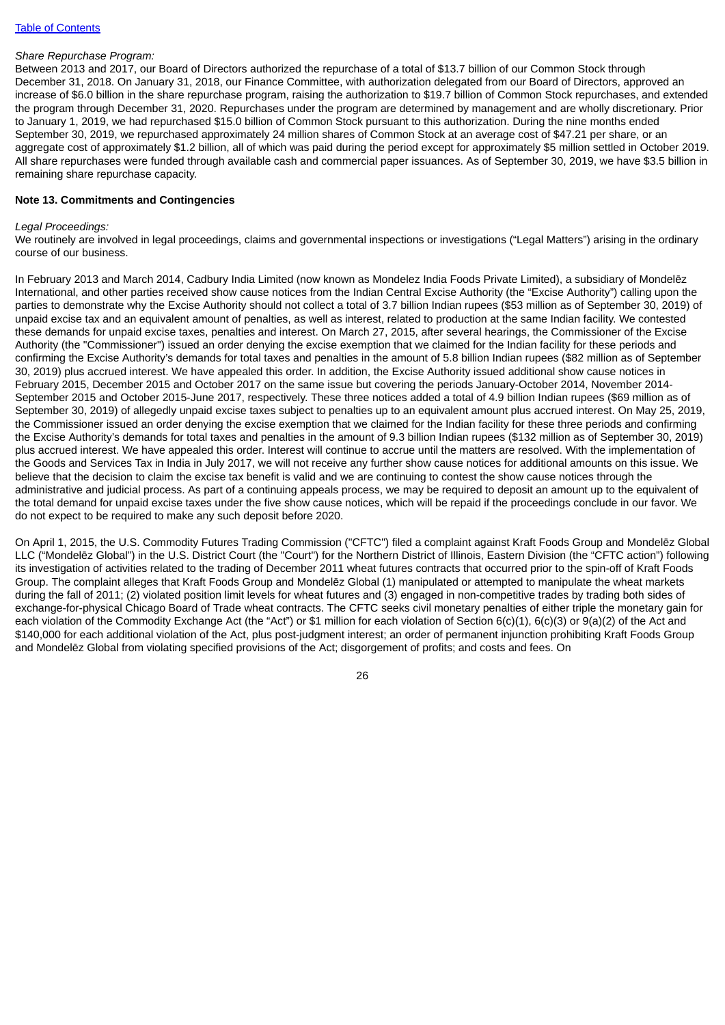#### *Share Repurchase Program:*

Between 2013 and 2017, our Board of Directors authorized the repurchase of a total of \$13.7 billion of our Common Stock through December 31, 2018. On January 31, 2018, our Finance Committee, with authorization delegated from our Board of Directors, approved an increase of \$6.0 billion in the share repurchase program, raising the authorization to \$19.7 billion of Common Stock repurchases, and extended the program through December 31, 2020. Repurchases under the program are determined by management and are wholly discretionary. Prior to January 1, 2019, we had repurchased \$15.0 billion of Common Stock pursuant to this authorization. During the nine months ended September 30, 2019, we repurchased approximately 24 million shares of Common Stock at an average cost of \$47.21 per share, or an aggregate cost of approximately \$1.2 billion, all of which was paid during the period except for approximately \$5 million settled in October 2019. All share repurchases were funded through available cash and commercial paper issuances. As of September 30, 2019, we have \$3.5 billion in remaining share repurchase capacity.

### **Note 13. Commitments and Contingencies**

#### *Legal Proceedings:*

We routinely are involved in legal proceedings, claims and governmental inspections or investigations ("Legal Matters") arising in the ordinary course of our business.

In February 2013 and March 2014, Cadbury India Limited (now known as Mondelez India Foods Private Limited), a subsidiary of Mondelēz International, and other parties received show cause notices from the Indian Central Excise Authority (the "Excise Authority") calling upon the parties to demonstrate why the Excise Authority should not collect a total of 3.7 billion Indian rupees (\$53 million as of September 30, 2019) of unpaid excise tax and an equivalent amount of penalties, as well as interest, related to production at the same Indian facility. We contested these demands for unpaid excise taxes, penalties and interest. On March 27, 2015, after several hearings, the Commissioner of the Excise Authority (the "Commissioner") issued an order denying the excise exemption that we claimed for the Indian facility for these periods and confirming the Excise Authority's demands for total taxes and penalties in the amount of 5.8 billion Indian rupees (\$82 million as of September 30, 2019) plus accrued interest. We have appealed this order. In addition, the Excise Authority issued additional show cause notices in February 2015, December 2015 and October 2017 on the same issue but covering the periods January-October 2014, November 2014- September 2015 and October 2015-June 2017, respectively. These three notices added a total of 4.9 billion Indian rupees (\$69 million as of September 30, 2019) of allegedly unpaid excise taxes subject to penalties up to an equivalent amount plus accrued interest. On May 25, 2019, the Commissioner issued an order denying the excise exemption that we claimed for the Indian facility for these three periods and confirming the Excise Authority's demands for total taxes and penalties in the amount of 9.3 billion Indian rupees (\$132 million as of September 30, 2019) plus accrued interest. We have appealed this order. Interest will continue to accrue until the matters are resolved. With the implementation of the Goods and Services Tax in India in July 2017, we will not receive any further show cause notices for additional amounts on this issue. We believe that the decision to claim the excise tax benefit is valid and we are continuing to contest the show cause notices through the administrative and judicial process. As part of a continuing appeals process, we may be required to deposit an amount up to the equivalent of the total demand for unpaid excise taxes under the five show cause notices, which will be repaid if the proceedings conclude in our favor. We do not expect to be required to make any such deposit before 2020.

On April 1, 2015, the U.S. Commodity Futures Trading Commission ("CFTC") filed a complaint against Kraft Foods Group and Mondelēz Global LLC ("Mondelēz Global") in the U.S. District Court (the "Court") for the Northern District of Illinois, Eastern Division (the "CFTC action") following its investigation of activities related to the trading of December 2011 wheat futures contracts that occurred prior to the spin-off of Kraft Foods Group. The complaint alleges that Kraft Foods Group and Mondelēz Global (1) manipulated or attempted to manipulate the wheat markets during the fall of 2011; (2) violated position limit levels for wheat futures and (3) engaged in non-competitive trades by trading both sides of exchange-for-physical Chicago Board of Trade wheat contracts. The CFTC seeks civil monetary penalties of either triple the monetary gain for each violation of the Commodity Exchange Act (the "Act") or \$1 million for each violation of Section 6(c)(1), 6(c)(3) or 9(a)(2) of the Act and \$140,000 for each additional violation of the Act, plus post-judgment interest; an order of permanent injunction prohibiting Kraft Foods Group and Mondelēz Global from violating specified provisions of the Act; disgorgement of profits; and costs and fees. On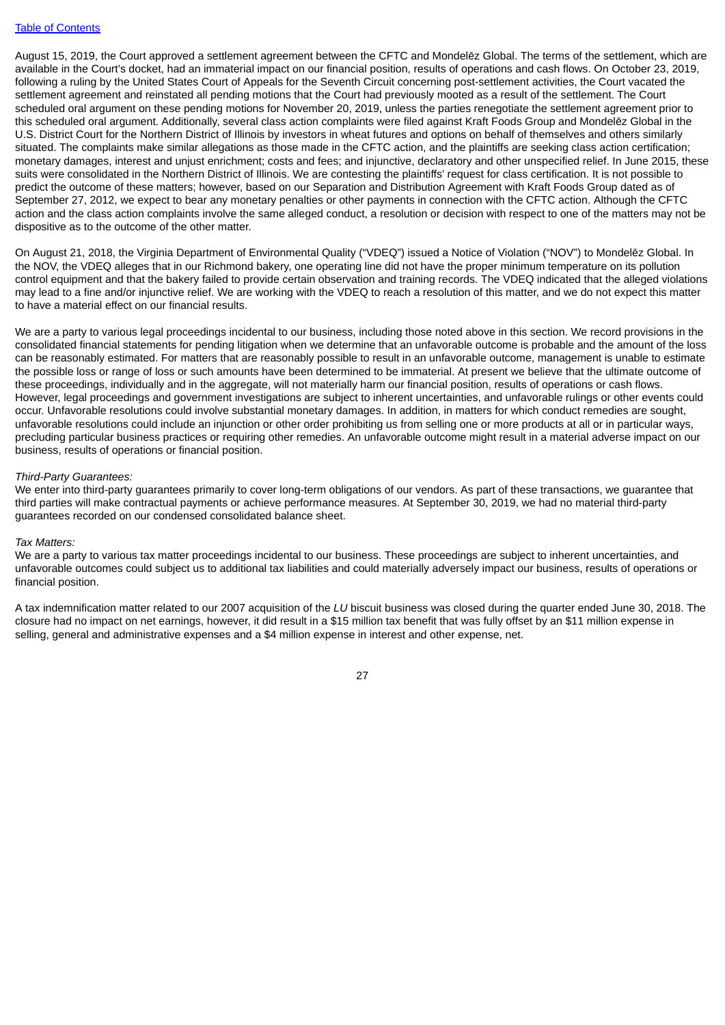August 15, 2019, the Court approved a settlement agreement between the CFTC and Mondelēz Global. The terms of the settlement, which are available in the Court's docket, had an immaterial impact on our financial position, results of operations and cash flows. On October 23, 2019, following a ruling by the United States Court of Appeals for the Seventh Circuit concerning post-settlement activities, the Court vacated the settlement agreement and reinstated all pending motions that the Court had previously mooted as a result of the settlement. The Court scheduled oral argument on these pending motions for November 20, 2019, unless the parties renegotiate the settlement agreement prior to this scheduled oral argument. Additionally, several class action complaints were filed against Kraft Foods Group and Mondelēz Global in the U.S. District Court for the Northern District of Illinois by investors in wheat futures and options on behalf of themselves and others similarly situated. The complaints make similar allegations as those made in the CFTC action, and the plaintiffs are seeking class action certification; monetary damages, interest and unjust enrichment; costs and fees; and injunctive, declaratory and other unspecified relief. In June 2015, these suits were consolidated in the Northern District of Illinois. We are contesting the plaintiffs' request for class certification. It is not possible to predict the outcome of these matters; however, based on our Separation and Distribution Agreement with Kraft Foods Group dated as of September 27, 2012, we expect to bear any monetary penalties or other payments in connection with the CFTC action. Although the CFTC action and the class action complaints involve the same alleged conduct, a resolution or decision with respect to one of the matters may not be dispositive as to the outcome of the other matter.

On August 21, 2018, the Virginia Department of Environmental Quality ("VDEQ") issued a Notice of Violation ("NOV") to Mondelēz Global. In the NOV, the VDEQ alleges that in our Richmond bakery, one operating line did not have the proper minimum temperature on its pollution control equipment and that the bakery failed to provide certain observation and training records. The VDEQ indicated that the alleged violations may lead to a fine and/or injunctive relief. We are working with the VDEQ to reach a resolution of this matter, and we do not expect this matter to have a material effect on our financial results.

We are a party to various legal proceedings incidental to our business, including those noted above in this section. We record provisions in the consolidated financial statements for pending litigation when we determine that an unfavorable outcome is probable and the amount of the loss can be reasonably estimated. For matters that are reasonably possible to result in an unfavorable outcome, management is unable to estimate the possible loss or range of loss or such amounts have been determined to be immaterial. At present we believe that the ultimate outcome of these proceedings, individually and in the aggregate, will not materially harm our financial position, results of operations or cash flows. However, legal proceedings and government investigations are subject to inherent uncertainties, and unfavorable rulings or other events could occur. Unfavorable resolutions could involve substantial monetary damages. In addition, in matters for which conduct remedies are sought, unfavorable resolutions could include an injunction or other order prohibiting us from selling one or more products at all or in particular ways, precluding particular business practices or requiring other remedies. An unfavorable outcome might result in a material adverse impact on our business, results of operations or financial position.

#### *Third-Party Guarantees:*

We enter into third-party guarantees primarily to cover long-term obligations of our vendors. As part of these transactions, we guarantee that third parties will make contractual payments or achieve performance measures. At September 30, 2019, we had no material third-party guarantees recorded on our condensed consolidated balance sheet.

#### *Tax Matters:*

We are a party to various tax matter proceedings incidental to our business. These proceedings are subject to inherent uncertainties, and unfavorable outcomes could subject us to additional tax liabilities and could materially adversely impact our business, results of operations or financial position.

A tax indemnification matter related to our 2007 acquisition of the *LU* biscuit business was closed during the quarter ended June 30, 2018. The closure had no impact on net earnings, however, it did result in a \$15 million tax benefit that was fully offset by an \$11 million expense in selling, general and administrative expenses and a \$4 million expense in interest and other expense, net.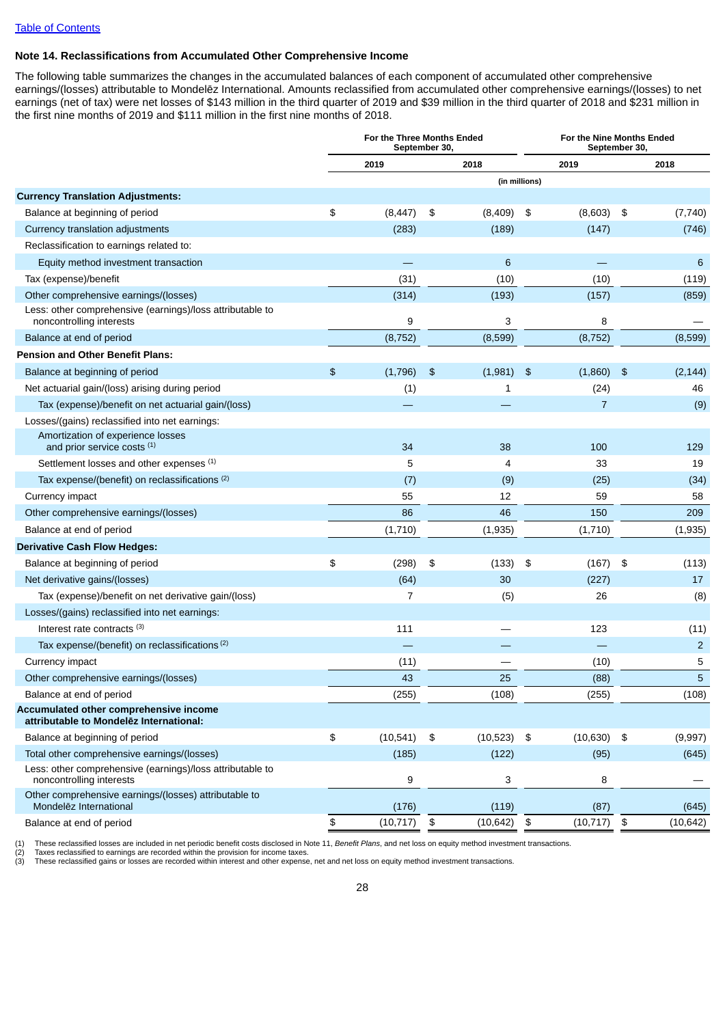# **Note 14. Reclassifications from Accumulated Other Comprehensive Income**

The following table summarizes the changes in the accumulated balances of each component of accumulated other comprehensive earnings/(losses) attributable to Mondelēz International. Amounts reclassified from accumulated other comprehensive earnings/(losses) to net earnings (net of tax) were net losses of \$143 million in the third quarter of 2019 and \$39 million in the third quarter of 2018 and \$231 million in the first nine months of 2019 and \$111 million in the first nine months of 2018.

|                                                                                       | For the Three Months Ended<br>September 30, |               |           |               |                | For the Nine Months Ended<br>September 30, |           |  |  |
|---------------------------------------------------------------------------------------|---------------------------------------------|---------------|-----------|---------------|----------------|--------------------------------------------|-----------|--|--|
|                                                                                       | 2019                                        |               | 2018      |               | 2019           |                                            | 2018      |  |  |
|                                                                                       |                                             |               |           | (in millions) |                |                                            |           |  |  |
| <b>Currency Translation Adjustments:</b>                                              |                                             |               |           |               |                |                                            |           |  |  |
| Balance at beginning of period                                                        | \$<br>(8, 447)                              | \$            | (8,409)   | \$            | $(8,603)$ \$   |                                            | (7,740)   |  |  |
| Currency translation adjustments                                                      | (283)                                       |               | (189)     |               | (147)          |                                            | (746)     |  |  |
| Reclassification to earnings related to:                                              |                                             |               |           |               |                |                                            |           |  |  |
| Equity method investment transaction                                                  |                                             |               | 6         |               |                |                                            | 6         |  |  |
| Tax (expense)/benefit                                                                 | (31)                                        |               | (10)      |               | (10)           |                                            | (119)     |  |  |
| Other comprehensive earnings/(losses)                                                 | (314)                                       |               | (193)     |               | (157)          |                                            | (859)     |  |  |
| Less: other comprehensive (earnings)/loss attributable to<br>noncontrolling interests | 9                                           |               | 3         |               | 8              |                                            |           |  |  |
| Balance at end of period                                                              | (8, 752)                                    |               | (8,599)   |               | (8, 752)       |                                            | (8,599)   |  |  |
| <b>Pension and Other Benefit Plans:</b>                                               |                                             |               |           |               |                |                                            |           |  |  |
| Balance at beginning of period                                                        | \$<br>(1,796)                               | $\frac{3}{2}$ | (1,981)   | \$            | (1,860)        | -\$                                        | (2, 144)  |  |  |
| Net actuarial gain/(loss) arising during period                                       | (1)                                         |               | 1         |               | (24)           |                                            | 46        |  |  |
| Tax (expense)/benefit on net actuarial gain/(loss)                                    |                                             |               |           |               | $\overline{7}$ |                                            | (9)       |  |  |
| Losses/(gains) reclassified into net earnings:                                        |                                             |               |           |               |                |                                            |           |  |  |
| Amortization of experience losses<br>and prior service costs (1)                      | 34                                          |               | 38        |               | 100            |                                            | 129       |  |  |
| Settlement losses and other expenses (1)                                              | 5                                           |               | 4         |               | 33             |                                            | 19        |  |  |
| Tax expense/(benefit) on reclassifications (2)                                        | (7)                                         |               | (9)       |               | (25)           |                                            | (34)      |  |  |
| Currency impact                                                                       | 55                                          |               | 12        |               | 59             |                                            | 58        |  |  |
| Other comprehensive earnings/(losses)                                                 | 86                                          |               | 46        |               | 150            |                                            | 209       |  |  |
| Balance at end of period                                                              | (1,710)                                     |               | (1,935)   |               | (1,710)        |                                            | (1,935)   |  |  |
| <b>Derivative Cash Flow Hedges:</b>                                                   |                                             |               |           |               |                |                                            |           |  |  |
| Balance at beginning of period                                                        | \$<br>(298)                                 | \$            | (133)     | \$            | (167)          | - \$                                       | (113)     |  |  |
| Net derivative gains/(losses)                                                         | (64)                                        |               | 30        |               | (227)          |                                            | 17        |  |  |
| Tax (expense)/benefit on net derivative gain/(loss)                                   | 7                                           |               | (5)       |               | 26             |                                            | (8)       |  |  |
| Losses/(gains) reclassified into net earnings:                                        |                                             |               |           |               |                |                                            |           |  |  |
| Interest rate contracts (3)                                                           | 111                                         |               |           |               | 123            |                                            | (11)      |  |  |
| Tax expense/(benefit) on reclassifications <sup>(2)</sup>                             |                                             |               |           |               |                |                                            | 2         |  |  |
| Currency impact                                                                       | (11)                                        |               |           |               | (10)           |                                            | 5         |  |  |
| Other comprehensive earnings/(losses)                                                 | 43                                          |               | 25        |               | (88)           |                                            | 5         |  |  |
| Balance at end of period                                                              | (255)                                       |               | (108)     |               | (255)          |                                            | (108)     |  |  |
| Accumulated other comprehensive income<br>attributable to Mondelez International:     |                                             |               |           |               |                |                                            |           |  |  |
| Balance at beginning of period                                                        | \$<br>(10, 541)                             | \$            | (10, 523) | \$            | (10, 630)      | $\sqrt{3}$                                 | (9,997)   |  |  |
| Total other comprehensive earnings/(losses)                                           | (185)                                       |               | (122)     |               | (95)           |                                            | (645)     |  |  |
| Less: other comprehensive (earnings)/loss attributable to<br>noncontrolling interests | 9                                           |               | 3         |               | 8              |                                            |           |  |  |
| Other comprehensive earnings/(losses) attributable to<br>Mondelez International       | (176)                                       |               | (119)     |               | (87)           |                                            | (645)     |  |  |
| Balance at end of period                                                              | \$<br>(10, 717)                             | \$            | (10, 642) | \$            | (10, 717)      | $\sqrt{3}$                                 | (10, 642) |  |  |

(1) These reclassified losses are included in net periodic benefit costs disclosed in Note 11, *Benefit Plans*, and net loss on equity method investment transactions.<br>(2) Taxes reclassified to earnings are recorded within

(2) Taxes reclassified to earnings are recorded within the provision for income taxes.<br>(3) These reclassified gains or losses are recorded within interest and other expense, net and net loss on equity method investment t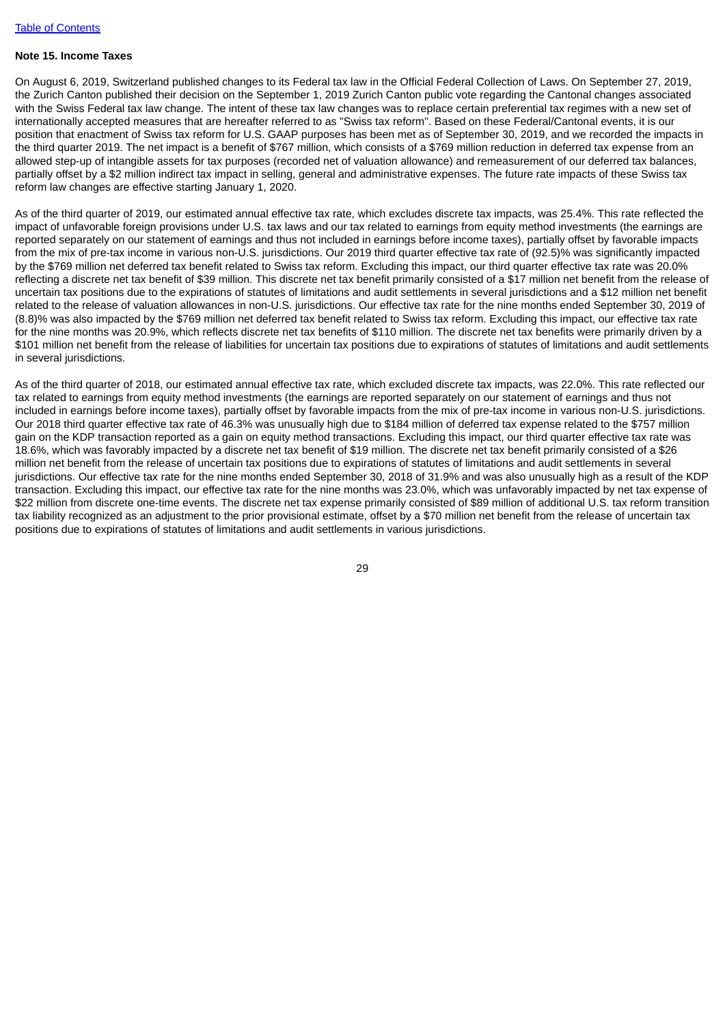# **Note 15. Income Taxes**

On August 6, 2019, Switzerland published changes to its Federal tax law in the Official Federal Collection of Laws. On September 27, 2019, the Zurich Canton published their decision on the September 1, 2019 Zurich Canton public vote regarding the Cantonal changes associated with the Swiss Federal tax law change. The intent of these tax law changes was to replace certain preferential tax regimes with a new set of internationally accepted measures that are hereafter referred to as "Swiss tax reform". Based on these Federal/Cantonal events, it is our position that enactment of Swiss tax reform for U.S. GAAP purposes has been met as of September 30, 2019, and we recorded the impacts in the third quarter 2019. The net impact is a benefit of \$767 million, which consists of a \$769 million reduction in deferred tax expense from an allowed step-up of intangible assets for tax purposes (recorded net of valuation allowance) and remeasurement of our deferred tax balances, partially offset by a \$2 million indirect tax impact in selling, general and administrative expenses. The future rate impacts of these Swiss tax reform law changes are effective starting January 1, 2020.

As of the third quarter of 2019, our estimated annual effective tax rate, which excludes discrete tax impacts, was 25.4%. This rate reflected the impact of unfavorable foreign provisions under U.S. tax laws and our tax related to earnings from equity method investments (the earnings are reported separately on our statement of earnings and thus not included in earnings before income taxes), partially offset by favorable impacts from the mix of pre-tax income in various non-U.S. jurisdictions. Our 2019 third quarter effective tax rate of (92.5)% was significantly impacted by the \$769 million net deferred tax benefit related to Swiss tax reform. Excluding this impact, our third quarter effective tax rate was 20.0% reflecting a discrete net tax benefit of \$39 million. This discrete net tax benefit primarily consisted of a \$17 million net benefit from the release of uncertain tax positions due to the expirations of statutes of limitations and audit settlements in several jurisdictions and a \$12 million net benefit related to the release of valuation allowances in non-U.S. jurisdictions. Our effective tax rate for the nine months ended September 30, 2019 of (8.8)% was also impacted by the \$769 million net deferred tax benefit related to Swiss tax reform. Excluding this impact, our effective tax rate for the nine months was 20.9%, which reflects discrete net tax benefits of \$110 million. The discrete net tax benefits were primarily driven by a \$101 million net benefit from the release of liabilities for uncertain tax positions due to expirations of statutes of limitations and audit settlements in several jurisdictions.

As of the third quarter of 2018, our estimated annual effective tax rate, which excluded discrete tax impacts, was 22.0%. This rate reflected our tax related to earnings from equity method investments (the earnings are reported separately on our statement of earnings and thus not included in earnings before income taxes), partially offset by favorable impacts from the mix of pre-tax income in various non-U.S. jurisdictions. Our 2018 third quarter effective tax rate of 46.3% was unusually high due to \$184 million of deferred tax expense related to the \$757 million gain on the KDP transaction reported as a gain on equity method transactions. Excluding this impact, our third quarter effective tax rate was 18.6%, which was favorably impacted by a discrete net tax benefit of \$19 million. The discrete net tax benefit primarily consisted of a \$26 million net benefit from the release of uncertain tax positions due to expirations of statutes of limitations and audit settlements in several jurisdictions. Our effective tax rate for the nine months ended September 30, 2018 of 31.9% and was also unusually high as a result of the KDP transaction. Excluding this impact, our effective tax rate for the nine months was 23.0%, which was unfavorably impacted by net tax expense of \$22 million from discrete one-time events. The discrete net tax expense primarily consisted of \$89 million of additional U.S. tax reform transition tax liability recognized as an adjustment to the prior provisional estimate, offset by a \$70 million net benefit from the release of uncertain tax positions due to expirations of statutes of limitations and audit settlements in various jurisdictions.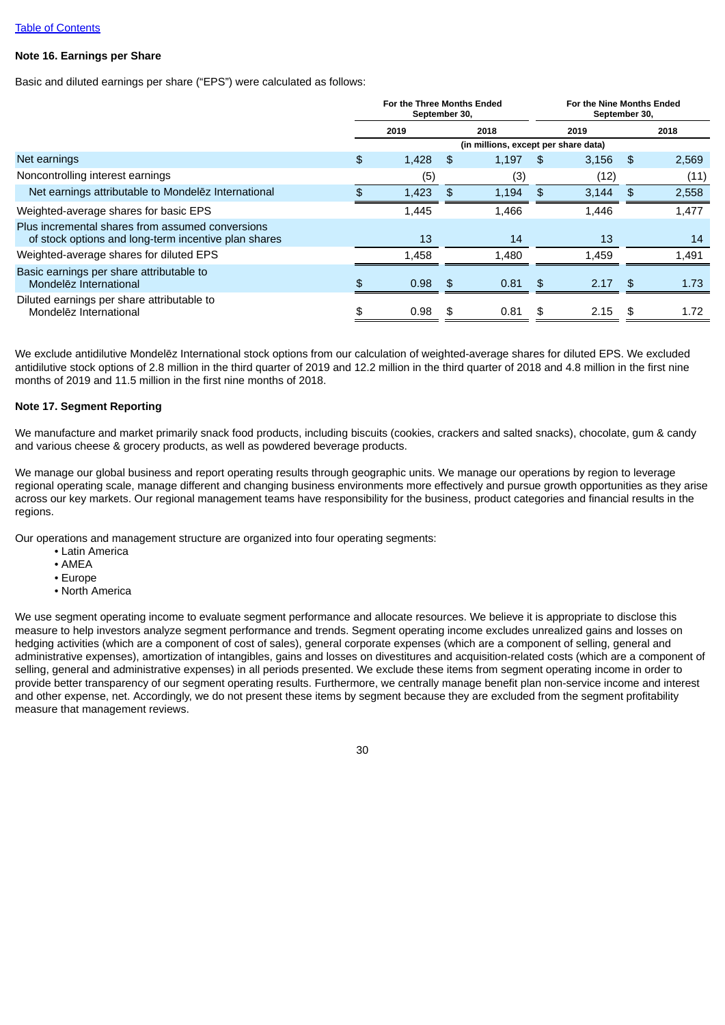## **Note 16. Earnings per Share**

Basic and diluted earnings per share ("EPS") were calculated as follows:

|                                                                                                          | For the Three Months Ended<br>September 30, |       |     |                                      | For the Nine Months Ended<br>September 30, |       |      |       |
|----------------------------------------------------------------------------------------------------------|---------------------------------------------|-------|-----|--------------------------------------|--------------------------------------------|-------|------|-------|
|                                                                                                          | 2019                                        |       |     | 2018                                 |                                            | 2019  |      | 2018  |
|                                                                                                          |                                             |       |     | (in millions, except per share data) |                                            |       |      |       |
| Net earnings                                                                                             | \$                                          | 1,428 | \$. | 1,197                                | \$.                                        | 3,156 | \$   | 2,569 |
| Noncontrolling interest earnings                                                                         |                                             | (5)   |     | (3)                                  |                                            | (12)  |      | (11)  |
| Net earnings attributable to Mondelez International                                                      |                                             | 1,423 | \$. | 1,194                                | - S                                        | 3,144 | - \$ | 2,558 |
| Weighted-average shares for basic EPS                                                                    |                                             | 1,445 |     | 1,466                                |                                            | 1,446 |      | 1,477 |
| Plus incremental shares from assumed conversions<br>of stock options and long-term incentive plan shares |                                             | 13    |     | 14                                   |                                            | 13    |      | 14    |
| Weighted-average shares for diluted EPS                                                                  |                                             | 1.458 |     | 1.480                                |                                            | 1.459 |      | 1,491 |
| Basic earnings per share attributable to<br>Mondelez International                                       | ዌ.                                          | 0.98  | \$  | 0.81                                 | - \$                                       | 2.17  | -\$  | 1.73  |
| Diluted earnings per share attributable to<br>Mondelez International                                     |                                             | 0.98  | \$. | 0.81                                 |                                            | 2.15  | \$   | 1.72  |

We exclude antidilutive Mondelēz International stock options from our calculation of weighted-average shares for diluted EPS. We excluded antidilutive stock options of 2.8 million in the third quarter of 2019 and 12.2 million in the third quarter of 2018 and 4.8 million in the first nine months of 2019 and 11.5 million in the first nine months of 2018.

## **Note 17. Segment Reporting**

We manufacture and market primarily snack food products, including biscuits (cookies, crackers and salted snacks), chocolate, gum & candy and various cheese & grocery products, as well as powdered beverage products.

We manage our global business and report operating results through geographic units. We manage our operations by region to leverage regional operating scale, manage different and changing business environments more effectively and pursue growth opportunities as they arise across our key markets. Our regional management teams have responsibility for the business, product categories and financial results in the regions.

Our operations and management structure are organized into four operating segments:

- Latin America
- AMEA
- Europe
- North America

We use segment operating income to evaluate segment performance and allocate resources. We believe it is appropriate to disclose this measure to help investors analyze segment performance and trends. Segment operating income excludes unrealized gains and losses on hedging activities (which are a component of cost of sales), general corporate expenses (which are a component of selling, general and administrative expenses), amortization of intangibles, gains and losses on divestitures and acquisition-related costs (which are a component of selling, general and administrative expenses) in all periods presented. We exclude these items from segment operating income in order to provide better transparency of our segment operating results. Furthermore, we centrally manage benefit plan non-service income and interest and other expense, net. Accordingly, we do not present these items by segment because they are excluded from the segment profitability measure that management reviews.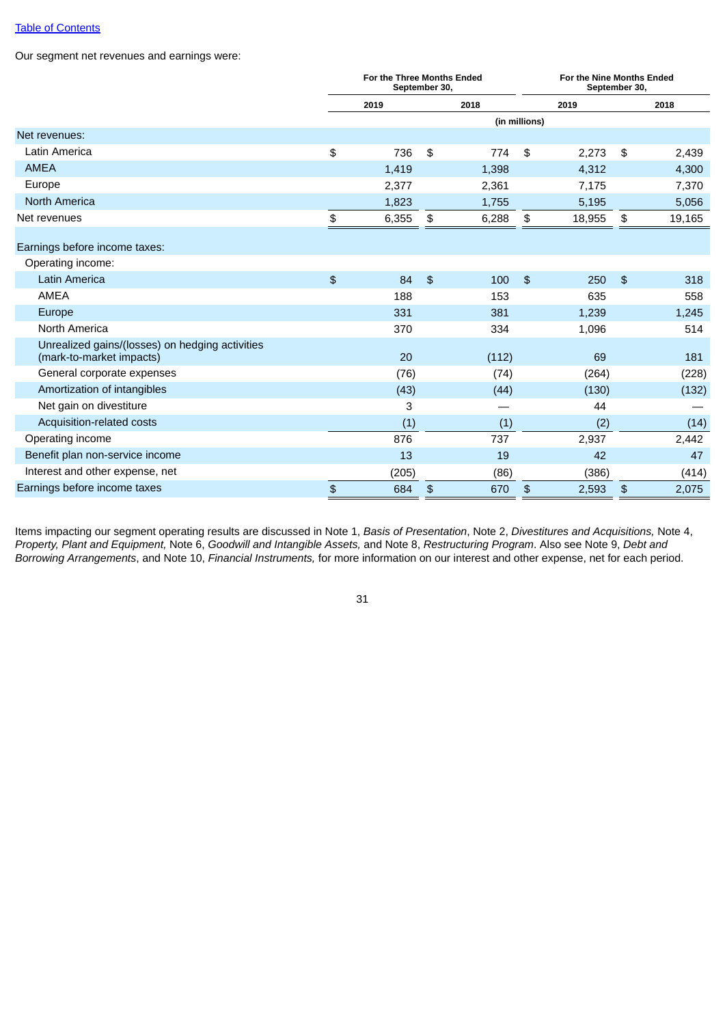Our segment net revenues and earnings were:

|                                                                             |               | For the Three Months Ended<br>September 30, |               |       | For the Nine Months Ended<br>September 30, |        |                |        |
|-----------------------------------------------------------------------------|---------------|---------------------------------------------|---------------|-------|--------------------------------------------|--------|----------------|--------|
|                                                                             |               | 2019                                        |               | 2018  |                                            | 2019   |                | 2018   |
|                                                                             |               |                                             |               |       | (in millions)                              |        |                |        |
| Net revenues:                                                               |               |                                             |               |       |                                            |        |                |        |
| Latin America                                                               | \$            | 736                                         | \$            | 774   | \$                                         | 2,273  | \$             | 2,439  |
| <b>AMEA</b>                                                                 |               | 1,419                                       |               | 1,398 |                                            | 4,312  |                | 4,300  |
| Europe                                                                      |               | 2,377                                       |               | 2,361 |                                            | 7,175  |                | 7,370  |
| <b>North America</b>                                                        |               | 1,823                                       |               | 1,755 |                                            | 5,195  |                | 5,056  |
| Net revenues                                                                | \$            | 6,355                                       | \$            | 6,288 | \$                                         | 18,955 | \$             | 19,165 |
| Earnings before income taxes:                                               |               |                                             |               |       |                                            |        |                |        |
| Operating income:                                                           |               |                                             |               |       |                                            |        |                |        |
| Latin America                                                               | $\frac{1}{2}$ | 84                                          | $\frac{1}{2}$ | 100   | $\mathfrak{D}$                             | 250    | $\mathfrak{F}$ | 318    |
| <b>AMEA</b>                                                                 |               | 188                                         |               | 153   |                                            | 635    |                | 558    |
| Europe                                                                      |               | 331                                         |               | 381   |                                            | 1,239  |                | 1,245  |
| North America                                                               |               | 370                                         |               | 334   |                                            | 1,096  |                | 514    |
| Unrealized gains/(losses) on hedging activities<br>(mark-to-market impacts) |               | 20                                          |               | (112) |                                            | 69     |                | 181    |
| General corporate expenses                                                  |               | (76)                                        |               | (74)  |                                            | (264)  |                | (228)  |
| Amortization of intangibles                                                 |               | (43)                                        |               | (44)  |                                            | (130)  |                | (132)  |
| Net gain on divestiture                                                     |               | 3                                           |               |       |                                            | 44     |                |        |
| Acquisition-related costs                                                   |               | (1)                                         |               | (1)   |                                            | (2)    |                | (14)   |
| Operating income                                                            |               | 876                                         |               | 737   |                                            | 2,937  |                | 2,442  |
| Benefit plan non-service income                                             |               | 13                                          |               | 19    |                                            | 42     |                | 47     |
| Interest and other expense, net                                             |               | (205)                                       |               | (86)  |                                            | (386)  |                | (414)  |
| Earnings before income taxes                                                | $\, \, \$$    | 684                                         | $\frac{1}{2}$ | 670   | \$                                         | 2,593  | $\frac{1}{2}$  | 2,075  |

Items impacting our segment operating results are discussed in Note 1, *Basis of Presentation*, Note 2, *Divestitures and Acquisitions,* Note 4, *Property, Plant and Equipment,* Note 6, *Goodwill and Intangible Assets,* and Note 8, *Restructuring Program*. Also see Note 9, *Debt and Borrowing Arrangements*, and Note 10, *Financial Instruments,* for more information on our interest and other expense, net for each period.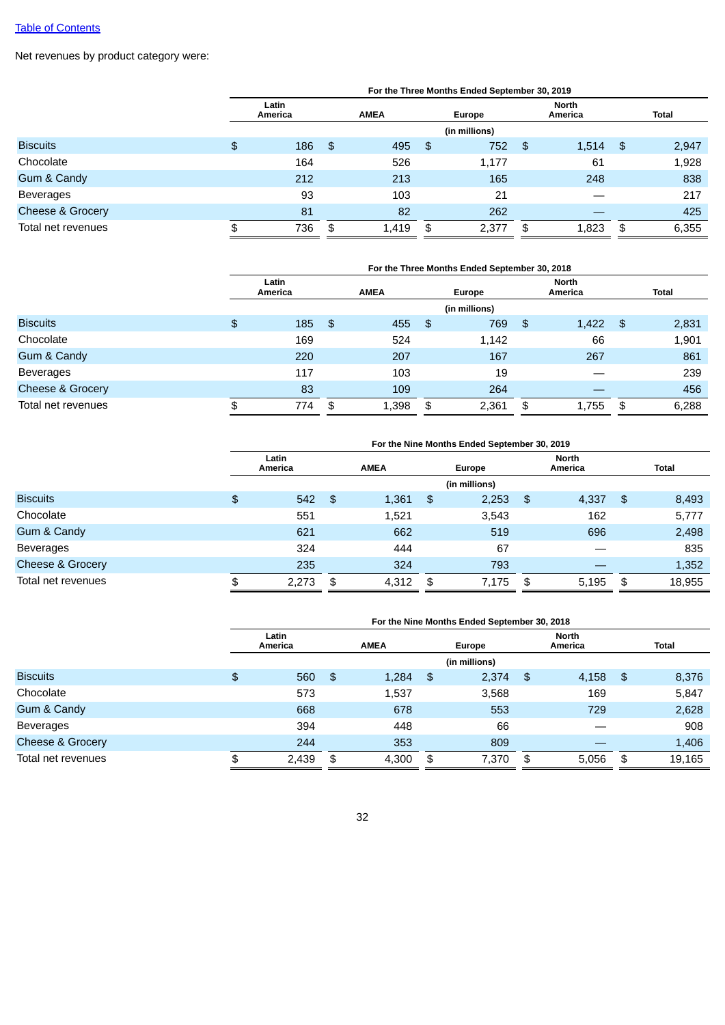Net revenues by product category were:

|                    | For the Three Months Ended September 30, 2019 |                  |      |             |      |               |    |                         |     |              |  |
|--------------------|-----------------------------------------------|------------------|------|-------------|------|---------------|----|-------------------------|-----|--------------|--|
|                    |                                               | Latin<br>America |      | <b>AMEA</b> |      | Europe        |    | <b>North</b><br>America |     | <b>Total</b> |  |
|                    |                                               |                  |      |             |      | (in millions) |    |                         |     |              |  |
| <b>Biscuits</b>    | \$                                            | 186              | - \$ | 495         | -\$  | 752           | \$ | 1,514                   | -\$ | 2,947        |  |
| Chocolate          |                                               | 164              |      | 526         |      | 1,177         |    | 61                      |     | 1,928        |  |
| Gum & Candy        |                                               | 212              |      | 213         |      | 165           |    | 248                     |     | 838          |  |
| <b>Beverages</b>   |                                               | 93               |      | 103         |      | 21            |    |                         |     | 217          |  |
| Cheese & Grocery   |                                               | 81               |      | 82          |      | 262           |    |                         |     | 425          |  |
| Total net revenues | \$                                            | 736              | \$   | 1,419       | - \$ | 2,377         | \$ | 1,823                   | \$  | 6,355        |  |

|                             | For the Three Months Ended September 30, 2018 |                  |     |             |    |               |    |                         |     |              |  |
|-----------------------------|-----------------------------------------------|------------------|-----|-------------|----|---------------|----|-------------------------|-----|--------------|--|
|                             |                                               | Latin<br>America |     | <b>AMEA</b> |    | Europe        |    | <b>North</b><br>America |     | <b>Total</b> |  |
|                             |                                               |                  |     |             |    | (in millions) |    |                         |     |              |  |
| <b>Biscuits</b>             | $\frac{4}{5}$                                 | 185              | -\$ | 455         | \$ | 769           | \$ | 1,422                   | -\$ | 2,831        |  |
| Chocolate                   |                                               | 169              |     | 524         |    | 1,142         |    | 66                      |     | 1,901        |  |
| Gum & Candy                 |                                               | 220              |     | 207         |    | 167           |    | 267                     |     | 861          |  |
| <b>Beverages</b>            |                                               | 117              |     | 103         |    | 19            |    |                         |     | 239          |  |
| <b>Cheese &amp; Grocery</b> |                                               | 83               |     | 109         |    | 264           |    |                         |     | 456          |  |
| Total net revenues          | \$                                            | 774              | \$  | 1,398       | \$ | 2,361         | \$ | 1,755                   | \$  | 6,288        |  |

|                    | For the Nine Months Ended September 30, 2019 |                  |    |             |     |               |    |                         |    |              |  |
|--------------------|----------------------------------------------|------------------|----|-------------|-----|---------------|----|-------------------------|----|--------------|--|
|                    |                                              | Latin<br>America |    | <b>AMEA</b> |     | Europe        |    | <b>North</b><br>America |    | <b>Total</b> |  |
|                    |                                              |                  |    |             |     | (in millions) |    |                         |    |              |  |
| <b>Biscuits</b>    | \$                                           | $542$ \$         |    | 1,361       | -\$ | 2,253         | \$ | 4,337                   | \$ | 8,493        |  |
| Chocolate          |                                              | 551              |    | 1,521       |     | 3,543         |    | 162                     |    | 5,777        |  |
| Gum & Candy        |                                              | 621              |    | 662         |     | 519           |    | 696                     |    | 2,498        |  |
| <b>Beverages</b>   |                                              | 324              |    | 444         |     | 67            |    |                         |    | 835          |  |
| Cheese & Grocery   |                                              | 235              |    | 324         |     | 793           |    |                         |    | 1,352        |  |
| Total net revenues | \$                                           | 2,273            | \$ | 4,312       | \$  | 7,175         | \$ | 5.195                   | \$ | 18,955       |  |

|                             | For the Nine Months Ended September 30, 2018 |                  |    |             |    |               |    |                  |      |              |  |  |
|-----------------------------|----------------------------------------------|------------------|----|-------------|----|---------------|----|------------------|------|--------------|--|--|
|                             |                                              | Latin<br>America |    | <b>AMEA</b> |    | Europe        |    | North<br>America |      | <b>Total</b> |  |  |
|                             |                                              |                  |    |             |    | (in millions) |    |                  |      |              |  |  |
| <b>Biscuits</b>             | \$                                           | 560              | \$ | 1,284       | \$ | 2,374         | \$ | 4,158            | - \$ | 8,376        |  |  |
| Chocolate                   |                                              | 573              |    | 1,537       |    | 3,568         |    | 169              |      | 5,847        |  |  |
| Gum & Candy                 |                                              | 668              |    | 678         |    | 553           |    | 729              |      | 2,628        |  |  |
| Beverages                   |                                              | 394              |    | 448         |    | 66            |    |                  |      | 908          |  |  |
| <b>Cheese &amp; Grocery</b> |                                              | 244              |    | 353         |    | 809           |    |                  |      | 1,406        |  |  |
| Total net revenues          | \$                                           | 2,439            | \$ | 4,300       | \$ | 7,370         | \$ | 5.056            | \$   | 19,165       |  |  |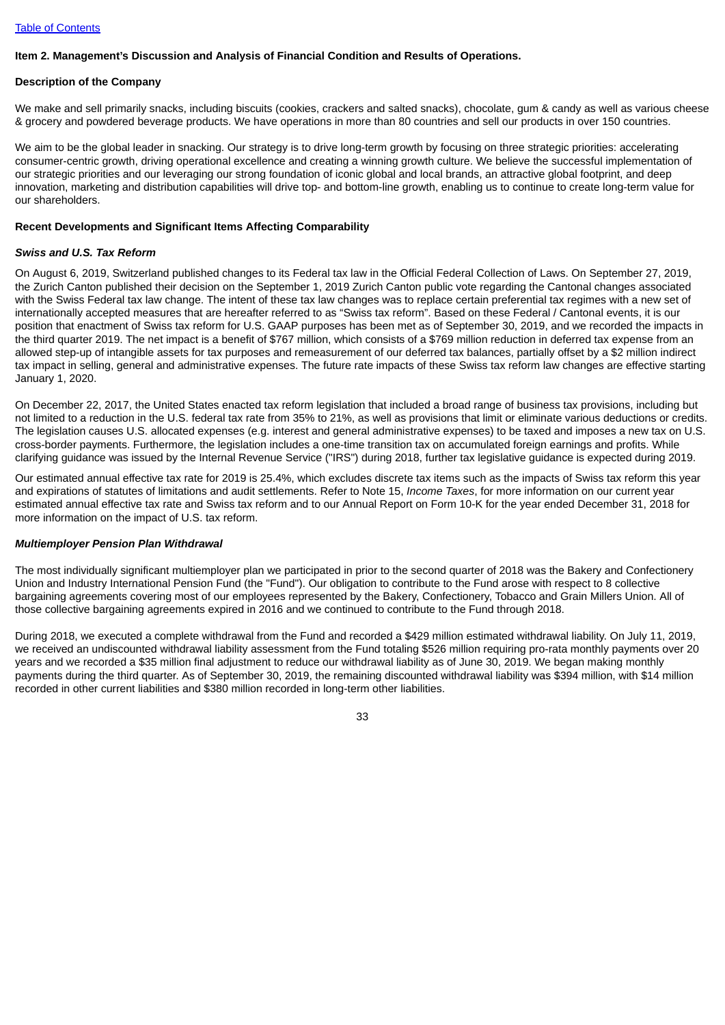## <span id="page-35-0"></span>**Item 2. Management's Discussion and Analysis of Financial Condition and Results of Operations.**

#### **Description of the Company**

We make and sell primarily snacks, including biscuits (cookies, crackers and salted snacks), chocolate, gum & candy as well as various cheese & grocery and powdered beverage products. We have operations in more than 80 countries and sell our products in over 150 countries.

We aim to be the global leader in snacking. Our strategy is to drive long-term growth by focusing on three strategic priorities: accelerating consumer-centric growth, driving operational excellence and creating a winning growth culture. We believe the successful implementation of our strategic priorities and our leveraging our strong foundation of iconic global and local brands, an attractive global footprint, and deep innovation, marketing and distribution capabilities will drive top- and bottom-line growth, enabling us to continue to create long-term value for our shareholders.

#### **Recent Developments and Significant Items Affecting Comparability**

#### *Swiss and U.S. Tax Reform*

On August 6, 2019, Switzerland published changes to its Federal tax law in the Official Federal Collection of Laws. On September 27, 2019, the Zurich Canton published their decision on the September 1, 2019 Zurich Canton public vote regarding the Cantonal changes associated with the Swiss Federal tax law change. The intent of these tax law changes was to replace certain preferential tax regimes with a new set of internationally accepted measures that are hereafter referred to as "Swiss tax reform". Based on these Federal / Cantonal events, it is our position that enactment of Swiss tax reform for U.S. GAAP purposes has been met as of September 30, 2019, and we recorded the impacts in the third quarter 2019. The net impact is a benefit of \$767 million, which consists of a \$769 million reduction in deferred tax expense from an allowed step-up of intangible assets for tax purposes and remeasurement of our deferred tax balances, partially offset by a \$2 million indirect tax impact in selling, general and administrative expenses. The future rate impacts of these Swiss tax reform law changes are effective starting January 1, 2020.

On December 22, 2017, the United States enacted tax reform legislation that included a broad range of business tax provisions, including but not limited to a reduction in the U.S. federal tax rate from 35% to 21%, as well as provisions that limit or eliminate various deductions or credits. The legislation causes U.S. allocated expenses (e.g. interest and general administrative expenses) to be taxed and imposes a new tax on U.S. cross-border payments. Furthermore, the legislation includes a one-time transition tax on accumulated foreign earnings and profits. While clarifying guidance was issued by the Internal Revenue Service ("IRS") during 2018, further tax legislative guidance is expected during 2019.

Our estimated annual effective tax rate for 2019 is 25.4%, which excludes discrete tax items such as the impacts of Swiss tax reform this year and expirations of statutes of limitations and audit settlements. Refer to Note 15, *Income Taxes*, for more information on our current year estimated annual effective tax rate and Swiss tax reform and to our Annual Report on Form 10-K for the year ended December 31, 2018 for more information on the impact of U.S. tax reform.

#### *Multiemployer Pension Plan Withdrawal*

The most individually significant multiemployer plan we participated in prior to the second quarter of 2018 was the Bakery and Confectionery Union and Industry International Pension Fund (the "Fund"). Our obligation to contribute to the Fund arose with respect to 8 collective bargaining agreements covering most of our employees represented by the Bakery, Confectionery, Tobacco and Grain Millers Union. All of those collective bargaining agreements expired in 2016 and we continued to contribute to the Fund through 2018.

During 2018, we executed a complete withdrawal from the Fund and recorded a \$429 million estimated withdrawal liability. On July 11, 2019, we received an undiscounted withdrawal liability assessment from the Fund totaling \$526 million requiring pro-rata monthly payments over 20 years and we recorded a \$35 million final adjustment to reduce our withdrawal liability as of June 30, 2019. We began making monthly payments during the third quarter. As of September 30, 2019, the remaining discounted withdrawal liability was \$394 million, with \$14 million recorded in other current liabilities and \$380 million recorded in long-term other liabilities.

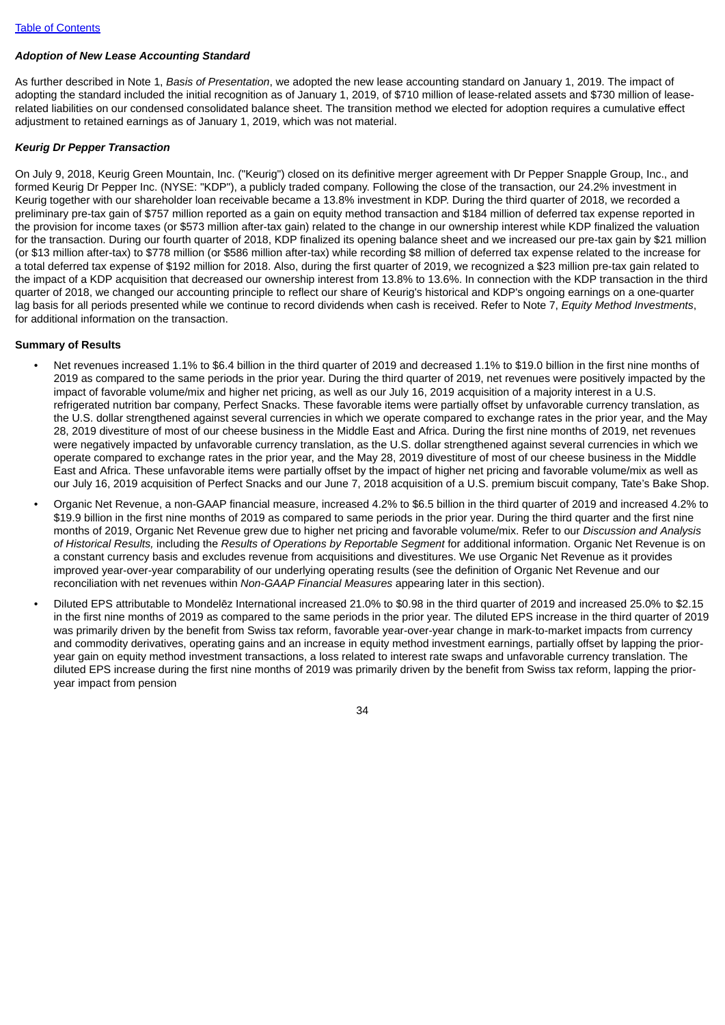### *Adoption of New Lease Accounting Standard*

As further described in Note 1, *Basis of Presentation*, we adopted the new lease accounting standard on January 1, 2019. The impact of adopting the standard included the initial recognition as of January 1, 2019, of \$710 million of lease-related assets and \$730 million of leaserelated liabilities on our condensed consolidated balance sheet. The transition method we elected for adoption requires a cumulative effect adjustment to retained earnings as of January 1, 2019, which was not material.

#### *Keurig Dr Pepper Transaction*

On July 9, 2018, Keurig Green Mountain, Inc. ("Keurig") closed on its definitive merger agreement with Dr Pepper Snapple Group, Inc., and formed Keurig Dr Pepper Inc. (NYSE: "KDP"), a publicly traded company. Following the close of the transaction, our 24.2% investment in Keurig together with our shareholder loan receivable became a 13.8% investment in KDP. During the third quarter of 2018, we recorded a preliminary pre-tax gain of \$757 million reported as a gain on equity method transaction and \$184 million of deferred tax expense reported in the provision for income taxes (or \$573 million after-tax gain) related to the change in our ownership interest while KDP finalized the valuation for the transaction. During our fourth quarter of 2018, KDP finalized its opening balance sheet and we increased our pre-tax gain by \$21 million (or \$13 million after-tax) to \$778 million (or \$586 million after-tax) while recording \$8 million of deferred tax expense related to the increase for a total deferred tax expense of \$192 million for 2018. Also, during the first quarter of 2019, we recognized a \$23 million pre-tax gain related to the impact of a KDP acquisition that decreased our ownership interest from 13.8% to 13.6%. In connection with the KDP transaction in the third quarter of 2018, we changed our accounting principle to reflect our share of Keurig's historical and KDP's ongoing earnings on a one-quarter lag basis for all periods presented while we continue to record dividends when cash is received. Refer to Note 7, *Equity Method Investments*, for additional information on the transaction.

#### **Summary of Results**

- Net revenues increased 1.1% to \$6.4 billion in the third quarter of 2019 and decreased 1.1% to \$19.0 billion in the first nine months of 2019 as compared to the same periods in the prior year. During the third quarter of 2019, net revenues were positively impacted by the impact of favorable volume/mix and higher net pricing, as well as our July 16, 2019 acquisition of a majority interest in a U.S. refrigerated nutrition bar company, Perfect Snacks. These favorable items were partially offset by unfavorable currency translation, as the U.S. dollar strengthened against several currencies in which we operate compared to exchange rates in the prior year, and the May 28, 2019 divestiture of most of our cheese business in the Middle East and Africa. During the first nine months of 2019, net revenues were negatively impacted by unfavorable currency translation, as the U.S. dollar strengthened against several currencies in which we operate compared to exchange rates in the prior year, and the May 28, 2019 divestiture of most of our cheese business in the Middle East and Africa. These unfavorable items were partially offset by the impact of higher net pricing and favorable volume/mix as well as our July 16, 2019 acquisition of Perfect Snacks and our June 7, 2018 acquisition of a U.S. premium biscuit company, Tate's Bake Shop.
- Organic Net Revenue, a non-GAAP financial measure, increased 4.2% to \$6.5 billion in the third quarter of 2019 and increased 4.2% to \$19.9 billion in the first nine months of 2019 as compared to same periods in the prior year. During the third quarter and the first nine months of 2019, Organic Net Revenue grew due to higher net pricing and favorable volume/mix. Refer to our *Discussion and Analysis of Historical Results,* including the *Results of Operations by Reportable Segment* for additional information. Organic Net Revenue is on a constant currency basis and excludes revenue from acquisitions and divestitures. We use Organic Net Revenue as it provides improved year-over-year comparability of our underlying operating results (see the definition of Organic Net Revenue and our reconciliation with net revenues within *Non-GAAP Financial Measures* appearing later in this section).
- Diluted EPS attributable to Mondelēz International increased 21.0% to \$0.98 in the third quarter of 2019 and increased 25.0% to \$2.15 in the first nine months of 2019 as compared to the same periods in the prior year. The diluted EPS increase in the third quarter of 2019 was primarily driven by the benefit from Swiss tax reform, favorable year-over-year change in mark-to-market impacts from currency and commodity derivatives, operating gains and an increase in equity method investment earnings, partially offset by lapping the prioryear gain on equity method investment transactions, a loss related to interest rate swaps and unfavorable currency translation. The diluted EPS increase during the first nine months of 2019 was primarily driven by the benefit from Swiss tax reform, lapping the prioryear impact from pension

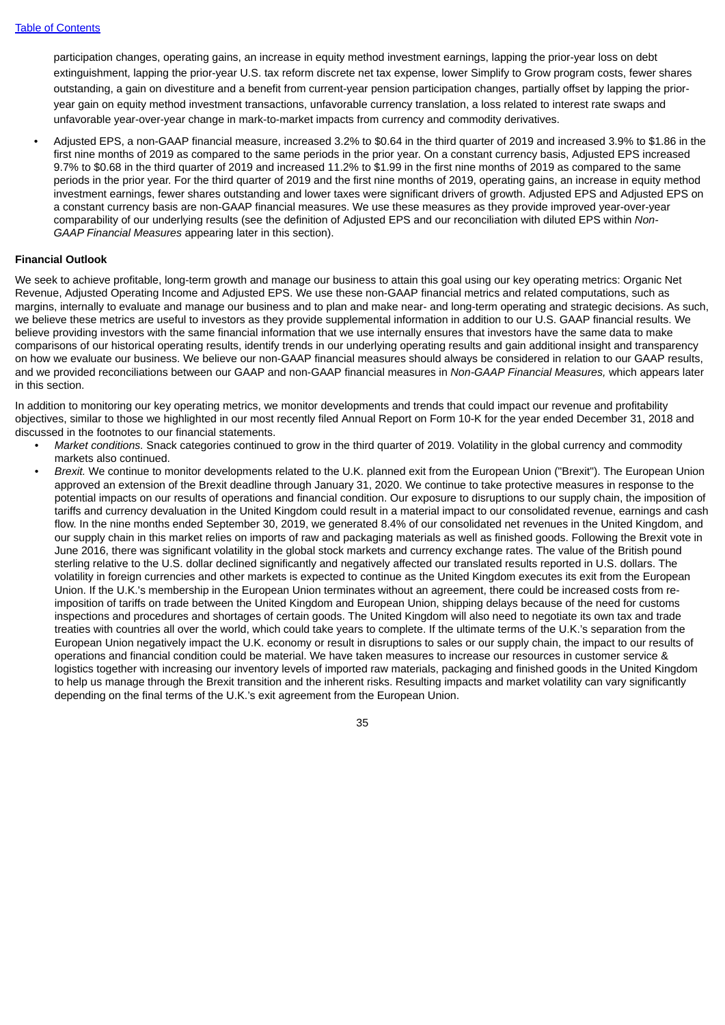participation changes, operating gains, an increase in equity method investment earnings, lapping the prior-year loss on debt extinguishment, lapping the prior-year U.S. tax reform discrete net tax expense, lower Simplify to Grow program costs, fewer shares outstanding, a gain on divestiture and a benefit from current-year pension participation changes, partially offset by lapping the prioryear gain on equity method investment transactions, unfavorable currency translation, a loss related to interest rate swaps and unfavorable year-over-year change in mark-to-market impacts from currency and commodity derivatives.

• Adjusted EPS, a non-GAAP financial measure, increased 3.2% to \$0.64 in the third quarter of 2019 and increased 3.9% to \$1.86 in the first nine months of 2019 as compared to the same periods in the prior year. On a constant currency basis, Adjusted EPS increased 9.7% to \$0.68 in the third quarter of 2019 and increased 11.2% to \$1.99 in the first nine months of 2019 as compared to the same periods in the prior year. For the third quarter of 2019 and the first nine months of 2019, operating gains, an increase in equity method investment earnings, fewer shares outstanding and lower taxes were significant drivers of growth. Adjusted EPS and Adjusted EPS on a constant currency basis are non-GAAP financial measures. We use these measures as they provide improved year-over-year comparability of our underlying results (see the definition of Adjusted EPS and our reconciliation with diluted EPS within *Non-GAAP Financial Measures* appearing later in this section).

## **Financial Outlook**

We seek to achieve profitable, long-term growth and manage our business to attain this goal using our key operating metrics: Organic Net Revenue, Adjusted Operating Income and Adjusted EPS. We use these non-GAAP financial metrics and related computations, such as margins, internally to evaluate and manage our business and to plan and make near- and long-term operating and strategic decisions. As such, we believe these metrics are useful to investors as they provide supplemental information in addition to our U.S. GAAP financial results. We believe providing investors with the same financial information that we use internally ensures that investors have the same data to make comparisons of our historical operating results, identify trends in our underlying operating results and gain additional insight and transparency on how we evaluate our business. We believe our non-GAAP financial measures should always be considered in relation to our GAAP results, and we provided reconciliations between our GAAP and non-GAAP financial measures in *Non-GAAP Financial Measures,* which appears later in this section.

In addition to monitoring our key operating metrics, we monitor developments and trends that could impact our revenue and profitability objectives, similar to those we highlighted in our most recently filed Annual Report on Form 10-K for the year ended December 31, 2018 and discussed in the footnotes to our financial statements.

- *Market conditions.* Snack categories continued to grow in the third quarter of 2019. Volatility in the global currency and commodity markets also continued.
- *Brexit.* We continue to monitor developments related to the U.K. planned exit from the European Union ("Brexit"). The European Union approved an extension of the Brexit deadline through January 31, 2020. We continue to take protective measures in response to the potential impacts on our results of operations and financial condition. Our exposure to disruptions to our supply chain, the imposition of tariffs and currency devaluation in the United Kingdom could result in a material impact to our consolidated revenue, earnings and cash flow. In the nine months ended September 30, 2019, we generated 8.4% of our consolidated net revenues in the United Kingdom, and our supply chain in this market relies on imports of raw and packaging materials as well as finished goods. Following the Brexit vote in June 2016, there was significant volatility in the global stock markets and currency exchange rates. The value of the British pound sterling relative to the U.S. dollar declined significantly and negatively affected our translated results reported in U.S. dollars. The volatility in foreign currencies and other markets is expected to continue as the United Kingdom executes its exit from the European Union. If the U.K.'s membership in the European Union terminates without an agreement, there could be increased costs from reimposition of tariffs on trade between the United Kingdom and European Union, shipping delays because of the need for customs inspections and procedures and shortages of certain goods. The United Kingdom will also need to negotiate its own tax and trade treaties with countries all over the world, which could take years to complete. If the ultimate terms of the U.K.'s separation from the European Union negatively impact the U.K. economy or result in disruptions to sales or our supply chain, the impact to our results of operations and financial condition could be material. We have taken measures to increase our resources in customer service & logistics together with increasing our inventory levels of imported raw materials, packaging and finished goods in the United Kingdom to help us manage through the Brexit transition and the inherent risks. Resulting impacts and market volatility can vary significantly depending on the final terms of the U.K.'s exit agreement from the European Union.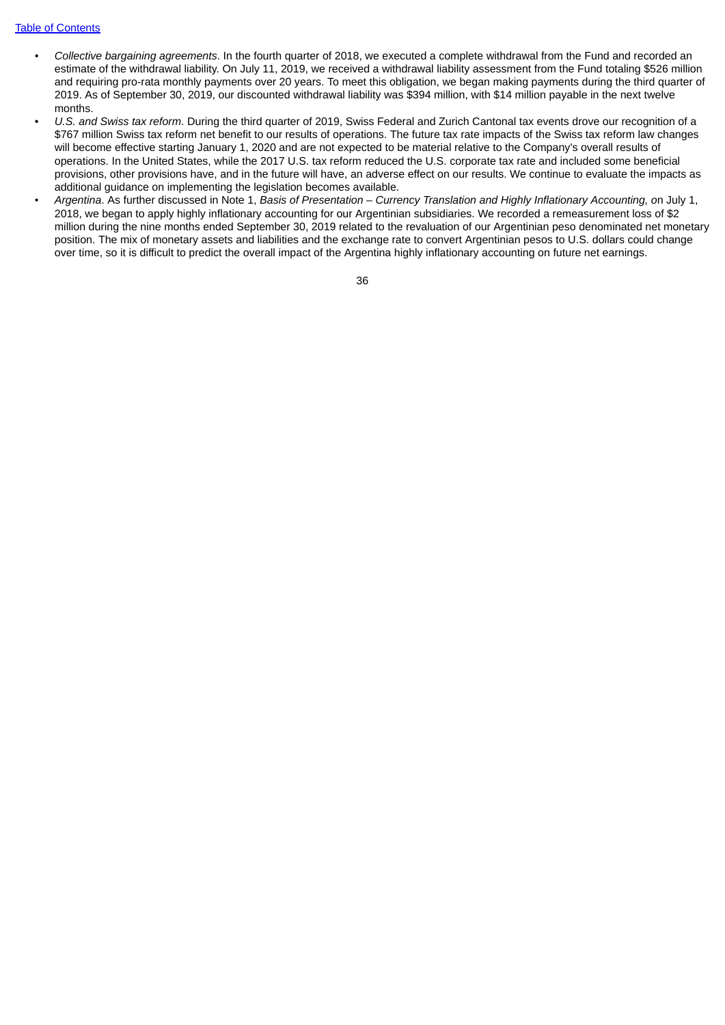### Table of [Contents](#page-2-0)

- *• Collective bargaining agreements*. In the fourth quarter of 2018, we executed a complete withdrawal from the Fund and recorded an estimate of the withdrawal liability. On July 11, 2019, we received a withdrawal liability assessment from the Fund totaling \$526 million and requiring pro-rata monthly payments over 20 years. To meet this obligation, we began making payments during the third quarter of 2019. As of September 30, 2019, our discounted withdrawal liability was \$394 million, with \$14 million payable in the next twelve months.
- *U.S. and Swiss tax reform*. During the third quarter of 2019, Swiss Federal and Zurich Cantonal tax events drove our recognition of a \$767 million Swiss tax reform net benefit to our results of operations. The future tax rate impacts of the Swiss tax reform law changes will become effective starting January 1, 2020 and are not expected to be material relative to the Company's overall results of operations. In the United States, while the 2017 U.S. tax reform reduced the U.S. corporate tax rate and included some beneficial provisions, other provisions have, and in the future will have, an adverse effect on our results. We continue to evaluate the impacts as additional guidance on implementing the legislation becomes available.
- *Argentina*. As further discussed in Note 1, *Basis of Presentation – Currency Translation and Highly Inflationary Accounting, o*n July 1, 2018, we began to apply highly inflationary accounting for our Argentinian subsidiaries. We recorded a remeasurement loss of \$2 million during the nine months ended September 30, 2019 related to the revaluation of our Argentinian peso denominated net monetary position. The mix of monetary assets and liabilities and the exchange rate to convert Argentinian pesos to U.S. dollars could change over time, so it is difficult to predict the overall impact of the Argentina highly inflationary accounting on future net earnings.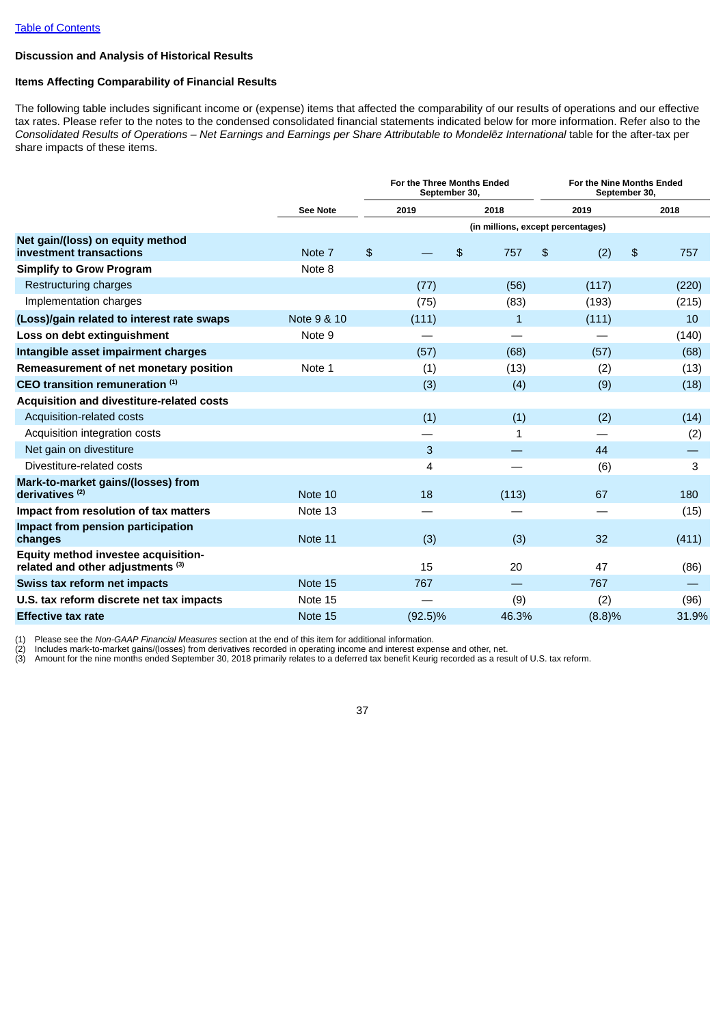# **Discussion and Analysis of Historical Results**

# **Items Affecting Comparability of Financial Results**

The following table includes significant income or (expense) items that affected the comparability of our results of operations and our effective tax rates. Please refer to the notes to the condensed consolidated financial statements indicated below for more information. Refer also to the Consolidated Results of Operations - Net Earnings and Earnings per Share Attributable to Mondelez International table for the after-tax per share impacts of these items.

|                                                                                     |             |                | For the Three Months Ended<br>September 30, |    |                                   |    |        |    | For the Nine Months Ended<br>September 30, |  |  |
|-------------------------------------------------------------------------------------|-------------|----------------|---------------------------------------------|----|-----------------------------------|----|--------|----|--------------------------------------------|--|--|
|                                                                                     | See Note    |                | 2019                                        |    | 2018                              |    | 2019   |    | 2018                                       |  |  |
|                                                                                     |             |                |                                             |    | (in millions, except percentages) |    |        |    |                                            |  |  |
| Net gain/(loss) on equity method<br>investment transactions                         | Note 7      | $\mathfrak{L}$ |                                             | \$ | 757                               | \$ | (2)    | \$ | 757                                        |  |  |
| <b>Simplify to Grow Program</b>                                                     | Note 8      |                |                                             |    |                                   |    |        |    |                                            |  |  |
| Restructuring charges                                                               |             |                | (77)                                        |    | (56)                              |    | (117)  |    | (220)                                      |  |  |
| Implementation charges                                                              |             |                | (75)                                        |    | (83)                              |    | (193)  |    | (215)                                      |  |  |
| (Loss)/gain related to interest rate swaps                                          | Note 9 & 10 |                | (111)                                       |    | 1                                 |    | (111)  |    | 10                                         |  |  |
| Loss on debt extinguishment                                                         | Note 9      |                |                                             |    |                                   |    |        |    | (140)                                      |  |  |
| Intangible asset impairment charges                                                 |             |                | (57)                                        |    | (68)                              |    | (57)   |    | (68)                                       |  |  |
| Remeasurement of net monetary position                                              | Note 1      |                | (1)                                         |    | (13)                              |    | (2)    |    | (13)                                       |  |  |
| CEO transition remuneration (1)                                                     |             |                | (3)                                         |    | (4)                               |    | (9)    |    | (18)                                       |  |  |
| Acquisition and divestiture-related costs                                           |             |                |                                             |    |                                   |    |        |    |                                            |  |  |
| Acquisition-related costs                                                           |             |                | (1)                                         |    | (1)                               |    | (2)    |    | (14)                                       |  |  |
| Acquisition integration costs                                                       |             |                |                                             |    | 1                                 |    |        |    | (2)                                        |  |  |
| Net gain on divestiture                                                             |             |                | 3                                           |    |                                   |    | 44     |    |                                            |  |  |
| Divestiture-related costs                                                           |             |                | 4                                           |    |                                   |    | (6)    |    | 3                                          |  |  |
| Mark-to-market gains/(losses) from<br>derivatives $(2)$                             | Note 10     |                | 18                                          |    | (113)                             |    | 67     |    | 180                                        |  |  |
| Impact from resolution of tax matters                                               | Note 13     |                |                                             |    |                                   |    |        |    | (15)                                       |  |  |
| Impact from pension participation<br>changes                                        | Note 11     |                | (3)                                         |    | (3)                               |    | 32     |    | (411)                                      |  |  |
| Equity method investee acquisition-<br>related and other adjustments <sup>(3)</sup> |             |                | 15                                          |    | 20                                |    | 47     |    | (86)                                       |  |  |
| Swiss tax reform net impacts                                                        | Note 15     |                | 767                                         |    |                                   |    | 767    |    |                                            |  |  |
| U.S. tax reform discrete net tax impacts                                            | Note 15     |                |                                             |    | (9)                               |    | (2)    |    | (96)                                       |  |  |
| <b>Effective tax rate</b>                                                           | Note 15     |                | $(92.5)\%$                                  |    | 46.3%                             |    | (8.8)% |    | 31.9%                                      |  |  |

(1) Please see the *Non-GAAP Financial Measures* section at the end of this item for additional information.

(2) Includes mark-to-market gains/(losses) from derivatives recorded in operating income and interest expense and other, net.

(3) Amount for the nine months ended September 30, 2018 primarily relates to a deferred tax benefit Keurig recorded as a result of U.S. tax reform.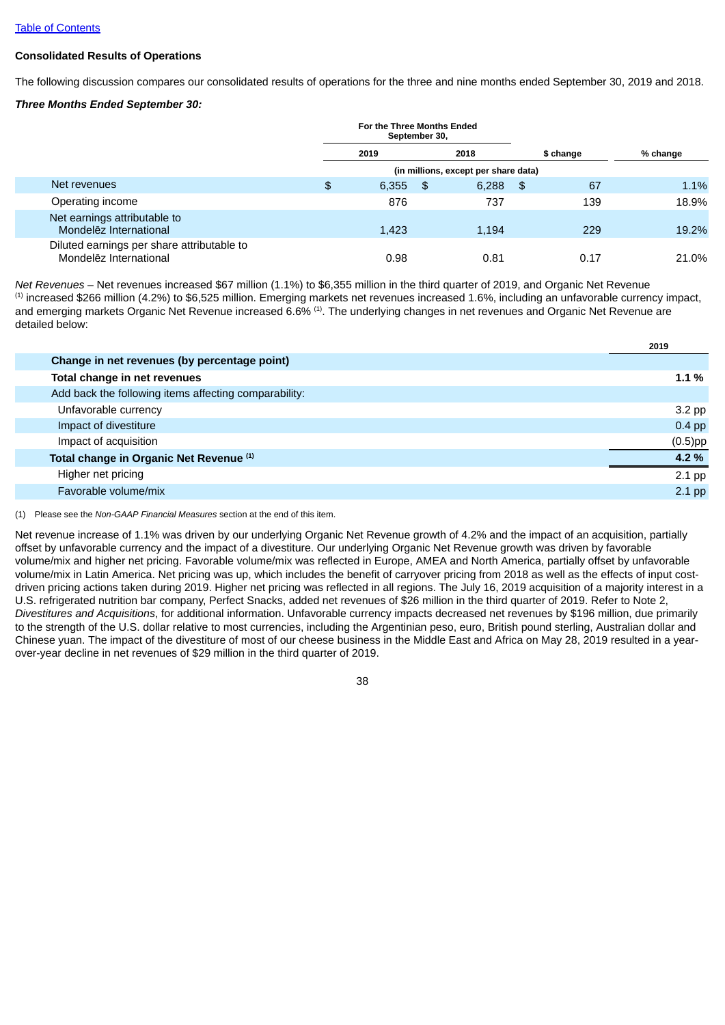### **Consolidated Results of Operations**

The following discussion compares our consolidated results of operations for the three and nine months ended September 30, 2019 and 2018.

### *Three Months Ended September 30:*

|                                                                      | For the Three Months Ended<br>September 30, |      |                                      |    |           |          |
|----------------------------------------------------------------------|---------------------------------------------|------|--------------------------------------|----|-----------|----------|
|                                                                      | 2019                                        |      | 2018                                 |    | \$ change | % change |
|                                                                      |                                             |      | (in millions, except per share data) |    |           |          |
| Net revenues                                                         | \$<br>6,355                                 | - \$ | 6,288                                | \$ | 67        | 1.1%     |
| Operating income                                                     | 876                                         |      | 737                                  |    | 139       | 18.9%    |
| Net earnings attributable to<br>Mondelez International               | 1,423                                       |      | 1,194                                |    | 229       | 19.2%    |
| Diluted earnings per share attributable to<br>Mondelez International | 0.98                                        |      | 0.81                                 |    | 0.17      | 21.0%    |

*Net Revenues* – Net revenues increased \$67 million (1.1%) to \$6,355 million in the third quarter of 2019, and Organic Net Revenue  $<sup>(1)</sup>$  increased \$266 million (4.2%) to \$6,525 million. Emerging markets net revenues increased 1.6%, including an unfavorable currency impact,</sup> and emerging markets Organic Net Revenue increased 6.6%  $^{\rm (1)}$ . The underlying changes in net revenues and Organic Net Revenue are detailed below:

|                                                       | 2019       |
|-------------------------------------------------------|------------|
| Change in net revenues (by percentage point)          |            |
| Total change in net revenues                          | 1.1 %      |
| Add back the following items affecting comparability: |            |
| Unfavorable currency                                  | $3.2$ pp   |
| Impact of divestiture                                 | $0.4$ pp   |
| Impact of acquisition                                 | $(0.5)$ pp |
| Total change in Organic Net Revenue (1)               | 4.2 %      |
| Higher net pricing                                    | $2.1$ pp   |
| Favorable volume/mix                                  | $2.1$ pp   |
|                                                       |            |

(1) Please see the *Non-GAAP Financial Measures* section at the end of this item.

Net revenue increase of 1.1% was driven by our underlying Organic Net Revenue growth of 4.2% and the impact of an acquisition, partially offset by unfavorable currency and the impact of a divestiture. Our underlying Organic Net Revenue growth was driven by favorable volume/mix and higher net pricing. Favorable volume/mix was reflected in Europe, AMEA and North America, partially offset by unfavorable volume/mix in Latin America. Net pricing was up, which includes the benefit of carryover pricing from 2018 as well as the effects of input costdriven pricing actions taken during 2019. Higher net pricing was reflected in all regions. The July 16, 2019 acquisition of a majority interest in a U.S. refrigerated nutrition bar company, Perfect Snacks, added net revenues of \$26 million in the third quarter of 2019. Refer to Note 2, *Divestitures and Acquisitions*, for additional information. Unfavorable currency impacts decreased net revenues by \$196 million, due primarily to the strength of the U.S. dollar relative to most currencies, including the Argentinian peso, euro, British pound sterling, Australian dollar and Chinese yuan. The impact of the divestiture of most of our cheese business in the Middle East and Africa on May 28, 2019 resulted in a yearover-year decline in net revenues of \$29 million in the third quarter of 2019.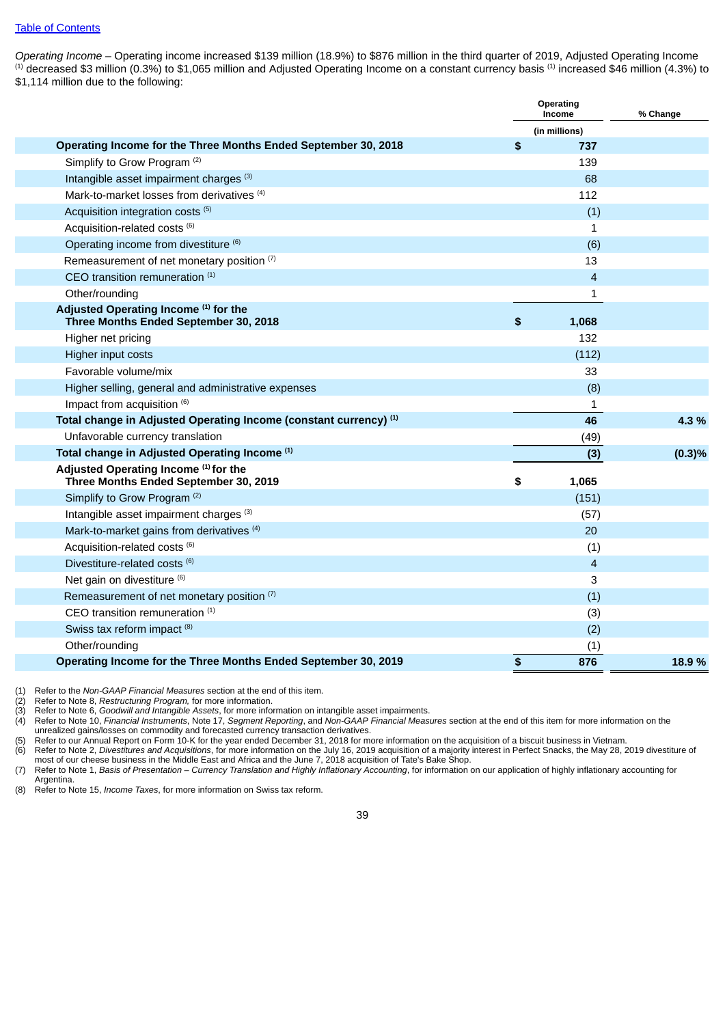*Operating Income* – Operating income increased \$139 million (18.9%) to \$876 million in the third quarter of 2019, Adjusted Operating Income  $^{\text{\tiny{(1)}}}$  decreased \$3 million (0.3%) to \$1,065 million and Adjusted Operating Income on a constant currency basis  $^{\text{\tiny{(1)}}}$  increased \$46 million (4.3%) to \$1,114 million due to the following:

|                                                                                | Operating<br>Income | % Change |
|--------------------------------------------------------------------------------|---------------------|----------|
|                                                                                | (in millions)       |          |
| Operating Income for the Three Months Ended September 30, 2018                 | \$<br>737           |          |
| Simplify to Grow Program <sup>(2)</sup>                                        | 139                 |          |
| Intangible asset impairment charges (3)                                        | 68                  |          |
| Mark-to-market losses from derivatives <sup>(4)</sup>                          | 112                 |          |
| Acquisition integration costs <sup>(5)</sup>                                   | (1)                 |          |
| Acquisition-related costs (6)                                                  | $\mathbf{1}$        |          |
| Operating income from divestiture (6)                                          | (6)                 |          |
| Remeasurement of net monetary position (7)                                     | 13                  |          |
| CEO transition remuneration (1)                                                | 4                   |          |
| Other/rounding                                                                 | 1                   |          |
| Adjusted Operating Income (1) for the<br>Three Months Ended September 30, 2018 | \$<br>1,068         |          |
| Higher net pricing                                                             | 132                 |          |
| Higher input costs                                                             | (112)               |          |
| Favorable volume/mix                                                           | 33                  |          |
| Higher selling, general and administrative expenses                            | (8)                 |          |
| Impact from acquisition (6)                                                    | 1                   |          |
| Total change in Adjusted Operating Income (constant currency) (1)              | 46                  | 4.3%     |
| Unfavorable currency translation                                               | (49)                |          |
| Total change in Adjusted Operating Income (1)                                  | (3)                 | (0.3)%   |
| Adjusted Operating Income (1) for the<br>Three Months Ended September 30, 2019 | \$<br>1,065         |          |
| Simplify to Grow Program <sup>(2)</sup>                                        | (151)               |          |
| Intangible asset impairment charges (3)                                        | (57)                |          |
| Mark-to-market gains from derivatives <sup>(4)</sup>                           | 20                  |          |
| Acquisition-related costs (6)                                                  | (1)                 |          |
| Divestiture-related costs (6)                                                  | $\overline{4}$      |          |
| Net gain on divestiture (6)                                                    | 3                   |          |
| Remeasurement of net monetary position (7)                                     | (1)                 |          |
| CEO transition remuneration (1)                                                | (3)                 |          |
| Swiss tax reform impact (8)                                                    | (2)                 |          |
| Other/rounding                                                                 | (1)                 |          |
| Operating Income for the Three Months Ended September 30, 2019                 | \$<br>876           | 18.9%    |

(1) Refer to the *Non-GAAP Financial Measures* section at the end of this item.

(2) Refer to Note 8, *Restructuring Program,* for more information.

(3) Refer to Note 6, *Goodwill and Intangible Assets*, for more information on intangible asset impairments.

(4) Refer to Note 10, *Financial Instruments*, Note 17, *Segment Reporting*, and *Non-GAAP Financial Measures* section at the end of this item for more information on the unrealized gains/losses on commodity and forecasted currency transaction derivatives.

(5) Refer to our Annual Report on Form 10-K for the year ended December 31, 2018 for more information on the acquisition of a biscuit business in Vietnam.<br>(6) Refer to Note 2, Divestitures and Acquisitions, for more inform (6) Refer to Note 2, *Divestitures and Acquisitions*, for more information on the July 16, 2019 acquisition of a majority interest in Perfect Snacks, the May 28, 2019 divestiture of most of our cheese business in the Middle East and Africa and the June 7, 2018 acquisition of Tate's Bake Shop.

(7) Refer to Note 1, Basis of Presentation – Currency Translation and Highly Inflationary Accounting, for information on our application of highly inflationary accounting for Argentina.

(8) Refer to Note 15, *Income Taxes*, for more information on Swiss tax reform.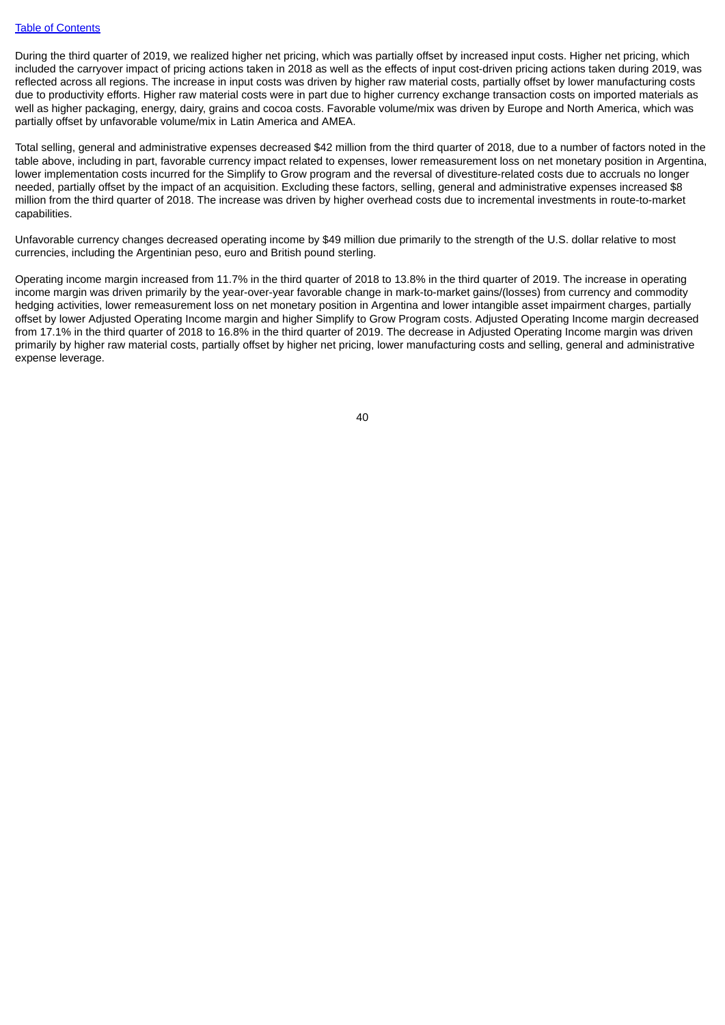During the third quarter of 2019, we realized higher net pricing, which was partially offset by increased input costs. Higher net pricing, which included the carryover impact of pricing actions taken in 2018 as well as the effects of input cost-driven pricing actions taken during 2019, was reflected across all regions. The increase in input costs was driven by higher raw material costs, partially offset by lower manufacturing costs due to productivity efforts. Higher raw material costs were in part due to higher currency exchange transaction costs on imported materials as well as higher packaging, energy, dairy, grains and cocoa costs. Favorable volume/mix was driven by Europe and North America, which was partially offset by unfavorable volume/mix in Latin America and AMEA.

Total selling, general and administrative expenses decreased \$42 million from the third quarter of 2018, due to a number of factors noted in the table above, including in part, favorable currency impact related to expenses, lower remeasurement loss on net monetary position in Argentina, lower implementation costs incurred for the Simplify to Grow program and the reversal of divestiture-related costs due to accruals no longer needed, partially offset by the impact of an acquisition. Excluding these factors, selling, general and administrative expenses increased \$8 million from the third quarter of 2018. The increase was driven by higher overhead costs due to incremental investments in route-to-market capabilities.

Unfavorable currency changes decreased operating income by \$49 million due primarily to the strength of the U.S. dollar relative to most currencies, including the Argentinian peso, euro and British pound sterling.

Operating income margin increased from 11.7% in the third quarter of 2018 to 13.8% in the third quarter of 2019. The increase in operating income margin was driven primarily by the year-over-year favorable change in mark-to-market gains/(losses) from currency and commodity hedging activities, lower remeasurement loss on net monetary position in Argentina and lower intangible asset impairment charges, partially offset by lower Adjusted Operating Income margin and higher Simplify to Grow Program costs. Adjusted Operating Income margin decreased from 17.1% in the third quarter of 2018 to 16.8% in the third quarter of 2019. The decrease in Adjusted Operating Income margin was driven primarily by higher raw material costs, partially offset by higher net pricing, lower manufacturing costs and selling, general and administrative expense leverage.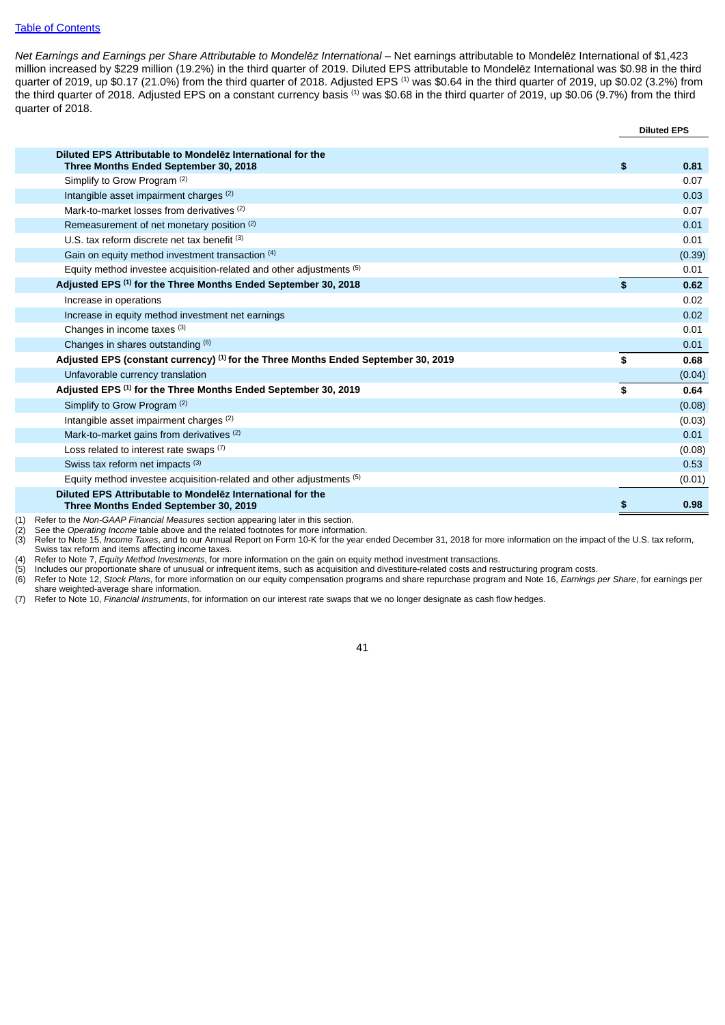### Table of [Contents](#page-2-0)

*Net Earnings and Earnings per Share Attributable to Mondelēz International* – Net earnings attributable to Mondelēz International of \$1,423 million increased by \$229 million (19.2%) in the third quarter of 2019. Diluted EPS attributable to Mondelēz International was \$0.98 in the third quarter of 2019, up \$0.17 (21.0%) from the third quarter of 2018. Adjusted EPS  $^{\text{\tiny (1)}}$  was \$0.64 in the third quarter of 2019, up \$0.02 (3.2%) from the third quarter of 2018. Adjusted EPS on a constant currency basis  $^{\text{\tiny (1)}}$  was \$0.68 in the third quarter of 2019, up \$0.06 (9.7%) from the third quarter of 2018.

|     |                                                                                                     |    | <b>Diluted EPS</b> |
|-----|-----------------------------------------------------------------------------------------------------|----|--------------------|
|     |                                                                                                     |    |                    |
|     | Diluted EPS Attributable to Mondelez International for the<br>Three Months Ended September 30, 2018 | \$ | 0.81               |
|     | Simplify to Grow Program <sup>(2)</sup>                                                             |    | 0.07               |
|     | Intangible asset impairment charges (2)                                                             |    | 0.03               |
|     | Mark-to-market losses from derivatives (2)                                                          |    | 0.07               |
|     | Remeasurement of net monetary position (2)                                                          |    | 0.01               |
|     | U.S. tax reform discrete net tax benefit $(3)$                                                      |    | 0.01               |
|     | Gain on equity method investment transaction (4)                                                    |    | (0.39)             |
|     | Equity method investee acquisition-related and other adjustments (5)                                |    | 0.01               |
|     | Adjusted EPS (1) for the Three Months Ended September 30, 2018                                      | \$ | 0.62               |
|     | Increase in operations                                                                              |    | 0.02               |
|     | Increase in equity method investment net earnings                                                   |    | 0.02               |
|     | Changes in income taxes (3)                                                                         |    | 0.01               |
|     | Changes in shares outstanding (6)                                                                   |    | 0.01               |
|     | Adjusted EPS (constant currency) <sup>(1)</sup> for the Three Months Ended September 30, 2019       | \$ | 0.68               |
|     | Unfavorable currency translation                                                                    |    | (0.04)             |
|     | Adjusted EPS <sup>(1)</sup> for the Three Months Ended September 30, 2019                           | \$ | 0.64               |
|     | Simplify to Grow Program (2)                                                                        |    | (0.08)             |
|     | Intangible asset impairment charges (2)                                                             |    | (0.03)             |
|     | Mark-to-market gains from derivatives (2)                                                           |    | 0.01               |
|     | Loss related to interest rate swaps (7)                                                             |    | (0.08)             |
|     | Swiss tax reform net impacts (3)                                                                    |    | 0.53               |
|     | Equity method investee acquisition-related and other adjustments (5)                                |    | (0.01)             |
|     | Diluted EPS Attributable to Mondelez International for the<br>Three Months Ended September 30, 2019 | S  | 0.98               |
| (1) | Refer to the Non-GAAP Financial Measures section annearing later in this section                    |    |                    |

(1) Refer to the *Non-GAAP Financial Measures* section appearing later in this section.

(2) See the *Operating Income* table above and the related footnotes for more information.

(3) Refer to Note 15, *Income Taxes*, and to our Annual Report on Form 10-K for the year ended December 31, 2018 for more information on the impact of the U.S. tax reform, Swiss tax reform and items affecting income taxes.

(4) Refer to Note 7, *Equity Method Investments*, for more information on the gain on equity method investment transactions.

(5) Includes our proportionate share of unusual or infrequent items, such as acquisition and divestiture-related costs and restructuring program costs.<br>(6) Refer to Note 12, Stock Plans, for more information on our equity (6) Refer to Note 12, *Stock Plans*, for more information on our equity compensation programs and share repurchase program and Note 16, *Earnings per Share*, for earnings per share weighted-average share information.

(7) Refer to Note 10, *Financial Instruments*, for information on our interest rate swaps that we no longer designate as cash flow hedges.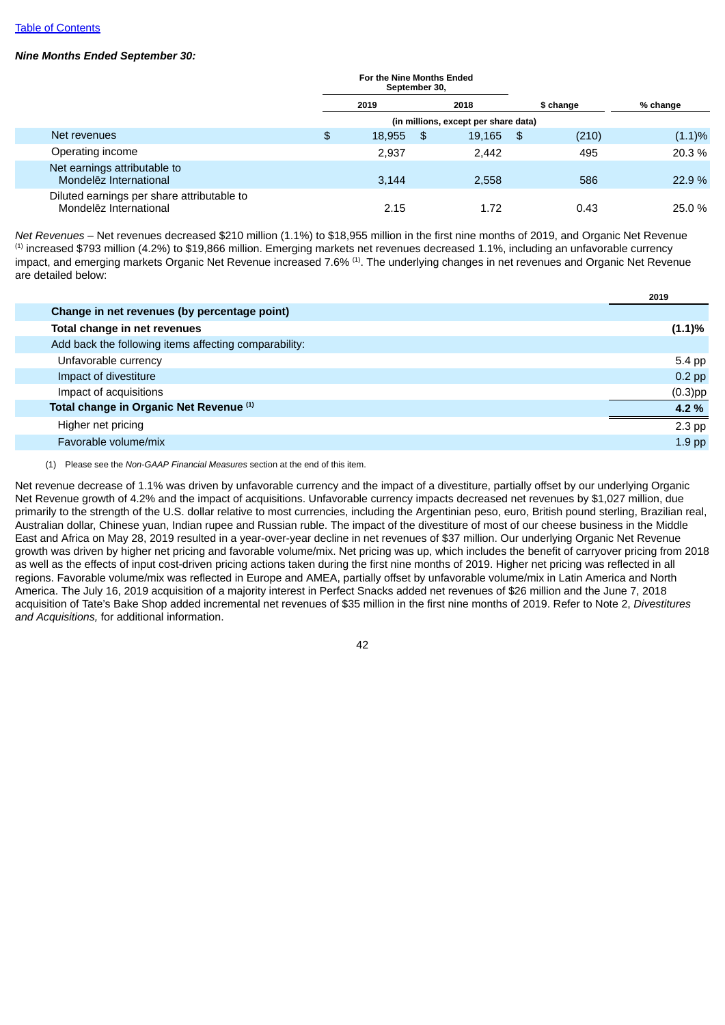# *Nine Months Ended September 30:*

|                                                                      | For the Nine Months Ended<br>September 30, |     |        |      |           |           |
|----------------------------------------------------------------------|--------------------------------------------|-----|--------|------|-----------|-----------|
|                                                                      | 2019                                       |     | 2018   |      | \$ change | % change  |
|                                                                      | (in millions, except per share data)       |     |        |      |           |           |
| Net revenues                                                         | \$<br>18,955                               | -\$ | 19,165 | - \$ | (210)     | $(1.1)\%$ |
| Operating income                                                     | 2.937                                      |     | 2.442  |      | 495       | 20.3 %    |
| Net earnings attributable to<br>Mondelez International               | 3.144                                      |     | 2.558  |      | 586       | 22.9%     |
| Diluted earnings per share attributable to<br>Mondelez International | 2.15                                       |     | 1.72   |      | 0.43      | 25.0 %    |

*Net Revenues* – Net revenues decreased \$210 million (1.1%) to \$18,955 million in the first nine months of 2019, and Organic Net Revenue  $<sup>(1)</sup>$  increased \$793 million (4.2%) to \$19,866 million. Emerging markets net revenues decreased 1.1%, including an unfavorable currency</sup> impact, and emerging markets Organic Net Revenue increased 7.6%  $^{(1)}$ . The underlying changes in net revenues and Organic Net Revenue are detailed below:

|                                                       | 2019       |
|-------------------------------------------------------|------------|
| Change in net revenues (by percentage point)          |            |
| Total change in net revenues                          | (1.1)%     |
| Add back the following items affecting comparability: |            |
| Unfavorable currency                                  | 5.4 pp     |
| Impact of divestiture                                 | $0.2$ pp   |
| Impact of acquisitions                                | $(0.3)$ pp |
| Total change in Organic Net Revenue (1)               | 4.2 %      |
| Higher net pricing                                    | $2.3$ pp   |
| Favorable volume/mix                                  | $1.9$ pp   |
|                                                       |            |

(1) Please see the *Non-GAAP Financial Measures* section at the end of this item.

Net revenue decrease of 1.1% was driven by unfavorable currency and the impact of a divestiture, partially offset by our underlying Organic Net Revenue growth of 4.2% and the impact of acquisitions. Unfavorable currency impacts decreased net revenues by \$1,027 million, due primarily to the strength of the U.S. dollar relative to most currencies, including the Argentinian peso, euro, British pound sterling, Brazilian real, Australian dollar, Chinese yuan, Indian rupee and Russian ruble. The impact of the divestiture of most of our cheese business in the Middle East and Africa on May 28, 2019 resulted in a year-over-year decline in net revenues of \$37 million. Our underlying Organic Net Revenue growth was driven by higher net pricing and favorable volume/mix. Net pricing was up, which includes the benefit of carryover pricing from 2018 as well as the effects of input cost-driven pricing actions taken during the first nine months of 2019. Higher net pricing was reflected in all regions. Favorable volume/mix was reflected in Europe and AMEA, partially offset by unfavorable volume/mix in Latin America and North America. The July 16, 2019 acquisition of a majority interest in Perfect Snacks added net revenues of \$26 million and the June 7, 2018 acquisition of Tate's Bake Shop added incremental net revenues of \$35 million in the first nine months of 2019. Refer to Note 2, *Divestitures and Acquisitions,* for additional information.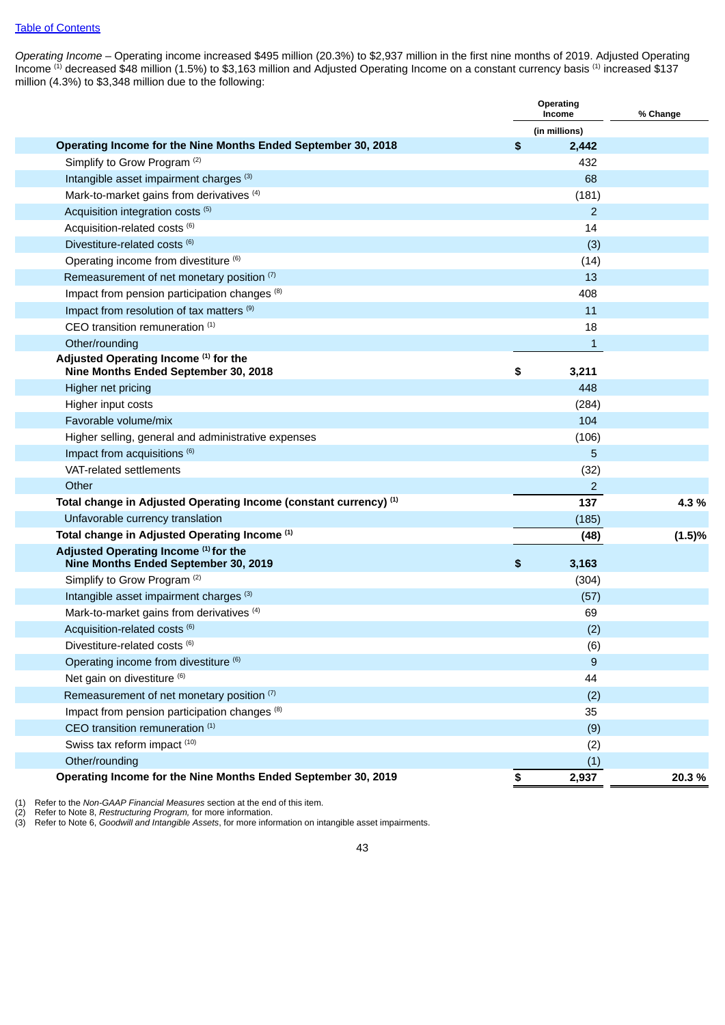*Operating Income* – Operating income increased \$495 million (20.3%) to \$2,937 million in the first nine months of 2019. Adjusted Operating Income  $^{(1)}$  decreased \$48 million (1.5%) to \$3,163 million and Adjusted Operating Income on a constant currency basis  $^{(1)}$  increased \$137 million (4.3%) to \$3,348 million due to the following:

|                                                                               | Operating<br>Income | % Change |
|-------------------------------------------------------------------------------|---------------------|----------|
|                                                                               | (in millions)       |          |
| Operating Income for the Nine Months Ended September 30, 2018                 | \$<br>2,442         |          |
| Simplify to Grow Program <sup>(2)</sup>                                       | 432                 |          |
| Intangible asset impairment charges (3)                                       | 68                  |          |
| Mark-to-market gains from derivatives (4)                                     | (181)               |          |
| Acquisition integration costs (5)                                             | $\overline{2}$      |          |
| Acquisition-related costs (6)                                                 | 14                  |          |
| Divestiture-related costs (6)                                                 | (3)                 |          |
| Operating income from divestiture (6)                                         | (14)                |          |
| Remeasurement of net monetary position (7)                                    | 13                  |          |
| Impact from pension participation changes (8)                                 | 408                 |          |
| Impact from resolution of tax matters <sup>(9)</sup>                          | 11                  |          |
| CEO transition remuneration (1)                                               | 18                  |          |
| Other/rounding                                                                | $\mathbf{1}$        |          |
| Adjusted Operating Income (1) for the                                         |                     |          |
| Nine Months Ended September 30, 2018                                          | \$<br>3,211         |          |
| Higher net pricing                                                            | 448                 |          |
| Higher input costs                                                            | (284)               |          |
| Favorable volume/mix                                                          | 104                 |          |
| Higher selling, general and administrative expenses                           | (106)               |          |
| Impact from acquisitions (6)                                                  | 5                   |          |
| VAT-related settlements                                                       | (32)                |          |
| Other                                                                         | $\overline{2}$      |          |
| Total change in Adjusted Operating Income (constant currency) (1)             | 137                 | 4.3%     |
| Unfavorable currency translation                                              | (185)               |          |
| Total change in Adjusted Operating Income (1)                                 | (48)                | (1.5)%   |
| Adjusted Operating Income (1) for the<br>Nine Months Ended September 30, 2019 | \$<br>3,163         |          |
| Simplify to Grow Program <sup>(2)</sup>                                       | (304)               |          |
| Intangible asset impairment charges (3)                                       | (57)                |          |
| Mark-to-market gains from derivatives <sup>(4)</sup>                          | 69                  |          |
| Acquisition-related costs (6)                                                 |                     |          |
| Divestiture-related costs (6)                                                 | (2)                 |          |
|                                                                               | (6)                 |          |
| Operating income from divestiture (6)                                         | 9                   |          |
| Net gain on divestiture (6)                                                   | 44                  |          |
| Remeasurement of net monetary position (7)                                    | (2)                 |          |
| Impact from pension participation changes <sup>(8)</sup>                      | 35                  |          |
| CEO transition remuneration (1)                                               | (9)                 |          |
| Swiss tax reform impact (10)                                                  | (2)                 |          |
| Other/rounding                                                                | (1)                 |          |
| Operating Income for the Nine Months Ended September 30, 2019                 | \$<br>2,937         | 20.3%    |

(1) Refer to the *Non-GAAP Financial Measures* section at the end of this item.<br>(2) Refer to Note 8, *Restructuring Program*, for more information.<br>(3) Refer to Note 6, *Goodwill and Intangible Assets*, for more informatio

(2) Refer to Note 8, *Restructuring Program,* for more information.

(3) Refer to Note 6, *Goodwill and Intangible Assets*, for more information on intangible asset impairments.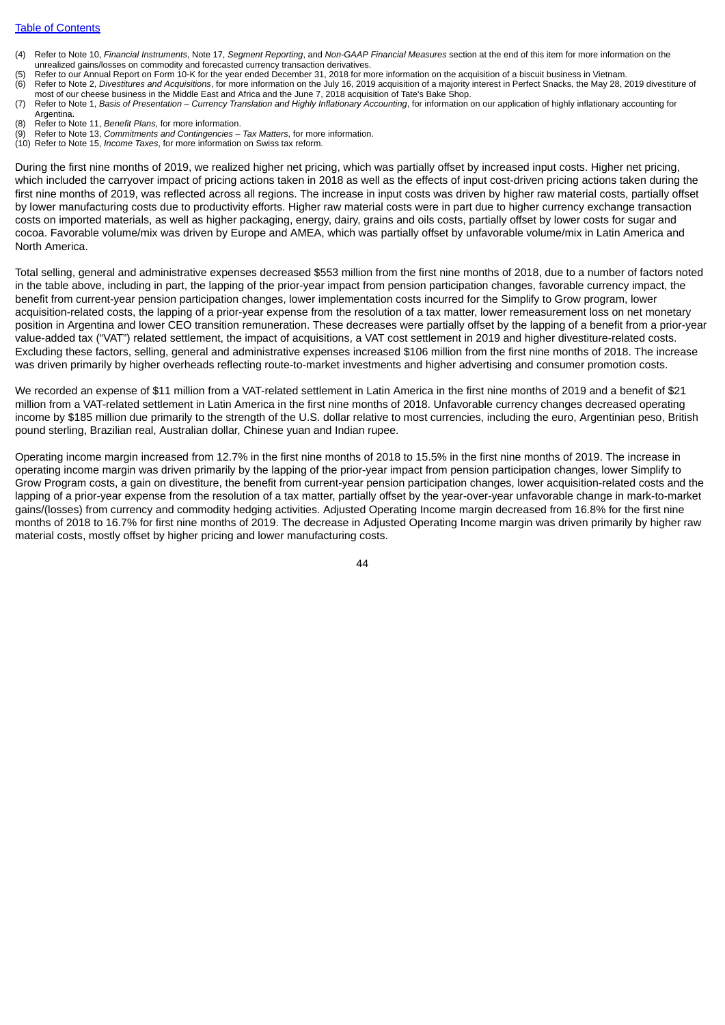- (4) Refer to Note 10, *Financial Instruments*, Note 17, *Segment Reporting*, and *Non-GAAP Financial Measures* section at the end of this item for more information on the unrealized gains/losses on commodity and forecasted currency transaction derivatives.
- (5) Refer to our Annual Report on Form 10-K for the year ended December 31, 2018 for more information on the acquisition of a biscuit business in Vietnam.
- (6) Refer to Note 2, *Divestitures and Acquisitions*, for more information on the July 16, 2019 acquisition of a majority interest in Perfect Snacks, the May 28, 2019 divestiture of most of our cheese business in the Middle East and Africa and the June 7, 2018 acquisition of Tate's Bake Shop.
- (7) Refer to Note 1, Basis of Presentation Currency Translation and Highly Inflationary Accounting, for information on our application of highly inflationary accounting for Argentina.
- (8) Refer to Note 11, *Benefit Plans*, for more information.
- (9) Refer to Note 13, *Commitments and Contingencies – Tax Matters*, for more information.
- (10) Refer to Note 15, *Income Taxes*, for more information on Swiss tax reform.

During the first nine months of 2019, we realized higher net pricing, which was partially offset by increased input costs. Higher net pricing, which included the carryover impact of pricing actions taken in 2018 as well as the effects of input cost-driven pricing actions taken during the first nine months of 2019, was reflected across all regions. The increase in input costs was driven by higher raw material costs, partially offset by lower manufacturing costs due to productivity efforts. Higher raw material costs were in part due to higher currency exchange transaction costs on imported materials, as well as higher packaging, energy, dairy, grains and oils costs, partially offset by lower costs for sugar and cocoa. Favorable volume/mix was driven by Europe and AMEA, which was partially offset by unfavorable volume/mix in Latin America and North America.

Total selling, general and administrative expenses decreased \$553 million from the first nine months of 2018, due to a number of factors noted in the table above, including in part, the lapping of the prior-year impact from pension participation changes, favorable currency impact, the benefit from current-year pension participation changes, lower implementation costs incurred for the Simplify to Grow program, lower acquisition-related costs, the lapping of a prior-year expense from the resolution of a tax matter, lower remeasurement loss on net monetary position in Argentina and lower CEO transition remuneration. These decreases were partially offset by the lapping of a benefit from a prior-year value-added tax ("VAT") related settlement, the impact of acquisitions, a VAT cost settlement in 2019 and higher divestiture-related costs. Excluding these factors, selling, general and administrative expenses increased \$106 million from the first nine months of 2018. The increase was driven primarily by higher overheads reflecting route-to-market investments and higher advertising and consumer promotion costs.

We recorded an expense of \$11 million from a VAT-related settlement in Latin America in the first nine months of 2019 and a benefit of \$21 million from a VAT-related settlement in Latin America in the first nine months of 2018. Unfavorable currency changes decreased operating income by \$185 million due primarily to the strength of the U.S. dollar relative to most currencies, including the euro, Argentinian peso, British pound sterling, Brazilian real, Australian dollar, Chinese yuan and Indian rupee.

Operating income margin increased from 12.7% in the first nine months of 2018 to 15.5% in the first nine months of 2019. The increase in operating income margin was driven primarily by the lapping of the prior-year impact from pension participation changes, lower Simplify to Grow Program costs, a gain on divestiture, the benefit from current-year pension participation changes, lower acquisition-related costs and the lapping of a prior-year expense from the resolution of a tax matter, partially offset by the year-over-year unfavorable change in mark-to-market gains/(losses) from currency and commodity hedging activities. Adjusted Operating Income margin decreased from 16.8% for the first nine months of 2018 to 16.7% for first nine months of 2019. The decrease in Adjusted Operating Income margin was driven primarily by higher raw material costs, mostly offset by higher pricing and lower manufacturing costs.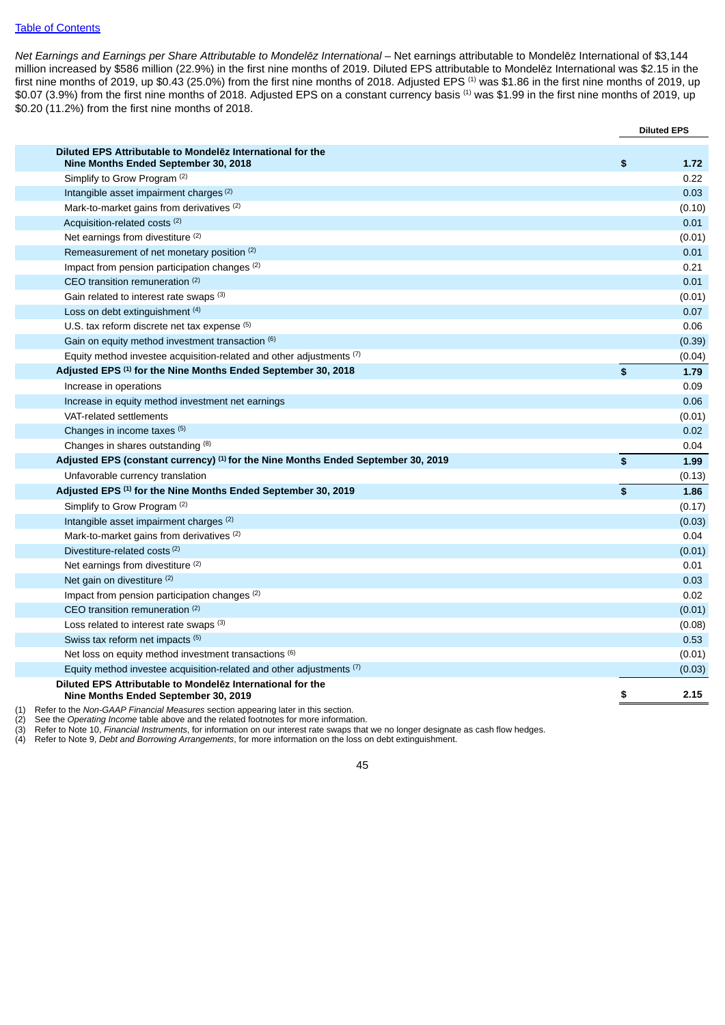### Table of [Contents](#page-2-0)

*Net Earnings and Earnings per Share Attributable to Mondelēz International* – Net earnings attributable to Mondelēz International of \$3,144 million increased by \$586 million (22.9%) in the first nine months of 2019. Diluted EPS attributable to Mondelēz International was \$2.15 in the first nine months of 2019, up \$0.43 (25.0%) from the first nine months of 2018. Adjusted EPS  $^{(1)}$  was \$1.86 in the first nine months of 2019, up \$0.07 (3.9%) from the first nine months of 2018. Adjusted EPS on a constant currency basis <sup>(1)</sup> was \$1.99 in the first nine months of 2019, up \$0.20 (11.2%) from the first nine months of 2018.

|                                                                                                    | <b>Diluted EPS</b> |
|----------------------------------------------------------------------------------------------------|--------------------|
| Diluted EPS Attributable to Mondelez International for the<br>Nine Months Ended September 30, 2018 | \$<br>1.72         |
| Simplify to Grow Program (2)                                                                       | 0.22               |
| Intangible asset impairment charges (2)                                                            | 0.03               |
| Mark-to-market gains from derivatives (2)                                                          | (0.10)             |
| Acquisition-related costs (2)                                                                      | 0.01               |
| Net earnings from divestiture (2)                                                                  | (0.01)             |
| Remeasurement of net monetary position (2)                                                         | 0.01               |
| Impact from pension participation changes (2)                                                      | 0.21               |
| CEO transition remuneration (2)                                                                    | 0.01               |
| Gain related to interest rate swaps (3)                                                            | (0.01)             |
| Loss on debt extinguishment (4)                                                                    | 0.07               |
| U.S. tax reform discrete net tax expense $(5)$                                                     | 0.06               |
| Gain on equity method investment transaction (6)                                                   | (0.39)             |
| Equity method investee acquisition-related and other adjustments $(7)$                             | (0.04)             |
| Adjusted EPS (1) for the Nine Months Ended September 30, 2018                                      | \$<br>1.79         |
| Increase in operations                                                                             | 0.09               |
| Increase in equity method investment net earnings                                                  | 0.06               |
| VAT-related settlements                                                                            | (0.01)             |
| Changes in income taxes (5)                                                                        | 0.02               |
| Changes in shares outstanding (8)                                                                  | 0.04               |
| Adjusted EPS (constant currency) <sup>(1)</sup> for the Nine Months Ended September 30, 2019       | \$<br>1.99         |
| Unfavorable currency translation                                                                   | (0.13)             |
| Adjusted EPS (1) for the Nine Months Ended September 30, 2019                                      | \$<br>1.86         |
| Simplify to Grow Program <sup>(2)</sup>                                                            | (0.17)             |
| Intangible asset impairment charges (2)                                                            | (0.03)             |
| Mark-to-market gains from derivatives (2)                                                          | 0.04               |
| Divestiture-related costs <sup>(2)</sup>                                                           | (0.01)             |
| Net earnings from divestiture (2)                                                                  | 0.01               |
| Net gain on divestiture (2)                                                                        | 0.03               |
| Impact from pension participation changes (2)                                                      | 0.02               |
| CEO transition remuneration (2)                                                                    | (0.01)             |
| Loss related to interest rate swaps (3)                                                            | (0.08)             |
| Swiss tax reform net impacts (5)                                                                   | 0.53               |
| Net loss on equity method investment transactions (6)                                              | (0.01)             |
| Equity method investee acquisition-related and other adjustments $(7)$                             | (0.03)             |
| Diluted EPS Attributable to Mondelez International for the<br>Nine Months Ended September 30, 2019 | \$<br>2.15         |
| Defer to the Nep CAAD Financial Measures section eppearing leter in this section                   |                    |

(1) Refer to the *Non-GAAP Financial Measures* section appearing later in this section.

(2) See the *Operating Income table above and the related footnotes for more information*.<br>(3) Refer to Note 10, *Financial Instruments*, for information on our interest rate swaps tha (3) Refer to Note 10, Financial Instruments, for information on our interest rate swaps that we no longer designate as cash flow hedges.<br>(4) Refer to Note 9, *Debt and Borrowing Arrangements*, for more information on the l

(4) Refer to Note 9, *Debt and Borrowing Arrangements*, for more information on the loss on debt extinguishment.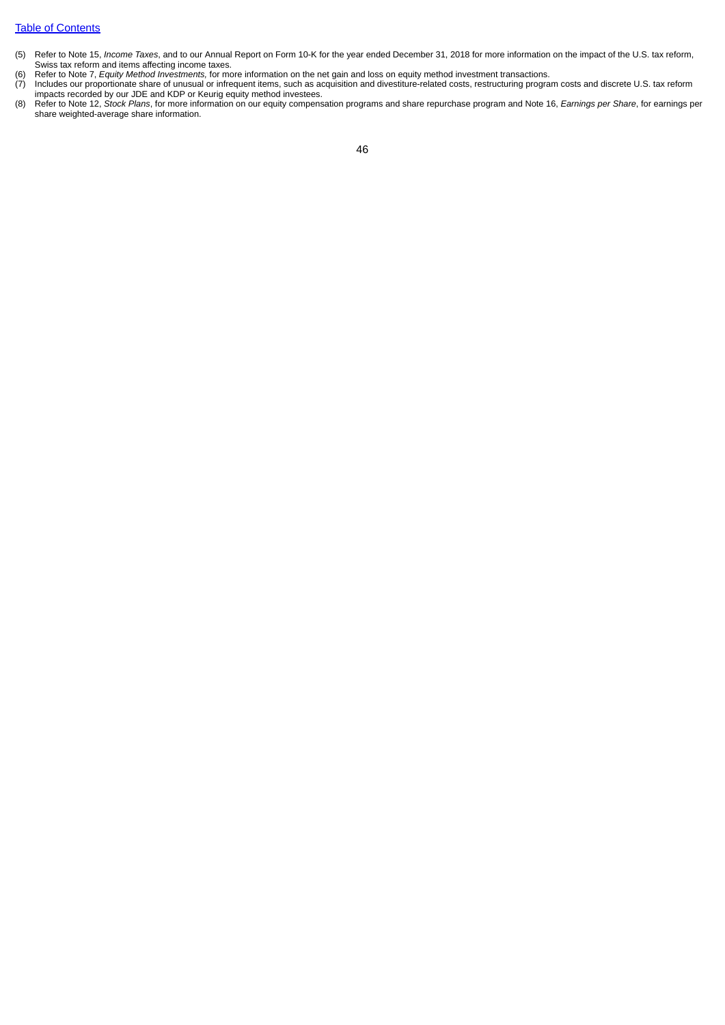### Table of [Contents](#page-2-0)

- (5) Refer to Note 15, *Income Taxes*, and to our Annual Report on Form 10-K for the year ended December 31, 2018 for more information on the impact of the U.S. tax reform, Swiss tax reform and items affecting income taxes.
- 
- (6) Refer to Note 7, *Equity Method Investments,* for more information on the net gain and loss on equity method investment transactions. Includes our proportionate share of unusual or infrequent items, such as acquisition and divestiture-related costs, restructuring program costs and discrete U.S. tax reform impacts recorded by our JDE and KDP or Keurig equity method investees.
- (8) Refer to Note 12, *Stock Plans*, for more information on our equity compensation programs and share repurchase program and Note 16, *Earnings per Share*, for earnings per share weighted-average share information.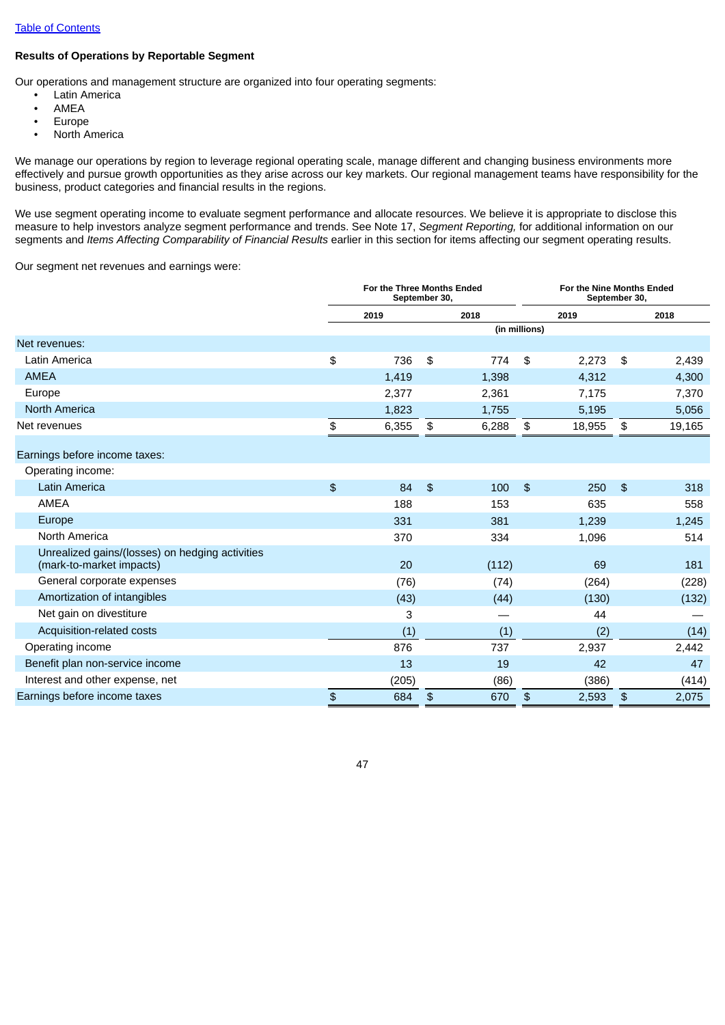# **Results of Operations by Reportable Segment**

Our operations and management structure are organized into four operating segments:

- Latin America
- AMEA
- Europe
- North America

We manage our operations by region to leverage regional operating scale, manage different and changing business environments more effectively and pursue growth opportunities as they arise across our key markets. Our regional management teams have responsibility for the business, product categories and financial results in the regions.

We use segment operating income to evaluate segment performance and allocate resources. We believe it is appropriate to disclose this measure to help investors analyze segment performance and trends. See Note 17, *Segment Reporting,* for additional information on our segments and *Items Affecting Comparability of Financial Results* earlier in this section for items affecting our segment operating results.

Our segment net revenues and earnings were:

|                                                                             | For the Three Months Ended<br>September 30, |                |       |                | For the Nine Months Ended<br>September 30, |                |        |  |
|-----------------------------------------------------------------------------|---------------------------------------------|----------------|-------|----------------|--------------------------------------------|----------------|--------|--|
|                                                                             | 2019                                        |                | 2018  |                | 2019                                       |                | 2018   |  |
|                                                                             |                                             |                |       | (in millions)  |                                            |                |        |  |
| Net revenues:                                                               |                                             |                |       |                |                                            |                |        |  |
| Latin America                                                               | \$<br>736                                   | \$             | 774   | \$             | 2,273                                      | \$             | 2,439  |  |
| <b>AMEA</b>                                                                 | 1,419                                       |                | 1,398 |                | 4,312                                      |                | 4,300  |  |
| Europe                                                                      | 2,377                                       |                | 2,361 |                | 7,175                                      |                | 7,370  |  |
| <b>North America</b>                                                        | 1,823                                       |                | 1,755 |                | 5,195                                      |                | 5,056  |  |
| Net revenues                                                                | \$<br>6,355                                 | \$             | 6,288 | \$             | 18,955                                     | \$             | 19,165 |  |
| Earnings before income taxes:                                               |                                             |                |       |                |                                            |                |        |  |
| Operating income:                                                           |                                             |                |       |                |                                            |                |        |  |
| <b>Latin America</b>                                                        | \$<br>84                                    | $\mathfrak{F}$ | 100   | $\mathfrak{P}$ | 250                                        | $\mathfrak{F}$ | 318    |  |
| <b>AMEA</b>                                                                 | 188                                         |                | 153   |                | 635                                        |                | 558    |  |
| Europe                                                                      | 331                                         |                | 381   |                | 1,239                                      |                | 1,245  |  |
| North America                                                               | 370                                         |                | 334   |                | 1,096                                      |                | 514    |  |
| Unrealized gains/(losses) on hedging activities<br>(mark-to-market impacts) | 20                                          |                | (112) |                | 69                                         |                | 181    |  |
| General corporate expenses                                                  | (76)                                        |                | (74)  |                | (264)                                      |                | (228)  |  |
| Amortization of intangibles                                                 | (43)                                        |                | (44)  |                | (130)                                      |                | (132)  |  |
| Net gain on divestiture                                                     | 3                                           |                |       |                | 44                                         |                |        |  |
| Acquisition-related costs                                                   | (1)                                         |                | (1)   |                | (2)                                        |                | (14)   |  |
| Operating income                                                            | 876                                         |                | 737   |                | 2,937                                      |                | 2,442  |  |
| Benefit plan non-service income                                             | 13                                          |                | 19    |                | 42                                         |                | 47     |  |
| Interest and other expense, net                                             | (205)                                       |                | (86)  |                | (386)                                      |                | (414)  |  |
| Earnings before income taxes                                                | \$<br>684                                   | \$             | 670   | \$             | 2,593                                      | $\frac{1}{2}$  | 2,075  |  |
|                                                                             |                                             |                |       |                |                                            |                |        |  |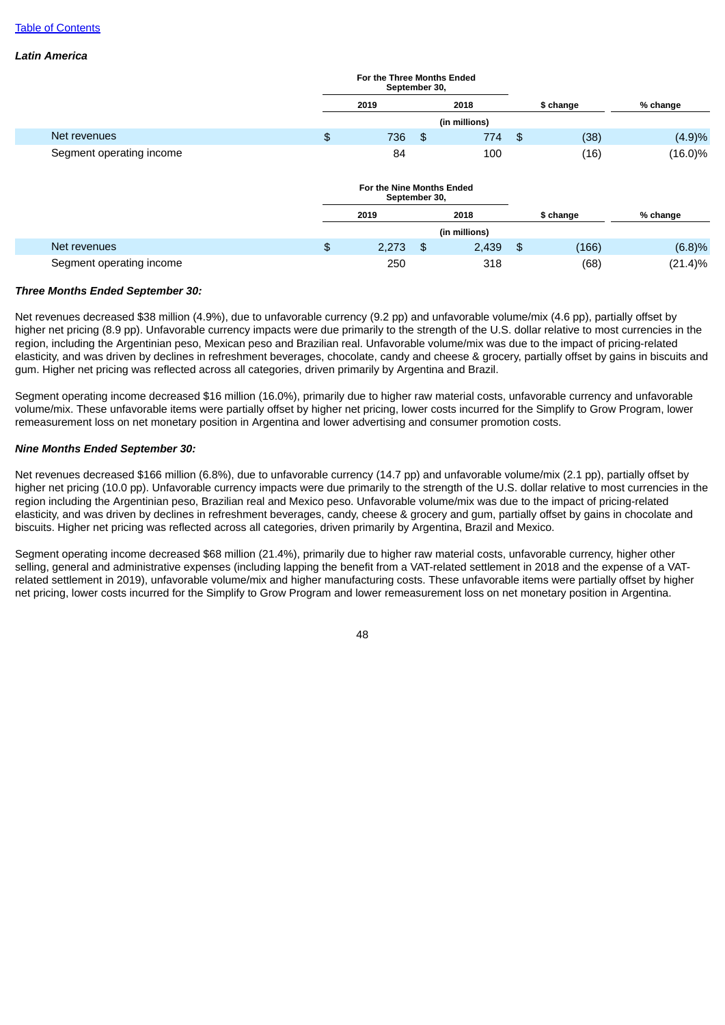### *Latin America*

|                          | For the Three Months Ended<br>September 30, |      |               |      |           |            |
|--------------------------|---------------------------------------------|------|---------------|------|-----------|------------|
|                          | 2019                                        |      | 2018          |      | \$ change | % change   |
|                          |                                             |      | (in millions) |      |           |            |
| Net revenues             | \$<br>736                                   | - \$ | 774           | - \$ | (38)      | (4.9)%     |
| Segment operating income | 84                                          |      | 100           |      | (16)      | $(16.0)\%$ |
|                          | For the Nine Months Ended<br>September 30,  |      |               |      |           |            |
|                          | 2019                                        |      | 2018          |      | \$ change | % change   |
|                          |                                             |      | (in millions) |      |           |            |
| Net revenues             | \$<br>2,273                                 | \$   | 2,439         | -\$  | (166)     | (6.8)%     |
| Segment operating income | 250                                         |      | 318           |      | (68)      | $(21.4)\%$ |

#### *Three Months Ended September 30:*

Net revenues decreased \$38 million (4.9%), due to unfavorable currency (9.2 pp) and unfavorable volume/mix (4.6 pp), partially offset by higher net pricing (8.9 pp). Unfavorable currency impacts were due primarily to the strength of the U.S. dollar relative to most currencies in the region, including the Argentinian peso, Mexican peso and Brazilian real. Unfavorable volume/mix was due to the impact of pricing-related elasticity, and was driven by declines in refreshment beverages, chocolate, candy and cheese & grocery, partially offset by gains in biscuits and gum. Higher net pricing was reflected across all categories, driven primarily by Argentina and Brazil.

Segment operating income decreased \$16 million (16.0%), primarily due to higher raw material costs, unfavorable currency and unfavorable volume/mix. These unfavorable items were partially offset by higher net pricing, lower costs incurred for the Simplify to Grow Program, lower remeasurement loss on net monetary position in Argentina and lower advertising and consumer promotion costs.

### *Nine Months Ended September 30:*

Net revenues decreased \$166 million (6.8%), due to unfavorable currency (14.7 pp) and unfavorable volume/mix (2.1 pp), partially offset by higher net pricing (10.0 pp). Unfavorable currency impacts were due primarily to the strength of the U.S. dollar relative to most currencies in the region including the Argentinian peso, Brazilian real and Mexico peso. Unfavorable volume/mix was due to the impact of pricing-related elasticity, and was driven by declines in refreshment beverages, candy, cheese & grocery and gum, partially offset by gains in chocolate and biscuits. Higher net pricing was reflected across all categories, driven primarily by Argentina, Brazil and Mexico.

Segment operating income decreased \$68 million (21.4%), primarily due to higher raw material costs, unfavorable currency, higher other selling, general and administrative expenses (including lapping the benefit from a VAT-related settlement in 2018 and the expense of a VATrelated settlement in 2019), unfavorable volume/mix and higher manufacturing costs. These unfavorable items were partially offset by higher net pricing, lower costs incurred for the Simplify to Grow Program and lower remeasurement loss on net monetary position in Argentina.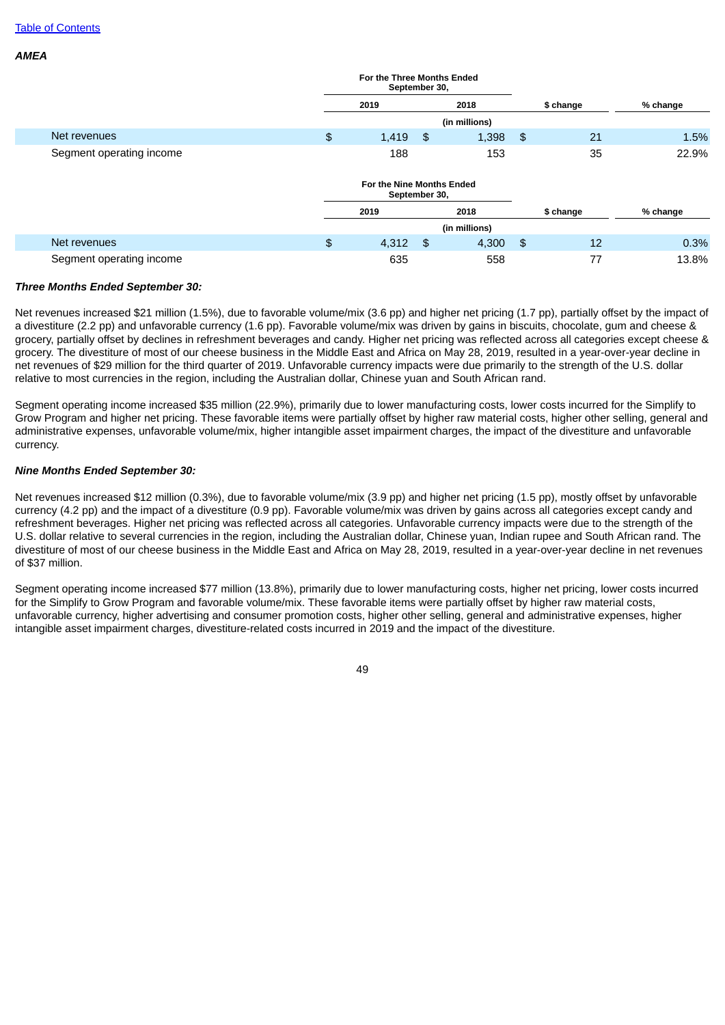*AMEA*

|                          | For the Three Months Ended<br>September 30, |               |               |           |          |
|--------------------------|---------------------------------------------|---------------|---------------|-----------|----------|
|                          | 2019                                        | 2018          |               | \$ change | % change |
|                          |                                             | (in millions) |               |           |          |
| Net revenues             | \$<br>1,419                                 | \$<br>1,398   | $\frac{3}{2}$ | 21        | 1.5%     |
| Segment operating income | 188                                         | 153           |               | 35        | 22.9%    |
|                          | For the Nine Months Ended<br>September 30,  |               |               |           |          |
|                          | 2019                                        | 2018          |               | \$ change | % change |
|                          |                                             | (in millions) |               |           |          |
| Net revenues             | \$<br>4,312                                 | \$<br>4,300   | $\frac{3}{2}$ | 12        | 0.3%     |
| Segment operating income | 635                                         | 558           |               | 77        | 13.8%    |

### *Three Months Ended September 30:*

Net revenues increased \$21 million (1.5%), due to favorable volume/mix (3.6 pp) and higher net pricing (1.7 pp), partially offset by the impact of a divestiture (2.2 pp) and unfavorable currency (1.6 pp). Favorable volume/mix was driven by gains in biscuits, chocolate, gum and cheese & grocery, partially offset by declines in refreshment beverages and candy. Higher net pricing was reflected across all categories except cheese & grocery. The divestiture of most of our cheese business in the Middle East and Africa on May 28, 2019, resulted in a year-over-year decline in net revenues of \$29 million for the third quarter of 2019. Unfavorable currency impacts were due primarily to the strength of the U.S. dollar relative to most currencies in the region, including the Australian dollar, Chinese yuan and South African rand.

Segment operating income increased \$35 million (22.9%), primarily due to lower manufacturing costs, lower costs incurred for the Simplify to Grow Program and higher net pricing. These favorable items were partially offset by higher raw material costs, higher other selling, general and administrative expenses, unfavorable volume/mix, higher intangible asset impairment charges, the impact of the divestiture and unfavorable currency.

## *Nine Months Ended September 30:*

Net revenues increased \$12 million (0.3%), due to favorable volume/mix (3.9 pp) and higher net pricing (1.5 pp), mostly offset by unfavorable currency (4.2 pp) and the impact of a divestiture (0.9 pp). Favorable volume/mix was driven by gains across all categories except candy and refreshment beverages. Higher net pricing was reflected across all categories. Unfavorable currency impacts were due to the strength of the U.S. dollar relative to several currencies in the region, including the Australian dollar, Chinese yuan, Indian rupee and South African rand. The divestiture of most of our cheese business in the Middle East and Africa on May 28, 2019, resulted in a year-over-year decline in net revenues of \$37 million.

Segment operating income increased \$77 million (13.8%), primarily due to lower manufacturing costs, higher net pricing, lower costs incurred for the Simplify to Grow Program and favorable volume/mix. These favorable items were partially offset by higher raw material costs, unfavorable currency, higher advertising and consumer promotion costs, higher other selling, general and administrative expenses, higher intangible asset impairment charges, divestiture-related costs incurred in 2019 and the impact of the divestiture.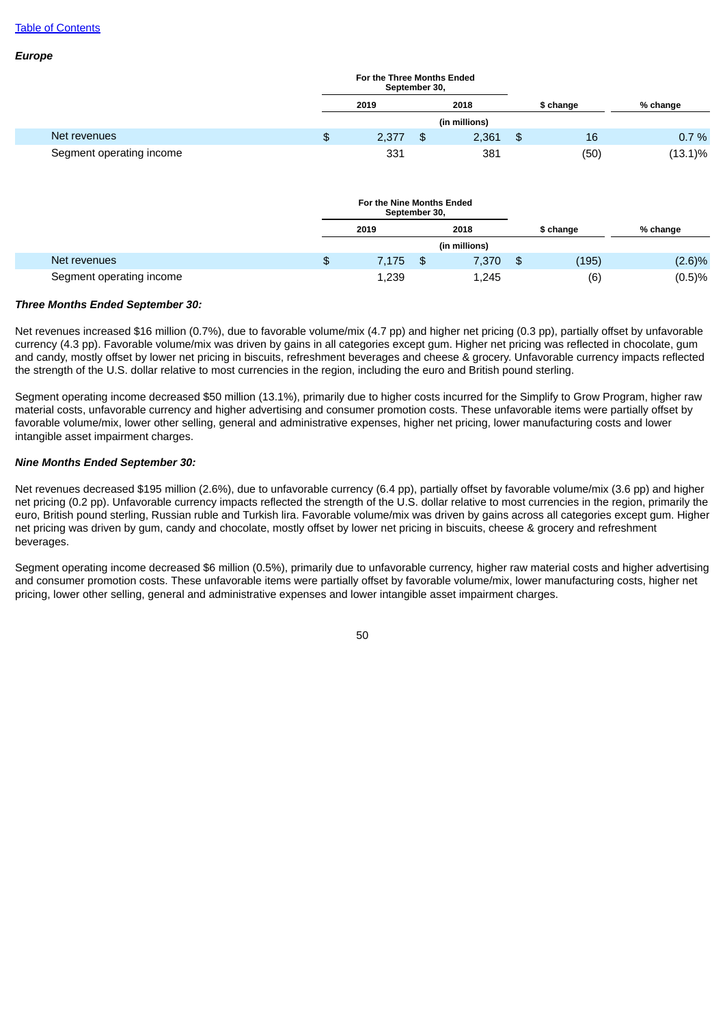*Europe*

|                          | For the Three Months Ended<br>September 30, |    |               |    |           |            |  |
|--------------------------|---------------------------------------------|----|---------------|----|-----------|------------|--|
|                          | 2018<br>2019                                |    |               |    | \$ change | % change   |  |
|                          |                                             |    | (in millions) |    |           |            |  |
| Net revenues             | \$<br>2.377                                 | \$ | 2,361         | \$ | 16        | 0.7%       |  |
| Segment operating income | 331                                         |    | 381           |    | (50)      | $(13.1)\%$ |  |

|                          |              | For the Nine Months Ended<br>September 30, |               |     |           |          |
|--------------------------|--------------|--------------------------------------------|---------------|-----|-----------|----------|
|                          |              | 2019                                       | 2018          |     | \$ change | % change |
|                          |              |                                            | (in millions) |     |           |          |
| Net revenues             | $\mathbf{E}$ | 7.175                                      | \$<br>7,370   | -\$ | (195)     | (2.6)%   |
| Segment operating income |              | 1,239                                      | 1,245         |     | (6)       | (0.5)%   |

#### *Three Months Ended September 30:*

Net revenues increased \$16 million (0.7%), due to favorable volume/mix (4.7 pp) and higher net pricing (0.3 pp), partially offset by unfavorable currency (4.3 pp). Favorable volume/mix was driven by gains in all categories except gum. Higher net pricing was reflected in chocolate, gum and candy, mostly offset by lower net pricing in biscuits, refreshment beverages and cheese & grocery. Unfavorable currency impacts reflected the strength of the U.S. dollar relative to most currencies in the region, including the euro and British pound sterling.

Segment operating income decreased \$50 million (13.1%), primarily due to higher costs incurred for the Simplify to Grow Program, higher raw material costs, unfavorable currency and higher advertising and consumer promotion costs. These unfavorable items were partially offset by favorable volume/mix, lower other selling, general and administrative expenses, higher net pricing, lower manufacturing costs and lower intangible asset impairment charges.

# *Nine Months Ended September 30:*

Net revenues decreased \$195 million (2.6%), due to unfavorable currency (6.4 pp), partially offset by favorable volume/mix (3.6 pp) and higher net pricing (0.2 pp). Unfavorable currency impacts reflected the strength of the U.S. dollar relative to most currencies in the region, primarily the euro, British pound sterling, Russian ruble and Turkish lira. Favorable volume/mix was driven by gains across all categories except gum. Higher net pricing was driven by gum, candy and chocolate, mostly offset by lower net pricing in biscuits, cheese & grocery and refreshment beverages.

Segment operating income decreased \$6 million (0.5%), primarily due to unfavorable currency, higher raw material costs and higher advertising and consumer promotion costs. These unfavorable items were partially offset by favorable volume/mix, lower manufacturing costs, higher net pricing, lower other selling, general and administrative expenses and lower intangible asset impairment charges.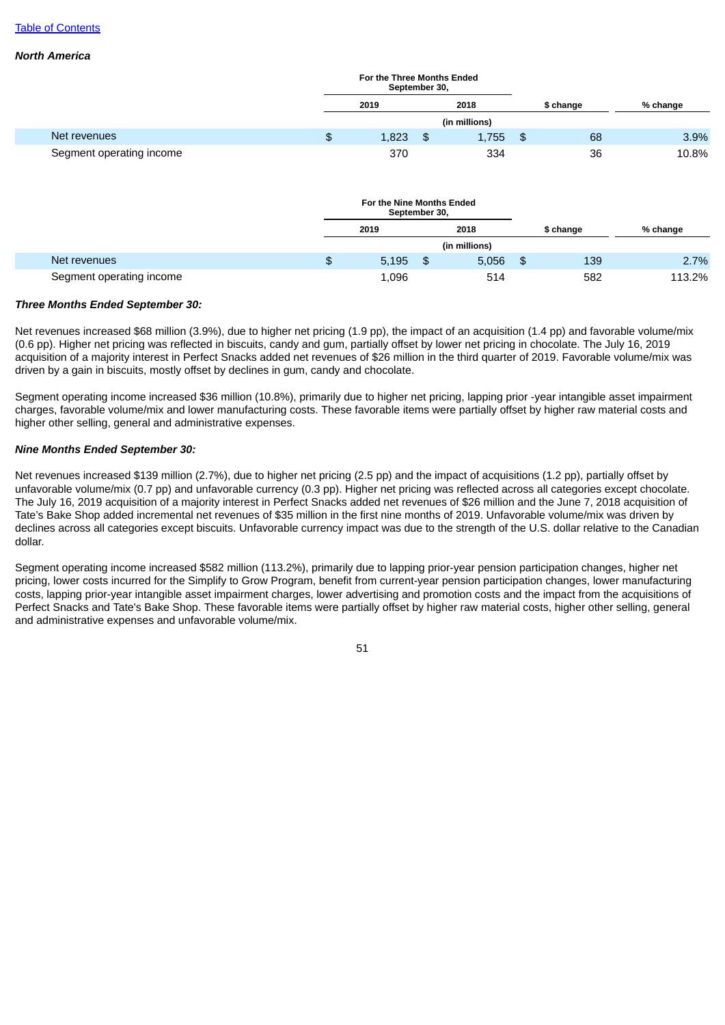### *North America*

|                          | For the Three Months Ended<br>September 30, |               |           |          |       |
|--------------------------|---------------------------------------------|---------------|-----------|----------|-------|
|                          | 2019                                        | 2018          | \$ change | % change |       |
|                          |                                             | (in millions) |           |          |       |
| Net revenues             | \$<br>1,823                                 | \$<br>1,755   | - \$      | 68       | 3.9%  |
| Segment operating income | 370                                         | 334           |           | 36       | 10.8% |

|                          |     | For the Nine Months Ended<br>September 30, |      |               |           |          |
|--------------------------|-----|--------------------------------------------|------|---------------|-----------|----------|
|                          |     | 2019                                       |      | 2018          | \$ change | % change |
|                          |     |                                            |      | (in millions) |           |          |
| Net revenues             | \$. | 5,195                                      | /\$∂ | 5,056         | \$<br>139 | 2.7%     |
| Segment operating income |     | 1,096                                      |      | 514           | 582       | 113.2%   |

### *Three Months Ended September 30:*

Net revenues increased \$68 million (3.9%), due to higher net pricing (1.9 pp), the impact of an acquisition (1.4 pp) and favorable volume/mix (0.6 pp). Higher net pricing was reflected in biscuits, candy and gum, partially offset by lower net pricing in chocolate. The July 16, 2019 acquisition of a majority interest in Perfect Snacks added net revenues of \$26 million in the third quarter of 2019. Favorable volume/mix was driven by a gain in biscuits, mostly offset by declines in gum, candy and chocolate.

Segment operating income increased \$36 million (10.8%), primarily due to higher net pricing, lapping prior -year intangible asset impairment charges, favorable volume/mix and lower manufacturing costs. These favorable items were partially offset by higher raw material costs and higher other selling, general and administrative expenses.

## *Nine Months Ended September 30:*

Net revenues increased \$139 million (2.7%), due to higher net pricing (2.5 pp) and the impact of acquisitions (1.2 pp), partially offset by unfavorable volume/mix (0.7 pp) and unfavorable currency (0.3 pp). Higher net pricing was reflected across all categories except chocolate. The July 16, 2019 acquisition of a majority interest in Perfect Snacks added net revenues of \$26 million and the June 7, 2018 acquisition of Tate's Bake Shop added incremental net revenues of \$35 million in the first nine months of 2019. Unfavorable volume/mix was driven by declines across all categories except biscuits. Unfavorable currency impact was due to the strength of the U.S. dollar relative to the Canadian dollar.

Segment operating income increased \$582 million (113.2%), primarily due to lapping prior-year pension participation changes, higher net pricing, lower costs incurred for the Simplify to Grow Program, benefit from current-year pension participation changes, lower manufacturing costs, lapping prior-year intangible asset impairment charges, lower advertising and promotion costs and the impact from the acquisitions of Perfect Snacks and Tate's Bake Shop. These favorable items were partially offset by higher raw material costs, higher other selling, general and administrative expenses and unfavorable volume/mix.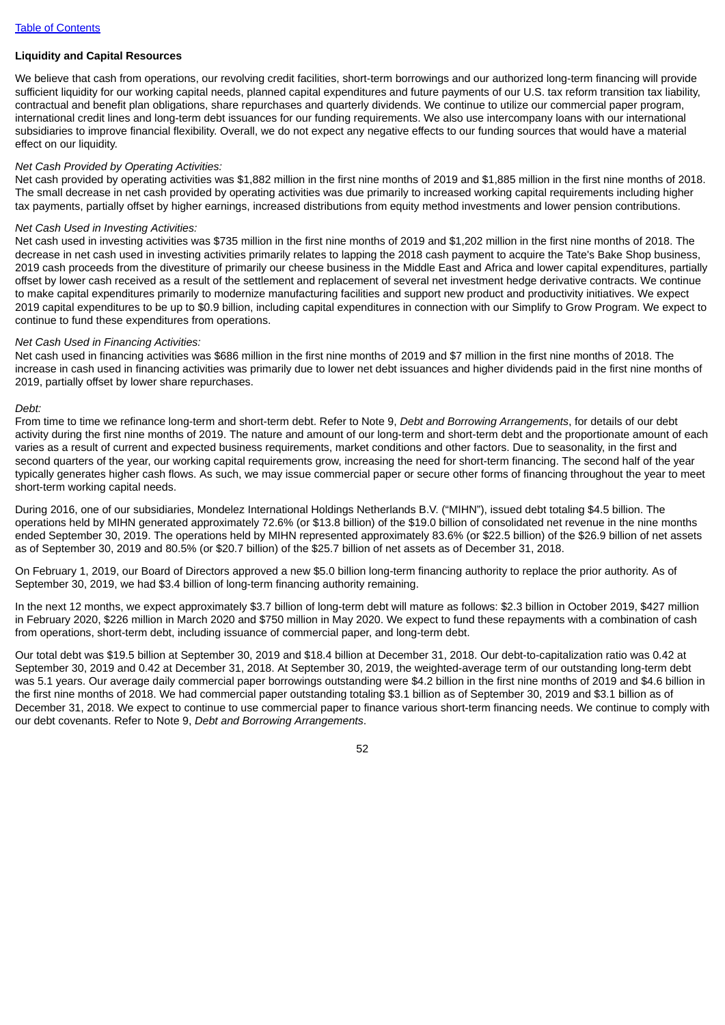### **Liquidity and Capital Resources**

We believe that cash from operations, our revolving credit facilities, short-term borrowings and our authorized long-term financing will provide sufficient liquidity for our working capital needs, planned capital expenditures and future payments of our U.S. tax reform transition tax liability, contractual and benefit plan obligations, share repurchases and quarterly dividends. We continue to utilize our commercial paper program, international credit lines and long-term debt issuances for our funding requirements. We also use intercompany loans with our international subsidiaries to improve financial flexibility. Overall, we do not expect any negative effects to our funding sources that would have a material effect on our liquidity.

# *Net Cash Provided by Operating Activities:*

Net cash provided by operating activities was \$1,882 million in the first nine months of 2019 and \$1,885 million in the first nine months of 2018. The small decrease in net cash provided by operating activities was due primarily to increased working capital requirements including higher tax payments, partially offset by higher earnings, increased distributions from equity method investments and lower pension contributions.

### *Net Cash Used in Investing Activities:*

Net cash used in investing activities was \$735 million in the first nine months of 2019 and \$1,202 million in the first nine months of 2018. The decrease in net cash used in investing activities primarily relates to lapping the 2018 cash payment to acquire the Tate's Bake Shop business, 2019 cash proceeds from the divestiture of primarily our cheese business in the Middle East and Africa and lower capital expenditures, partially offset by lower cash received as a result of the settlement and replacement of several net investment hedge derivative contracts. We continue to make capital expenditures primarily to modernize manufacturing facilities and support new product and productivity initiatives. We expect 2019 capital expenditures to be up to \$0.9 billion, including capital expenditures in connection with our Simplify to Grow Program. We expect to continue to fund these expenditures from operations.

### *Net Cash Used in Financing Activities:*

Net cash used in financing activities was \$686 million in the first nine months of 2019 and \$7 million in the first nine months of 2018. The increase in cash used in financing activities was primarily due to lower net debt issuances and higher dividends paid in the first nine months of 2019, partially offset by lower share repurchases.

### *Debt:*

From time to time we refinance long-term and short-term debt. Refer to Note 9, *Debt and Borrowing Arrangements*, for details of our debt activity during the first nine months of 2019. The nature and amount of our long-term and short-term debt and the proportionate amount of each varies as a result of current and expected business requirements, market conditions and other factors. Due to seasonality, in the first and second quarters of the year, our working capital requirements grow, increasing the need for short-term financing. The second half of the year typically generates higher cash flows. As such, we may issue commercial paper or secure other forms of financing throughout the year to meet short-term working capital needs.

During 2016, one of our subsidiaries, Mondelez International Holdings Netherlands B.V. ("MIHN"), issued debt totaling \$4.5 billion. The operations held by MIHN generated approximately 72.6% (or \$13.8 billion) of the \$19.0 billion of consolidated net revenue in the nine months ended September 30, 2019. The operations held by MIHN represented approximately 83.6% (or \$22.5 billion) of the \$26.9 billion of net assets as of September 30, 2019 and 80.5% (or \$20.7 billion) of the \$25.7 billion of net assets as of December 31, 2018.

On February 1, 2019, our Board of Directors approved a new \$5.0 billion long-term financing authority to replace the prior authority. As of September 30, 2019, we had \$3.4 billion of long-term financing authority remaining.

In the next 12 months, we expect approximately \$3.7 billion of long-term debt will mature as follows: \$2.3 billion in October 2019, \$427 million in February 2020, \$226 million in March 2020 and \$750 million in May 2020. We expect to fund these repayments with a combination of cash from operations, short-term debt, including issuance of commercial paper, and long-term debt.

Our total debt was \$19.5 billion at September 30, 2019 and \$18.4 billion at December 31, 2018. Our debt-to-capitalization ratio was 0.42 at September 30, 2019 and 0.42 at December 31, 2018. At September 30, 2019, the weighted-average term of our outstanding long-term debt was 5.1 years. Our average daily commercial paper borrowings outstanding were \$4.2 billion in the first nine months of 2019 and \$4.6 billion in the first nine months of 2018. We had commercial paper outstanding totaling \$3.1 billion as of September 30, 2019 and \$3.1 billion as of December 31, 2018. We expect to continue to use commercial paper to finance various short-term financing needs. We continue to comply with our debt covenants. Refer to Note 9, *Debt and Borrowing Arrangements*.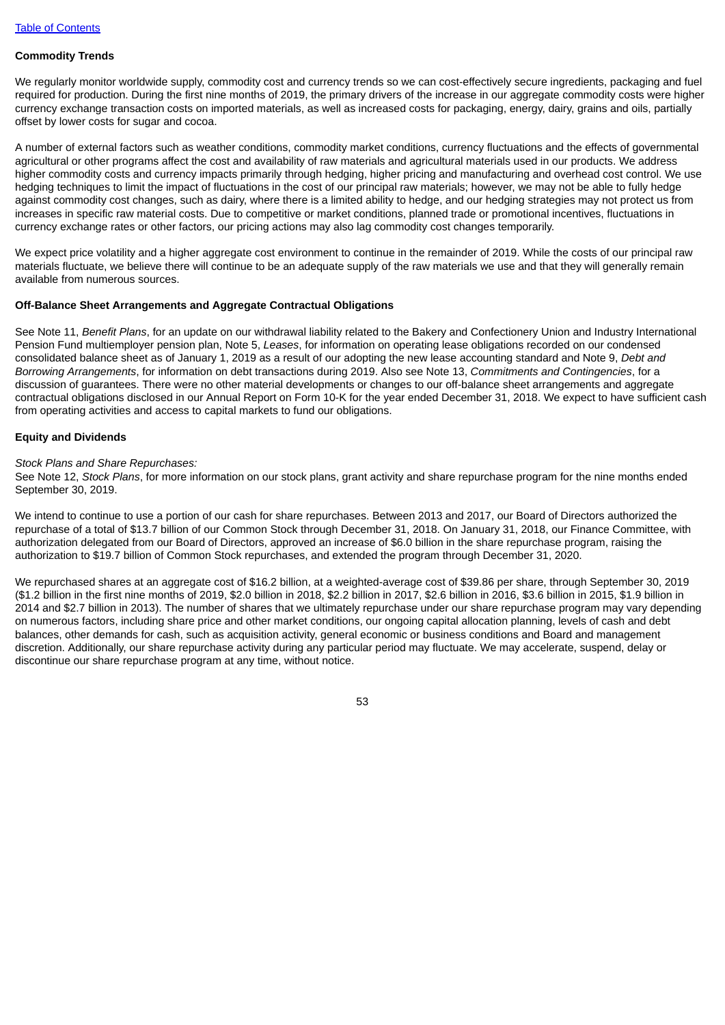### **Commodity Trends**

We regularly monitor worldwide supply, commodity cost and currency trends so we can cost-effectively secure ingredients, packaging and fuel required for production. During the first nine months of 2019, the primary drivers of the increase in our aggregate commodity costs were higher currency exchange transaction costs on imported materials, as well as increased costs for packaging, energy, dairy, grains and oils, partially offset by lower costs for sugar and cocoa.

A number of external factors such as weather conditions, commodity market conditions, currency fluctuations and the effects of governmental agricultural or other programs affect the cost and availability of raw materials and agricultural materials used in our products. We address higher commodity costs and currency impacts primarily through hedging, higher pricing and manufacturing and overhead cost control. We use hedging techniques to limit the impact of fluctuations in the cost of our principal raw materials; however, we may not be able to fully hedge against commodity cost changes, such as dairy, where there is a limited ability to hedge, and our hedging strategies may not protect us from increases in specific raw material costs. Due to competitive or market conditions, planned trade or promotional incentives, fluctuations in currency exchange rates or other factors, our pricing actions may also lag commodity cost changes temporarily.

We expect price volatility and a higher aggregate cost environment to continue in the remainder of 2019. While the costs of our principal raw materials fluctuate, we believe there will continue to be an adequate supply of the raw materials we use and that they will generally remain available from numerous sources.

### **Off-Balance Sheet Arrangements and Aggregate Contractual Obligations**

See Note 11, *Benefit Plans*, for an update on our withdrawal liability related to the Bakery and Confectionery Union and Industry International Pension Fund multiemployer pension plan, Note 5, *Leases*, for information on operating lease obligations recorded on our condensed consolidated balance sheet as of January 1, 2019 as a result of our adopting the new lease accounting standard and Note 9, *Debt and Borrowing Arrangements*, for information on debt transactions during 2019. Also see Note 13, *Commitments and Contingencies*, for a discussion of guarantees. There were no other material developments or changes to our off-balance sheet arrangements and aggregate contractual obligations disclosed in our Annual Report on Form 10-K for the year ended December 31, 2018. We expect to have sufficient cash from operating activities and access to capital markets to fund our obligations.

### **Equity and Dividends**

#### *Stock Plans and Share Repurchases:*

See Note 12, *Stock Plans*, for more information on our stock plans, grant activity and share repurchase program for the nine months ended September 30, 2019.

We intend to continue to use a portion of our cash for share repurchases. Between 2013 and 2017, our Board of Directors authorized the repurchase of a total of \$13.7 billion of our Common Stock through December 31, 2018. On January 31, 2018, our Finance Committee, with authorization delegated from our Board of Directors, approved an increase of \$6.0 billion in the share repurchase program, raising the authorization to \$19.7 billion of Common Stock repurchases, and extended the program through December 31, 2020.

We repurchased shares at an aggregate cost of \$16.2 billion, at a weighted-average cost of \$39.86 per share, through September 30, 2019 (\$1.2 billion in the first nine months of 2019, \$2.0 billion in 2018, \$2.2 billion in 2017, \$2.6 billion in 2016, \$3.6 billion in 2015, \$1.9 billion in 2014 and \$2.7 billion in 2013). The number of shares that we ultimately repurchase under our share repurchase program may vary depending on numerous factors, including share price and other market conditions, our ongoing capital allocation planning, levels of cash and debt balances, other demands for cash, such as acquisition activity, general economic or business conditions and Board and management discretion. Additionally, our share repurchase activity during any particular period may fluctuate. We may accelerate, suspend, delay or discontinue our share repurchase program at any time, without notice.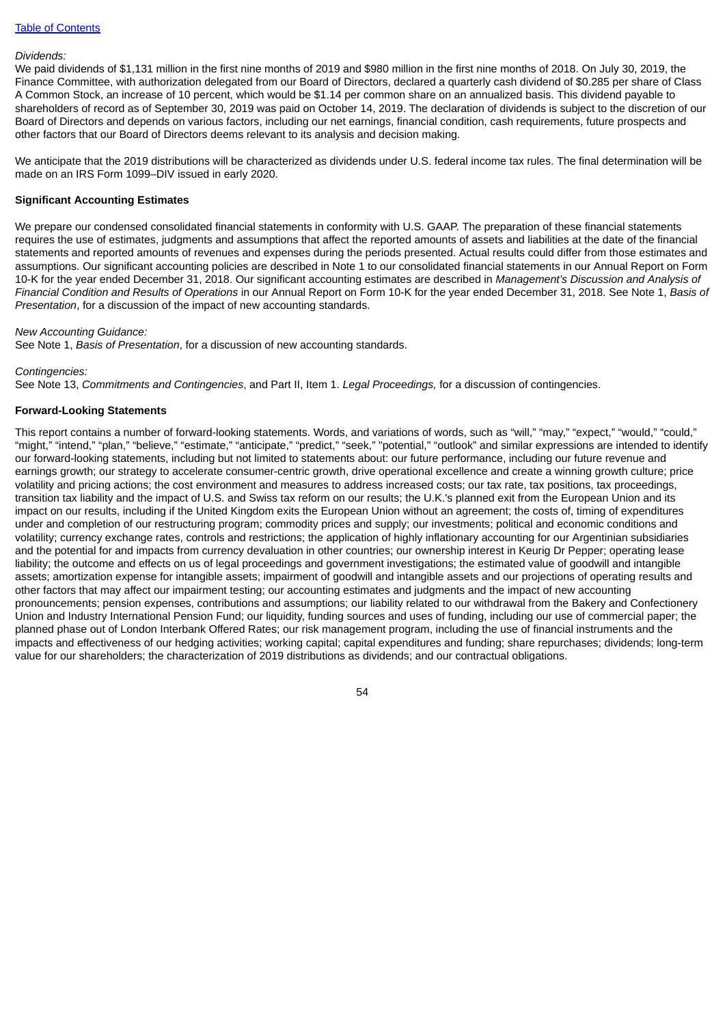#### *Dividends:*

We paid dividends of \$1,131 million in the first nine months of 2019 and \$980 million in the first nine months of 2018. On July 30, 2019, the Finance Committee, with authorization delegated from our Board of Directors, declared a quarterly cash dividend of \$0.285 per share of Class A Common Stock, an increase of 10 percent, which would be \$1.14 per common share on an annualized basis. This dividend payable to shareholders of record as of September 30, 2019 was paid on October 14, 2019. The declaration of dividends is subject to the discretion of our Board of Directors and depends on various factors, including our net earnings, financial condition, cash requirements, future prospects and other factors that our Board of Directors deems relevant to its analysis and decision making.

We anticipate that the 2019 distributions will be characterized as dividends under U.S. federal income tax rules. The final determination will be made on an IRS Form 1099–DIV issued in early 2020.

### **Significant Accounting Estimates**

We prepare our condensed consolidated financial statements in conformity with U.S. GAAP. The preparation of these financial statements requires the use of estimates, judgments and assumptions that affect the reported amounts of assets and liabilities at the date of the financial statements and reported amounts of revenues and expenses during the periods presented. Actual results could differ from those estimates and assumptions. Our significant accounting policies are described in Note 1 to our consolidated financial statements in our Annual Report on Form 10-K for the year ended December 31, 2018. Our significant accounting estimates are described in *Management's Discussion and Analysis of Financial Condition and Results of Operations* in our Annual Report on Form 10-K for the year ended December 31, 2018. See Note 1, *Basis of Presentation*, for a discussion of the impact of new accounting standards.

#### *New Accounting Guidance:*

See Note 1, *Basis of Presentation*, for a discussion of new accounting standards.

#### *Contingencies:*

See Note 13, *Commitments and Contingencies*, and Part II, Item 1. *Legal Proceedings,* for a discussion of contingencies.

### **Forward-Looking Statements**

This report contains a number of forward-looking statements. Words, and variations of words, such as "will," "may," "expect," "would," "could," "might," "intend," "plan," "believe," "estimate," "anticipate," "predict," "seek," "potential," "outlook" and similar expressions are intended to identify our forward-looking statements, including but not limited to statements about: our future performance, including our future revenue and earnings growth; our strategy to accelerate consumer-centric growth, drive operational excellence and create a winning growth culture; price volatility and pricing actions; the cost environment and measures to address increased costs; our tax rate, tax positions, tax proceedings, transition tax liability and the impact of U.S. and Swiss tax reform on our results; the U.K.'s planned exit from the European Union and its impact on our results, including if the United Kingdom exits the European Union without an agreement; the costs of, timing of expenditures under and completion of our restructuring program; commodity prices and supply; our investments; political and economic conditions and volatility; currency exchange rates, controls and restrictions; the application of highly inflationary accounting for our Argentinian subsidiaries and the potential for and impacts from currency devaluation in other countries; our ownership interest in Keurig Dr Pepper; operating lease liability; the outcome and effects on us of legal proceedings and government investigations; the estimated value of goodwill and intangible assets; amortization expense for intangible assets; impairment of goodwill and intangible assets and our projections of operating results and other factors that may affect our impairment testing; our accounting estimates and judgments and the impact of new accounting pronouncements; pension expenses, contributions and assumptions; our liability related to our withdrawal from the Bakery and Confectionery Union and Industry International Pension Fund; our liquidity, funding sources and uses of funding, including our use of commercial paper; the planned phase out of London Interbank Offered Rates; our risk management program, including the use of financial instruments and the impacts and effectiveness of our hedging activities; working capital; capital expenditures and funding; share repurchases; dividends; long-term value for our shareholders; the characterization of 2019 distributions as dividends; and our contractual obligations.

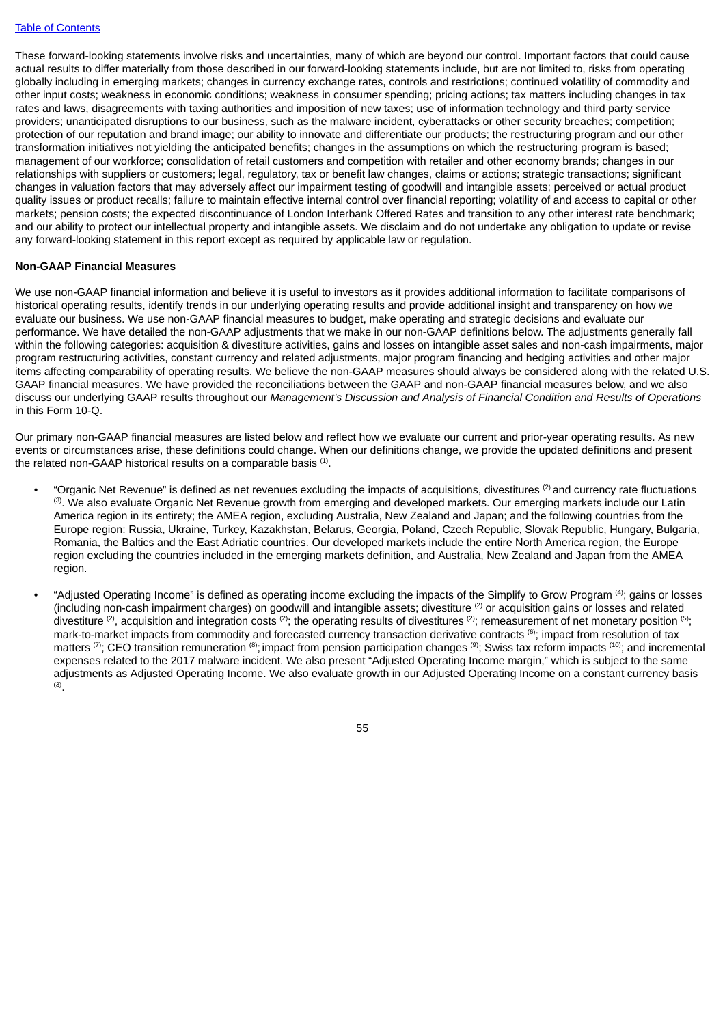These forward-looking statements involve risks and uncertainties, many of which are beyond our control. Important factors that could cause actual results to differ materially from those described in our forward-looking statements include, but are not limited to, risks from operating globally including in emerging markets; changes in currency exchange rates, controls and restrictions; continued volatility of commodity and other input costs; weakness in economic conditions; weakness in consumer spending; pricing actions; tax matters including changes in tax rates and laws, disagreements with taxing authorities and imposition of new taxes; use of information technology and third party service providers; unanticipated disruptions to our business, such as the malware incident, cyberattacks or other security breaches; competition; protection of our reputation and brand image; our ability to innovate and differentiate our products; the restructuring program and our other transformation initiatives not yielding the anticipated benefits; changes in the assumptions on which the restructuring program is based; management of our workforce; consolidation of retail customers and competition with retailer and other economy brands; changes in our relationships with suppliers or customers; legal, regulatory, tax or benefit law changes, claims or actions; strategic transactions; significant changes in valuation factors that may adversely affect our impairment testing of goodwill and intangible assets; perceived or actual product quality issues or product recalls; failure to maintain effective internal control over financial reporting; volatility of and access to capital or other markets; pension costs; the expected discontinuance of London Interbank Offered Rates and transition to any other interest rate benchmark; and our ability to protect our intellectual property and intangible assets. We disclaim and do not undertake any obligation to update or revise any forward-looking statement in this report except as required by applicable law or regulation.

#### **Non-GAAP Financial Measures**

We use non-GAAP financial information and believe it is useful to investors as it provides additional information to facilitate comparisons of historical operating results, identify trends in our underlying operating results and provide additional insight and transparency on how we evaluate our business. We use non-GAAP financial measures to budget, make operating and strategic decisions and evaluate our performance. We have detailed the non-GAAP adjustments that we make in our non-GAAP definitions below. The adjustments generally fall within the following categories: acquisition & divestiture activities, gains and losses on intangible asset sales and non-cash impairments, major program restructuring activities, constant currency and related adjustments, major program financing and hedging activities and other major items affecting comparability of operating results. We believe the non-GAAP measures should always be considered along with the related U.S. GAAP financial measures. We have provided the reconciliations between the GAAP and non-GAAP financial measures below, and we also discuss our underlying GAAP results throughout our *Management's Discussion and Analysis of Financial Condition and Results of Operations* in this Form 10-Q.

Our primary non-GAAP financial measures are listed below and reflect how we evaluate our current and prior-year operating results. As new events or circumstances arise, these definitions could change. When our definitions change, we provide the updated definitions and present the related non-GAAP historical results on a comparable basis  $^{(1)}$ .

- "Organic Net Revenue" is defined as net revenues excluding the impacts of acquisitions, divestitures  $^{(2)}$  and currency rate fluctuations <sup>(3)</sup>. We also evaluate Organic Net Revenue growth from emerging and developed markets. Our emerging markets include our Latin America region in its entirety; the AMEA region, excluding Australia, New Zealand and Japan; and the following countries from the Europe region: Russia, Ukraine, Turkey, Kazakhstan, Belarus, Georgia, Poland, Czech Republic, Slovak Republic, Hungary, Bulgaria, Romania, the Baltics and the East Adriatic countries. Our developed markets include the entire North America region, the Europe region excluding the countries included in the emerging markets definition, and Australia, New Zealand and Japan from the AMEA region.
- "Adjusted Operating Income" is defined as operating income excluding the impacts of the Simplify to Grow Program (4); gains or losses (including non-cash impairment charges) on goodwill and intangible assets; divestiture <sup>(2)</sup> or acquisition gains or losses and related divestiture <sup>(2)</sup>, acquisition and integration costs <sup>(2)</sup>; the operating results of divestitures <sup>(2)</sup>; remeasurement of net monetary position <sup>(5)</sup>; mark-to-market impacts from commodity and forecasted currency transaction derivative contracts (6); impact from resolution of tax matters  $^{(7)}$ ; CEO transition remuneration  $^{(8)}$ ; impact from pension participation changes  $^{(9)}$ ; Swiss tax reform impacts  $^{(10)}$ ; and incremental expenses related to the 2017 malware incident. We also present "Adjusted Operating Income margin," which is subject to the same adjustments as Adjusted Operating Income. We also evaluate growth in our Adjusted Operating Income on a constant currency basis (3) .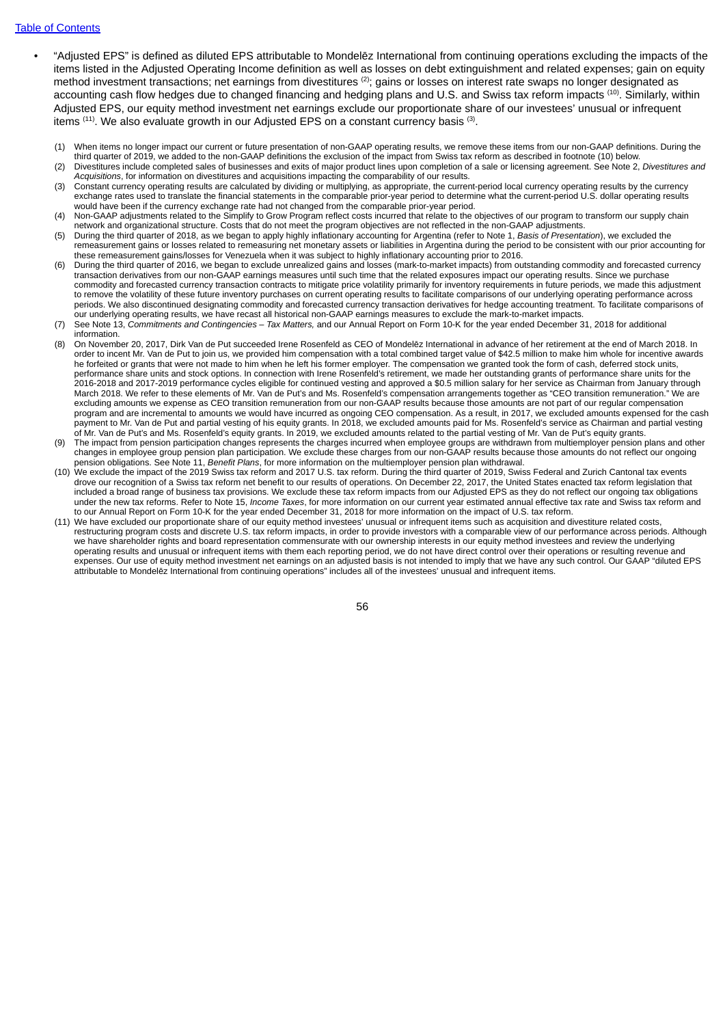#### Table of [Contents](#page-2-0)

- "Adjusted EPS" is defined as diluted EPS attributable to Mondelēz International from continuing operations excluding the impacts of the items listed in the Adjusted Operating Income definition as well as losses on debt extinguishment and related expenses; gain on equity method investment transactions; net earnings from divestitures  $^{(2)}$ ; gains or losses on interest rate swaps no longer designated as accounting cash flow hedges due to changed financing and hedging plans and U.S. and Swiss tax reform impacts  $^{(10)}$ . Similarly, within Adjusted EPS, our equity method investment net earnings exclude our proportionate share of our investees' unusual or infrequent items  $^{(11)}$ . We also evaluate growth in our Adjusted EPS on a constant currency basis  $^{(3)}$ .
	- (1) When items no longer impact our current or future presentation of non-GAAP operating results, we remove these items from our non-GAAP definitions. During the third quarter of 2019, we added to the non-GAAP definitions the exclusion of the impact from Swiss tax reform as described in footnote (10) below. (2) Divestitures include completed sales of businesses and exits of major product lines upon completion of a sale or licensing agreement. See Note 2, *Divestitures and*
	- *Acquisitions*, for information on divestitures and acquisitions impacting the comparability of our results.
	- (3) Constant currency operating results are calculated by dividing or multiplying, as appropriate, the current-period local currency operating results by the currency exchange rates used to translate the financial statements in the comparable prior-year period to determine what the current-period U.S. dollar operating results would have been if the currency exchange rate had not changed from the comparable prior-year period.
	- (4) Non-GAAP adjustments related to the Simplify to Grow Program reflect costs incurred that relate to the objectives of our program to transform our supply chain network and organizational structure. Costs that do not meet the program objectives are not reflected in the non-GAAP adjustments.
	- (5) During the third quarter of 2018, as we began to apply highly inflationary accounting for Argentina (refer to Note 1, *Basis of Presentation*), we excluded the remeasurement gains or losses related to remeasuring net monetary assets or liabilities in Argentina during the period to be consistent with our prior accounting for these remeasurement gains/losses for Venezuela when it was subject to highly inflationary accounting prior to 2016.
	- (6) During the third quarter of 2016, we began to exclude unrealized gains and losses (mark-to-market impacts) from outstanding commodity and forecasted currency transaction derivatives from our non-GAAP earnings measures until such time that the related exposures impact our operating results. Since we purchase commodity and forecasted currency transaction contracts to mitigate price volatility primarily for inventory requirements in future periods, we made this adjustment to remove the volatility of these future inventory purchases on current operating results to facilitate comparisons of our underlying operating performance across periods. We also discontinued designating commodity and forecasted currency transaction derivatives for hedge accounting treatment. To facilitate comparisons of our underlying operating results, we have recast all historical non-GAAP earnings measures to exclude the mark-to-market impacts.
	- (7) See Note 13, *Commitments and Contingencies – Tax Matters,* and our Annual Report on Form 10-K for the year ended December 31, 2018 for additional information.
	- (8) On November 20, 2017, Dirk Van de Put succeeded Irene Rosenfeld as CEO of Mondelēz International in advance of her retirement at the end of March 2018. In order to incent Mr. Van de Put to join us, we provided him compensation with a total combined target value of \$42.5 million to make him whole for incentive awards he forfeited or grants that were not made to him when he left his former employer. The compensation we granted took the form of cash, deferred stock units, performance share units and stock options. In connection with Irene Rosenfeld's retirement, we made her outstanding grants of performance share units for the 2016-2018 and 2017-2019 performance cycles eligible for continued vesting and approved a \$0.5 million salary for her service as Chairman from January through March 2018. We refer to these elements of Mr. Van de Put's and Ms. Rosenfeld's compensation arrangements together as "CEO transition remuneration." We are excluding amounts we expense as CEO transition remuneration from our non-GAAP results because those amounts are not part of our regular compensation program and are incremental to amounts we would have incurred as ongoing CEO compensation. As a result, in 2017, we excluded amounts expensed for the cash payment to Mr. Van de Put and partial vesting of his equity grants. In 2018, we excluded amounts paid for Ms. Rosenfeld's service as Chairman and partial vesting of Mr. Van de Put's and Ms. Rosenfeld's equity grants. In 2019, we excluded amounts related to the partial vesting of Mr. Van de Put's equity grants.
	- (9) The impact from pension participation changes represents the charges incurred when employee groups are withdrawn from multiemployer pension plans and other changes in employee group pension plan participation. We exclude these charges from our non-GAAP results because those amounts do not reflect our ongoing pension obligations. See Note 11, *Benefit Plans*, for more information on the multiemployer pension plan withdrawal.
	- (10) We exclude the impact of the 2019 Swiss tax reform and 2017 U.S. tax reform. During the third quarter of 2019, Swiss Federal and Zurich Cantonal tax events drove our recognition of a Swiss tax reform net benefit to our results of operations. On December 22, 2017, the United States enacted tax reform legislation that included a broad range of business tax provisions. We exclude these tax reform impacts from our Adjusted EPS as they do not reflect our ongoing tax obligations under the new tax reforms. Refer to Note 15, *Income Taxes*, for more information on our current year estimated annual effective tax rate and Swiss tax reform and to our Annual Report on Form 10-K for the year ended December 31, 2018 for more information on the impact of U.S. tax reform.
	- (11) We have excluded our proportionate share of our equity method investees' unusual or infrequent items such as acquisition and divestiture related costs, restructuring program costs and discrete U.S. tax reform impacts, in order to provide investors with a comparable view of our performance across periods. Although we have shareholder rights and board representation commensurate with our ownership interests in our equity method investees and review the underlying operating results and unusual or infrequent items with them each reporting period, we do not have direct control over their operations or resulting revenue and expenses. Our use of equity method investment net earnings on an adjusted basis is not intended to imply that we have any such control. Our GAAP "diluted EPS attributable to Mondelēz International from continuing operations" includes all of the investees' unusual and infrequent items.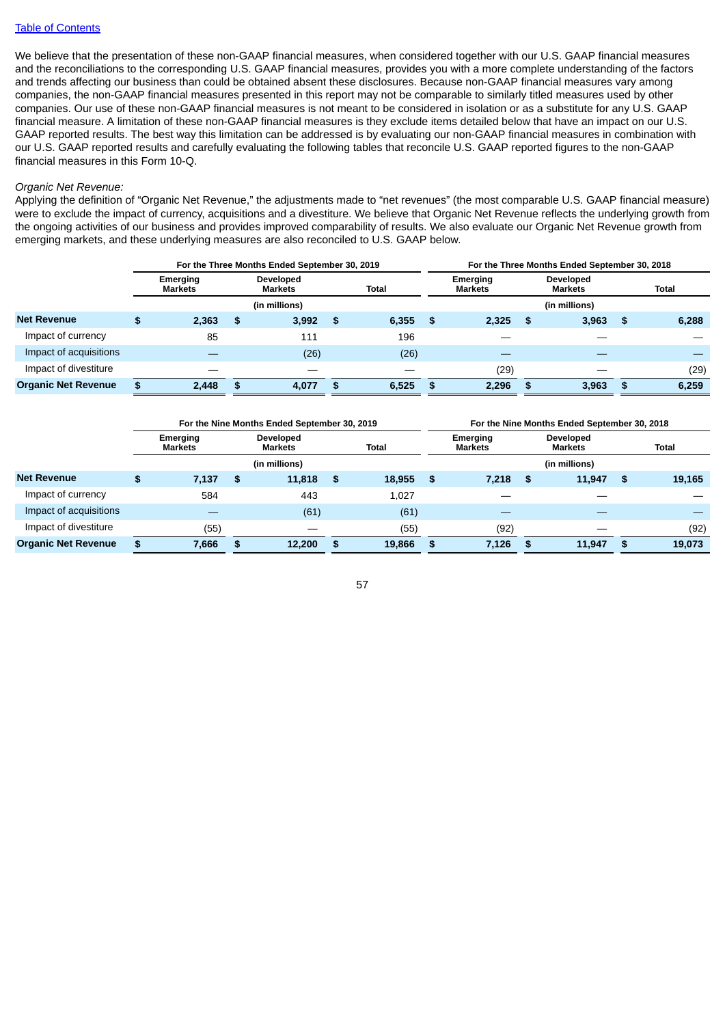We believe that the presentation of these non-GAAP financial measures, when considered together with our U.S. GAAP financial measures and the reconciliations to the corresponding U.S. GAAP financial measures, provides you with a more complete understanding of the factors and trends affecting our business than could be obtained absent these disclosures. Because non-GAAP financial measures vary among companies, the non-GAAP financial measures presented in this report may not be comparable to similarly titled measures used by other companies. Our use of these non-GAAP financial measures is not meant to be considered in isolation or as a substitute for any U.S. GAAP financial measure. A limitation of these non-GAAP financial measures is they exclude items detailed below that have an impact on our U.S. GAAP reported results. The best way this limitation can be addressed is by evaluating our non-GAAP financial measures in combination with our U.S. GAAP reported results and carefully evaluating the following tables that reconcile U.S. GAAP reported figures to the non-GAAP financial measures in this Form 10-Q.

### *Organic Net Revenue:*

Applying the definition of "Organic Net Revenue," the adjustments made to "net revenues" (the most comparable U.S. GAAP financial measure) were to exclude the impact of currency, acquisitions and a divestiture. We believe that Organic Net Revenue reflects the underlying growth from the ongoing activities of our business and provides improved comparability of results. We also evaluate our Organic Net Revenue growth from emerging markets, and these underlying measures are also reconciled to U.S. GAAP below.

|                            | For the Three Months Ended September 30, 2019 |    |                             |    |              |                            | For the Three Months Ended September 30, 2018 |   |                                    |    |              |  |  |
|----------------------------|-----------------------------------------------|----|-----------------------------|----|--------------|----------------------------|-----------------------------------------------|---|------------------------------------|----|--------------|--|--|
|                            | Emerging<br><b>Markets</b>                    |    | Developed<br><b>Markets</b> |    | <b>Total</b> | Emerging<br><b>Markets</b> |                                               |   | <b>Developed</b><br><b>Markets</b> |    | <b>Total</b> |  |  |
|                            |                                               |    | (in millions)               |    |              |                            | (in millions)                                 |   |                                    |    |              |  |  |
| <b>Net Revenue</b>         | 2,363                                         | \$ | 3.992                       | \$ | 6,355        | \$.                        | 2,325                                         | S | 3,963                              | \$ | 6,288        |  |  |
| Impact of currency         | 85                                            |    | 111                         |    | 196          |                            |                                               |   |                                    |    |              |  |  |
| Impact of acquisitions     |                                               |    | (26)                        |    | (26)         |                            |                                               |   |                                    |    |              |  |  |
| Impact of divestiture      |                                               |    |                             |    |              |                            | (29)                                          |   |                                    |    | (29)         |  |  |
| <b>Organic Net Revenue</b> | 2.448                                         | -S | 4,077                       | £. | 6,525        | - 56                       | 2,296                                         | S | 3,963                              | -S | 6,259        |  |  |

|                            | For the Nine Months Ended September 30, 2019 |    |                                    |      |              | For the Nine Months Ended September 30, 2018 |                                   |     |                             |    |              |
|----------------------------|----------------------------------------------|----|------------------------------------|------|--------------|----------------------------------------------|-----------------------------------|-----|-----------------------------|----|--------------|
|                            | Emerging<br><b>Markets</b>                   |    | <b>Developed</b><br><b>Markets</b> |      | <b>Total</b> |                                              | <b>Emerging</b><br><b>Markets</b> |     | Developed<br><b>Markets</b> |    | <b>Total</b> |
|                            |                                              |    | (in millions)                      |      |              |                                              |                                   |     | (in millions)               |    |              |
| <b>Net Revenue</b>         | 7,137                                        | \$ | 11,818                             | - \$ | 18,955       | -S                                           | 7.218                             | \$. | 11.947                      | \$ | 19,165       |
| Impact of currency         | 584                                          |    | 443                                |      | 1,027        |                                              |                                   |     |                             |    |              |
| Impact of acquisitions     |                                              |    | (61)                               |      | (61)         |                                              |                                   |     |                             |    |              |
| Impact of divestiture      | (55)                                         |    |                                    |      | (55)         |                                              | (92)                              |     |                             |    | (92)         |
| <b>Organic Net Revenue</b> | 7,666                                        | £. | 12,200                             | -S   | 19,866       | S.                                           | 7,126                             | £.  | 11,947                      | £. | 19,073       |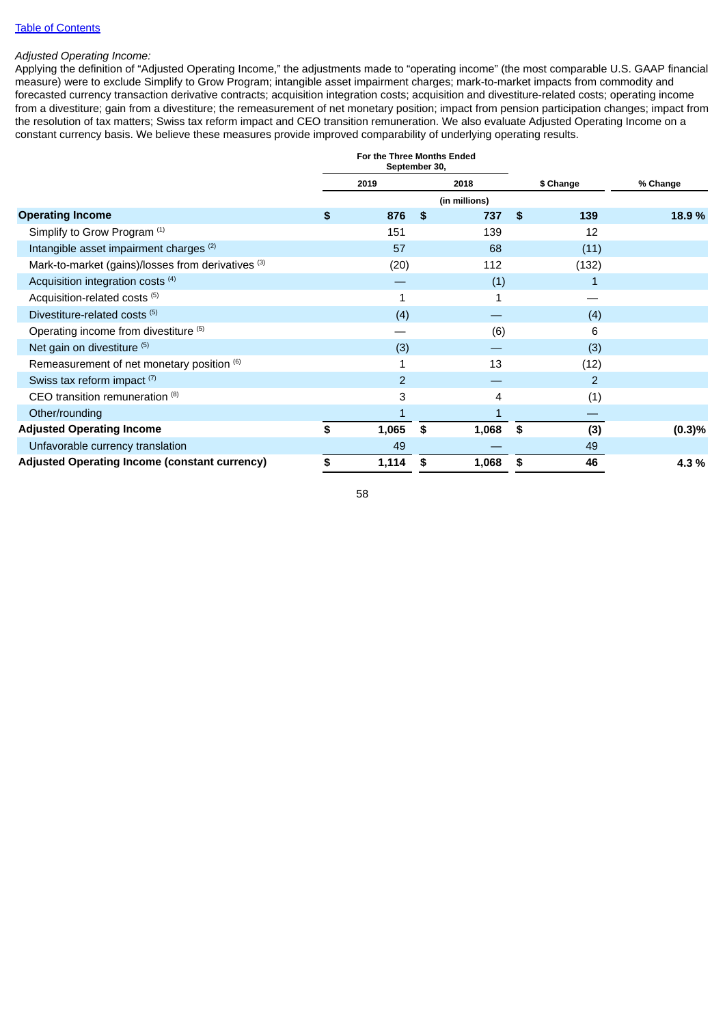### Table of [Contents](#page-2-0)

### *Adjusted Operating Income:*

Applying the definition of "Adjusted Operating Income," the adjustments made to "operating income" (the most comparable U.S. GAAP financial measure) were to exclude Simplify to Grow Program; intangible asset impairment charges; mark-to-market impacts from commodity and forecasted currency transaction derivative contracts; acquisition integration costs; acquisition and divestiture-related costs; operating income from a divestiture; gain from a divestiture; the remeasurement of net monetary position; impact from pension participation changes; impact from the resolution of tax matters; Swiss tax reform impact and CEO transition remuneration. We also evaluate Adjusted Operating Income on a constant currency basis. We believe these measures provide improved comparability of underlying operating results.

|                                                      | For the Three Months Ended<br>September 30, |                |    |               |    |                |          |
|------------------------------------------------------|---------------------------------------------|----------------|----|---------------|----|----------------|----------|
|                                                      |                                             | 2019           |    | 2018          |    | \$ Change      | % Change |
|                                                      |                                             |                |    | (in millions) |    |                |          |
| <b>Operating Income</b>                              | \$                                          | 876            | \$ | 737           | -S | 139            | 18.9%    |
| Simplify to Grow Program (1)                         |                                             | 151            |    | 139           |    | 12             |          |
| Intangible asset impairment charges (2)              |                                             | 57             |    | 68            |    | (11)           |          |
| Mark-to-market (gains)/losses from derivatives (3)   |                                             | (20)           |    | 112           |    | (132)          |          |
| Acquisition integration costs $(4)$                  |                                             |                |    | (1)           |    | $\mathbf{1}$   |          |
| Acquisition-related costs <sup>(5)</sup>             |                                             | 1              |    | 1             |    |                |          |
| Divestiture-related costs <sup>(5)</sup>             |                                             | (4)            |    |               |    | (4)            |          |
| Operating income from divestiture (5)                |                                             |                |    | (6)           |    | 6              |          |
| Net gain on divestiture (5)                          |                                             | (3)            |    |               |    | (3)            |          |
| Remeasurement of net monetary position (6)           |                                             |                |    | 13            |    | (12)           |          |
| Swiss tax reform impact (7)                          |                                             | $\overline{2}$ |    |               |    | $\overline{2}$ |          |
| CEO transition remuneration (8)                      |                                             | 3              |    | 4             |    | (1)            |          |
| Other/rounding                                       |                                             |                |    |               |    |                |          |
| <b>Adjusted Operating Income</b>                     | \$                                          | 1,065          | \$ | 1,068         | \$ | (3)            | (0.3)%   |
| Unfavorable currency translation                     |                                             | 49             |    |               |    | 49             |          |
| <b>Adjusted Operating Income (constant currency)</b> | \$                                          | 1,114          | S  | 1,068         | \$ | 46             | 4.3%     |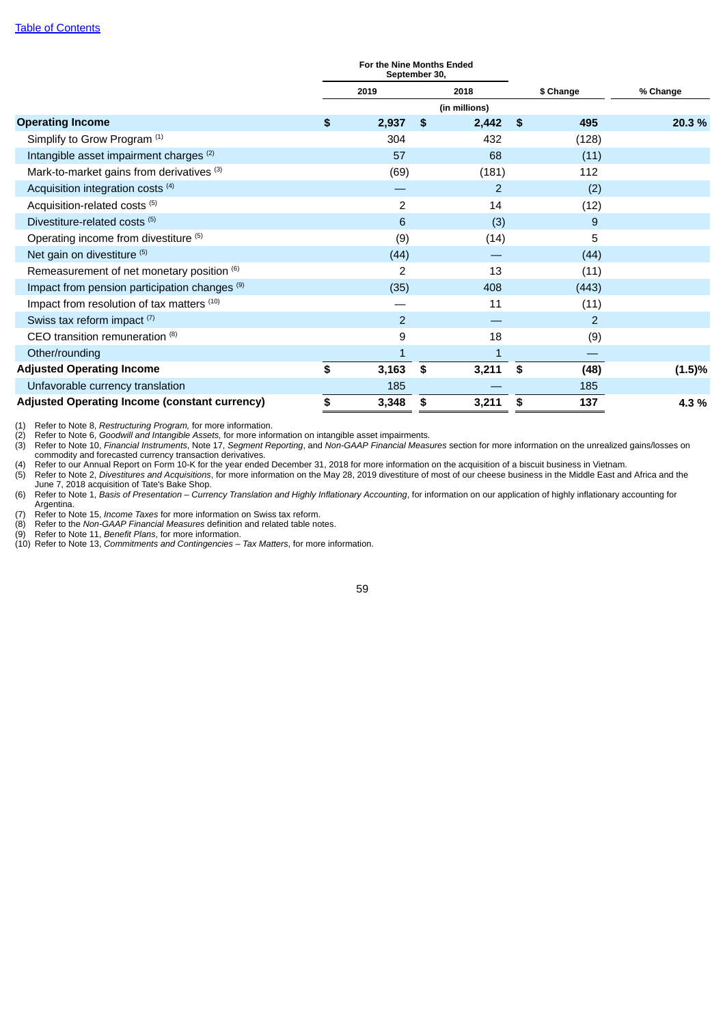|                                                          | For the Nine Months Ended<br>September 30, |                |    |               |     |                |           |
|----------------------------------------------------------|--------------------------------------------|----------------|----|---------------|-----|----------------|-----------|
|                                                          |                                            | 2019           |    | 2018          |     | \$ Change      | % Change  |
|                                                          |                                            |                |    | (in millions) |     |                |           |
| <b>Operating Income</b>                                  | \$                                         | 2,937          | \$ | 2,442         | -\$ | 495            | 20.3 %    |
| Simplify to Grow Program <sup>(1)</sup>                  |                                            | 304            |    | 432           |     | (128)          |           |
| Intangible asset impairment charges <sup>(2)</sup>       |                                            | 57             |    | 68            |     | (11)           |           |
| Mark-to-market gains from derivatives (3)                |                                            | (69)           |    | (181)         |     | 112            |           |
| Acquisition integration costs <sup>(4)</sup>             |                                            |                |    | 2             |     | (2)            |           |
| Acquisition-related costs <sup>(5)</sup>                 |                                            | $\overline{c}$ |    | 14            |     | (12)           |           |
| Divestiture-related costs <sup>(5)</sup>                 |                                            | 6              |    | (3)           |     | 9              |           |
| Operating income from divestiture (5)                    |                                            | (9)            |    | (14)          |     | 5              |           |
| Net gain on divestiture (5)                              |                                            | (44)           |    |               |     | (44)           |           |
| Remeasurement of net monetary position (6)               |                                            | 2              |    | 13            |     | (11)           |           |
| Impact from pension participation changes <sup>(9)</sup> |                                            | (35)           |    | 408           |     | (443)          |           |
| Impact from resolution of tax matters (10)               |                                            |                |    | 11            |     | (11)           |           |
| Swiss tax reform impact (7)                              |                                            | $\overline{2}$ |    |               |     | $\overline{2}$ |           |
| CEO transition remuneration (8)                          |                                            | 9              |    | 18            |     | (9)            |           |
| Other/rounding                                           |                                            | $\overline{1}$ |    | 1             |     |                |           |
| <b>Adjusted Operating Income</b>                         | \$                                         | 3,163          | \$ | 3,211         | \$  | (48)           | $(1.5)\%$ |
| Unfavorable currency translation                         |                                            | 185            |    |               |     | 185            |           |
| <b>Adjusted Operating Income (constant currency)</b>     | \$                                         | 3,348          | \$ | 3,211         | \$  | 137            | 4.3%      |

(1) Refer to Note 8, *Restructuring Program,* for more information.

(2) Refer to Note 6, *Goodwill and Intangible Assets,* for more information on intangible asset impairments.

(3) Refer to Note 10, *Financial Instruments*, Note 17, *Segment Reporting*, and *Non-GAAP Financial Measures* section for more information on the unrealized gains/losses on commodity and forecasted currency transaction derivatives.

entimation and the United States of the year ended December 31, 2018 for more information on the acquisition of a biscuit business in Vietnam.<br>(5) Refer to Nute 2, Divestitures and Acquisitions, for more information on the (5) Refer to Note 2, *Divestitures and Acquisitions*, for more information on the May 28, 2019 divestiture of most of our cheese business in the Middle East and Africa and the June 7, 2018 acquisition of Tate's Bake Shop.

(6) Refer to Note 1, Basis of Presentation - Currency Translation and Highly Inflationary Accounting, for information on our application of highly inflationary accounting for Argentina.

Figuation.<br>
(7) Refer to Note 15, *Income Taxes* for more information on Swiss tax reform.<br>
(8) Refer to the *Non-GAAP Financial Measures* definition and related table notes.<br>
(9) Refer to Note 11, *Benefit Plans*, for mor (8) Refer to the *Non-GAAP Financial Measures* definition and related table notes.

(9) Refer to Note 11, *Benefit Plans*, for more information.

(10) Refer to Note 13, *Commitments and Contingencies – Tax Matters*, for more information.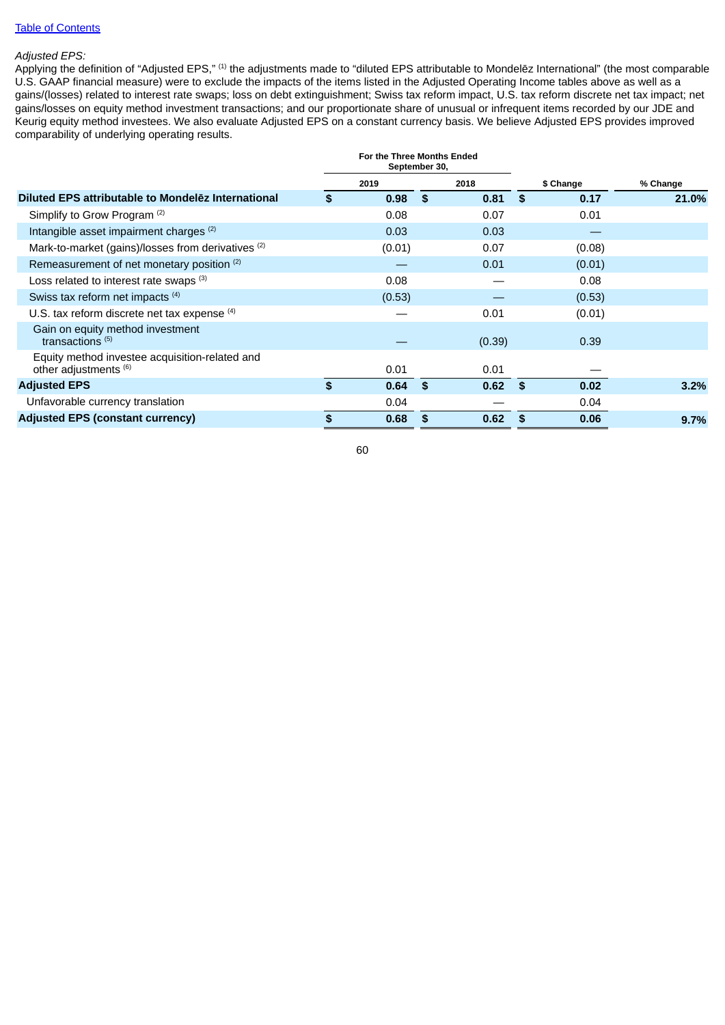## Table of [Contents](#page-2-0)

# *Adjusted EPS:*

Applying the definition of "Adjusted EPS," <sup>(1)</sup> the adjustments made to "diluted EPS attributable to Mondelēz International" (the most comparable U.S. GAAP financial measure) were to exclude the impacts of the items listed in the Adjusted Operating Income tables above as well as a gains/(losses) related to interest rate swaps; loss on debt extinguishment; Swiss tax reform impact, U.S. tax reform discrete net tax impact; net gains/losses on equity method investment transactions; and our proportionate share of unusual or infrequent items recorded by our JDE and Keurig equity method investees. We also evaluate Adjusted EPS on a constant currency basis. We believe Adjusted EPS provides improved comparability of underlying operating results.

| For the Three Months Ended<br>September 30, |        |              |        |           |          |       |
|---------------------------------------------|--------|--------------|--------|-----------|----------|-------|
| 2018<br>2019                                |        |              |        | \$ Change | % Change |       |
| \$                                          | 0.98   | - \$         | 0.81   |           | 0.17     | 21.0% |
|                                             | 0.08   |              | 0.07   |           | 0.01     |       |
|                                             | 0.03   |              | 0.03   |           |          |       |
|                                             | (0.01) |              | 0.07   |           | (0.08)   |       |
|                                             |        |              | 0.01   |           | (0.01)   |       |
|                                             | 0.08   |              |        |           | 0.08     |       |
|                                             | (0.53) |              |        |           | (0.53)   |       |
|                                             |        |              | 0.01   |           | (0.01)   |       |
|                                             |        |              | (0.39) |           | 0.39     |       |
|                                             | 0.01   |              | 0.01   |           |          |       |
| \$                                          | 0.64   | $\mathbf{s}$ | 0.62   | - \$      | 0.02     | 3.2%  |
|                                             | 0.04   |              |        |           | 0.04     |       |
|                                             | 0.68   | \$           | 0.62   | \$.       | 0.06     | 9.7%  |
|                                             |        |              |        |           | - \$     |       |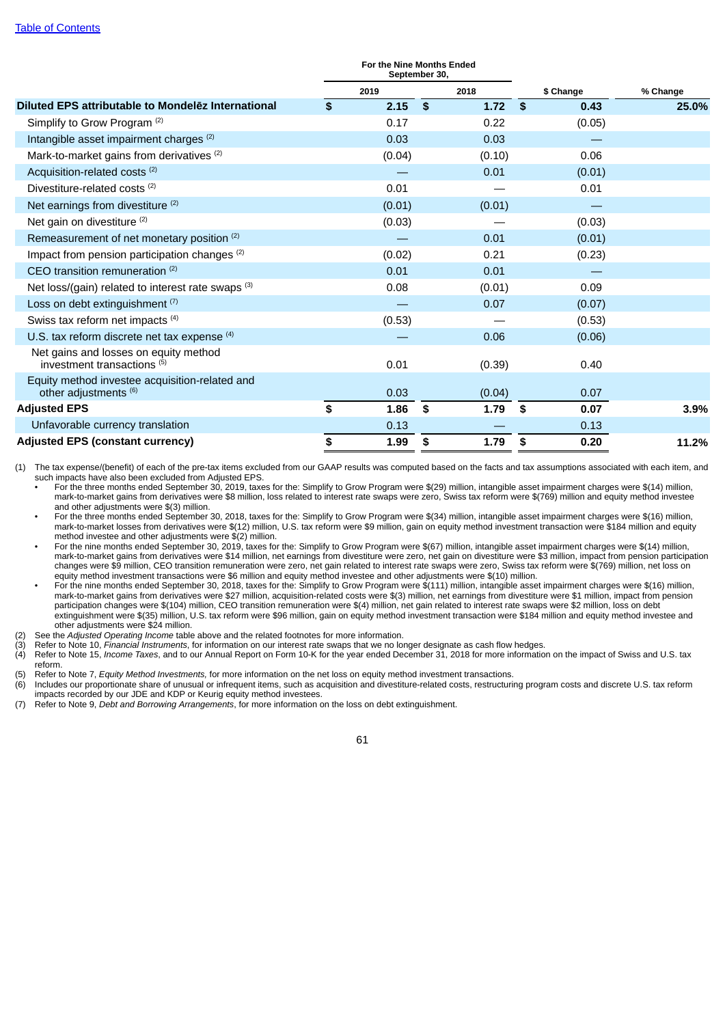|                                                                                 | For the Nine Months Ended<br>September 30, |        |    |        |           |        |          |  |
|---------------------------------------------------------------------------------|--------------------------------------------|--------|----|--------|-----------|--------|----------|--|
|                                                                                 |                                            | 2019   |    | 2018   | \$ Change |        | % Change |  |
| Diluted EPS attributable to Mondelez International                              | \$                                         | 2.15   | \$ | 1.72   | -\$       | 0.43   | 25.0%    |  |
| Simplify to Grow Program (2)                                                    |                                            | 0.17   |    | 0.22   |           | (0.05) |          |  |
| Intangible asset impairment charges (2)                                         |                                            | 0.03   |    | 0.03   |           |        |          |  |
| Mark-to-market gains from derivatives <sup>(2)</sup>                            |                                            | (0.04) |    | (0.10) |           | 0.06   |          |  |
| Acquisition-related costs <sup>(2)</sup>                                        |                                            |        |    | 0.01   |           | (0.01) |          |  |
| Divestiture-related costs <sup>(2)</sup>                                        |                                            | 0.01   |    |        |           | 0.01   |          |  |
| Net earnings from divestiture (2)                                               |                                            | (0.01) |    | (0.01) |           |        |          |  |
| Net gain on divestiture (2)                                                     |                                            | (0.03) |    |        |           | (0.03) |          |  |
| Remeasurement of net monetary position (2)                                      |                                            |        |    | 0.01   |           | (0.01) |          |  |
| Impact from pension participation changes <sup>(2)</sup>                        |                                            | (0.02) |    | 0.21   |           | (0.23) |          |  |
| CEO transition remuneration (2)                                                 |                                            | 0.01   |    | 0.01   |           |        |          |  |
| Net loss/(gain) related to interest rate swaps (3)                              |                                            | 0.08   |    | (0.01) |           | 0.09   |          |  |
| Loss on debt extinguishment (7)                                                 |                                            |        |    | 0.07   |           | (0.07) |          |  |
| Swiss tax reform net impacts (4)                                                |                                            | (0.53) |    |        |           | (0.53) |          |  |
| U.S. tax reform discrete net tax expense (4)                                    |                                            |        |    | 0.06   |           | (0.06) |          |  |
| Net gains and losses on equity method<br>investment transactions <sup>(5)</sup> |                                            | 0.01   |    | (0.39) |           | 0.40   |          |  |
| Equity method investee acquisition-related and<br>other adjustments (6)         |                                            | 0.03   |    | (0.04) |           | 0.07   |          |  |
| <b>Adjusted EPS</b>                                                             | \$                                         | 1.86   | \$ | 1.79   | \$        | 0.07   | 3.9%     |  |
| Unfavorable currency translation                                                |                                            | 0.13   |    |        |           | 0.13   |          |  |
| <b>Adjusted EPS (constant currency)</b>                                         | \$                                         | 1.99   | \$ | 1.79   | \$        | 0.20   | 11.2%    |  |

(1) The tax expense/(benefit) of each of the pre-tax items excluded from our GAAP results was computed based on the facts and tax assumptions associated with each item, and such impacts have also been excluded from Adjusted EPS.

• For the three months ended September 30, 2019, taxes for the: Simplify to Grow Program were \$(29) million, intangible asset impairment charges were \$(14) million, mark-to-market gains from derivatives were \$8 million, loss related to interest rate swaps were zero, Swiss tax reform were \$(769) million and equity method investee and other adjustments were \$(3) million.

• For the three months ended September 30, 2018, taxes for the: Simplify to Grow Program were \$(34) million, intangible asset impairment charges were \$(16) million, mark-to-market losses from derivatives were \$(12) million, U.S. tax reform were \$9 million, gain on equity method investment transaction were \$184 million and equity method investee and other adjustments were \$(2) million.

• For the nine months ended September 30, 2019, taxes for the: Simplify to Grow Program were \$(67) million, intangible asset impairment charges were \$(14) million, mark-to-market gains from derivatives were \$14 million, net earnings from divestiture were zero, net gain on divestiture were \$3 million, impact from pension participation changes were \$9 million, CEO transition remuneration were zero, net gain related to interest rate swaps were zero, Swiss tax reform were \$(769) million, net loss on equity method investment transactions were \$6 million and equity method investee and other adjustments were \$(10) million.

• For the nine months ended September 30, 2018, taxes for the: Simplify to Grow Program were \$(111) million, intangible asset impairment charges were \$(16) million, mark-to-market gains from derivatives were \$27 million, acquisition-related costs were \$(3) million, net earnings from divestiture were \$1 million, impact from pension participation changes were \$(104) million, CEO transition remuneration were \$(4) million, net gain related to interest rate swaps were \$2 million, loss on debt extinguishment were \$(35) million, U.S. tax reform were \$96 million, gain on equity method investment transaction were \$184 million and equity method investee and other adjustments were \$24 million.

(2) See the *Adjusted Operating Income* table above and the related footnotes for more information.

(3) Refer to Note 10, *Financial Instruments*, for information on our interest rate swaps that we no longer designate as cash flow hedges.

(4) Refer to Note 15, *Income Taxes*, and to our Annual Report on Form 10-K for the year ended December 31, 2018 for more information on the impact of Swiss and U.S. tax reform.

(5) Refer to Note 7, *Equity Method Investments,* for more information on the net loss on equity method investment transactions.

(6) Includes our proportionate share of unusual or infrequent items, such as acquisition and divestiture-related costs, restructuring program costs and discrete U.S. tax reform impacts recorded by our JDE and KDP or Keurig equity method investees.

(7) Refer to Note 9, *Debt and Borrowing Arrangements*, for more information on the loss on debt extinguishment.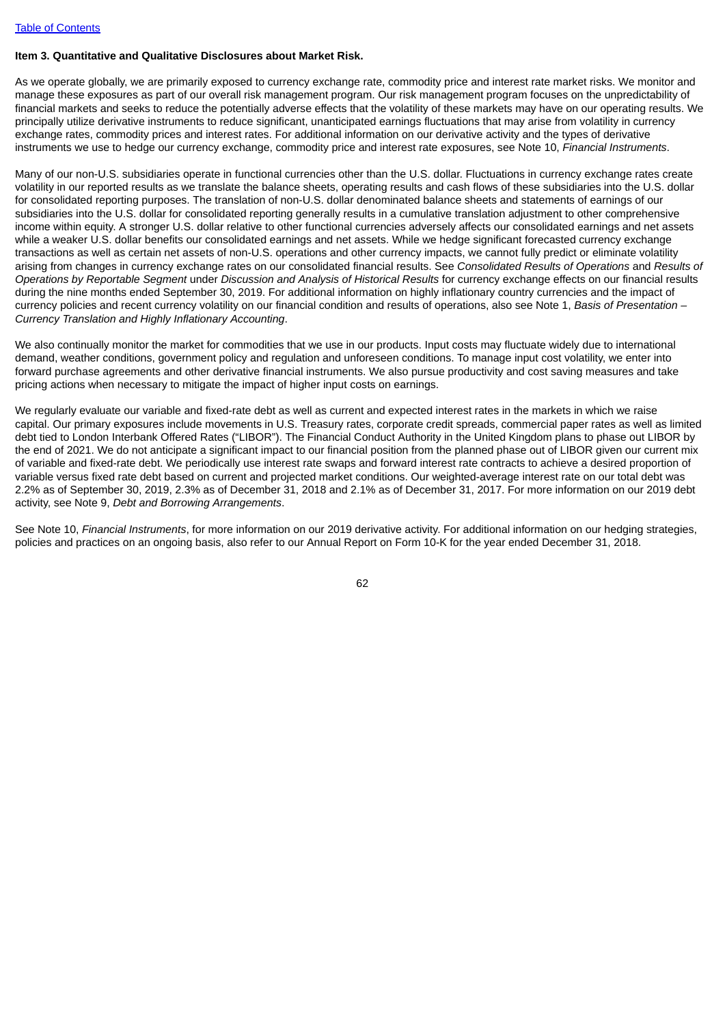#### **Item 3. Quantitative and Qualitative Disclosures about Market Risk.**

As we operate globally, we are primarily exposed to currency exchange rate, commodity price and interest rate market risks. We monitor and manage these exposures as part of our overall risk management program. Our risk management program focuses on the unpredictability of financial markets and seeks to reduce the potentially adverse effects that the volatility of these markets may have on our operating results. We principally utilize derivative instruments to reduce significant, unanticipated earnings fluctuations that may arise from volatility in currency exchange rates, commodity prices and interest rates. For additional information on our derivative activity and the types of derivative instruments we use to hedge our currency exchange, commodity price and interest rate exposures, see Note 10, *Financial Instruments*.

Many of our non-U.S. subsidiaries operate in functional currencies other than the U.S. dollar. Fluctuations in currency exchange rates create volatility in our reported results as we translate the balance sheets, operating results and cash flows of these subsidiaries into the U.S. dollar for consolidated reporting purposes. The translation of non-U.S. dollar denominated balance sheets and statements of earnings of our subsidiaries into the U.S. dollar for consolidated reporting generally results in a cumulative translation adjustment to other comprehensive income within equity. A stronger U.S. dollar relative to other functional currencies adversely affects our consolidated earnings and net assets while a weaker U.S. dollar benefits our consolidated earnings and net assets. While we hedge significant forecasted currency exchange transactions as well as certain net assets of non-U.S. operations and other currency impacts, we cannot fully predict or eliminate volatility arising from changes in currency exchange rates on our consolidated financial results. See *Consolidated Results of Operations* and *Results of Operations by Reportable Segment* under *Discussion and Analysis of Historical Results* for currency exchange effects on our financial results during the nine months ended September 30, 2019. For additional information on highly inflationary country currencies and the impact of currency policies and recent currency volatility on our financial condition and results of operations, also see Note 1, *Basis of Presentation – Currency Translation and Highly Inflationary Accounting*.

We also continually monitor the market for commodities that we use in our products. Input costs may fluctuate widely due to international demand, weather conditions, government policy and regulation and unforeseen conditions. To manage input cost volatility, we enter into forward purchase agreements and other derivative financial instruments. We also pursue productivity and cost saving measures and take pricing actions when necessary to mitigate the impact of higher input costs on earnings.

We requilarly evaluate our variable and fixed-rate debt as well as current and expected interest rates in the markets in which we raise capital. Our primary exposures include movements in U.S. Treasury rates, corporate credit spreads, commercial paper rates as well as limited debt tied to London Interbank Offered Rates ("LIBOR"). The Financial Conduct Authority in the United Kingdom plans to phase out LIBOR by the end of 2021. We do not anticipate a significant impact to our financial position from the planned phase out of LIBOR given our current mix of variable and fixed-rate debt. We periodically use interest rate swaps and forward interest rate contracts to achieve a desired proportion of variable versus fixed rate debt based on current and projected market conditions. Our weighted-average interest rate on our total debt was 2.2% as of September 30, 2019, 2.3% as of December 31, 2018 and 2.1% as of December 31, 2017. For more information on our 2019 debt activity, see Note 9, *Debt and Borrowing Arrangements*.

See Note 10, *Financial Instruments*, for more information on our 2019 derivative activity. For additional information on our hedging strategies, policies and practices on an ongoing basis, also refer to our Annual Report on Form 10-K for the year ended December 31, 2018.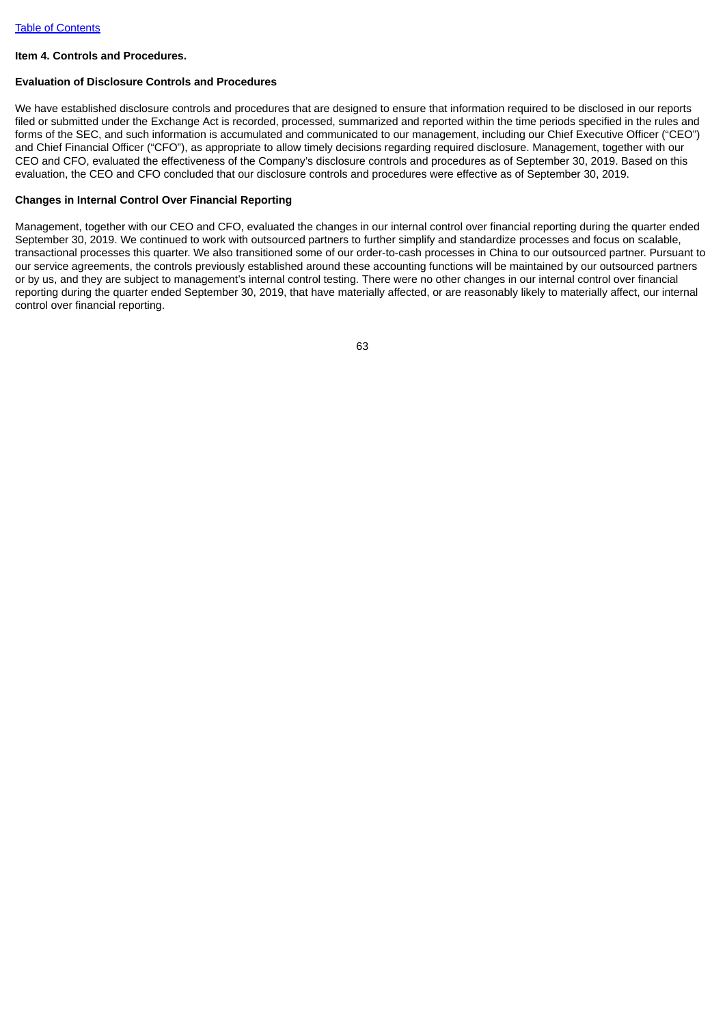#### **Item 4. Controls and Procedures.**

#### **Evaluation of Disclosure Controls and Procedures**

We have established disclosure controls and procedures that are designed to ensure that information required to be disclosed in our reports filed or submitted under the Exchange Act is recorded, processed, summarized and reported within the time periods specified in the rules and forms of the SEC, and such information is accumulated and communicated to our management, including our Chief Executive Officer ("CEO") and Chief Financial Officer ("CFO"), as appropriate to allow timely decisions regarding required disclosure. Management, together with our CEO and CFO, evaluated the effectiveness of the Company's disclosure controls and procedures as of September 30, 2019. Based on this evaluation, the CEO and CFO concluded that our disclosure controls and procedures were effective as of September 30, 2019.

### **Changes in Internal Control Over Financial Reporting**

Management, together with our CEO and CFO, evaluated the changes in our internal control over financial reporting during the quarter ended September 30, 2019. We continued to work with outsourced partners to further simplify and standardize processes and focus on scalable, transactional processes this quarter. We also transitioned some of our order-to-cash processes in China to our outsourced partner. Pursuant to our service agreements, the controls previously established around these accounting functions will be maintained by our outsourced partners or by us, and they are subject to management's internal control testing. There were no other changes in our internal control over financial reporting during the quarter ended September 30, 2019, that have materially affected, or are reasonably likely to materially affect, our internal control over financial reporting.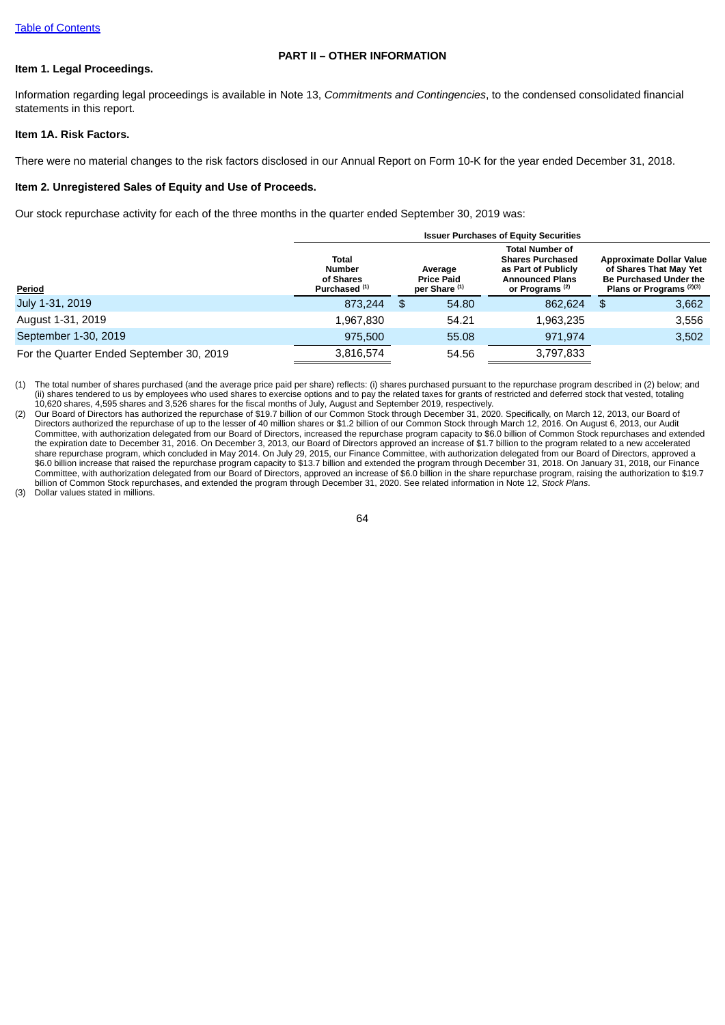## **PART II – OTHER INFORMATION**

# **Item 1. Legal Proceedings.**

Information regarding legal proceedings is available in Note 13, *Commitments and Contingencies*, to the condensed consolidated financial statements in this report.

### **Item 1A. Risk Factors.**

There were no material changes to the risk factors disclosed in our Annual Report on Form 10-K for the year ended December 31, 2018.

### **Item 2. Unregistered Sales of Equity and Use of Proceeds.**

Our stock repurchase activity for each of the three months in the quarter ended September 30, 2019 was:

|                                          |                                                                 |                                                          | <b>Issuer Purchases of Equity Securities</b>                                                                                     |                                                                                                                                   |
|------------------------------------------|-----------------------------------------------------------------|----------------------------------------------------------|----------------------------------------------------------------------------------------------------------------------------------|-----------------------------------------------------------------------------------------------------------------------------------|
| Period                                   | Total<br><b>Number</b><br>of Shares<br>Purchased <sup>(1)</sup> | Average<br><b>Price Paid</b><br>per Share <sup>(1)</sup> | <b>Total Number of</b><br><b>Shares Purchased</b><br>as Part of Publicly<br><b>Announced Plans</b><br>or Programs <sup>(2)</sup> | <b>Approximate Dollar Value</b><br>of Shares That May Yet<br><b>Be Purchased Under the</b><br>Plans or Programs <sup>(2)(3)</sup> |
| July 1-31, 2019                          | 873.244                                                         | \$<br>54.80                                              | 862.624                                                                                                                          | \$<br>3,662                                                                                                                       |
| August 1-31, 2019                        | 1,967,830                                                       | 54.21                                                    | 1,963,235                                                                                                                        | 3,556                                                                                                                             |
| September 1-30, 2019                     | 975,500                                                         | 55.08                                                    | 971.974                                                                                                                          | 3,502                                                                                                                             |
| For the Quarter Ended September 30, 2019 | 3,816,574                                                       | 54.56                                                    | 3,797,833                                                                                                                        |                                                                                                                                   |

(1) The total number of shares purchased (and the average price paid per share) reflects: (i) shares purchased pursuant to the repurchase program described in (2) below; and (ii) shares tendered to us by employees who used shares to exercise options and to pay the related taxes for grants of restricted and deferred stock that vested, totaling 10,620 shares, 4,595 shares and 3,526 shares for the fiscal months of July, August and September 2019, respectively.

(2) Our Board of Directors has authorized the repurchase of \$19.7 billion of our Common Stock through December 31, 2020. Specifically, on March 12, 2013, our Board of Directors authorized the repurchase of up to the lesser of 40 million shares or \$1.2 billion of our Common Stock through March 12, 2016. On August 6, 2013, our Audit Committee, with authorization delegated from our Board of Directors, increased the repurchase program capacity to \$6.0 billion of Common Stock repurchases and extended the expiration date to December 31, 2016. On December 3, 2013, our Board of Directors approved an increase of \$1.7 billion to the program related to a new accelerated share repurchase program, which concluded in May 2014. On July 29, 2015, our Finance Committee, with authorization delegated from our Board of Directors, approved a \$6.0 billion increase that raised the repurchase program capacity to \$13.7 billion and extended the program through December 31, 2018. On January 31, 2018, our Finance Committee, with authorization delegated from our Board of Directors, approved an increase of \$6.0 billion in the share repurchase program, raising the authorization to \$19.7 billion of Common Stock repurchases, and extended the program through December 31, 2020. See related information in Note 12, *Stock Plans*.

(3) Dollar values stated in millions.

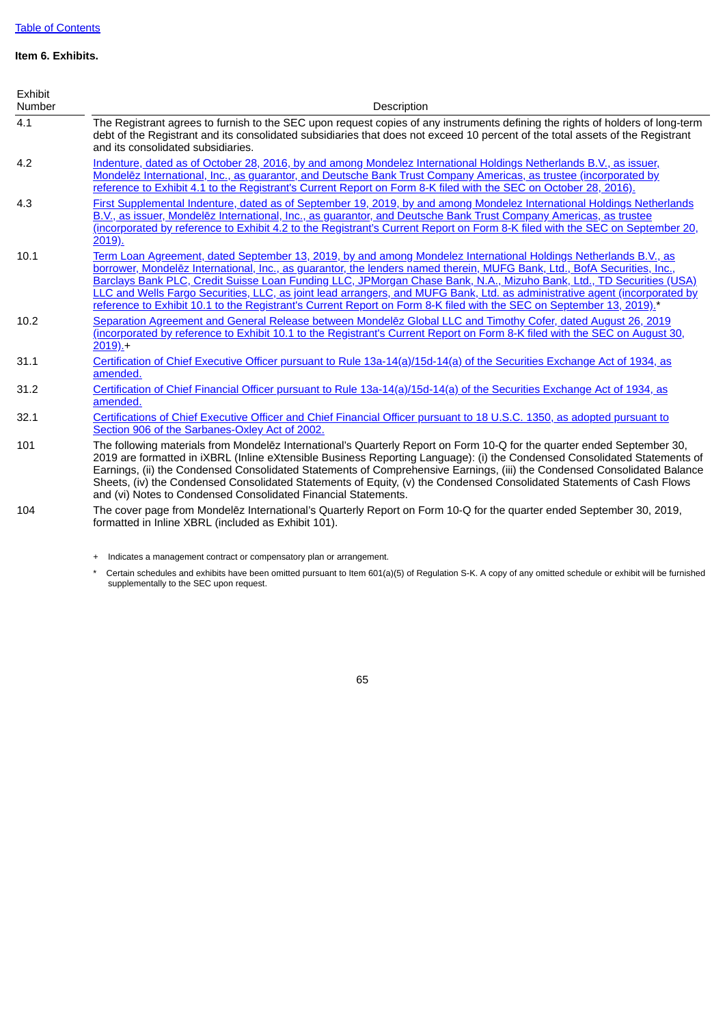# **Item 6. Exhibits.**

| Exhibit<br>Number | Description                                                                                                                                                                                                                                                                                                                                                                                                                                                                                                                                                                                                                |
|-------------------|----------------------------------------------------------------------------------------------------------------------------------------------------------------------------------------------------------------------------------------------------------------------------------------------------------------------------------------------------------------------------------------------------------------------------------------------------------------------------------------------------------------------------------------------------------------------------------------------------------------------------|
| 4.1               | The Registrant agrees to furnish to the SEC upon request copies of any instruments defining the rights of holders of long-term<br>debt of the Registrant and its consolidated subsidiaries that does not exceed 10 percent of the total assets of the Registrant<br>and its consolidated subsidiaries.                                                                                                                                                                                                                                                                                                                     |
| 4.2               | Indenture, dated as of October 28, 2016, by and among Mondelez International Holdings Netherlands B.V., as issuer,<br>Mondelez International, Inc., as guarantor, and Deutsche Bank Trust Company Americas, as trustee (incorporated by<br>reference to Exhibit 4.1 to the Registrant's Current Report on Form 8-K filed with the SEC on October 28, 2016).                                                                                                                                                                                                                                                                |
| 4.3               | First Supplemental Indenture, dated as of September 19, 2019, by and among Mondelez International Holdings Netherlands<br>B.V., as issuer, Mondelez International, Inc., as quarantor, and Deutsche Bank Trust Company Americas, as trustee<br>(incorporated by reference to Exhibit 4.2 to the Registrant's Current Report on Form 8-K filed with the SEC on September 20,<br>2019).                                                                                                                                                                                                                                      |
| 10.1              | Term Loan Agreement, dated September 13, 2019, by and among Mondelez International Holdings Netherlands B.V., as<br>borrower, Mondelez International, Inc., as quarantor, the lenders named therein, MUFG Bank, Ltd., BofA Securities, Inc.,<br>Barclays Bank PLC, Credit Suisse Loan Funding LLC, JPMorgan Chase Bank, N.A., Mizuho Bank, Ltd., TD Securities (USA)<br>LLC and Wells Fargo Securities, LLC, as joint lead arrangers, and MUFG Bank, Ltd. as administrative agent (incorporated by<br>reference to Exhibit 10.1 to the Registrant's Current Report on Form 8-K filed with the SEC on September 13, 2019).* |
| 10.2              | Separation Agreement and General Release between Mondelez Global LLC and Timothy Cofer, dated August 26, 2019<br>(incorporated by reference to Exhibit 10.1 to the Registrant's Current Report on Form 8-K filed with the SEC on August 30,<br>$2019$ .                                                                                                                                                                                                                                                                                                                                                                    |
| 31.1              | Certification of Chief Executive Officer pursuant to Rule 13a-14(a)/15d-14(a) of the Securities Exchange Act of 1934, as<br>amended.                                                                                                                                                                                                                                                                                                                                                                                                                                                                                       |
| 31.2              | Certification of Chief Financial Officer pursuant to Rule 13a-14(a)/15d-14(a) of the Securities Exchange Act of 1934, as<br>amended.                                                                                                                                                                                                                                                                                                                                                                                                                                                                                       |
| 32.1              | Certifications of Chief Executive Officer and Chief Financial Officer pursuant to 18 U.S.C. 1350, as adopted pursuant to<br>Section 906 of the Sarbanes-Oxley Act of 2002.                                                                                                                                                                                                                                                                                                                                                                                                                                                 |
| 101               | The following materials from Mondelez International's Quarterly Report on Form 10-Q for the quarter ended September 30,<br>2019 are formatted in iXBRL (Inline eXtensible Business Reporting Language): (i) the Condensed Consolidated Statements of<br>Earnings, (ii) the Condensed Consolidated Statements of Comprehensive Earnings, (iii) the Condensed Consolidated Balance<br>Sheets, (iv) the Condensed Consolidated Statements of Equity, (v) the Condensed Consolidated Statements of Cash Flows<br>and (vi) Notes to Condensed Consolidated Financial Statements.                                                |
| 104               | The cover page from Mondelez International's Quarterly Report on Form 10-Q for the quarter ended September 30, 2019,<br>formatted in Inline XBRL (included as Exhibit 101).                                                                                                                                                                                                                                                                                                                                                                                                                                                |

+ Indicates a management contract or compensatory plan or arrangement.

\* Certain schedules and exhibits have been omitted pursuant to Item 601(a)(5) of Regulation S-K. A copy of any omitted schedule or exhibit will be furnished supplementally to the SEC upon request.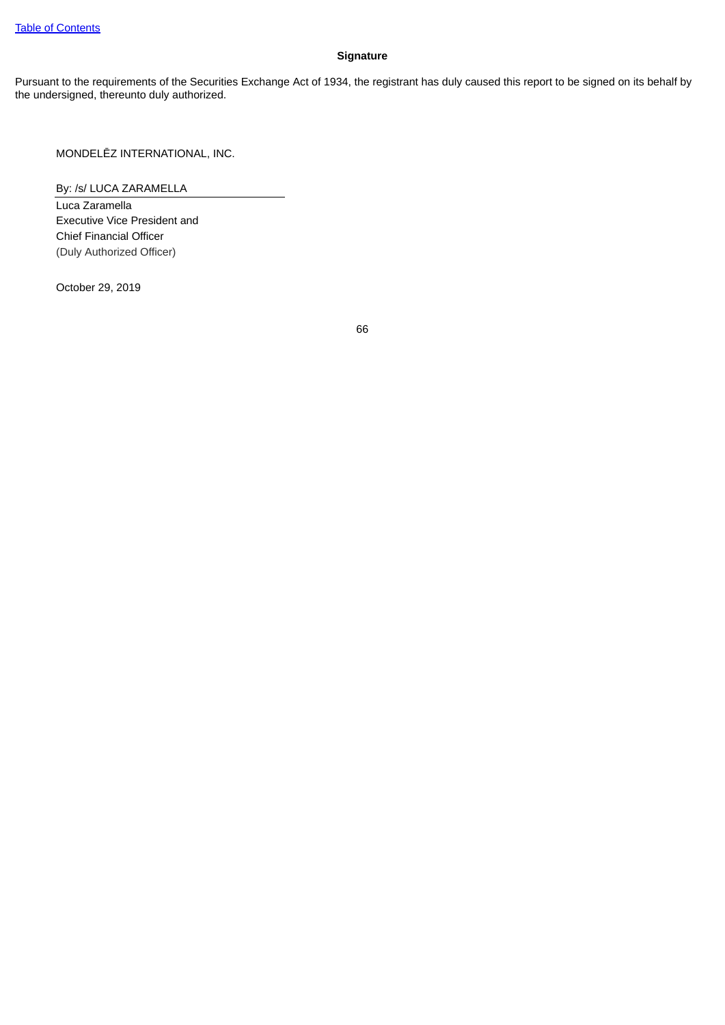# **Signature**

Pursuant to the requirements of the Securities Exchange Act of 1934, the registrant has duly caused this report to be signed on its behalf by the undersigned, thereunto duly authorized.

MONDELĒZ INTERNATIONAL, INC.

By: /s/ LUCA ZARAMELLA

Luca Zaramella Executive Vice President and Chief Financial Officer (Duly Authorized Officer)

October 29, 2019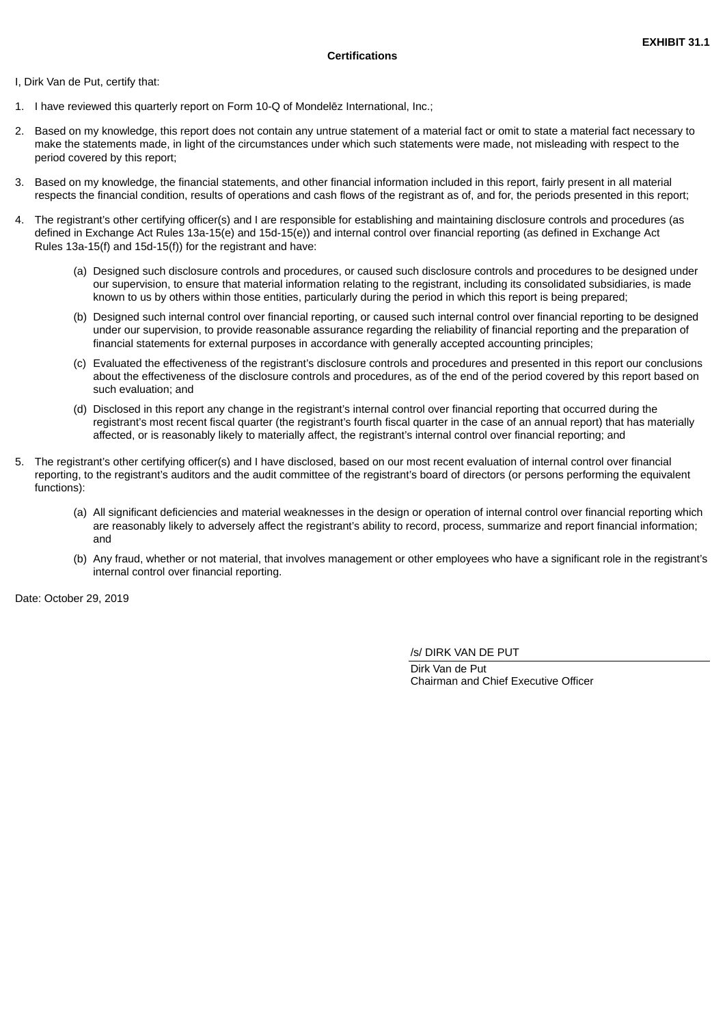<span id="page-69-0"></span>I, Dirk Van de Put, certify that:

- 1. I have reviewed this quarterly report on Form 10-Q of Mondelēz International, Inc.;
- 2. Based on my knowledge, this report does not contain any untrue statement of a material fact or omit to state a material fact necessary to make the statements made, in light of the circumstances under which such statements were made, not misleading with respect to the period covered by this report;
- 3. Based on my knowledge, the financial statements, and other financial information included in this report, fairly present in all material respects the financial condition, results of operations and cash flows of the registrant as of, and for, the periods presented in this report;
- 4. The registrant's other certifying officer(s) and I are responsible for establishing and maintaining disclosure controls and procedures (as defined in Exchange Act Rules 13a-15(e) and 15d-15(e)) and internal control over financial reporting (as defined in Exchange Act Rules 13a-15(f) and 15d-15(f)) for the registrant and have:
	- (a) Designed such disclosure controls and procedures, or caused such disclosure controls and procedures to be designed under our supervision, to ensure that material information relating to the registrant, including its consolidated subsidiaries, is made known to us by others within those entities, particularly during the period in which this report is being prepared;
	- (b) Designed such internal control over financial reporting, or caused such internal control over financial reporting to be designed under our supervision, to provide reasonable assurance regarding the reliability of financial reporting and the preparation of financial statements for external purposes in accordance with generally accepted accounting principles;
	- (c) Evaluated the effectiveness of the registrant's disclosure controls and procedures and presented in this report our conclusions about the effectiveness of the disclosure controls and procedures, as of the end of the period covered by this report based on such evaluation; and
	- (d) Disclosed in this report any change in the registrant's internal control over financial reporting that occurred during the registrant's most recent fiscal quarter (the registrant's fourth fiscal quarter in the case of an annual report) that has materially affected, or is reasonably likely to materially affect, the registrant's internal control over financial reporting; and
- 5. The registrant's other certifying officer(s) and I have disclosed, based on our most recent evaluation of internal control over financial reporting, to the registrant's auditors and the audit committee of the registrant's board of directors (or persons performing the equivalent functions):
	- (a) All significant deficiencies and material weaknesses in the design or operation of internal control over financial reporting which are reasonably likely to adversely affect the registrant's ability to record, process, summarize and report financial information; and
	- (b) Any fraud, whether or not material, that involves management or other employees who have a significant role in the registrant's internal control over financial reporting.

Date: October 29, 2019

/s/ DIRK VAN DE PUT

Dirk Van de Put Chairman and Chief Executive Officer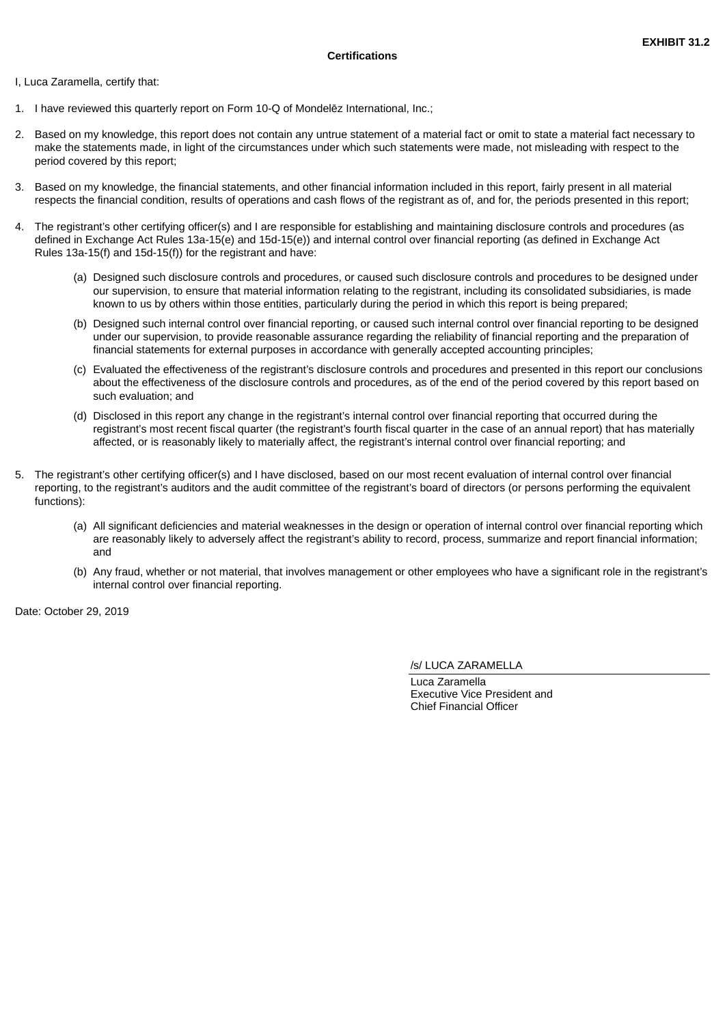<span id="page-70-0"></span>I, Luca Zaramella, certify that:

- 1. I have reviewed this quarterly report on Form 10-Q of Mondelēz International, Inc.;
- 2. Based on my knowledge, this report does not contain any untrue statement of a material fact or omit to state a material fact necessary to make the statements made, in light of the circumstances under which such statements were made, not misleading with respect to the period covered by this report;
- 3. Based on my knowledge, the financial statements, and other financial information included in this report, fairly present in all material respects the financial condition, results of operations and cash flows of the registrant as of, and for, the periods presented in this report;
- 4. The registrant's other certifying officer(s) and I are responsible for establishing and maintaining disclosure controls and procedures (as defined in Exchange Act Rules 13a-15(e) and 15d-15(e)) and internal control over financial reporting (as defined in Exchange Act Rules 13a-15(f) and 15d-15(f)) for the registrant and have:
	- (a) Designed such disclosure controls and procedures, or caused such disclosure controls and procedures to be designed under our supervision, to ensure that material information relating to the registrant, including its consolidated subsidiaries, is made known to us by others within those entities, particularly during the period in which this report is being prepared;
	- (b) Designed such internal control over financial reporting, or caused such internal control over financial reporting to be designed under our supervision, to provide reasonable assurance regarding the reliability of financial reporting and the preparation of financial statements for external purposes in accordance with generally accepted accounting principles;
	- (c) Evaluated the effectiveness of the registrant's disclosure controls and procedures and presented in this report our conclusions about the effectiveness of the disclosure controls and procedures, as of the end of the period covered by this report based on such evaluation; and
	- (d) Disclosed in this report any change in the registrant's internal control over financial reporting that occurred during the registrant's most recent fiscal quarter (the registrant's fourth fiscal quarter in the case of an annual report) that has materially affected, or is reasonably likely to materially affect, the registrant's internal control over financial reporting; and
- 5. The registrant's other certifying officer(s) and I have disclosed, based on our most recent evaluation of internal control over financial reporting, to the registrant's auditors and the audit committee of the registrant's board of directors (or persons performing the equivalent functions):
	- (a) All significant deficiencies and material weaknesses in the design or operation of internal control over financial reporting which are reasonably likely to adversely affect the registrant's ability to record, process, summarize and report financial information; and
	- (b) Any fraud, whether or not material, that involves management or other employees who have a significant role in the registrant's internal control over financial reporting.

Date: October 29, 2019

/s/ LUCA ZARAMELLA

Luca Zaramella Executive Vice President and Chief Financial Officer